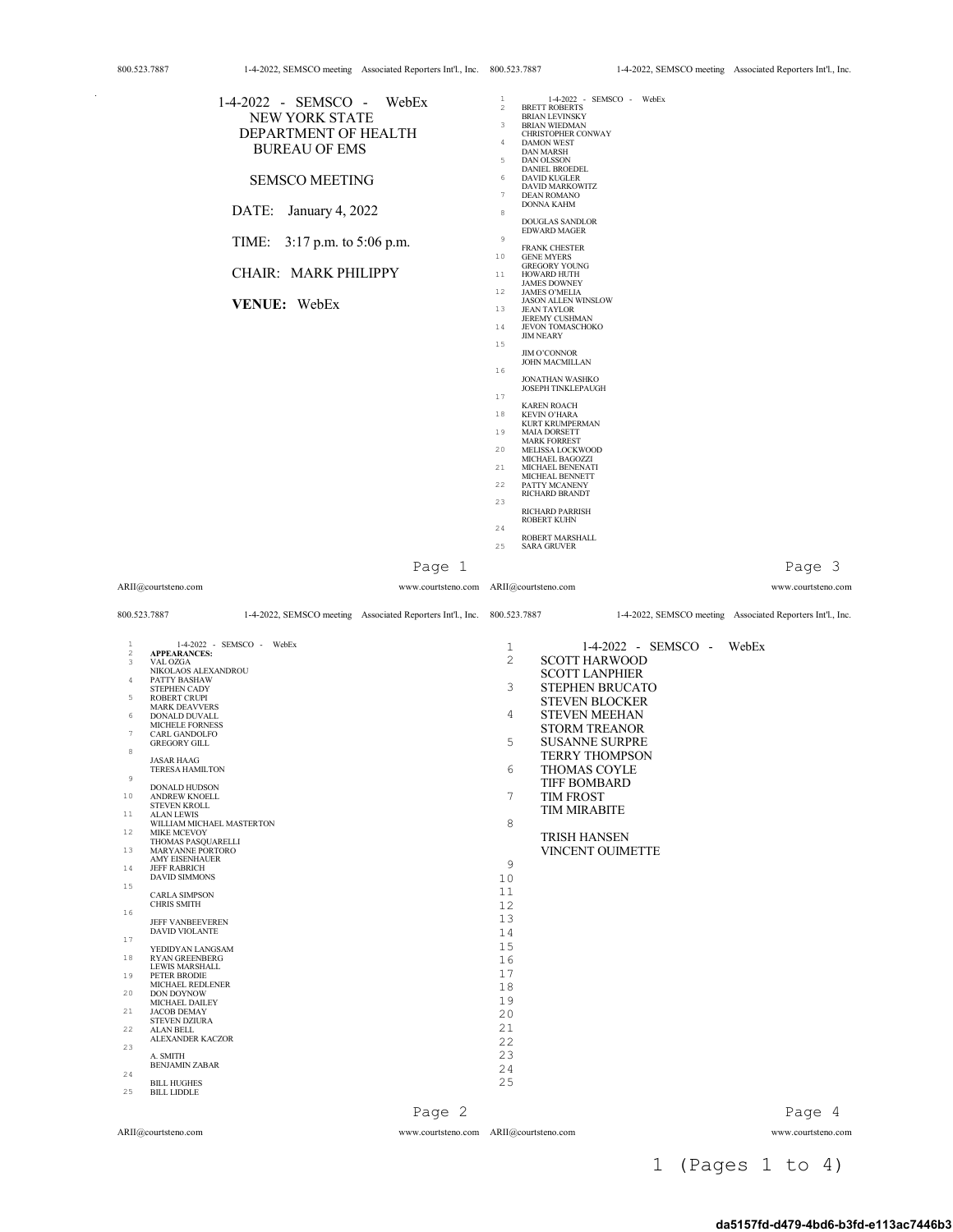$\sim$ 

| 000. <i>343.1</i> 007 |                                                  | $1 - 2022$ , SENSCO meeting Associated reporters in E, the $000.323.7667$ |                                |                                                   |                           | $1 - 7 - 2022$ , 3L M3CO meeting Associated reporters fin i., file. |
|-----------------------|--------------------------------------------------|---------------------------------------------------------------------------|--------------------------------|---------------------------------------------------|---------------------------|---------------------------------------------------------------------|
|                       | 1-4-2022 - SEMSCO - WebEx                        |                                                                           | $\mathbf{1}$<br>$\overline{2}$ | 1-4-2022 - SEMSCO - WebEx<br><b>BRETT ROBERTS</b> |                           |                                                                     |
|                       | NEW YORK STATE                                   |                                                                           |                                | <b>BRIAN LEVINSKY</b>                             |                           |                                                                     |
|                       | DEPARTMENT OF HEALTH                             |                                                                           | $\overline{\mathbf{3}}$        | <b>BRIAN WIEDMAN</b><br>CHRISTOPHER CONWAY        |                           |                                                                     |
|                       | <b>BUREAU OF EMS</b>                             |                                                                           | $\frac{4}{3}$                  | <b>DAMON WEST</b><br><b>DAN MARSH</b>             |                           |                                                                     |
|                       |                                                  |                                                                           | $\overline{5}$                 | <b>DAN OLSSON</b><br>DANIEL BROEDEL               |                           |                                                                     |
|                       | <b>SEMSCO MEETING</b>                            |                                                                           | 6                              | <b>DAVID KUGLER</b><br>DAVID MARKOWITZ            |                           |                                                                     |
|                       |                                                  |                                                                           | $7\phantom{.0}$                | <b>DEAN ROMANO</b><br><b>DONNA KAHM</b>           |                           |                                                                     |
|                       | DATE: January 4, 2022                            |                                                                           | $^{\rm 8}$                     | <b>DOUGLAS SANDLOR</b>                            |                           |                                                                     |
|                       | 3:17 p.m. to 5:06 p.m.<br>TIME:                  |                                                                           | $\,9$                          | <b>EDWARD MAGER</b>                               |                           |                                                                     |
|                       |                                                  |                                                                           | 10                             | <b>FRANK CHESTER</b><br><b>GENE MYERS</b>         |                           |                                                                     |
|                       | CHAIR: MARK PHILIPPY                             |                                                                           | 11                             | <b>GREGORY YOUNG</b><br>HOWARD HUTH               |                           |                                                                     |
|                       |                                                  |                                                                           | 12                             | <b>JAMES DOWNEY</b><br><b>JAMES O'MELIA</b>       |                           |                                                                     |
|                       | VENUE: WebEx                                     |                                                                           | 13                             | <b>JASON ALLEN WINSLOW</b><br><b>JEAN TAYLOR</b>  |                           |                                                                     |
|                       |                                                  |                                                                           | $1\,4$                         | <b>JEREMY CUSHMAN</b><br>JEVON TOMASCHOKO         |                           |                                                                     |
|                       |                                                  |                                                                           | 15                             | <b>JIM NEARY</b>                                  |                           |                                                                     |
|                       |                                                  |                                                                           |                                | <b>JIM O'CONNOR</b><br><b>JOHN MACMILLAN</b>      |                           |                                                                     |
|                       |                                                  |                                                                           | 16                             | JONATHAN WASHKO                                   |                           |                                                                     |
|                       |                                                  |                                                                           | 17                             | <b>JOSEPH TINKLEPAUGH</b>                         |                           |                                                                     |
|                       |                                                  |                                                                           | 18                             | <b>KAREN ROACH</b><br><b>KEVIN O'HARA</b>         |                           |                                                                     |
|                       |                                                  |                                                                           | 19                             | <b>KURT KRUMPERMAN</b><br><b>MAIA DORSETT</b>     |                           |                                                                     |
|                       |                                                  |                                                                           | 20                             | <b>MARK FORREST</b><br>MELISSA LOCKWOOD           |                           |                                                                     |
|                       |                                                  |                                                                           | 21                             | MICHAEL BAGOZZI<br>MICHAEL BENENATI               |                           |                                                                     |
|                       |                                                  |                                                                           | 22                             | MICHEAL BENNETT<br>PATTY MCANENY                  |                           |                                                                     |
|                       |                                                  |                                                                           | 23                             | RICHARD BRANDT                                    |                           |                                                                     |
|                       |                                                  |                                                                           |                                | RICHARD PARRISH<br><b>ROBERT KUHN</b>             |                           |                                                                     |
|                       |                                                  |                                                                           | 24                             | ROBERT MARSHALL                                   |                           |                                                                     |
|                       |                                                  |                                                                           | 25                             | <b>SARA GRUVER</b>                                |                           |                                                                     |
|                       |                                                  | Page 1                                                                    |                                |                                                   |                           | Page 3                                                              |
|                       | ARII@courtsteno.com                              | www.courtsteno.com ARII@courtsteno.com                                    |                                |                                                   |                           | www.courtsteno.com                                                  |
| 800.523.7887          |                                                  | 1-4-2022, SEMSCO meeting Associated Reporters Int'l., Inc. 800.523.7887   |                                |                                                   |                           | 1-4-2022, SEMSCO meeting Associated Reporters Int'l., Inc.          |
|                       |                                                  |                                                                           |                                |                                                   |                           |                                                                     |
| $\mathbf{1}$<br>2     | 1-4-2022 - SEMSCO - WebEx<br><b>APPEARANCES:</b> |                                                                           | 1                              |                                                   | 1-4-2022 - SEMSCO - WebEx |                                                                     |
| 3                     | VAL OZGA<br>NIKOLAOS ALEXANDROU                  |                                                                           | 2                              | <b>SCOTT HARWOOD</b><br><b>SCOTT LANPHIER</b>     |                           |                                                                     |
| 4                     | PATTY BASHAW<br>STEPHEN CADY                     |                                                                           | 3                              | <b>STEPHEN BRUCATO</b>                            |                           |                                                                     |
| 5                     | <b>ROBERT CRUPI</b><br><b>MARK DEAVVERS</b>      |                                                                           |                                | <b>STEVEN BLOCKER</b>                             |                           |                                                                     |
| 6                     | DONALD DUVALL<br>MICHELE FORNESS                 |                                                                           | 4                              | <b>STEVEN MEEHAN</b>                              |                           |                                                                     |
| 7                     | CARL GANDOLFO<br><b>GREGORY GILL</b>             |                                                                           | 5                              | <b>STORM TREANOR</b><br><b>SUSANNE SURPRE</b>     |                           |                                                                     |
| $\,$ 8 $\,$           | <b>JASAR HAAG</b>                                |                                                                           |                                | <b>TERRY THOMPSON</b>                             |                           |                                                                     |
| $\mathsf 9$           | <b>TERESA HAMILTON</b>                           |                                                                           | 6                              | THOMAS COYLE                                      |                           |                                                                     |
| 10                    | DONALD HUDSON<br>ANDREW KNOELL                   |                                                                           | 7                              | <b>TIFF BOMBARD</b><br><b>TIM FROST</b>           |                           |                                                                     |
| 11                    | <b>STEVEN KROLL</b><br><b>ALAN LEWIS</b>         |                                                                           |                                | <b>TIM MIRABITE</b>                               |                           |                                                                     |
| 12                    | WILLIAM MICHAEL MASTERTON<br>MIKE MCEVOY         |                                                                           | 8                              |                                                   |                           |                                                                     |
| 13                    | THOMAS PASQUARELLI<br>MARYANNE PORTORO           |                                                                           |                                | TRISH HANSEN<br><b>VINCENT OUIMETTE</b>           |                           |                                                                     |
| 14                    | AMY EISENHAUER<br><b>JEFF RABRICH</b>            |                                                                           | 9                              |                                                   |                           |                                                                     |
| 15                    | <b>DAVID SIMMONS</b>                             |                                                                           | 10                             |                                                   |                           |                                                                     |
|                       | CARLA SIMPSON<br><b>CHRIS SMITH</b>              |                                                                           | 11<br>12                       |                                                   |                           |                                                                     |
| 16                    | <b>JEFF VANBEEVEREN</b>                          |                                                                           | 13                             |                                                   |                           |                                                                     |
| 17                    |                                                  |                                                                           |                                |                                                   |                           |                                                                     |
|                       | DAVID VIOLANTE                                   |                                                                           | 14                             |                                                   |                           |                                                                     |
|                       | YEDIDYAN LANGSAM                                 |                                                                           | 15                             |                                                   |                           |                                                                     |
| 18                    | RYAN GREENBERG<br><b>LEWIS MARSHALL</b>          |                                                                           | 16                             |                                                   |                           |                                                                     |
| 19                    | PETER BRODIE<br>MICHAEL REDLENER                 |                                                                           | 17<br>18                       |                                                   |                           |                                                                     |
| 20                    | DON DOYNOW<br>MICHAEL DAILEY                     |                                                                           | 19                             |                                                   |                           |                                                                     |
| 21                    | <b>JACOB DEMAY</b><br><b>STEVEN DZIURA</b>       |                                                                           | 20                             |                                                   |                           |                                                                     |
| 22                    | <b>ALAN BELL</b><br><b>ALEXANDER KACZOR</b>      |                                                                           | 21<br>22                       |                                                   |                           |                                                                     |
| 23                    | A. SMITH                                         |                                                                           | 23                             |                                                   |                           |                                                                     |
| 24                    | <b>BENJAMIN ZABAR</b>                            |                                                                           | 24                             |                                                   |                           |                                                                     |
| 25                    | <b>BILL HUGHES</b><br><b>BILL LIDDLE</b>         |                                                                           | 25                             |                                                   |                           |                                                                     |
|                       |                                                  | Page 2                                                                    |                                |                                                   |                           | Page 4                                                              |

1 (Pages 1 to 4)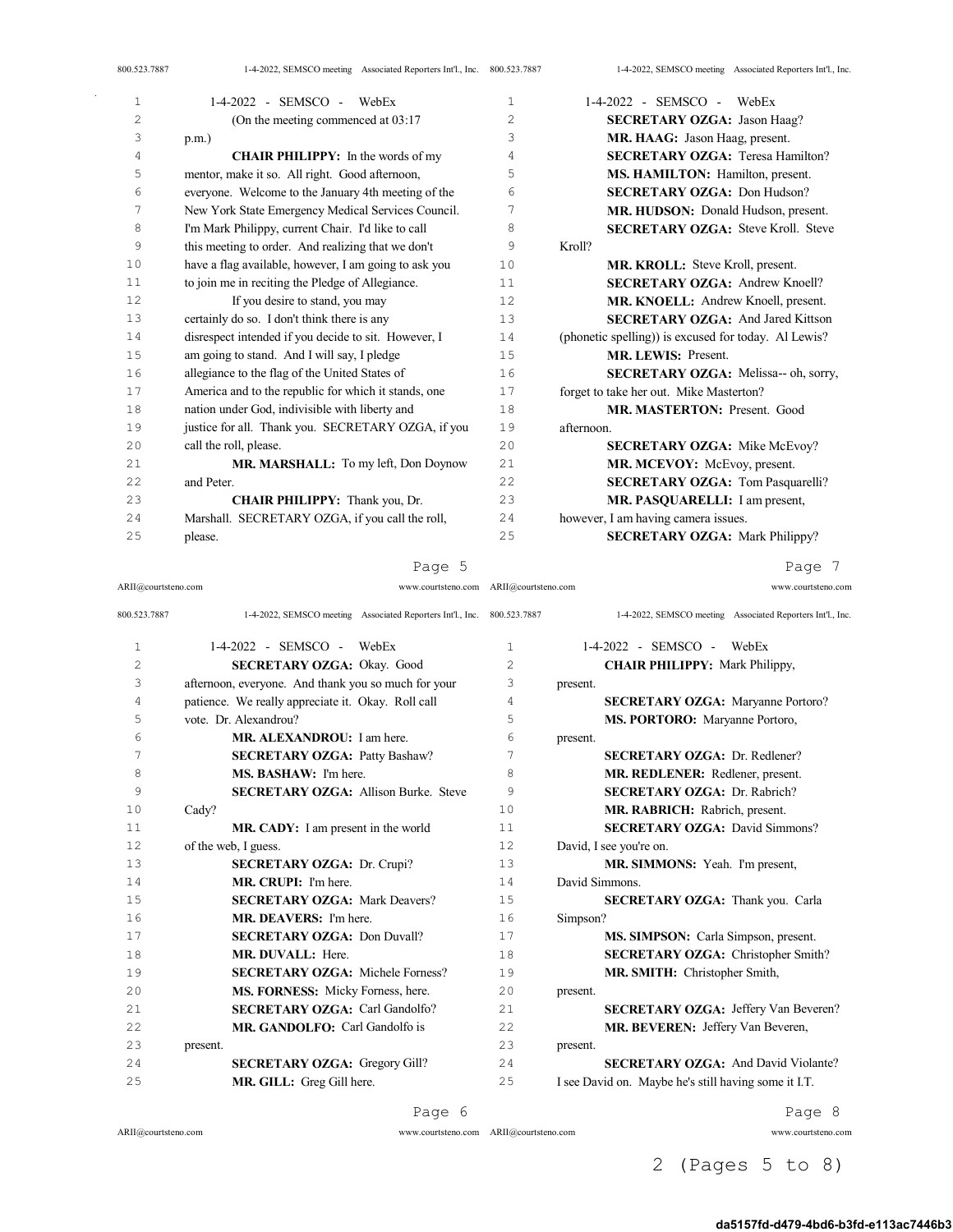| 1  | 1-4-2022 - SEMSCO - WebEx                             | $\mathbf{1}$   | $1-4-2022$ - SEMSCO - WebEx                          |
|----|-------------------------------------------------------|----------------|------------------------------------------------------|
| 2  | (On the meeting commenced at $03:17$ )                | $\overline{2}$ | <b>SECRETARY OZGA: Jason Haag?</b>                   |
| 3  | $p.m.$ )                                              | 3              | MR. HAAG: Jason Haag, present.                       |
| 4  | <b>CHAIR PHILIPPY:</b> In the words of my             | 4              | <b>SECRETARY OZGA: Teresa Hamilton?</b>              |
| 5  | mentor, make it so. All right. Good afternoon,        | 5              | MS. HAMILTON: Hamilton, present.                     |
| 6  | everyone. Welcome to the January 4th meeting of the   | 6              | <b>SECRETARY OZGA: Don Hudson?</b>                   |
| 7  | New York State Emergency Medical Services Council.    | 7              | MR. HUDSON: Donald Hudson, present.                  |
| 8  | I'm Mark Philippy, current Chair. I'd like to call    | 8              | <b>SECRETARY OZGA: Steve Kroll. Steve</b>            |
| 9  | this meeting to order. And realizing that we don't    | 9              | Kroll?                                               |
| 10 | have a flag available, however, I am going to ask you | 10             | <b>MR. KROLL:</b> Steve Kroll, present.              |
| 11 | to join me in reciting the Pledge of Allegiance.      | 11             | <b>SECRETARY OZGA: Andrew Knoell?</b>                |
| 12 | If you desire to stand, you may                       | 12             | MR. KNOELL: Andrew Knoell, present.                  |
| 13 | certainly do so. I don't think there is any           | 13             | <b>SECRETARY OZGA: And Jared Kittson</b>             |
| 14 | disrespect intended if you decide to sit. However, I  | 14             | (phonetic spelling)) is excused for today. Al Lewis? |
| 15 | am going to stand. And I will say, I pledge           | 15             | <b>MR. LEWIS: Present.</b>                           |
| 16 | allegiance to the flag of the United States of        | 16             | SECRETARY OZGA: Melissa-- oh, sorry,                 |
| 17 | America and to the republic for which it stands, one  | 17             | forget to take her out. Mike Masterton?              |
| 18 | nation under God, indivisible with liberty and        | 18             | MR. MASTERTON: Present. Good                         |
| 19 | justice for all. Thank you. SECRETARY OZGA, if you    | 19             | afternoon.                                           |
| 20 | call the roll, please.                                | 20             | <b>SECRETARY OZGA: Mike McEvoy?</b>                  |
| 21 | MR. MARSHALL: To my left, Don Doynow                  | 21             | MR. MCEVOY: McEvoy, present.                         |
| 22 | and Peter.                                            | 22             | <b>SECRETARY OZGA: Tom Pasquarelli?</b>              |
| 23 | CHAIR PHILIPPY: Thank you, Dr.                        | 23             | MR. PASQUARELLI: I am present,                       |
| 24 | Marshall. SECRETARY OZGA, if you call the roll,       | 24             | however, I am having camera issues.                  |
| 25 | please.                                               | 25             | <b>SECRETARY OZGA: Mark Philippy?</b>                |
|    |                                                       |                |                                                      |

ARII@courtsteno.com www.courtsteno.com ARII@courtsteno.com www.courtsteno.com

Page 7

| 800.523.7887   | 1-4-2022, SEMSCO meeting Associated Reporters Int'l., Inc. 800.523.7887 |                | 1-4-2022, SEMSCO meeting Associated Reporters Int'l., Inc. |
|----------------|-------------------------------------------------------------------------|----------------|------------------------------------------------------------|
| 1              | $1-4-2022 -$ SEMSCO -<br>WebEx                                          | $\mathbf{1}$   | $1-4-2022 -$ SEMSCO -<br>WebEx                             |
| $\overline{c}$ | <b>SECRETARY OZGA: Okay. Good</b>                                       | $\overline{c}$ | <b>CHAIR PHILIPPY: Mark Philippy,</b>                      |
| 3              | afternoon, everyone. And thank you so much for your                     | 3              | present.                                                   |
| 4              | patience. We really appreciate it. Okay. Roll call                      | 4              | <b>SECRETARY OZGA: Maryanne Portoro?</b>                   |
| 5              | vote. Dr. Alexandrou?                                                   | 5              | MS. PORTORO: Maryanne Portoro,                             |
| 6              | MR. ALEXANDROU: I am here.                                              | 6              | present.                                                   |
| 7              | <b>SECRETARY OZGA: Patty Bashaw?</b>                                    | 7              | <b>SECRETARY OZGA: Dr. Redlener?</b>                       |
| 8              | MS. BASHAW: I'm here.                                                   | 8              | MR, REDLENER: Redlener, present.                           |
| 9              | <b>SECRETARY OZGA:</b> Allison Burke. Steve                             | 9              | <b>SECRETARY OZGA: Dr. Rabrich?</b>                        |
| 10             | Cady?                                                                   | 10             | MR. RABRICH: Rabrich, present.                             |
| 11             | MR. CADY: I am present in the world                                     | 11             | <b>SECRETARY OZGA: David Simmons?</b>                      |
| 12.            | of the web, I guess.                                                    | 12             | David, I see you're on.                                    |
| 13             | <b>SECRETARY OZGA: Dr. Crupi?</b>                                       | 13             | <b>MR. SIMMONS:</b> Yeah. I'm present,                     |
| 14             | MR. CRUPI: I'm here.                                                    | 14             | David Simmons.                                             |
| 1.5            | <b>SECRETARY OZGA: Mark Deavers?</b>                                    | 15             | <b>SECRETARY OZGA:</b> Thank you. Carla                    |
| 16             | MR. DEAVERS: I'm here.                                                  | 16             | Simpson?                                                   |
| 17             | <b>SECRETARY OZGA: Don Duvall?</b>                                      | 17             | MS. SIMPSON: Carla Simpson, present.                       |
| 18             | MR. DUVALL: Here.                                                       | 18             | <b>SECRETARY OZGA:</b> Christopher Smith?                  |
| 19             | <b>SECRETARY OZGA: Michele Forness?</b>                                 | 19             | MR. SMITH: Christopher Smith,                              |
| 20             | MS. FORNESS: Micky Forness, here.                                       | 20             | present.                                                   |
| 2.1            | <b>SECRETARY OZGA: Carl Gandolfo?</b>                                   | 2.1            | <b>SECRETARY OZGA: Jeffery Van Beveren?</b>                |
| 2.2.           | MR. GANDOLFO: Carl Gandolfo is                                          | 22.2           | MR. BEVEREN: Jeffery Van Beveren,                          |
| 2.3            | present.                                                                | 2.3            | present.                                                   |
| 24             | <b>SECRETARY OZGA: Gregory Gill?</b>                                    | 2.4            | <b>SECRETARY OZGA: And David Violante?</b>                 |
| 25             | MR. GILL: Greg Gill here.                                               | 25             | I see David on. Maybe he's still having some it I.T.       |

Page 6

 $\bar{z}$ 

ARII@courtsteno.com www.courtsteno.com Page 8

2 (Pages 5 to 8)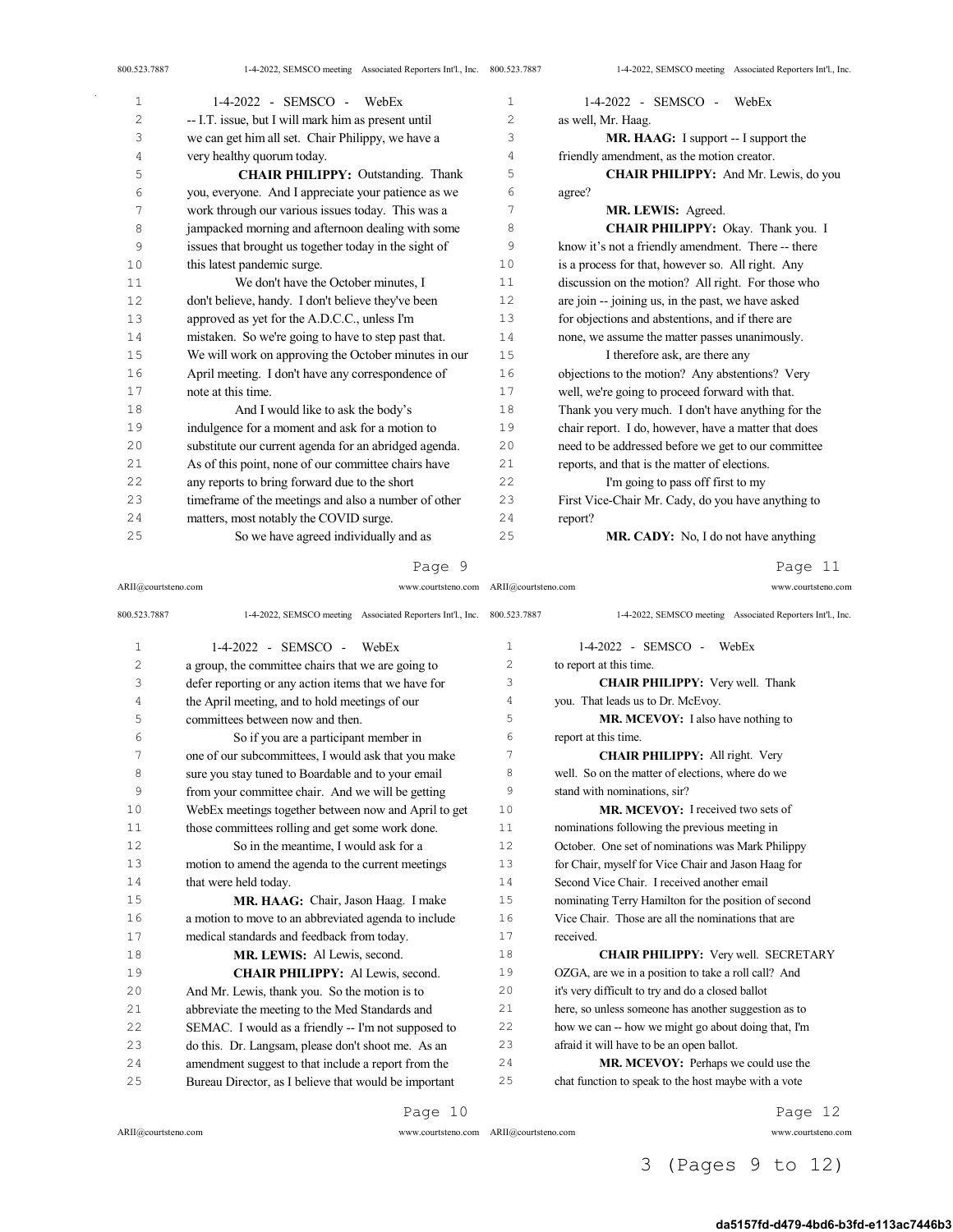$\bar{\gamma}$ 

| 1  | 1-4-2022 - SEMSCO - WebEx                             | $\mathbf{1}$ | 1-4-2022 - SEMSCO - WebEx                            |
|----|-------------------------------------------------------|--------------|------------------------------------------------------|
| 2  | -- I.T. issue, but I will mark him as present until   | 2            | as well, Mr. Haag.                                   |
| 3  | we can get him all set. Chair Philippy, we have a     | 3            | <b>MR. HAAG:</b> I support -- I support the          |
| 4  | very healthy quorum today.                            | 4            | friendly amendment, as the motion creator.           |
| 5  | <b>CHAIR PHILIPPY: Outstanding. Thank</b>             | 5            | <b>CHAIR PHILIPPY:</b> And Mr. Lewis, do you         |
| 6  | you, everyone. And I appreciate your patience as we   | 6            | agree?                                               |
| 7  | work through our various issues today. This was a     | 7            | MR. LEWIS: Agreed.                                   |
| 8  | jampacked morning and afternoon dealing with some     | 8            | CHAIR PHILIPPY: Okay. Thank you. I                   |
| 9  | issues that brought us together today in the sight of | 9            | know it's not a friendly amendment. There -- there   |
| 10 | this latest pandemic surge.                           | 10           | is a process for that, however so. All right. Any    |
| 11 | We don't have the October minutes, I                  | 11           | discussion on the motion? All right. For those who   |
| 12 | don't believe, handy. I don't believe they've been    | 12           | are join -- joining us, in the past, we have asked   |
| 13 | approved as yet for the A.D.C.C., unless I'm          | 13           | for objections and abstentions, and if there are     |
| 14 | mistaken. So we're going to have to step past that.   | 14           | none, we assume the matter passes unanimously.       |
| 15 | We will work on approving the October minutes in our  | 15           | I therefore ask, are there any                       |
| 16 | April meeting. I don't have any correspondence of     | 16           | objections to the motion? Any abstentions? Very      |
| 17 | note at this time.                                    | 17           | well, we're going to proceed forward with that.      |
| 18 | And I would like to ask the body's                    | 18           | Thank you very much. I don't have anything for the   |
| 19 | indulgence for a moment and ask for a motion to       | 19           | chair report. I do, however, have a matter that does |
| 20 | substitute our current agenda for an abridged agenda. | 20           | need to be addressed before we get to our committee  |
| 21 | As of this point, none of our committee chairs have   | 21           | reports, and that is the matter of elections.        |
| 22 | any reports to bring forward due to the short         | 22           | I'm going to pass off first to my                    |
| 23 | timeframe of the meetings and also a number of other  | 23           | First Vice-Chair Mr. Cady, do you have anything to   |
| 24 | matters, most notably the COVID surge.                | 24           | report?                                              |
| 25 | So we have agreed individually and as                 | 25           | <b>MR. CADY:</b> No, I do not have anything          |

Page 9

Page 11

| ARII@courtsteno.com |                                                            | www.courtsteno.com ARII@courtsteno.com |                   | www.courtsteno.com                                         |
|---------------------|------------------------------------------------------------|----------------------------------------|-------------------|------------------------------------------------------------|
| 800.523.7887        | 1-4-2022, SEMSCO meeting Associated Reporters Int'l., Inc. |                                        | 800.523.7887      | 1-4-2022, SEMSCO meeting Associated Reporters Int'l., Inc. |
| 1                   | $1-4-2022$ - SEMSCO - WebEx                                |                                        | 1                 | 1-4-2022 - SEMSCO - WebEx                                  |
| 2                   | a group, the committee chairs that we are going to         |                                        | 2                 | to report at this time.                                    |
| 3                   | defer reporting or any action items that we have for       |                                        | 3                 | <b>CHAIR PHILIPPY:</b> Very well. Thank                    |
| 4                   | the April meeting, and to hold meetings of our             |                                        | 4                 | you. That leads us to Dr. McEvoy.                          |
| 5                   | committees between now and then.                           |                                        | 5                 | MR. MCEVOY: I also have nothing to                         |
| 6                   | So if you are a participant member in                      |                                        | 6                 | report at this time.                                       |
| 7                   | one of our subcommittees, I would ask that you make        |                                        | 7                 | CHAIR PHILIPPY: All right. Very                            |
| 8                   | sure you stay tuned to Boardable and to your email         |                                        | 8                 | well. So on the matter of elections, where do we           |
| 9                   | from your committee chair. And we will be getting          |                                        | 9                 | stand with nominations, sir?                               |
| 10                  | WebEx meetings together between now and April to get       |                                        | 10                | MR. MCEVOY: I received two sets of                         |
| 11                  | those committees rolling and get some work done.           |                                        | 11                | nominations following the previous meeting in              |
| 12                  | So in the meantime, I would ask for a                      |                                        | $12 \overline{ }$ | October. One set of nominations was Mark Philippy          |
| 13                  | motion to amend the agenda to the current meetings         |                                        | 13                | for Chair, myself for Vice Chair and Jason Haag for        |
| 14                  | that were held today.                                      |                                        | 14                | Second Vice Chair. I received another email                |
| 15                  | MR. HAAG: Chair, Jason Haag. I make                        |                                        | 15                | nominating Terry Hamilton for the position of second       |
| 16                  | a motion to move to an abbreviated agenda to include       |                                        | 16                | Vice Chair. Those are all the nominations that are         |
| 17                  | medical standards and feedback from today.                 |                                        | 17                | received.                                                  |
| 18                  | MR. LEWIS: Al Lewis, second.                               |                                        | 18                | <b>CHAIR PHILIPPY:</b> Very well. SECRETARY                |
| 19                  | CHAIR PHILIPPY: Al Lewis, second.                          |                                        | 19                | OZGA, are we in a position to take a roll call? And        |
| 20                  | And Mr. Lewis, thank you. So the motion is to              |                                        | 20                | it's very difficult to try and do a closed ballot          |
| 21                  | abbreviate the meeting to the Med Standards and            |                                        | 21                | here, so unless someone has another suggestion as to       |
| 22                  | SEMAC. I would as a friendly -- I'm not supposed to        |                                        | 22                | how we can -- how we might go about doing that, I'm        |
| 23                  | do this. Dr. Langsam, please don't shoot me. As an         |                                        | 23                | afraid it will have to be an open ballot.                  |
| 24                  | amendment suggest to that include a report from the        |                                        | 24                | MR. MCEVOY: Perhaps we could use the                       |
| 25                  | Bureau Director, as I believe that would be important      |                                        | 25                | chat function to speak to the host maybe with a vote       |
|                     |                                                            | Page 10                                |                   | Page 12                                                    |

ARII@courtsteno.com www.courtsteno.com

Page 12

ARII@courtsteno.com www.courtsteno.com

3 (Pages 9 to 12)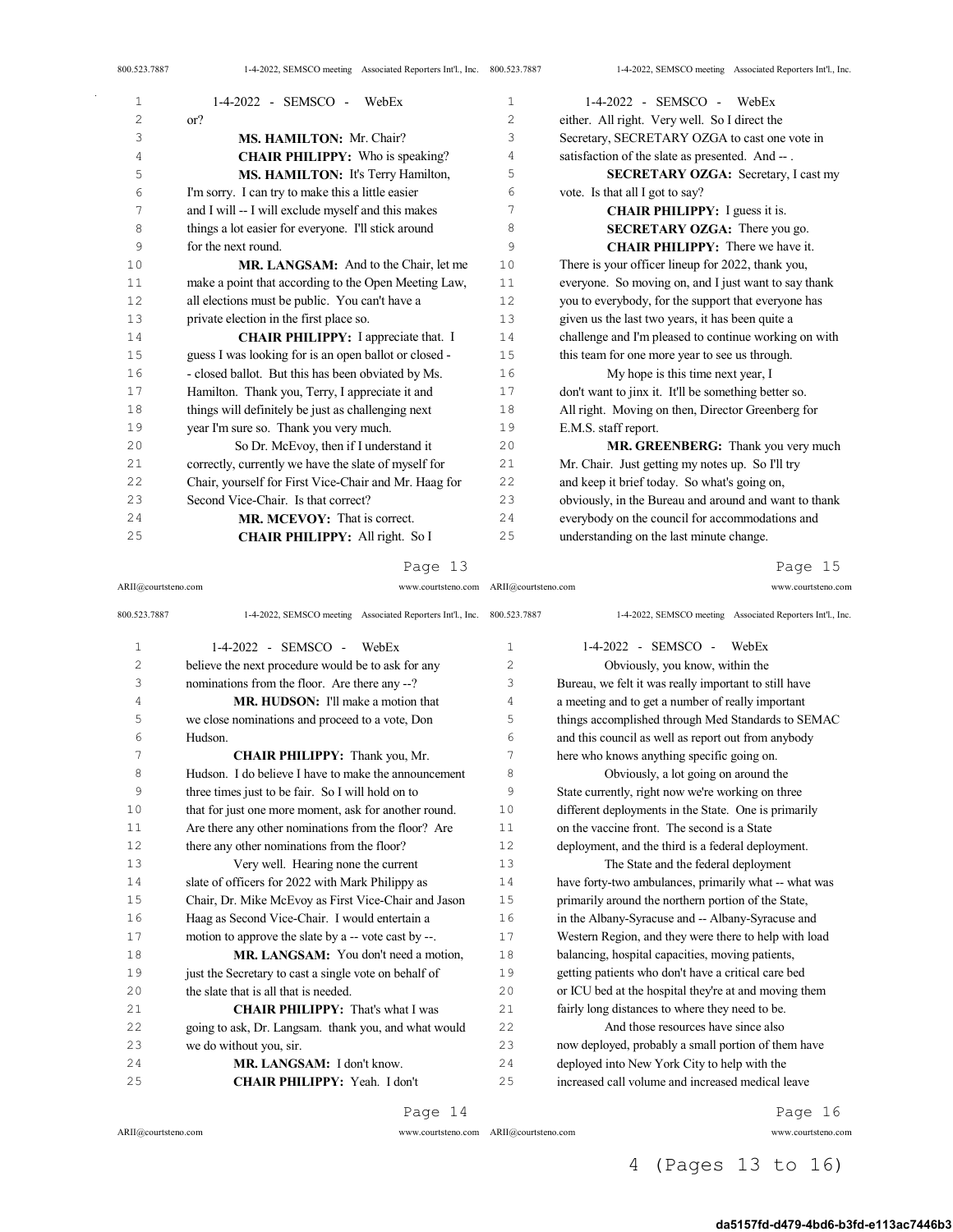| 800.523.7887 | 1-4-2022, SEMSCO meeting Associated Reporters Int'l., Inc. 800.523.7887 |                | 1-4-2022, SEMSCO meeting Associated Reporters Int'l., Inc. |
|--------------|-------------------------------------------------------------------------|----------------|------------------------------------------------------------|
| 1            | $1-4-2022 -$ SEMSCO -<br>WebEx                                          | $\mathbf{1}$   | $1-4-2022$ - SEMSCO - WebEx                                |
| 2            | or?                                                                     | $\overline{c}$ | either. All right. Very well. So I direct the              |
| 3            | MS. HAMILTON: Mr. Chair?                                                | 3              | Secretary, SECRETARY OZGA to cast one vote in              |
| 4            | <b>CHAIR PHILIPPY:</b> Who is speaking?                                 | 4              | satisfaction of the slate as presented. And --.            |
| 5            | MS. HAMILTON: It's Terry Hamilton,                                      | 5              | <b>SECRETARY OZGA:</b> Secretary, I cast my                |
| 6            | I'm sorry. I can try to make this a little easier                       | 6              | vote. Is that all I got to say?                            |
| 7            | and I will -- I will exclude myself and this makes                      | 7              | <b>CHAIR PHILIPPY:</b> I guess it is.                      |
| 8            | things a lot easier for everyone. I'll stick around                     | 8              | <b>SECRETARY OZGA:</b> There you go.                       |
| 9            | for the next round.                                                     | 9              | <b>CHAIR PHILIPPY:</b> There we have it.                   |
| 10           | MR. LANGSAM: And to the Chair, let me                                   | 10             | There is your officer lineup for 2022, thank you,          |
| 11           | make a point that according to the Open Meeting Law,                    | 11             | everyone. So moving on, and I just want to say thank       |
| 12           | all elections must be public. You can't have a                          | 12             | you to everybody, for the support that everyone has        |
| 13           | private election in the first place so.                                 | 13             | given us the last two years, it has been quite a           |
| 14           | <b>CHAIR PHILIPPY:</b> I appreciate that. I                             | 14             | challenge and I'm pleased to continue working on with      |
| 15           | guess I was looking for is an open ballot or closed -                   | 15             | this team for one more year to see us through.             |
| 16           | - closed ballot. But this has been obviated by Ms.                      | 16             | My hope is this time next year, I                          |
| 17           | Hamilton. Thank you, Terry, I appreciate it and                         | 17             | don't want to jinx it. It'll be something better so.       |
| 18           | things will definitely be just as challenging next                      | 18             | All right. Moving on then, Director Greenberg for          |
| 19           | year I'm sure so. Thank you very much.                                  | 19             | E.M.S. staff report.                                       |
| 20           | So Dr. McEvoy, then if I understand it                                  | 20             | MR. GREENBERG: Thank you very much                         |
| 21           | correctly, currently we have the slate of myself for                    | 21             | Mr. Chair. Just getting my notes up. So I'll try           |
| 22           | Chair, yourself for First Vice-Chair and Mr. Haag for                   | 22             | and keep it brief today. So what's going on,               |
| 23           | Second Vice-Chair. Is that correct?                                     | 23             | obviously, in the Bureau and around and want to thank      |
| 24           | MR. MCEVOY: That is correct.                                            | 24             | everybody on the council for accommodations and            |

ARII@courtsteno.com www.courtsteno.com

understanding on the last minute change.

Page 15

| 800.523.7887   | 1-4-2022, SEMSCO meeting Associated Reporters Int'l., Inc. 800.523.7887 |              | 1-4-2022, SEMSCO meeting Associated Reporters Int'l., Inc. |
|----------------|-------------------------------------------------------------------------|--------------|------------------------------------------------------------|
| $\mathbf{1}$   | $1-4-2022 -$ SEMSCO -<br>WebEx                                          | $\mathbf{1}$ | 1-4-2022 - SEMSCO -<br>WebEx                               |
| $\overline{c}$ | believe the next procedure would be to ask for any                      | $\mathbf{2}$ | Obviously, you know, within the                            |
| 3              | nominations from the floor. Are there any --?                           | 3            | Bureau, we felt it was really important to still have      |
| 4              | MR. HUDSON: I'll make a motion that                                     | 4            | a meeting and to get a number of really important          |
| 5              | we close nominations and proceed to a vote, Don                         | 5            | things accomplished through Med Standards to SEMAC         |
| 6              | Hudson.                                                                 | 6            | and this council as well as report out from anybody        |
| 7              | CHAIR PHILIPPY: Thank you, Mr.                                          | 7            | here who knows anything specific going on.                 |
| 8              | Hudson. I do believe I have to make the announcement                    | 8            | Obviously, a lot going on around the                       |
| 9              | three times just to be fair. So I will hold on to                       | 9            | State currently, right now we're working on three          |
| 10             | that for just one more moment, ask for another round.                   | 10           | different deployments in the State. One is primarily       |
| 11             | Are there any other nominations from the floor? Are                     | 11           | on the vaccine front. The second is a State                |
| 12             | there any other nominations from the floor?                             | 12           | deployment, and the third is a federal deployment.         |
| 13             | Very well. Hearing none the current                                     | 13           | The State and the federal deployment                       |
| 14             | slate of officers for 2022 with Mark Philippy as                        | 14           | have forty-two ambulances, primarily what -- what was      |
| 15             | Chair, Dr. Mike McEvoy as First Vice-Chair and Jason                    | 15           | primarily around the northern portion of the State,        |
| 16             | Haag as Second Vice-Chair. I would entertain a                          | 16           | in the Albany-Syracuse and -- Albany-Syracuse and          |
| 17             | motion to approve the slate by a -- vote cast by --.                    | 17           | Western Region, and they were there to help with load      |
| 18             | MR. LANGSAM: You don't need a motion.                                   | 18           | balancing, hospital capacities, moving patients,           |
| 19             | just the Secretary to cast a single vote on behalf of                   | 19           | getting patients who don't have a critical care bed        |
| 20             | the slate that is all that is needed.                                   | 20           | or ICU bed at the hospital they're at and moving them      |
| 21             | <b>CHAIR PHILIPPY:</b> That's what I was                                | 21           | fairly long distances to where they need to be.            |
| 22             | going to ask, Dr. Langsam. thank you, and what would                    | 22           | And those resources have since also                        |
| 23             | we do without you, sir.                                                 | 23           | now deployed, probably a small portion of them have        |
| 24             | MR. LANGSAM: I don't know.                                              | 24           | deployed into New York City to help with the               |
| 25             | CHAIR PHILIPPY: Yeah. I don't                                           | 25           | increased call volume and increased medical leave          |

Page 14

ARII@courtsteno.com

CHAIR PHILIPPY: All right. So I

ARII@courtsteno.com www.courtsteno.com ARII@courtsteno.com www.courtsteno.com

Page 16

## 4 (Pages 13 to 16)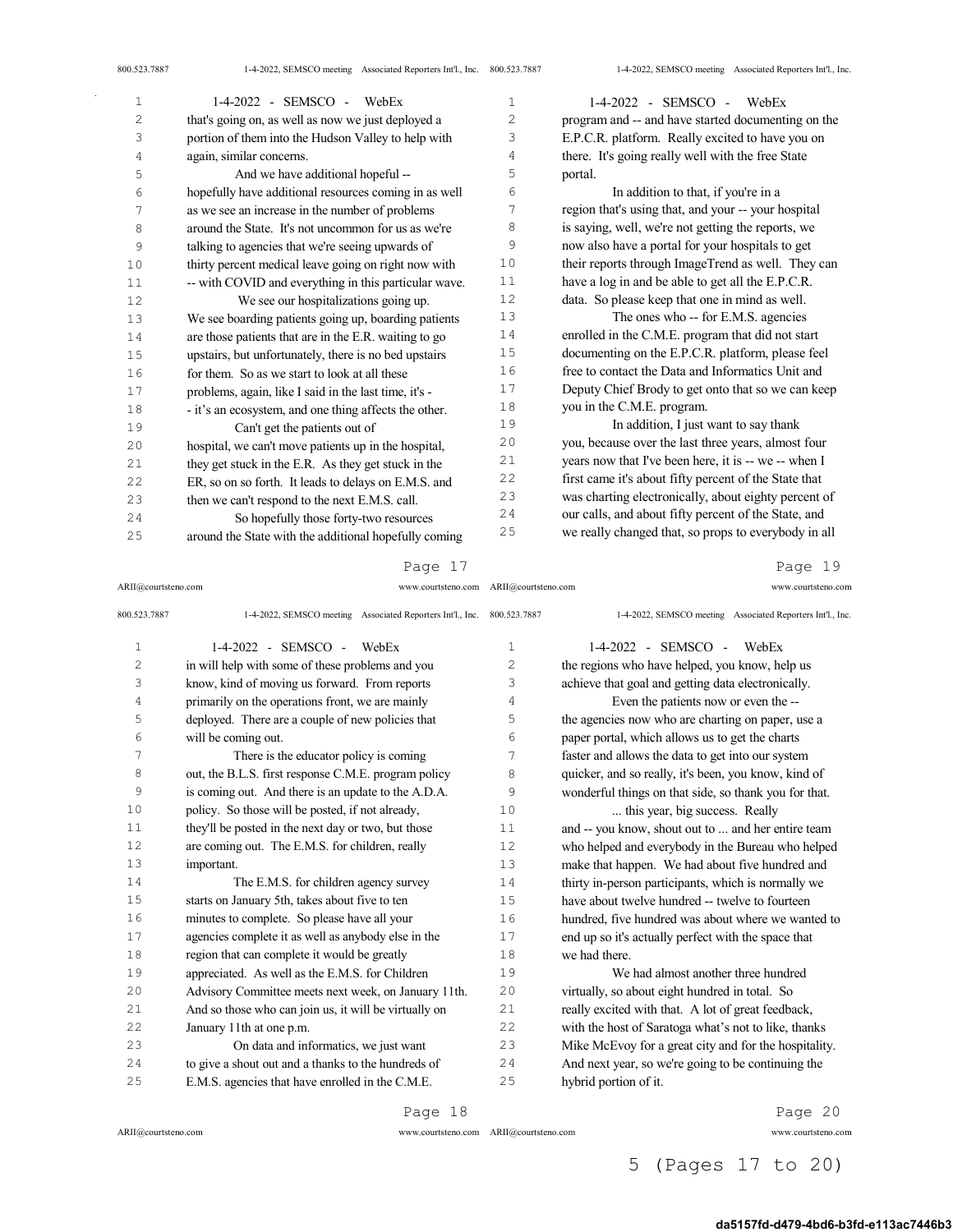| 1  | $1-4-2022$ - SEMSCO - WebEx                           | 1  | 1-4-2022 - SEMSCO - WebEx                             |
|----|-------------------------------------------------------|----|-------------------------------------------------------|
| 2  | that's going on, as well as now we just deployed a    | 2  | program and -- and have started documenting on the    |
| 3  | portion of them into the Hudson Valley to help with   | 3  | E.P.C.R. platform. Really excited to have you on      |
| 4  | again, similar concerns.                              | 4  | there. It's going really well with the free State     |
| 5  | And we have additional hopeful --                     | 5  | portal.                                               |
| 6  | hopefully have additional resources coming in as well | 6  | In addition to that, if you're in a                   |
| 7  | as we see an increase in the number of problems       | 7  | region that's using that, and your -- your hospital   |
| 8  | around the State. It's not uncommon for us as we're   | 8  | is saying, well, we're not getting the reports, we    |
| 9  | talking to agencies that we're seeing upwards of      | 9  | now also have a portal for your hospitals to get      |
| 10 | thirty percent medical leave going on right now with  | 10 | their reports through ImageTrend as well. They can    |
| 11 | -- with COVID and everything in this particular wave. | 11 | have a log in and be able to get all the E.P.C.R.     |
| 12 | We see our hospitalizations going up.                 | 12 | data. So please keep that one in mind as well.        |
| 13 | We see boarding patients going up, boarding patients  | 13 | The ones who -- for E.M.S. agencies                   |
| 14 | are those patients that are in the E.R. waiting to go | 14 | enrolled in the C.M.E. program that did not start     |
| 15 | upstairs, but unfortunately, there is no bed upstairs | 15 | documenting on the E.P.C.R. platform, please feel     |
| 16 | for them. So as we start to look at all these         | 16 | free to contact the Data and Informatics Unit and     |
| 17 | problems, again, like I said in the last time, it's - | 17 | Deputy Chief Brody to get onto that so we can keep    |
| 18 | - it's an ecosystem, and one thing affects the other. | 18 | you in the C.M.E. program.                            |
| 19 | Can't get the patients out of                         | 19 | In addition, I just want to say thank                 |
| 20 | hospital, we can't move patients up in the hospital,  | 20 | you, because over the last three years, almost four   |
| 21 | they get stuck in the E.R. As they get stuck in the   | 21 | years now that I've been here, it is -- we -- when I  |
| 22 | ER, so on so forth. It leads to delays on E.M.S. and  | 22 | first came it's about fifty percent of the State that |
| 23 | then we can't respond to the next E.M.S. call.        | 23 | was charting electronically, about eighty percent of  |
| 24 | So hopefully those forty-two resources                | 24 | our calls, and about fifty percent of the State, and  |
| 25 | around the State with the additional hopefully coming | 25 | we really changed that, so props to everybody in all  |

#### Page 17

ARII@courtsteno.com www.courtsteno.com ARII@courtsteno.com www.courtsteno.com

Page 19

| 800.523.7887   | 1-4-2022, SEMSCO meeting Associated Reporters Int'l., Inc. 800.523.7887 |              | 1-4-2022, SEMSCO meeting Associated Reporters Int'l., Inc. |
|----------------|-------------------------------------------------------------------------|--------------|------------------------------------------------------------|
| $\mathbf{1}$   | 1-4-2022 - SEMSCO -<br>WebEx                                            | $\mathbf{1}$ | 1-4-2022 - SEMSCO - WebEx                                  |
| $\overline{c}$ | in will help with some of these problems and you                        | 2            | the regions who have helped, you know, help us             |
| 3              | know, kind of moving us forward. From reports                           | 3            | achieve that goal and getting data electronically.         |
| 4              | primarily on the operations front, we are mainly                        | 4            | Even the patients now or even the --                       |
| 5              | deployed. There are a couple of new policies that                       | 5            | the agencies now who are charting on paper, use a          |
| 6              | will be coming out.                                                     | 6            | paper portal, which allows us to get the charts            |
| 7              | There is the educator policy is coming                                  | 7            | faster and allows the data to get into our system          |
| 8              | out, the B.L.S. first response C.M.E. program policy                    | 8            | quicker, and so really, it's been, you know, kind of       |
| 9              | is coming out. And there is an update to the A.D.A.                     | 9            | wonderful things on that side, so thank you for that.      |
| 10             | policy. So those will be posted, if not already,                        | 10           | this year, big success. Really                             |
| 11             | they'll be posted in the next day or two, but those                     | 11           | and -- you know, shout out to  and her entire team         |
| 12             | are coming out. The E.M.S. for children, really                         | 12           | who helped and everybody in the Bureau who helped          |
| 13             | important.                                                              | 13           | make that happen. We had about five hundred and            |
| 14             | The E.M.S. for children agency survey                                   | 14           | thirty in-person participants, which is normally we        |
| 15             | starts on January 5th, takes about five to ten                          | 15           | have about twelve hundred -- twelve to fourteen            |
| 16             | minutes to complete. So please have all your                            | 16           | hundred, five hundred was about where we wanted to         |
| 17             | agencies complete it as well as anybody else in the                     | 17           | end up so it's actually perfect with the space that        |
| 18             | region that can complete it would be greatly                            | 18           | we had there.                                              |
| 19             | appreciated. As well as the E.M.S. for Children                         | 19           | We had almost another three hundred                        |
| 20             | Advisory Committee meets next week, on January 11th.                    | 20           | virtually, so about eight hundred in total. So             |
| 21             | And so those who can join us, it will be virtually on                   | 21           | really excited with that. A lot of great feedback,         |
| 22             | January 11th at one p.m.                                                | 22           | with the host of Saratoga what's not to like, thanks       |
| 23             | On data and informatics, we just want                                   | 23           | Mike McEvoy for a great city and for the hospitality.      |
| 24             | to give a shout out and a thanks to the hundreds of                     | 24           | And next year, so we're going to be continuing the         |
| 25             | E.M.S. agencies that have enrolled in the C.M.E.                        | 25           | hybrid portion of it.                                      |
|                | Page 18                                                                 |              | Page 20                                                    |

 $ARII@{\mbox{conrtsteno.com}}$ 

ARII@courtsteno.com www.courtsteno.com

Page 20

5 (Pages 17 to 20)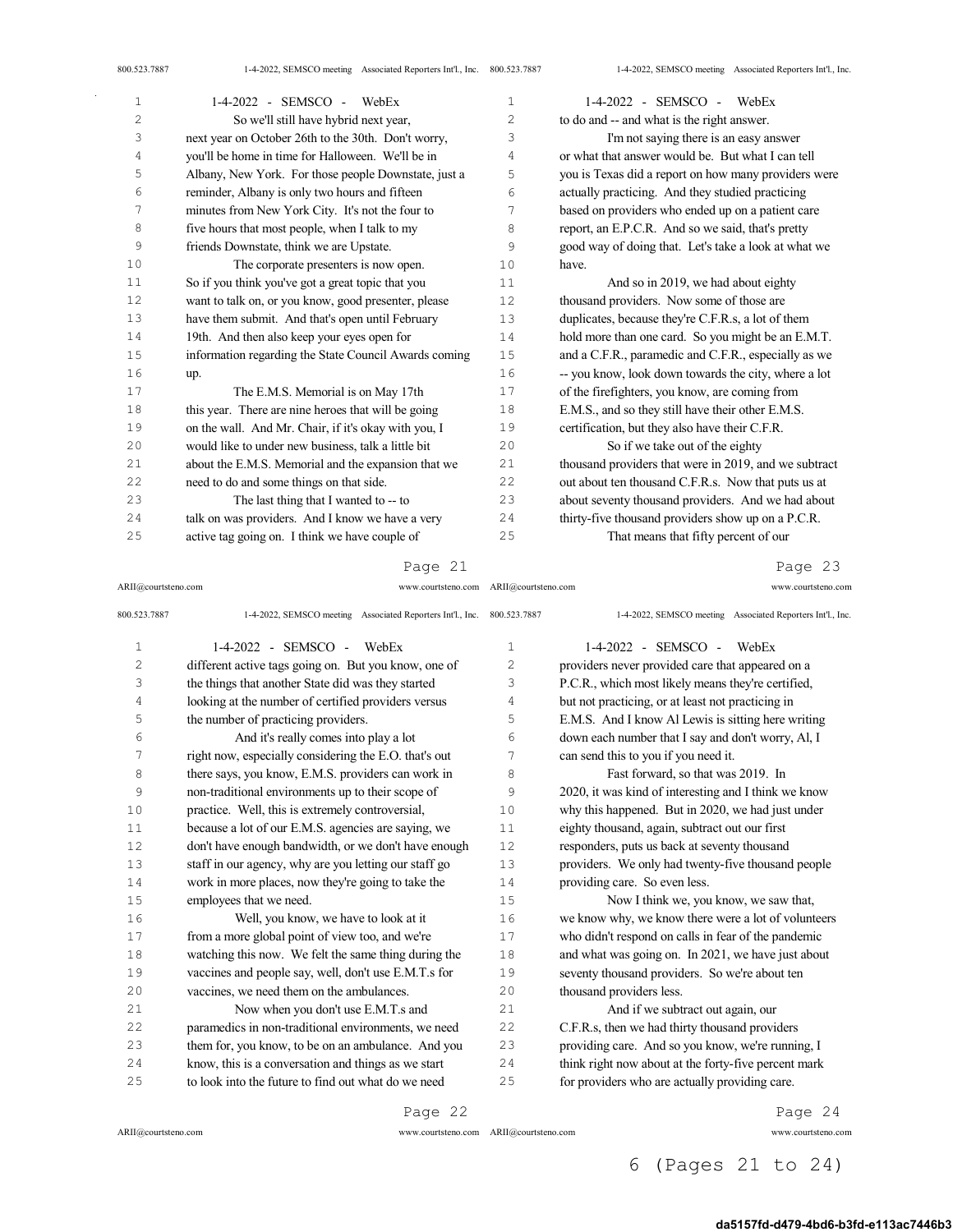| 1              | 1-4-2022 - SEMSCO - WebEx                             | $\mathbf{1}$   | $1-4-2022$ - SEMSCO - WebEx                           |
|----------------|-------------------------------------------------------|----------------|-------------------------------------------------------|
| $\overline{c}$ | So we'll still have hybrid next year,                 | $\overline{c}$ | to do and -- and what is the right answer.            |
| 3              | next year on October 26th to the 30th. Don't worry,   | 3              | I'm not saying there is an easy answer                |
| 4              | you'll be home in time for Halloween. We'll be in     | $\overline{4}$ | or what that answer would be. But what I can tell     |
| 5              | Albany, New York. For those people Downstate, just a  | 5              | you is Texas did a report on how many providers were  |
| 6              | reminder, Albany is only two hours and fifteen        | 6              | actually practicing. And they studied practicing      |
| 7              | minutes from New York City. It's not the four to      | 7              | based on providers who ended up on a patient care     |
| 8              | five hours that most people, when I talk to my        | 8              | report, an E.P.C.R. And so we said, that's pretty     |
| 9              | friends Downstate, think we are Upstate.              | 9              | good way of doing that. Let's take a look at what we  |
| 10             | The corporate presenters is now open.                 | 10             | have.                                                 |
| 11             | So if you think you've got a great topic that you     | 11             | And so in 2019, we had about eighty                   |
| 12             | want to talk on, or you know, good presenter, please  | 12             | thousand providers. Now some of those are             |
| 13             | have them submit. And that's open until February      | 13             | duplicates, because they're C.F.R.s, a lot of them    |
| 14             | 19th. And then also keep your eyes open for           | 14             | hold more than one card. So you might be an E.M.T.    |
| 15             | information regarding the State Council Awards coming | 15             | and a C.F.R., paramedic and C.F.R., especially as we  |
| 16             | up.                                                   | 16             | -- you know, look down towards the city, where a lot  |
| 17             | The E.M.S. Memorial is on May 17th                    | 17             | of the firefighters, you know, are coming from        |
| 18             | this year. There are nine heroes that will be going   | 18             | E.M.S., and so they still have their other E.M.S.     |
| 19             | on the wall. And Mr. Chair, if it's okay with you, I  | 19             | certification, but they also have their C.F.R.        |
| 20             | would like to under new business, talk a little bit   | 20             | So if we take out of the eighty                       |
| 21             | about the E.M.S. Memorial and the expansion that we   | 21             | thousand providers that were in 2019, and we subtract |
| 22             | need to do and some things on that side.              | 22             | out about ten thousand C.F.R.s. Now that puts us at   |
| 23             | The last thing that I wanted to -- to                 | 23             | about seventy thousand providers. And we had about    |
| 24             | talk on was providers. And I know we have a very      | 24             | thirty-five thousand providers show up on a P.C.R.    |
| 25             | active tag going on. I think we have couple of        | 25             | That means that fifty percent of our                  |

#### Page 21

ARII@courtsteno.com www.courtsteno.com ARII@courtsteno.com www.courtsteno.com

Page 23

| 800.523.7887   | 1-4-2022, SEMSCO meeting Associated Reporters Int'l., Inc. 800.523.7887 |              | 1-4-2022, SEMSCO meeting Associated Reporters Int'l., Inc. |
|----------------|-------------------------------------------------------------------------|--------------|------------------------------------------------------------|
| $\mathbf{1}$   | $1-4-2022$ - SEMSCO - WebEx                                             | $\mathbf{1}$ | 1-4-2022 - SEMSCO -<br>WebEx                               |
| $\overline{2}$ | different active tags going on. But you know, one of                    | 2            | providers never provided care that appeared on a           |
| 3              | the things that another State did was they started                      | 3            | P.C.R., which most likely means they're certified,         |
| $\sqrt{4}$     | looking at the number of certified providers versus                     | 4            | but not practicing, or at least not practicing in          |
| 5              | the number of practicing providers.                                     | 5            | E.M.S. And I know Al Lewis is sitting here writing         |
| 6              | And it's really comes into play a lot                                   | 6            | down each number that I say and don't worry, Al, I         |
| 7              | right now, especially considering the E.O. that's out                   | 7            | can send this to you if you need it.                       |
| 8              | there says, you know, E.M.S. providers can work in                      | 8            | Fast forward, so that was 2019. In                         |
| 9              | non-traditional environments up to their scope of                       | 9            | 2020, it was kind of interesting and I think we know       |
| 10             | practice. Well, this is extremely controversial,                        | 10           | why this happened. But in 2020, we had just under          |
| 11             | because a lot of our E.M.S. agencies are saying, we                     | 11           | eighty thousand, again, subtract out our first             |
| 12             | don't have enough bandwidth, or we don't have enough                    | 12           | responders, puts us back at seventy thousand               |
| 13             | staff in our agency, why are you letting our staff go                   | 13           | providers. We only had twenty-five thousand people         |
| 14             | work in more places, now they're going to take the                      | 14           | providing care. So even less.                              |
| 15             | employees that we need.                                                 | 15           | Now I think we, you know, we saw that,                     |
| 16             | Well, you know, we have to look at it                                   | 16           | we know why, we know there were a lot of volunteers        |
| 17             | from a more global point of view too, and we're                         | 17           | who didn't respond on calls in fear of the pandemic        |
| 18             | watching this now. We felt the same thing during the                    | 18           | and what was going on. In 2021, we have just about         |
| 19             | vaccines and people say, well, don't use E.M.T.s for                    | 19           | seventy thousand providers. So we're about ten             |
| 20             | vaccines, we need them on the ambulances.                               | 20           | thousand providers less.                                   |
| 21             | Now when you don't use E.M.T.s and                                      | 21           | And if we subtract out again, our                          |
| 22             | paramedics in non-traditional environments, we need                     | 22           | C.F.R.s, then we had thirty thousand providers             |
| 23             | them for, you know, to be on an ambulance. And you                      | 23           | providing care. And so you know, we're running, I          |
| 24             | know, this is a conversation and things as we start                     | 24           | think right now about at the forty-five percent mark       |
| 25             | to look into the future to find out what do we need                     | 25           | for providers who are actually providing care.             |
|                |                                                                         |              |                                                            |

Page 22

ARII@courtsteno.com www.courtsteno.com

Page 24

## 6 (Pages 21 to 24)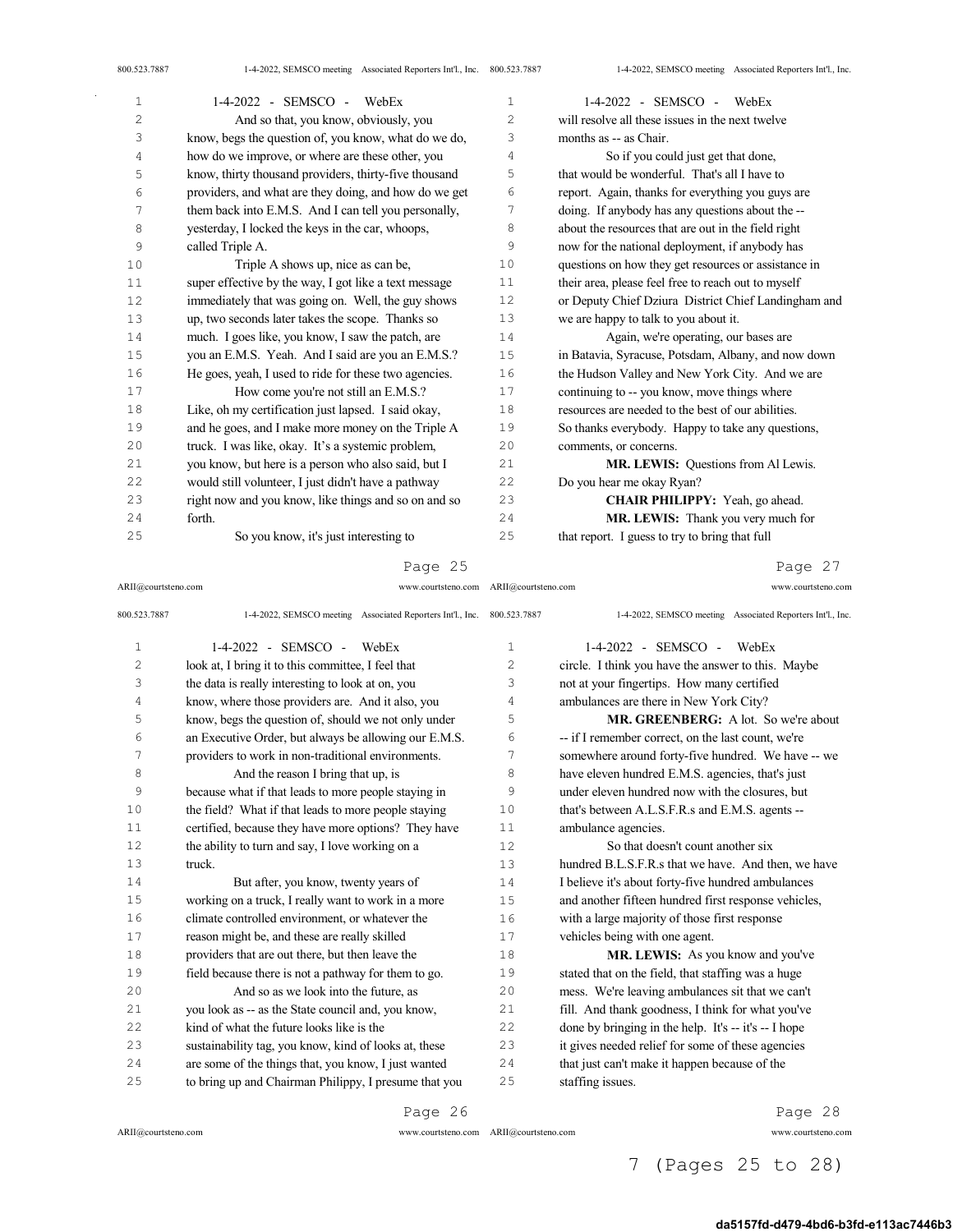| $\mathbf{1}$ | 1-4-2022 - SEMSCO - WebEx                             | $\mathbf{1}$   | 1-4-2022 - SEMSCO - WebEx                            |
|--------------|-------------------------------------------------------|----------------|------------------------------------------------------|
| 2            | And so that, you know, obviously, you                 | $\overline{c}$ | will resolve all these issues in the next twelve     |
| 3            | know, begs the question of, you know, what do we do,  | 3              | months as -- as Chair.                               |
| 4            | how do we improve, or where are these other, you      | 4              | So if you could just get that done,                  |
| 5            | know, thirty thousand providers, thirty-five thousand | 5              | that would be wonderful. That's all I have to        |
| 6            | providers, and what are they doing, and how do we get | 6              | report. Again, thanks for everything you guys are    |
| 7            | them back into E.M.S. And I can tell you personally,  | 7              | doing. If anybody has any questions about the --     |
| 8            | yesterday, I locked the keys in the car, whoops,      | 8              | about the resources that are out in the field right  |
| 9            | called Triple A.                                      | 9              | now for the national deployment, if anybody has      |
| 10           | Triple A shows up, nice as can be,                    | 10             | questions on how they get resources or assistance in |
| 11           | super effective by the way, I got like a text message | 11             | their area, please feel free to reach out to myself  |
| 12           | immediately that was going on. Well, the guy shows    | 12             | or Deputy Chief Dziura District Chief Landingham and |
| 13           | up, two seconds later takes the scope. Thanks so      | 13             | we are happy to talk to you about it.                |
| 14           | much. I goes like, you know, I saw the patch, are     | 14             | Again, we're operating, our bases are                |
| 15           | you an E.M.S. Yeah. And I said are you an E.M.S.?     | 15             | in Batavia, Syracuse, Potsdam, Albany, and now down  |
| 16           | He goes, yeah, I used to ride for these two agencies. | 16             | the Hudson Valley and New York City. And we are      |
| 17           | How come you're not still an E.M.S.?                  | 17             | continuing to -- you know, move things where         |
| 18           | Like, oh my certification just lapsed. I said okay,   | 18             | resources are needed to the best of our abilities.   |
| 19           | and he goes, and I make more money on the Triple A    | 19             | So thanks everybody. Happy to take any questions,    |
| 20           | truck. I was like, okay. It's a systemic problem,     | 20             | comments, or concerns.                               |
| 21           | you know, but here is a person who also said, but I   | 21             | MR. LEWIS: Questions from Al Lewis.                  |
| 22           | would still volunteer, I just didn't have a pathway   | 22             | Do you hear me okay Ryan?                            |
| 23           | right now and you know, like things and so on and so  | 23             | CHAIR PHILIPPY: Yeah, go ahead.                      |
| 24           | forth.                                                | 24             | MR. LEWIS: Thank you very much for                   |
| 25           | So you know, it's just interesting to                 | 25             | that report. I guess to try to bring that full       |
|              |                                                       |                |                                                      |

#### Page 25

ARII@courtsteno.com www.courtsteno.com ARII@courtsteno.com www.courtsteno.com

Page 27

| 800.523.7887   | 1-4-2022, SEMSCO meeting Associated Reporters Int'l., Inc. | 800.523.7887   | 1-4-2022, SEMSCO meeting Associated Reporters Int'l., Inc. |
|----------------|------------------------------------------------------------|----------------|------------------------------------------------------------|
| 1              | $1-4-2022 -$ SEMSCO -<br>WebEx                             | $\mathbf{1}$   | 1-4-2022 - SEMSCO -<br>WebEx                               |
| $\overline{c}$ | look at, I bring it to this committee, I feel that         | $\overline{c}$ | circle. I think you have the answer to this. Maybe         |
| 3              | the data is really interesting to look at on, you          | 3              | not at your fingertips. How many certified                 |
| 4              | know, where those providers are. And it also, you          | $\overline{4}$ | ambulances are there in New York City?                     |
| 5              | know, begs the question of, should we not only under       | 5              | <b>MR. GREENBERG:</b> A lot. So we're about                |
| 6              | an Executive Order, but always be allowing our E.M.S.      | 6              | -- if I remember correct, on the last count, we're         |
| 7              | providers to work in non-traditional environments.         | 7              | somewhere around forty-five hundred. We have -- we         |
| 8              | And the reason I bring that up, is                         | 8              | have eleven hundred E.M.S. agencies, that's just           |
| 9              | because what if that leads to more people staying in       | 9              | under eleven hundred now with the closures, but            |
| 10             | the field? What if that leads to more people staying       | 10             | that's between A.L.S.F.R.s and E.M.S. agents --            |
| 11             | certified, because they have more options? They have       | 11             | ambulance agencies.                                        |
| 12             | the ability to turn and say, I love working on a           | 12             | So that doesn't count another six                          |
| 13             | truck.                                                     | 13             | hundred B.L.S.F.R.s that we have. And then, we have        |
| 14             | But after, you know, twenty years of                       | 14             | I believe it's about forty-five hundred ambulances         |
| 15             | working on a truck, I really want to work in a more        | 15             | and another fifteen hundred first response vehicles,       |
| 16             | climate controlled environment, or whatever the            | 16             | with a large majority of those first response              |
| 17             | reason might be, and these are really skilled              | 17             | vehicles being with one agent.                             |
| 18             | providers that are out there, but then leave the           | 18             | MR. LEWIS: As you know and you've                          |
| 19             | field because there is not a pathway for them to go.       | 19             | stated that on the field, that staffing was a huge         |
| 20             | And so as we look into the future, as                      | 20             | mess. We're leaving ambulances sit that we can't           |
| 21             | you look as -- as the State council and, you know,         | 2.1            | fill. And thank goodness, I think for what you've          |
| 22             | kind of what the future looks like is the                  | 2.2.           | done by bringing in the help. It's -- it's -- I hope       |
| 23             | sustainability tag, you know, kind of looks at, these      | 23             | it gives needed relief for some of these agencies          |
| 2.4            | are some of the things that, you know, I just wanted       | 24             | that just can't make it happen because of the              |
| 25             | to bring up and Chairman Philippy, I presume that you      | 25             | staffing issues.                                           |
|                |                                                            |                |                                                            |

Page 26

Page 28

7 (Pages 25 to 28)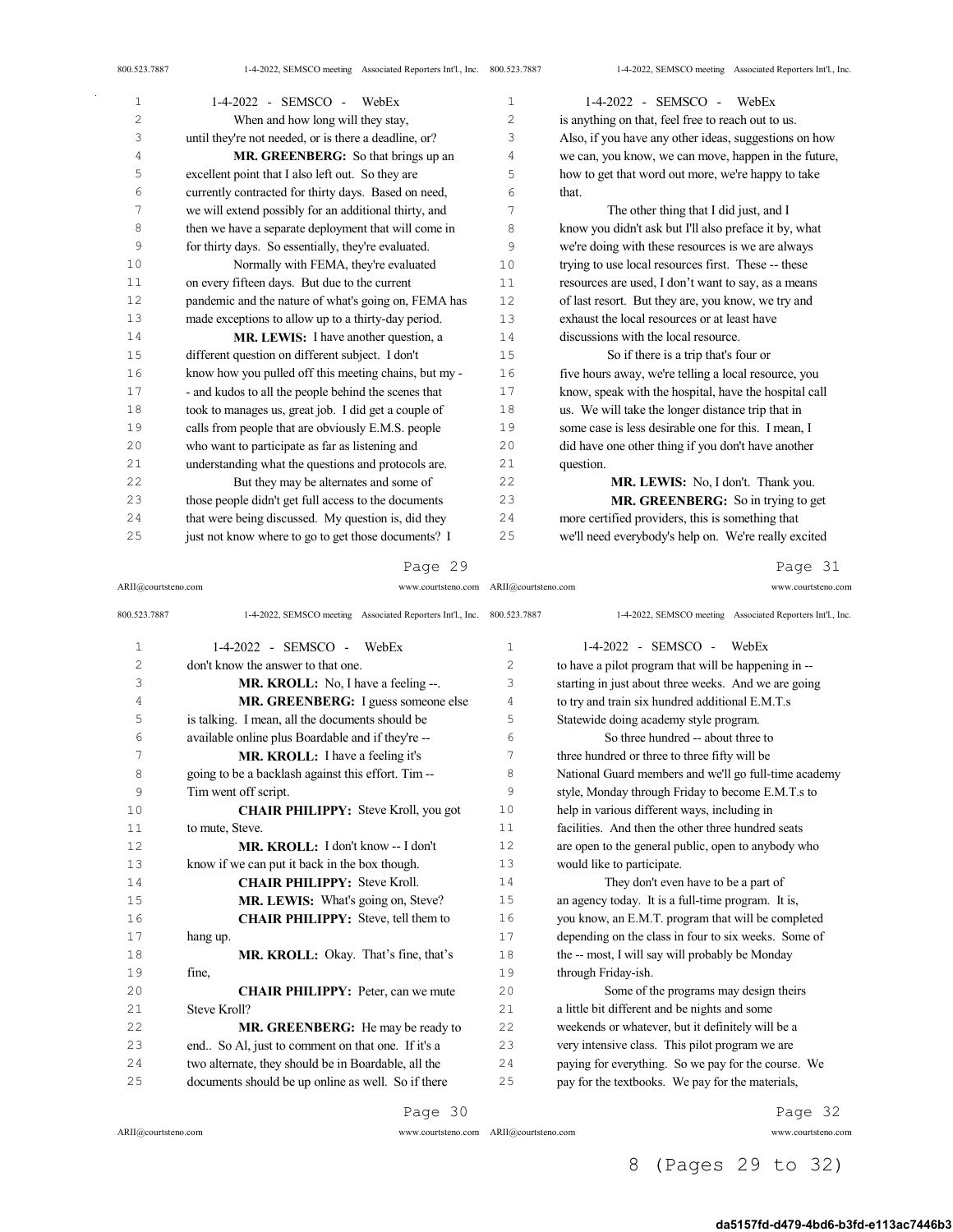| 1      | 1-4-2022 - SEMSCO - WebEx                             | 1  | 1-4-2022 - SEMSCO - WebEx                             |
|--------|-------------------------------------------------------|----|-------------------------------------------------------|
| 2      | When and how long will they stay,                     | 2  | is anything on that, feel free to reach out to us.    |
| 3      | until they're not needed, or is there a deadline, or? | 3  | Also, if you have any other ideas, suggestions on how |
| 4      | MR. GREENBERG: So that brings up an                   | 4  | we can, you know, we can move, happen in the future,  |
| 5      | excellent point that I also left out. So they are     | 5  | how to get that word out more, we're happy to take    |
| 6      | currently contracted for thirty days. Based on need,  | 6  | that.                                                 |
| 7      | we will extend possibly for an additional thirty, and | 7  | The other thing that I did just, and I                |
| 8      | then we have a separate deployment that will come in  | 8  | know you didn't ask but I'll also preface it by, what |
| 9      | for thirty days. So essentially, they're evaluated.   | 9  | we're doing with these resources is we are always     |
| 10     | Normally with FEMA, they're evaluated                 | 10 | trying to use local resources first. These -- these   |
| 11     | on every fifteen days. But due to the current         | 11 | resources are used, I don't want to say, as a means   |
| 12     | pandemic and the nature of what's going on, FEMA has  | 12 | of last resort. But they are, you know, we try and    |
| 13     | made exceptions to allow up to a thirty-day period.   | 13 | exhaust the local resources or at least have          |
| $1\,4$ | MR. LEWIS: I have another question, a                 | 14 | discussions with the local resource.                  |
| 15     | different question on different subject. I don't      | 15 | So if there is a trip that's four or                  |
| 16     | know how you pulled off this meeting chains, but my - | 16 | five hours away, we're telling a local resource, you  |
| 17     | - and kudos to all the people behind the scenes that  | 17 | know, speak with the hospital, have the hospital call |
| 18     | took to manages us, great job. I did get a couple of  | 18 | us. We will take the longer distance trip that in     |
| 19     | calls from people that are obviously E.M.S. people    | 19 | some case is less desirable one for this. I mean, I   |
| 20     | who want to participate as far as listening and       | 20 | did have one other thing if you don't have another    |
| 21     | understanding what the questions and protocols are.   | 21 | question.                                             |
| 22     | But they may be alternates and some of                | 22 | MR. LEWIS: No, I don't. Thank you.                    |
| 23     | those people didn't get full access to the documents  | 23 | MR. GREENBERG: So in trying to get                    |
| 24     | that were being discussed. My question is, did they   | 24 | more certified providers, this is something that      |
| 25     | just not know where to go to get those documents? I   | 25 | we'll need everybody's help on. We're really excited  |

## Page 29

ARII@courtsteno.com www.courtsteno.com ARII@courtsteno.com www.courtsteno.com

Page 31

| 800.523.7887   | 1-4-2022, SEMSCO meeting Associated Reporters Int'l., Inc. 800.523.7887 |    | 1-4-2022, SEMSCO meeting Associated Reporters Int'l., Inc. |
|----------------|-------------------------------------------------------------------------|----|------------------------------------------------------------|
| $\mathbf{1}$   | $1-4-2022$ - SEMSCO - WebEx                                             | 1  | $1-4-2022 -$ SEMSCO -<br>WebEx                             |
| $\overline{2}$ | don't know the answer to that one.                                      | 2  | to have a pilot program that will be happening in --       |
| 3              | <b>MR. KROLL:</b> No, I have a feeling --.                              | 3  | starting in just about three weeks. And we are going       |
| 4              | MR. GREENBERG: I guess someone else                                     | 4  | to try and train six hundred additional E.M.T.s            |
| 5              | is talking. I mean, all the documents should be                         | 5  | Statewide doing academy style program.                     |
| 6              | available online plus Boardable and if they're --                       | 6  | So three hundred -- about three to                         |
| 7              | MR. KROLL: I have a feeling it's                                        | 7  | three hundred or three to three fifty will be              |
| 8              | going to be a backlash against this effort. Tim--                       | 8  | National Guard members and we'll go full-time academy      |
| 9              | Tim went off script.                                                    | 9  | style, Monday through Friday to become E.M.T.s to          |
| 10             | <b>CHAIR PHILIPPY:</b> Steve Kroll, you got                             | 10 | help in various different ways, including in               |
| 11             | to mute, Steve.                                                         | 11 | facilities. And then the other three hundred seats         |
| 12             | MR. KROLL: I don't know -- I don't                                      | 12 | are open to the general public, open to anybody who        |
| 13             | know if we can put it back in the box though.                           | 13 | would like to participate.                                 |
| 14             | <b>CHAIR PHILIPPY: Steve Kroll.</b>                                     | 14 | They don't even have to be a part of                       |
| 15             | MR. LEWIS: What's going on, Steve?                                      | 15 | an agency today. It is a full-time program. It is,         |
| 16             | <b>CHAIR PHILIPPY:</b> Steve, tell them to                              | 16 | you know, an E.M.T. program that will be completed         |
| 17             | hang up.                                                                | 17 | depending on the class in four to six weeks. Some of       |
| 18             | <b>MR. KROLL:</b> Okay. That's fine, that's                             | 18 | the -- most, I will say will probably be Monday            |
| 19             | fine,                                                                   | 19 | through Friday-ish.                                        |
| 20             | <b>CHAIR PHILIPPY:</b> Peter, can we mute                               | 20 | Some of the programs may design theirs                     |
| 21             | Steve Kroll?                                                            | 21 | a little bit different and be nights and some              |
| 22             | MR. GREENBERG: He may be ready to                                       | 22 | weekends or whatever, but it definitely will be a          |
| 23             | end So Al, just to comment on that one. If it's a                       | 23 | very intensive class. This pilot program we are            |
| 24             | two alternate, they should be in Boardable, all the                     | 24 | paying for everything. So we pay for the course. We        |
| 25             | documents should be up online as well. So if there                      | 25 | pay for the textbooks. We pay for the materials,           |
|                |                                                                         |    |                                                            |

## Page 30

 $ARII@{\mbox{conrtsteno.com}}$ 

Page 32

# 8 (Pages 29 to 32)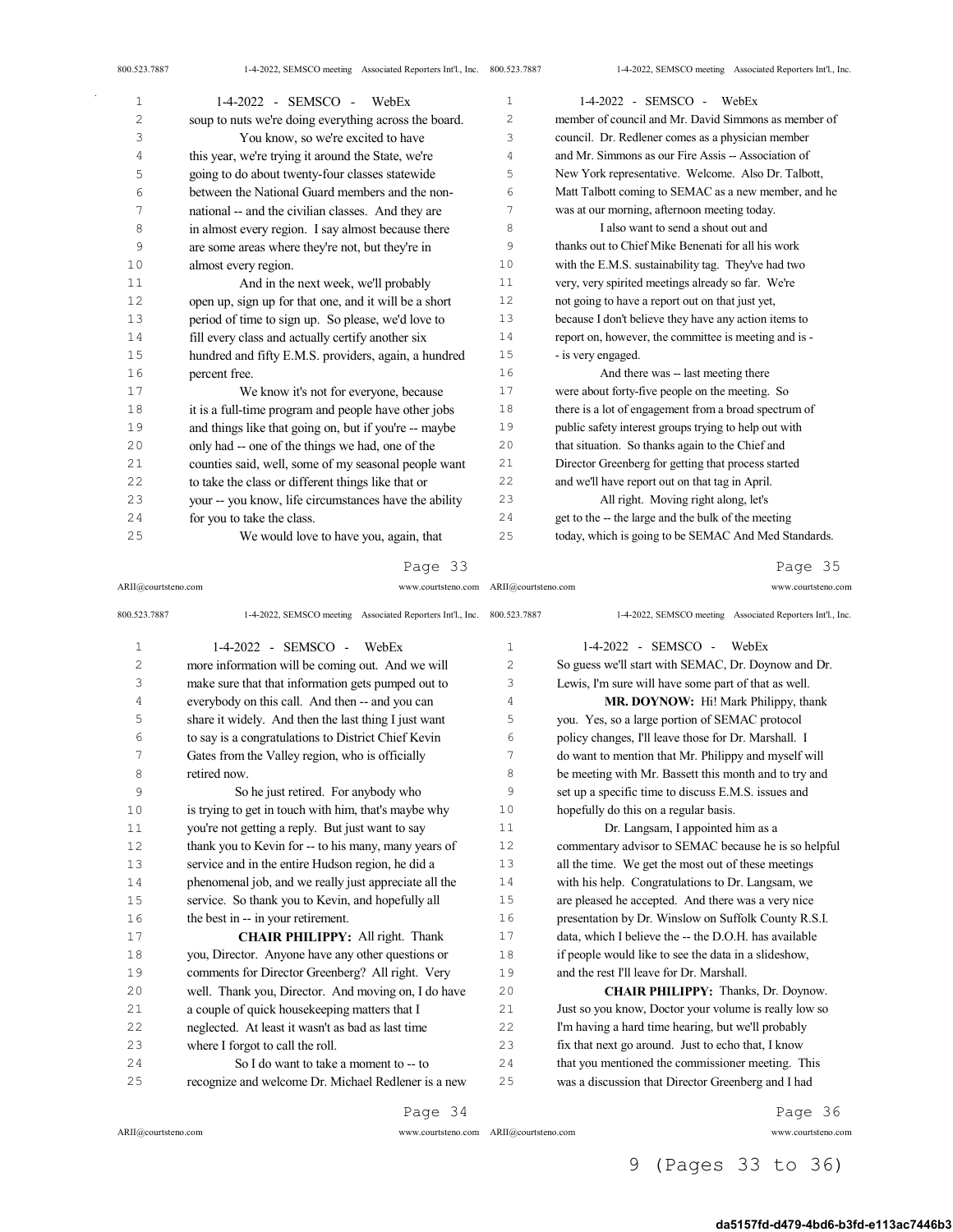| $\mathbf{1}$ | 1-4-2022 - SEMSCO - WebEx                             | $\mathbf{1}$          | $1-4-2022$ - SEMSCO - WebEx                           |
|--------------|-------------------------------------------------------|-----------------------|-------------------------------------------------------|
| 2            | soup to nuts we're doing everything across the board. | $\mathbf{2}^{\prime}$ | member of council and Mr. David Simmons as member of  |
| 3            | You know, so we're excited to have                    | 3                     | council. Dr. Redlener comes as a physician member     |
| 4            | this year, we're trying it around the State, we're    | 4                     | and Mr. Simmons as our Fire Assis -- Association of   |
| 5            | going to do about twenty-four classes statewide       | 5                     | New York representative. Welcome. Also Dr. Talbott,   |
| 6            | between the National Guard members and the non-       | 6                     | Matt Talbott coming to SEMAC as a new member, and he  |
| 7            | national -- and the civilian classes. And they are    | 7                     | was at our morning, afternoon meeting today.          |
| 8            | in almost every region. I say almost because there    | 8                     | I also want to send a shout out and                   |
| 9            | are some areas where they're not, but they're in      | 9                     | thanks out to Chief Mike Benenati for all his work    |
| 10           | almost every region.                                  | 10                    | with the E.M.S. sustainability tag. They've had two   |
| 11           | And in the next week, we'll probably                  | 11                    | very, very spirited meetings already so far. We're    |
| 12           | open up, sign up for that one, and it will be a short | 12                    | not going to have a report out on that just yet,      |
| 13           | period of time to sign up. So please, we'd love to    | 13                    | because I don't believe they have any action items to |
| 14           | fill every class and actually certify another six     | 14                    | report on, however, the committee is meeting and is - |
| 15           | hundred and fifty E.M.S. providers, again, a hundred  | 15                    | - is very engaged.                                    |
| 16           | percent free.                                         | 16                    | And there was -- last meeting there                   |
| 17           | We know it's not for everyone, because                | 17                    | were about forty-five people on the meeting. So       |
| 18           | it is a full-time program and people have other jobs  | 18                    | there is a lot of engagement from a broad spectrum of |
| 19           | and things like that going on, but if you're -- maybe | 19                    | public safety interest groups trying to help out with |
| 20           | only had -- one of the things we had, one of the      | 20                    | that situation. So thanks again to the Chief and      |
| 21           | counties said, well, some of my seasonal people want  | 21                    | Director Greenberg for getting that process started   |
| 22           | to take the class or different things like that or    | 22                    | and we'll have report out on that tag in April.       |
| 23           | your -- you know, life circumstances have the ability | 23                    | All right. Moving right along, let's                  |
| 24           | for you to take the class.                            | 24                    | get to the -- the large and the bulk of the meeting   |
| 25           | We would love to have you, again, that                | 25                    | today, which is going to be SEMAC And Med Standards.  |

ARII@courtsteno.com www.courtsteno.com ARII@courtsteno.com www.courtsteno.com

Page 35

| 800.523.7887 | 1-4-2022, SEMSCO meeting Associated Reporters Int'l., Inc. 800.523.7887 |                | 1-4-2022, SEMSCO meeting Associated Reporters Int'l., Inc. |
|--------------|-------------------------------------------------------------------------|----------------|------------------------------------------------------------|
| $\mathbf 1$  | $1-4-2022$ - SEMSCO - WebEx                                             | $\mathbf{1}$   | 1-4-2022 - SEMSCO -<br>WebEx                               |
| 2            | more information will be coming out. And we will                        | $\overline{c}$ | So guess we'll start with SEMAC, Dr. Doynow and Dr.        |
| 3            | make sure that that information gets pumped out to                      | 3              | Lewis, I'm sure will have some part of that as well.       |
| 4            | everybody on this call. And then -- and you can                         | 4              | MR. DOYNOW: Hi! Mark Philippy, thank                       |
| 5            | share it widely. And then the last thing I just want                    | 5              | you. Yes, so a large portion of SEMAC protocol             |
| 6            | to say is a congratulations to District Chief Kevin                     | 6              | policy changes, I'll leave those for Dr. Marshall. I       |
| 7            | Gates from the Valley region, who is officially                         | 7              | do want to mention that Mr. Philippy and myself will       |
| 8            | retired now.                                                            | 8              | be meeting with Mr. Bassett this month and to try and      |
| 9            | So he just retired. For anybody who                                     | 9              | set up a specific time to discuss E.M.S. issues and        |
| 10           | is trying to get in touch with him, that's maybe why                    | 10             | hopefully do this on a regular basis.                      |
| 11           | you're not getting a reply. But just want to say                        | 11             | Dr. Langsam, I appointed him as a                          |
| 12           | thank you to Kevin for -- to his many, many years of                    | 12             | commentary advisor to SEMAC because he is so helpful       |
| 13           | service and in the entire Hudson region, he did a                       | 13             | all the time. We get the most out of these meetings        |
| 14           | phenomenal job, and we really just appreciate all the                   | 14             | with his help. Congratulations to Dr. Langsam, we          |
| 15           | service. So thank you to Kevin, and hopefully all                       | 15             | are pleased he accepted. And there was a very nice         |
| 16           | the best in -- in your retirement.                                      | 16             | presentation by Dr. Winslow on Suffolk County R.S.I.       |
| 17           | <b>CHAIR PHILIPPY:</b> All right. Thank                                 | 17             | data, which I believe the -- the D.O.H. has available      |
| 18           | you, Director. Anyone have any other questions or                       | 18             | if people would like to see the data in a slideshow,       |
| 19           | comments for Director Greenberg? All right. Very                        | 19             | and the rest I'll leave for Dr. Marshall.                  |
| 20           | well. Thank you, Director. And moving on, I do have                     | 20             | CHAIR PHILIPPY: Thanks, Dr. Doynow.                        |
| 21           | a couple of quick housekeeping matters that I                           | 21             | Just so you know, Doctor your volume is really low so      |
| 22           | neglected. At least it wasn't as bad as last time                       | 22             | I'm having a hard time hearing, but we'll probably         |
| 23           | where I forgot to call the roll.                                        | 23             | fix that next go around. Just to echo that, I know         |
| 24           | So I do want to take a moment to -- to                                  | 24             | that you mentioned the commissioner meeting. This          |
| 25           | recognize and welcome Dr. Michael Redlener is a new                     | 25             | was a discussion that Director Greenberg and I had         |
|              | Page 34                                                                 |                | Page 36                                                    |

 $\bar{z}$ 

ARII@courtsteno.com www.courtsteno.com

Page 36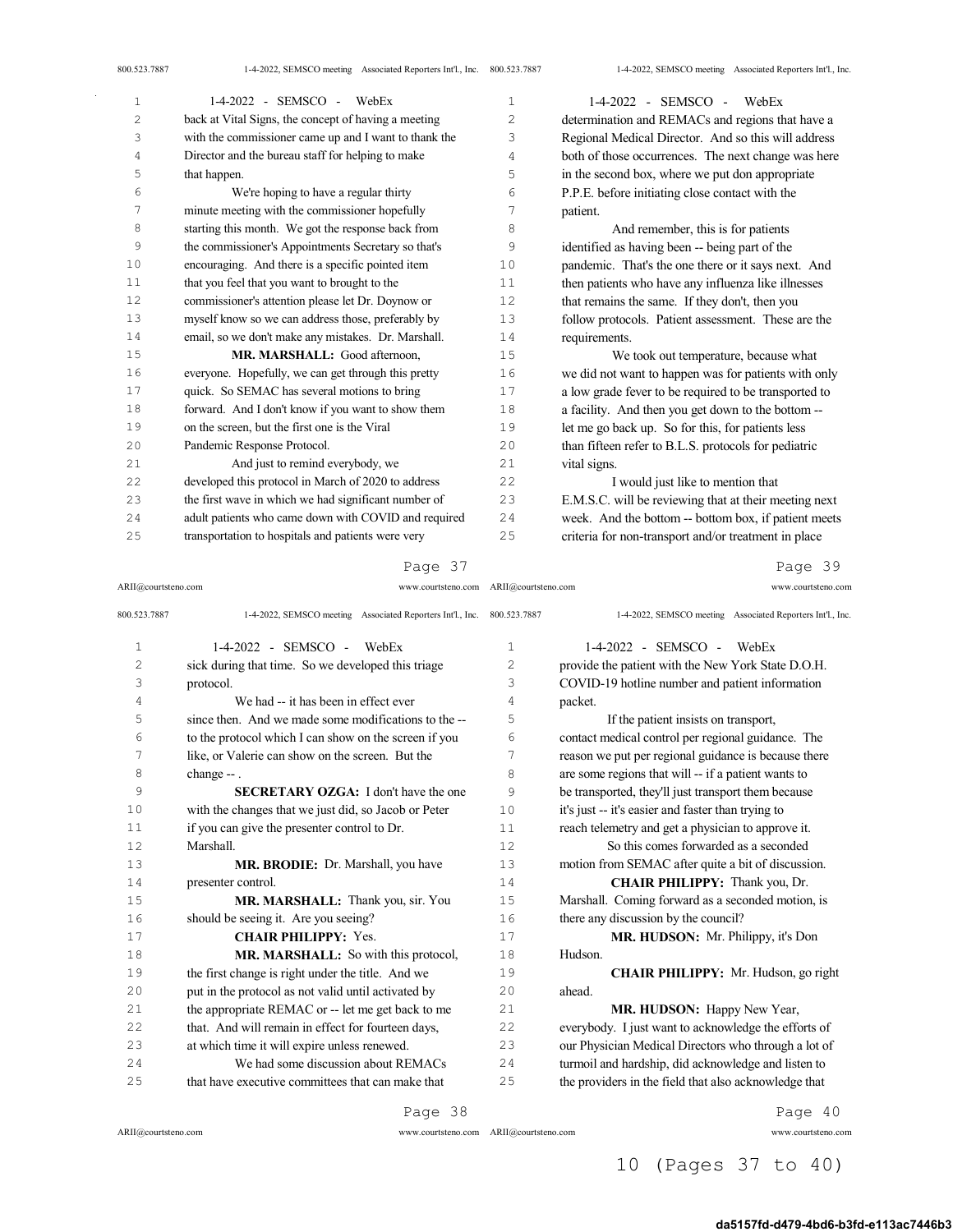| 1              | 1-4-2022 - SEMSCO - WebEx                             | 1  | $1-4-2022$ - SEMSCO - WebEx                           |
|----------------|-------------------------------------------------------|----|-------------------------------------------------------|
| $\overline{c}$ | back at Vital Signs, the concept of having a meeting  | 2  | determination and REMACs and regions that have a      |
| 3              | with the commissioner came up and I want to thank the | 3  | Regional Medical Director. And so this will address   |
| 4              | Director and the bureau staff for helping to make     | 4  | both of those occurrences. The next change was here   |
| 5              | that happen.                                          | 5  | in the second box, where we put don appropriate       |
| 6              | We're hoping to have a regular thirty                 | 6  | P.P.E. before initiating close contact with the       |
| 7              | minute meeting with the commissioner hopefully        | 7  | patient.                                              |
| 8              | starting this month. We got the response back from    | 8  | And remember, this is for patients                    |
| 9              | the commissioner's Appointments Secretary so that's   | 9  | identified as having been -- being part of the        |
| 10             | encouraging. And there is a specific pointed item     | 10 | pandemic. That's the one there or it says next. And   |
| 11             | that you feel that you want to brought to the         | 11 | then patients who have any influenza like illnesses   |
| 12             | commissioner's attention please let Dr. Doynow or     | 12 | that remains the same. If they don't, then you        |
| 13             | myself know so we can address those, preferably by    | 13 | follow protocols. Patient assessment. These are the   |
| 14             | email, so we don't make any mistakes. Dr. Marshall.   | 14 | requirements.                                         |
| 15             | MR. MARSHALL: Good afternoon,                         | 15 | We took out temperature, because what                 |
| 16             | everyone. Hopefully, we can get through this pretty   | 16 | we did not want to happen was for patients with only  |
| 17             | quick. So SEMAC has several motions to bring          | 17 | a low grade fever to be required to be transported to |
| 18             | forward. And I don't know if you want to show them    | 18 | a facility. And then you get down to the bottom --    |
| 19             | on the screen, but the first one is the Viral         | 19 | let me go back up. So for this, for patients less     |
| 20             | Pandemic Response Protocol.                           | 20 | than fifteen refer to B.L.S. protocols for pediatric  |
| 21             | And just to remind everybody, we                      | 21 | vital signs.                                          |
| 22             | developed this protocol in March of 2020 to address   | 22 | I would just like to mention that                     |
| 23             | the first wave in which we had significant number of  | 23 | E.M.S.C. will be reviewing that at their meeting next |
| 24             | adult patients who came down with COVID and required  | 24 | week. And the bottom -- bottom box, if patient meets  |
| 25             | transportation to hospitals and patients were very    | 25 | criteria for non-transport and/or treatment in place  |

#### Page 37

ARII@courtsteno.com www.courtsteno.com ARII@courtsteno.com www.courtsteno.com

Page 39

| 800.523.7887   | 1-4-2022, SEMSCO meeting Associated Reporters Int'l., Inc. 800.523.7887 |              | 1-4-2022, SEMSCO meeting Associated Reporters Int'l., Inc. |
|----------------|-------------------------------------------------------------------------|--------------|------------------------------------------------------------|
| $\mathbf{1}$   | $1-4-2022$ - SEMSCO - WebEx                                             | $\mathbf{1}$ | $1-4-2022$ - SEMSCO - WebEx                                |
| $\overline{c}$ | sick during that time. So we developed this triage                      | 2            | provide the patient with the New York State D.O.H.         |
| 3              | protocol.                                                               | 3            | COVID-19 hotline number and patient information            |
| 4              | We had -- it has been in effect ever                                    | 4            | packet.                                                    |
| 5              | since then. And we made some modifications to the --                    | 5            | If the patient insists on transport,                       |
| 6              | to the protocol which I can show on the screen if you                   | 6            | contact medical control per regional guidance. The         |
| 7              | like, or Valerie can show on the screen. But the                        | 7            | reason we put per regional guidance is because there       |
| 8              | change -- .                                                             | 8            | are some regions that will -- if a patient wants to        |
| 9              | <b>SECRETARY OZGA:</b> I don't have the one                             | 9            | be transported, they'll just transport them because        |
| 10             | with the changes that we just did, so Jacob or Peter                    | 10           | it's just -- it's easier and faster than trying to         |
| 11             | if you can give the presenter control to Dr.                            | 11           | reach telemetry and get a physician to approve it.         |
| 12             | Marshall.                                                               | 12           | So this comes forwarded as a seconded                      |
| 13             | MR. BRODIE: Dr. Marshall, you have                                      | 13           | motion from SEMAC after quite a bit of discussion.         |
| 14             | presenter control.                                                      | 14           | CHAIR PHILIPPY: Thank you, Dr.                             |
| 15             | MR. MARSHALL: Thank you, sir. You                                       | 15           | Marshall. Coming forward as a seconded motion, is          |
| 16             | should be seeing it. Are you seeing?                                    | 16           | there any discussion by the council?                       |
| 17             | <b>CHAIR PHILIPPY: Yes.</b>                                             | 17           | MR. HUDSON: Mr. Philippy, it's Don                         |
| 18             | MR. MARSHALL: So with this protocol,                                    | 18           | Hudson.                                                    |
| 19             | the first change is right under the title. And we                       | 19           | CHAIR PHILIPPY: Mr. Hudson, go right                       |
| 20             | put in the protocol as not valid until activated by                     | 20           | ahead.                                                     |
| 21             | the appropriate REMAC or -- let me get back to me                       | 2.1          | MR. HUDSON: Happy New Year,                                |
| 22             | that. And will remain in effect for fourteen days,                      | 22           | everybody. I just want to acknowledge the efforts of       |
| 23             | at which time it will expire unless renewed.                            | 23           | our Physician Medical Directors who through a lot of       |
| 24             | We had some discussion about REMACs                                     | 24           | turmoil and hardship, did acknowledge and listen to        |
| 25             | that have executive committees that can make that                       | 25           | the providers in the field that also acknowledge that      |

Page 38

 $ARII@{\mbox{conrtsteno.com}}$ 

ARII@courtsteno.com www.courtsteno.com

Page 40

# 10 (Pages 37 to 40)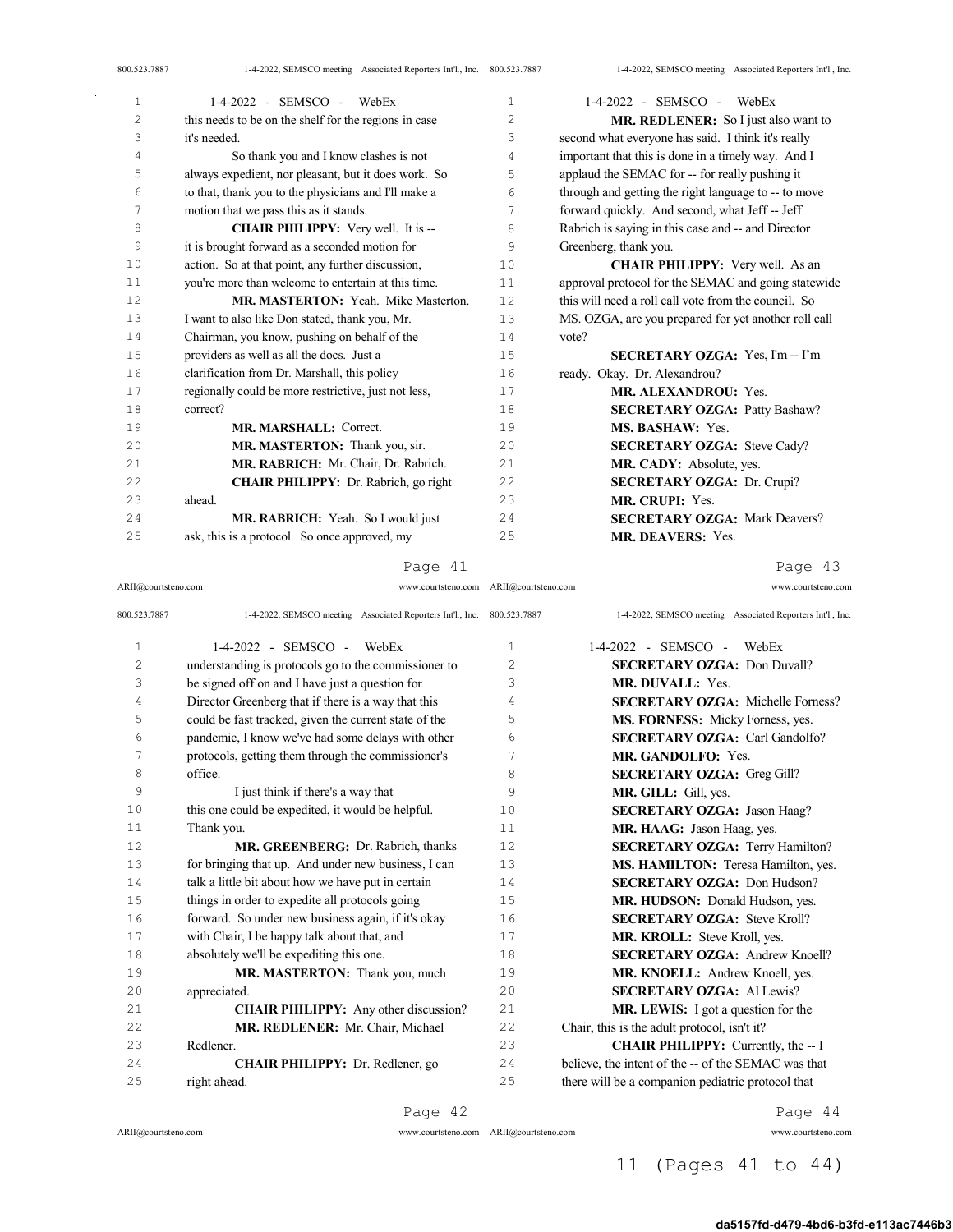| 1  | 1-4-2022 - SEMSCO - WebEx                             | $\mathbf{1}$ | $1-4-2022$ - SEMSCO - WebEx                          |
|----|-------------------------------------------------------|--------------|------------------------------------------------------|
| 2  | this needs to be on the shelf for the regions in case | 2            | MR. REDLENER: So I just also want to                 |
| 3  | it's needed.                                          | 3            | second what everyone has said. I think it's really   |
| 4  | So thank you and I know clashes is not                | 4            | important that this is done in a timely way. And I   |
| 5  | always expedient, nor pleasant, but it does work. So  | 5            | applaud the SEMAC for -- for really pushing it       |
| 6  | to that, thank you to the physicians and I'll make a  | 6            | through and getting the right language to -- to move |
| 7  | motion that we pass this as it stands.                | 7            | forward quickly. And second, what Jeff -- Jeff       |
| 8  | <b>CHAIR PHILIPPY:</b> Very well. It is --            | 8            | Rabrich is saying in this case and -- and Director   |
| 9  | it is brought forward as a seconded motion for        | 9            | Greenberg, thank you.                                |
| 10 | action. So at that point, any further discussion,     | 10           | <b>CHAIR PHILIPPY:</b> Very well. As an              |
| 11 | you're more than welcome to entertain at this time.   | 11           | approval protocol for the SEMAC and going statewide  |
| 12 | MR. MASTERTON: Yeah. Mike Masterton.                  | 12           | this will need a roll call vote from the council. So |
| 13 | I want to also like Don stated, thank you, Mr.        | 13           | MS. OZGA, are you prepared for yet another roll call |
| 14 | Chairman, you know, pushing on behalf of the          | 14           | vote?                                                |
| 15 | providers as well as all the docs. Just a             | 15           | <b>SECRETARY OZGA:</b> Yes, I'm -- I'm               |
| 16 | clarification from Dr. Marshall, this policy          | 16           | ready. Okay. Dr. Alexandrou?                         |
| 17 | regionally could be more restrictive, just not less,  | 17           | MR. ALEXANDROU: Yes.                                 |
| 18 | correct?                                              | 18           | <b>SECRETARY OZGA: Patty Bashaw?</b>                 |
| 19 | MR. MARSHALL: Correct.                                | 19           | MS. BASHAW: Yes.                                     |
| 20 | MR. MASTERTON: Thank you, sir.                        | 20           | <b>SECRETARY OZGA: Steve Cady?</b>                   |
| 21 | MR. RABRICH: Mr. Chair, Dr. Rabrich.                  | 21           | MR. CADY: Absolute, yes.                             |
| 22 | <b>CHAIR PHILIPPY:</b> Dr. Rabrich, go right          | 22           | <b>SECRETARY OZGA: Dr. Crupi?</b>                    |
| 23 | ahead.                                                | 2.3          | MR. CRUPI: Yes.                                      |
| 24 | MR. RABRICH: Yeah. So I would just                    | 2.4          | <b>SECRETARY OZGA: Mark Deavers?</b>                 |
| 25 | ask, this is a protocol. So once approved, my         | 25           | <b>MR. DEAVERS: Yes.</b>                             |
|    |                                                       |              |                                                      |

#### Page 41

ARII@courtsteno.com www.courtsteno.com ARII@courtsteno.com www.courtsteno.com

Page 43

| 800.523.7887   | 1-4-2022, SEMSCO meeting Associated Reporters Int'l., Inc. | 800.523.7887   | 1-4-2022, SEMSCO meeting Associated Reporters Int'l., Inc. |
|----------------|------------------------------------------------------------|----------------|------------------------------------------------------------|
| $\mathbf 1$    | $1-4-2022 -$ SEMSCO -<br>WebEx                             | $\mathbf{1}$   | 1-4-2022 - SEMSCO -<br>WebEx                               |
| $\overline{c}$ | understanding is protocols go to the commissioner to       | $\overline{c}$ | <b>SECRETARY OZGA: Don Duvall?</b>                         |
| 3              | be signed off on and I have just a question for            | 3              | MR. DUVALL: Yes.                                           |
| 4              | Director Greenberg that if there is a way that this        | 4              | <b>SECRETARY OZGA:</b> Michelle Forness?                   |
| 5              | could be fast tracked, given the current state of the      | 5              | MS. FORNESS: Micky Forness, yes.                           |
| 6              | pandemic, I know we've had some delays with other          | 6              | <b>SECRETARY OZGA:</b> Carl Gandolfo?                      |
| 7              | protocols, getting them through the commissioner's         | 7              | MR. GANDOLFO: Yes.                                         |
| 8              | office.                                                    | 8              | <b>SECRETARY OZGA: Greg Gill?</b>                          |
| 9              | I just think if there's a way that                         | 9              | MR. GILL: Gill, yes.                                       |
| 10             | this one could be expedited, it would be helpful.          | 10             | <b>SECRETARY OZGA: Jason Haag?</b>                         |
| 11             | Thank you.                                                 | 11             | MR. HAAG: Jason Haag, yes.                                 |
| 12             | MR. GREENBERG: Dr. Rabrich, thanks                         | 12             | <b>SECRETARY OZGA: Terry Hamilton?</b>                     |
| 13             | for bringing that up. And under new business, I can        | 13             | MS. HAMILTON: Teresa Hamilton, yes.                        |
| 14             | talk a little bit about how we have put in certain         | 14             | <b>SECRETARY OZGA: Don Hudson?</b>                         |
| 15             | things in order to expedite all protocols going            | 15             | MR. HUDSON: Donald Hudson, yes.                            |
| 16             | forward. So under new business again, if it's okay         | 16             | <b>SECRETARY OZGA: Steve Kroll?</b>                        |
| 17             | with Chair, I be happy talk about that, and                | 17             | MR. KROLL: Steve Kroll, yes.                               |
| 18             | absolutely we'll be expediting this one.                   | 18             | <b>SECRETARY OZGA: Andrew Knoell?</b>                      |
| 19             | MR. MASTERTON: Thank you, much                             | 19             | MR. KNOELL: Andrew Knoell, yes.                            |
| 20             | appreciated.                                               | 20             | <b>SECRETARY OZGA: Al Lewis?</b>                           |
| 21             | <b>CHAIR PHILIPPY:</b> Any other discussion?               | 21             | <b>MR. LEWIS:</b> I got a question for the                 |
| 22             | MR. REDLENER: Mr. Chair, Michael                           | 22             | Chair, this is the adult protocol, isn't it?               |
| 23             | Redlener.                                                  | 23             | <b>CHAIR PHILIPPY:</b> Currently, the -- I                 |
| 24             | <b>CHAIR PHILIPPY:</b> Dr. Redlener, go                    | 24             | believe, the intent of the -- of the SEMAC was that        |
| 25             | right ahead.                                               | 25             | there will be a companion pediatric protocol that          |
|                | Page 42                                                    |                | Page 44                                                    |

 $ARII@{\mbox{conrtsteno.com}}$ 

ARII@courtsteno.com www.courtsteno.com

Page 44

11 (Pages 41 to 44)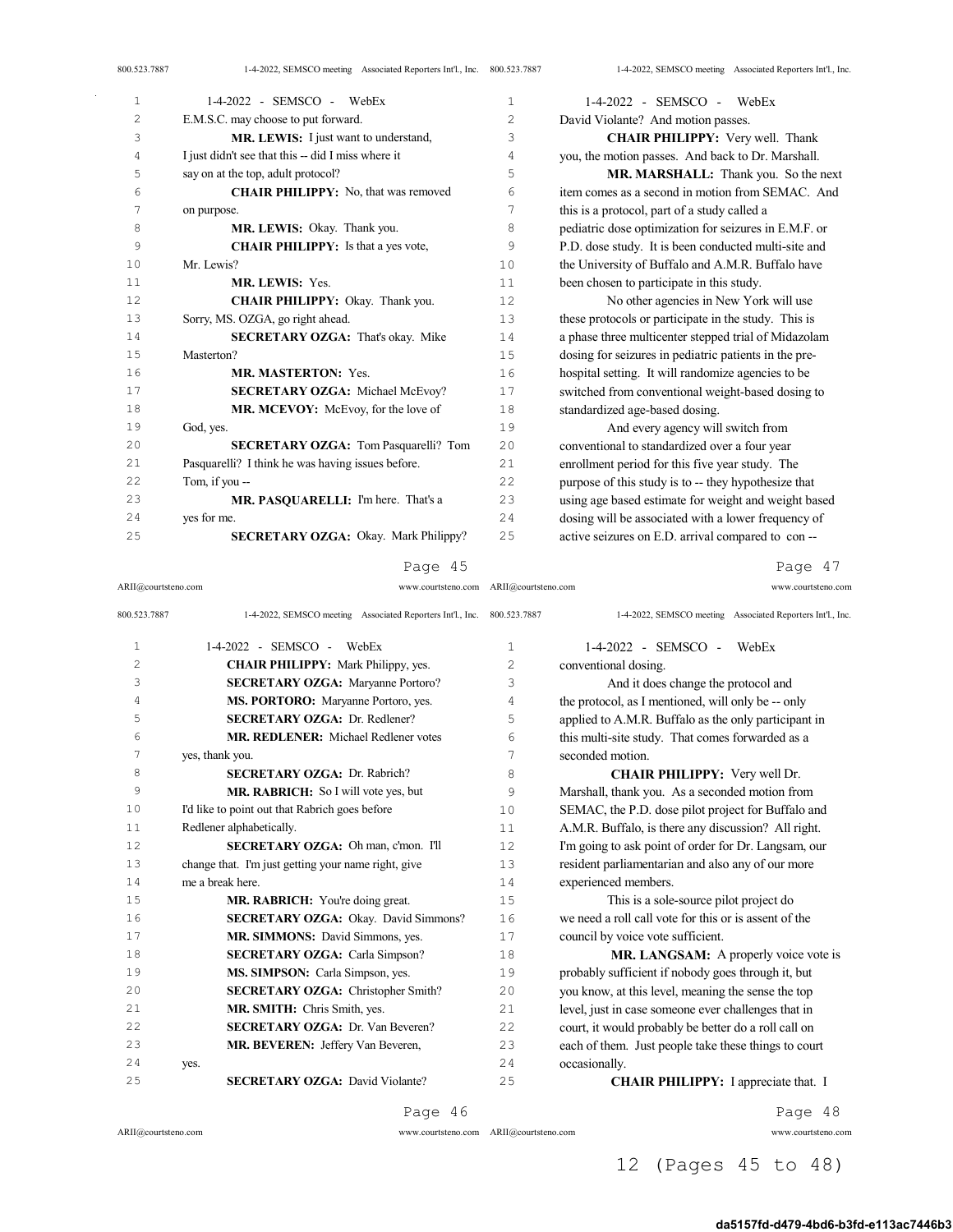| 1  | $1-4-2022$ - SEMSCO - WebEx                        | 1              | $1-4-2022$ - SEMSCO - WebEx                           |
|----|----------------------------------------------------|----------------|-------------------------------------------------------|
| 2  | E.M.S.C. may choose to put forward.                | $\overline{c}$ | David Violante? And motion passes.                    |
| 3  | MR. LEWIS: I just want to understand,              | 3              | <b>CHAIR PHILIPPY:</b> Very well. Thank               |
| 4  | I just didn't see that this -- did I miss where it | 4              | you, the motion passes. And back to Dr. Marshall.     |
| 5  | say on at the top, adult protocol?                 | 5              | MR. MARSHALL: Thank you. So the next                  |
| 6  | <b>CHAIR PHILIPPY:</b> No, that was removed        | 6              | item comes as a second in motion from SEMAC. And      |
| 7  | on purpose.                                        | 7              | this is a protocol, part of a study called a          |
| 8  | MR. LEWIS: Okay. Thank you.                        | 8              | pediatric dose optimization for seizures in E.M.F. or |
| 9  | <b>CHAIR PHILIPPY:</b> Is that a yes vote,         | 9              | P.D. dose study. It is been conducted multi-site and  |
| 10 | Mr. Lewis?                                         | 10             | the University of Buffalo and A.M.R. Buffalo have     |
| 11 | <b>MR. LEWIS: Yes.</b>                             | 11             | been chosen to participate in this study.             |
| 12 | CHAIR PHILIPPY: Okay. Thank you.                   | 12             | No other agencies in New York will use                |
| 13 | Sorry, MS. OZGA, go right ahead.                   | 13             | these protocols or participate in the study. This is  |
| 14 | <b>SECRETARY OZGA: That's okay. Mike</b>           | 14             | a phase three multicenter stepped trial of Midazolam  |
| 15 | Masterton?                                         | 15             | dosing for seizures in pediatric patients in the pre- |
| 16 | <b>MR. MASTERTON: Yes.</b>                         | 16             | hospital setting. It will randomize agencies to be    |
| 17 | <b>SECRETARY OZGA: Michael McEvoy?</b>             | 17             | switched from conventional weight-based dosing to     |
| 18 | MR. MCEVOY: McEvoy, for the love of                | 18             | standardized age-based dosing.                        |
| 19 | God, yes.                                          | 19             | And every agency will switch from                     |
| 20 | SECRETARY OZGA: Tom Pasquarelli? Tom               | 20             | conventional to standardized over a four year         |
| 21 | Pasquarelli? I think he was having issues before.  | 2.1            | enrollment period for this five year study. The       |
| 22 | Tom. if you --                                     | 22             | purpose of this study is to -- they hypothesize that  |
| 23 | MR. PASQUARELLI: I'm here. That's a                | 23             | using age based estimate for weight and weight based  |
| 24 | yes for me.                                        | 24             | dosing will be associated with a lower frequency of   |
| 25 | <b>SECRETARY OZGA: Okay. Mark Philippy?</b>        | 25             | active seizures on E.D. arrival compared to con--     |

# Page 47

ARII@courtsteno.com www.courtsteno.com ARII@courtsteno.com www.courtsteno.com

| 800.523.7887 | 1-4-2022, SEMSCO meeting Associated Reporters Int'l., Inc. 800.523.7887 |              | 1-4-2022, SEMSCO meeting Associated Reporters Int'l., Inc. |
|--------------|-------------------------------------------------------------------------|--------------|------------------------------------------------------------|
| $\mathbf{1}$ | 1-4-2022 - SEMSCO - WebEx                                               | $\mathbf{1}$ | $1-4-2022$ - SEMSCO - WebEx                                |
| 2            | <b>CHAIR PHILIPPY:</b> Mark Philippy, yes.                              | 2            | conventional dosing.                                       |
| 3            | <b>SECRETARY OZGA: Maryanne Portoro?</b>                                | 3            | And it does change the protocol and                        |
| 4            | MS. PORTORO: Maryanne Portoro, yes.                                     | 4            | the protocol, as I mentioned, will only be -- only         |
| 5            | <b>SECRETARY OZGA: Dr. Redlener?</b>                                    | 5            | applied to A.M.R. Buffalo as the only participant in       |
| 6            | <b>MR. REDLENER:</b> Michael Redlener votes                             | 6            | this multi-site study. That comes forwarded as a           |
| 7            | yes, thank you.                                                         | 7            | seconded motion.                                           |
| 8            | <b>SECRETARY OZGA: Dr. Rabrich?</b>                                     | 8            | <b>CHAIR PHILIPPY:</b> Very well Dr.                       |
| 9            | MR. RABRICH: So I will vote yes, but                                    | 9            | Marshall, thank you. As a seconded motion from             |
| 10           | I'd like to point out that Rabrich goes before                          | 10           | SEMAC, the P.D. dose pilot project for Buffalo and         |
| 11           | Redlener alphabetically.                                                | 11           | A.M.R. Buffalo, is there any discussion? All right.        |
| 12           | SECRETARY OZGA: Oh man, c'mon. I'll                                     | 12           | I'm going to ask point of order for Dr. Langsam, our       |
| 13           | change that. I'm just getting your name right, give                     | 13           | resident parliamentarian and also any of our more          |
| 14           | me a break here.                                                        | 14           | experienced members.                                       |
| 15           | MR. RABRICH: You're doing great.                                        | 1.5          | This is a sole-source pilot project do                     |
| 16           | SECRETARY OZGA: Okay. David Simmons?                                    | 16           | we need a roll call vote for this or is assent of the      |
| 17           | MR. SIMMONS: David Simmons, yes.                                        | 17           | council by voice vote sufficient.                          |
| 18           | <b>SECRETARY OZGA: Carla Simpson?</b>                                   | 18           | <b>MR. LANGSAM:</b> A properly voice vote is               |
| 19           | MS. SIMPSON: Carla Simpson, yes.                                        | 19           | probably sufficient if nobody goes through it, but         |
| 20           | <b>SECRETARY OZGA: Christopher Smith?</b>                               | 20           | you know, at this level, meaning the sense the top         |
| 2.1          | MR. SMITH: Chris Smith, yes.                                            | 21           | level, just in case someone ever challenges that in        |
| 2.2.         | <b>SECRETARY OZGA: Dr. Van Beveren?</b>                                 | 22           | court, it would probably be better do a roll call on       |
| 23           | MR. BEVEREN: Jeffery Van Beveren,                                       | 23           | each of them. Just people take these things to court       |
| 2.4          | yes.                                                                    | 24           | occasionally.                                              |
| 2.5          | <b>SECRETARY OZGA: David Violante?</b>                                  | 25           | <b>CHAIR PHILIPPY</b> : I appreciate that. I               |
|              |                                                                         |              |                                                            |

Page 46

 $ARII@{\mbox{conrtsteno.com}}$ 

 $\bar{z}$ 

ARII@courtsteno.com www.courtsteno.com

Page 48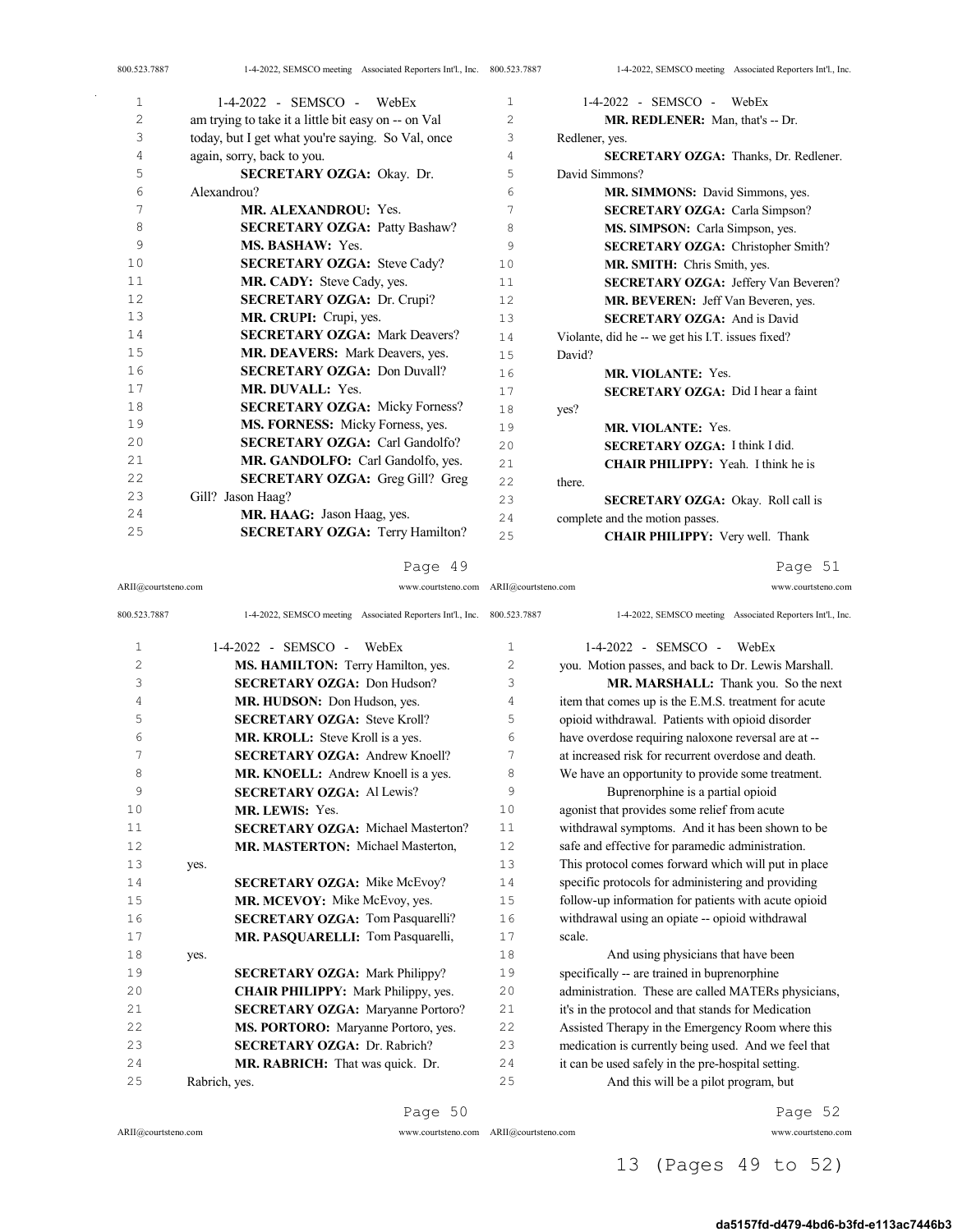| 1              | 1-4-2022 - SEMSCO -<br>WebEx                        | $\mathbf{1}$   | $1-4-2022$ - SEMSCO - WebEx                       |
|----------------|-----------------------------------------------------|----------------|---------------------------------------------------|
| $\overline{2}$ |                                                     | $\overline{c}$ |                                                   |
|                | am trying to take it a little bit easy on -- on Val |                | MR. REDLENER: Man, that's -- Dr.                  |
| 3              | today, but I get what you're saying. So Val, once   | 3              | Redlener, yes.                                    |
| 4              | again, sorry, back to you.                          | 4              | <b>SECRETARY OZGA: Thanks, Dr. Redlener.</b>      |
| 5              | <b>SECRETARY OZGA: Okay. Dr.</b>                    | 5              | David Simmons?                                    |
| 6              | Alexandrou?                                         | 6              | MR. SIMMONS: David Simmons, yes.                  |
| 7              | <b>MR. ALEXANDROU: Yes.</b>                         | 7              | <b>SECRETARY OZGA:</b> Carla Simpson?             |
| 8              | <b>SECRETARY OZGA: Patty Bashaw?</b>                | 8              | MS. SIMPSON: Carla Simpson, yes.                  |
| 9              | <b>MS. BASHAW: Yes.</b>                             | 9              | SECRETARY OZGA: Christopher Smith?                |
| 10             | <b>SECRETARY OZGA: Steve Cady?</b>                  | 10             | MR. SMITH: Chris Smith, yes.                      |
| 11             | MR. CADY: Steve Cady, yes.                          | 11             | <b>SECRETARY OZGA: Jeffery Van Beveren?</b>       |
| 12             | <b>SECRETARY OZGA: Dr. Crupi?</b>                   | 12             | MR. BEVEREN: Jeff Van Beveren, yes.               |
| 13             | MR. CRUPI: Crupi, yes.                              | 13             | <b>SECRETARY OZGA: And is David</b>               |
| 14             | <b>SECRETARY OZGA: Mark Deavers?</b>                | 14             | Violante, did he -- we get his I.T. issues fixed? |
| 15             | MR. DEAVERS: Mark Deavers, yes.                     | 15             | David?                                            |
| 16             | <b>SECRETARY OZGA: Don Duvall?</b>                  | 16             | <b>MR. VIOLANTE: Yes.</b>                         |
| 17             | <b>MR. DUVALL:</b> Yes.                             | 17             | <b>SECRETARY OZGA:</b> Did I hear a faint         |
| 18             | <b>SECRETARY OZGA:</b> Micky Forness?               | 18             | yes?                                              |
| 19             | MS. FORNESS: Micky Forness, yes.                    | 19             | MR. VIOLANTE: Yes.                                |
| 20             | <b>SECRETARY OZGA:</b> Carl Gandolfo?               | 2.0            | <b>SECRETARY OZGA: I think I did.</b>             |
| 21             | MR. GANDOLFO: Carl Gandolfo, yes.                   | 2.1            | CHAIR PHILIPPY: Yeah. I think he is               |
| 22             | <b>SECRETARY OZGA:</b> Greg Gill? Greg              | 22             | there.                                            |
| 23             | Gill? Jason Haag?                                   | 23             | <b>SECRETARY OZGA:</b> Okay. Roll call is         |
| 24             | MR. HAAG: Jason Haag, yes.                          | 2.4            | complete and the motion passes.                   |
| 25             | <b>SECRETARY OZGA: Terry Hamilton?</b>              | 25             | <b>CHAIR PHILIPPY:</b> Very well. Thank           |

ARII@courtsteno.com www.courtsteno.com ARII@courtsteno.com www.courtsteno.com

Page 51

| 800.523.7887   | 1-4-2022, SEMSCO meeting Associated Reporters Int'l., Inc. | 800.523.7887 | 1-4-2022, SEMSCO meeting Associated Reporters Int'l., Inc. |
|----------------|------------------------------------------------------------|--------------|------------------------------------------------------------|
| 1              | $1-4-2022$ - SEMSCO - WebEx                                | $\mathbf{1}$ | $1-4-2022$ - SEMSCO - WebEx                                |
| $\overline{c}$ | MS. HAMILTON: Terry Hamilton, yes.                         | 2            | you. Motion passes, and back to Dr. Lewis Marshall.        |
| 3              | <b>SECRETARY OZGA: Don Hudson?</b>                         | 3            | MR. MARSHALL: Thank you. So the next                       |
| 4              | MR. HUDSON: Don Hudson, yes.                               | 4            | item that comes up is the E.M.S. treatment for acute       |
| 5              | <b>SECRETARY OZGA: Steve Kroll?</b>                        | 5            | opioid withdrawal. Patients with opioid disorder           |
| 6              | <b>MR. KROLL:</b> Steve Kroll is a yes.                    | 6            | have overdose requiring naloxone reversal are at --        |
| 7              | <b>SECRETARY OZGA: Andrew Knoell?</b>                      | 7            | at increased risk for recurrent overdose and death.        |
| 8              | <b>MR. KNOELL:</b> Andrew Knoell is a yes.                 | 8            | We have an opportunity to provide some treatment.          |
| 9              | <b>SECRETARY OZGA: Al Lewis?</b>                           | 9            | Buprenorphine is a partial opioid                          |
| 10             | MR. LEWIS: Yes.                                            | 10           | agonist that provides some relief from acute               |
| 11             | <b>SECRETARY OZGA: Michael Masterton?</b>                  | 11           | withdrawal symptoms. And it has been shown to be           |
| 12             | MR. MASTERTON: Michael Masterton,                          | 12           | safe and effective for paramedic administration.           |
| 13             | yes.                                                       | 13           | This protocol comes forward which will put in place        |
| 14             | <b>SECRETARY OZGA: Mike McEvoy?</b>                        | 14           | specific protocols for administering and providing         |
| 15             | MR. MCEVOY: Mike McEvoy, yes.                              | 15           | follow-up information for patients with acute opioid       |
| 16             | <b>SECRETARY OZGA: Tom Pasquarelli?</b>                    | 16           | withdrawal using an opiate -- opioid withdrawal            |
| 17             | MR. PASQUARELLI: Tom Pasquarelli,                          | 17           | scale.                                                     |
| 18             | yes.                                                       | 18           | And using physicians that have been                        |
| 19             | <b>SECRETARY OZGA: Mark Philippy?</b>                      | 19           | specifically -- are trained in buprenorphine               |
| 20             | <b>CHAIR PHILIPPY:</b> Mark Philippy, yes.                 | 20           | administration. These are called MATERs physicians,        |
| 21             | <b>SECRETARY OZGA: Maryanne Portoro?</b>                   | 21           | it's in the protocol and that stands for Medication        |
| 2.2            | MS. PORTORO: Maryanne Portoro, yes.                        | 2.2.         | Assisted Therapy in the Emergency Room where this          |
| 23             | <b>SECRETARY OZGA: Dr. Rabrich?</b>                        | 23           | medication is currently being used. And we feel that       |
| 2.4            | <b>MR. RABRICH:</b> That was quick. Dr.                    | 2.4          | it can be used safely in the pre-hospital setting.         |
| 25             | Rabrich, yes.                                              | 25           | And this will be a pilot program, but                      |

Page 50

ARII@courtsteno.com www.courtsteno.com ARII@courtsteno.com www.courtsteno.com

Page 52

## 13 (Pages 49 to 52)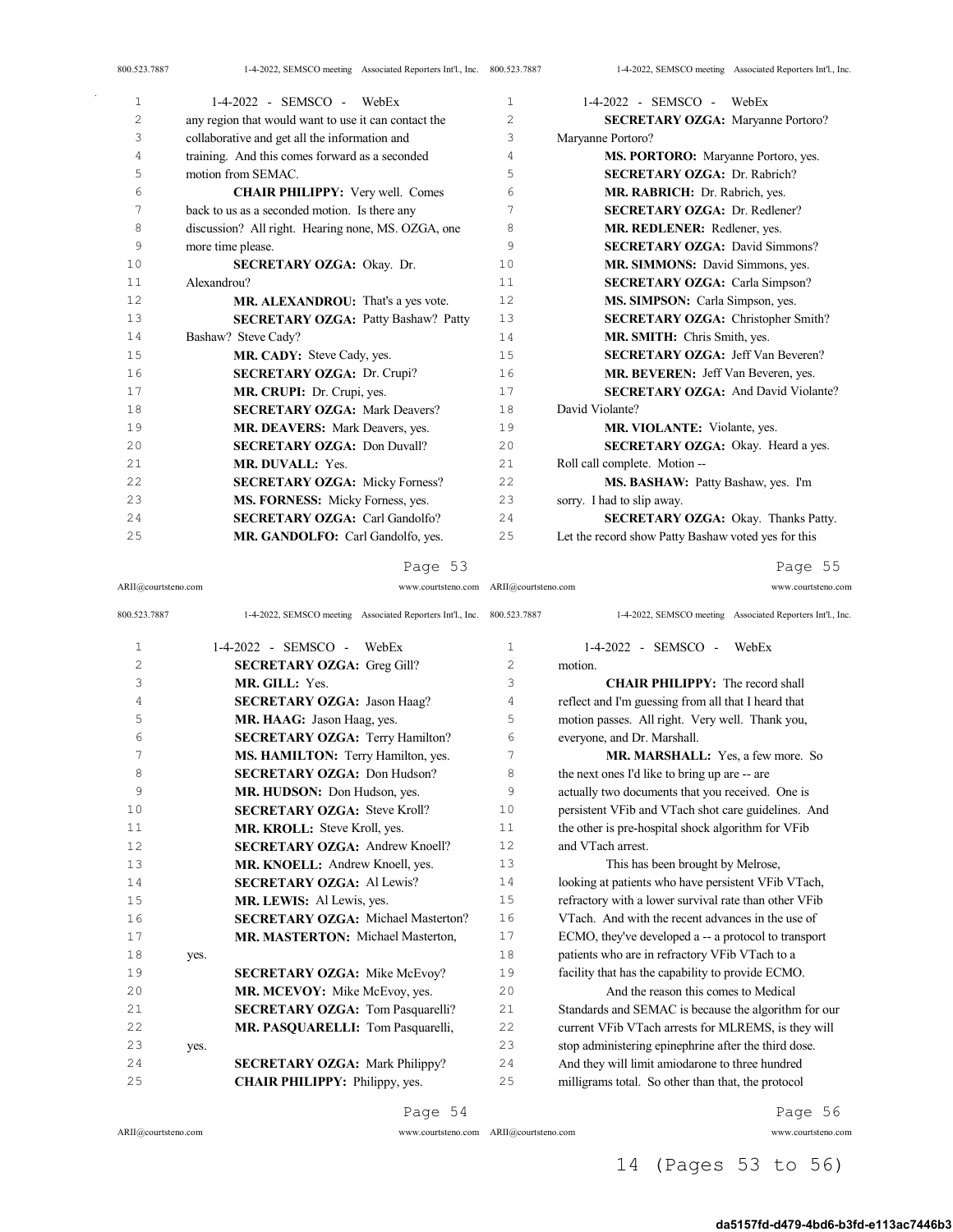| 1  | $1-4-2022$ - SEMSCO - WebEx                          | $\mathbf{1}$   | 1-4-2022 - SEMSCO - WebEx                           |
|----|------------------------------------------------------|----------------|-----------------------------------------------------|
| 2  | any region that would want to use it can contact the | $\overline{c}$ | <b>SECRETARY OZGA: Maryanne Portoro?</b>            |
| 3  | collaborative and get all the information and        | 3              | Maryanne Portoro?                                   |
| 4  | training. And this comes forward as a seconded       | 4              | MS. PORTORO: Maryanne Portoro, yes.                 |
| 5  | motion from SEMAC.                                   | 5              | <b>SECRETARY OZGA: Dr. Rabrich?</b>                 |
| 6  | <b>CHAIR PHILIPPY:</b> Very well. Comes              | 6              | MR. RABRICH: Dr. Rabrich, yes.                      |
| 7  | back to us as a seconded motion. Is there any        | 7              | <b>SECRETARY OZGA: Dr. Redlener?</b>                |
| 8  | discussion? All right. Hearing none, MS. OZGA, one   | 8              | MR. REDLENER: Redlener, yes.                        |
| 9  | more time please.                                    | 9              | <b>SECRETARY OZGA: David Simmons?</b>               |
| 10 | SECRETARY OZGA: Okay. Dr.                            | 10             | MR. SIMMONS: David Simmons, yes.                    |
| 11 | Alexandrou?                                          | 11             | <b>SECRETARY OZGA:</b> Carla Simpson?               |
| 12 | MR. ALEXANDROU: That's a yes vote.                   | 12             | MS. SIMPSON: Carla Simpson, yes.                    |
| 13 | <b>SECRETARY OZGA: Patty Bashaw? Patty</b>           | 13             | <b>SECRETARY OZGA: Christopher Smith?</b>           |
| 14 | Bashaw? Steve Cady?                                  | 14             | MR. SMITH: Chris Smith, yes.                        |
| 15 | MR. CADY: Steve Cady, yes.                           | 15             | <b>SECRETARY OZGA: Jeff Van Beveren?</b>            |
| 16 | <b>SECRETARY OZGA: Dr. Crupi?</b>                    | 16             | MR. BEVEREN: Jeff Van Beveren, yes.                 |
| 17 | MR. CRUPI: Dr. Crupi, yes.                           | 17             | <b>SECRETARY OZGA: And David Violante?</b>          |
| 18 | <b>SECRETARY OZGA: Mark Deavers?</b>                 | 18             | David Violante?                                     |
| 19 | <b>MR. DEAVERS:</b> Mark Deavers, yes.               | 19             | MR. VIOLANTE: Violante, yes.                        |
| 20 | <b>SECRETARY OZGA: Don Duvall?</b>                   | 20             | SECRETARY OZGA: Okay. Heard a yes.                  |
| 21 | MR. DUVALL: Yes.                                     | 21             | Roll call complete. Motion --                       |
| 22 | <b>SECRETARY OZGA: Micky Forness?</b>                | 22             | MS. BASHAW: Patty Bashaw, yes. I'm                  |
| 23 | MS. FORNESS: Micky Forness, yes.                     | 23             | sorry. I had to slip away.                          |
| 24 | <b>SECRETARY OZGA:</b> Carl Gandolfo?                | 24             | SECRETARY OZGA: Okay. Thanks Patty.                 |
| 25 | MR. GANDOLFO: Carl Gandolfo, yes.                    | 25             | Let the record show Patty Bashaw voted yes for this |

ARII@courtsteno.com www.courtsteno.com ARII@courtsteno.com www.courtsteno.com

Page 55

|                                           |                | 1-4-2022, SEMSCO meeting Associated Reporters Int'l., Inc.              |
|-------------------------------------------|----------------|-------------------------------------------------------------------------|
| $1-4-2022 -$ SEMSCO -<br>WebEx            | $\mathbf{1}$   | $1-4-2022 -$ SEMSCO -<br>WebEx                                          |
| <b>SECRETARY OZGA: Greg Gill?</b>         | $\overline{2}$ | motion.                                                                 |
| MR. GILL: Yes.                            | 3              | <b>CHAIR PHILIPPY:</b> The record shall                                 |
| <b>SECRETARY OZGA: Jason Haag?</b>        | 4              | reflect and I'm guessing from all that I heard that                     |
| MR. HAAG: Jason Haag, yes.                | 5              | motion passes. All right. Very well. Thank you,                         |
| <b>SECRETARY OZGA: Terry Hamilton?</b>    | 6              | everyone, and Dr. Marshall.                                             |
| MS. HAMILTON: Terry Hamilton, yes.        | 7              | MR. MARSHALL: Yes, a few more. So                                       |
| <b>SECRETARY OZGA: Don Hudson?</b>        | 8              | the next ones I'd like to bring up are -- are                           |
| MR. HUDSON: Don Hudson, yes.              | 9              | actually two documents that you received. One is                        |
| <b>SECRETARY OZGA: Steve Kroll?</b>       | 10             | persistent VFib and VTach shot care guidelines. And                     |
| MR. KROLL: Steve Kroll, yes.              | 11             | the other is pre-hospital shock algorithm for VFib                      |
| <b>SECRETARY OZGA: Andrew Knoell?</b>     | 12             | and VTach arrest.                                                       |
| MR. KNOELL: Andrew Knoell, yes.           | 13             | This has been brought by Melrose,                                       |
| <b>SECRETARY OZGA: Al Lewis?</b>          | 14             | looking at patients who have persistent VFib VTach,                     |
| MR. LEWIS: Al Lewis, yes.                 | 15             | refractory with a lower survival rate than other VFib                   |
| <b>SECRETARY OZGA: Michael Masterton?</b> | 16             | VTach. And with the recent advances in the use of                       |
| MR. MASTERTON: Michael Masterton,         | 17             | ECMO, they've developed a -- a protocol to transport                    |
| yes.                                      | 18             | patients who are in refractory VFib VTach to a                          |
| <b>SECRETARY OZGA: Mike McEvoy?</b>       | 19             | facility that has the capability to provide ECMO.                       |
| MR. MCEVOY: Mike McEvoy, yes.             | 20             | And the reason this comes to Medical                                    |
| <b>SECRETARY OZGA: Tom Pasquarelli?</b>   | 21             | Standards and SEMAC is because the algorithm for our                    |
| MR. PASQUARELLI: Tom Pasquarelli,         | 22             | current VFib VTach arrests for MLREMS, is they will                     |
| yes.                                      | 23             | stop administering epinephrine after the third dose.                    |
| <b>SECRETARY OZGA: Mark Philippy?</b>     | 24             | And they will limit amiodarone to three hundred                         |
| <b>CHAIR PHILIPPY:</b> Philippy, yes.     | 25             | milligrams total. So other than that, the protocol                      |
|                                           |                | 1-4-2022, SEMSCO meeting Associated Reporters Int'l., Inc. 800.523.7887 |

Page 54

 $ARII@{\mbox{conrtsteno.com}}$ 

 $\bar{z}$ 

ARII@courtsteno.com www.courtsteno.com

Page 56

## 14 (Pages 53 to 56)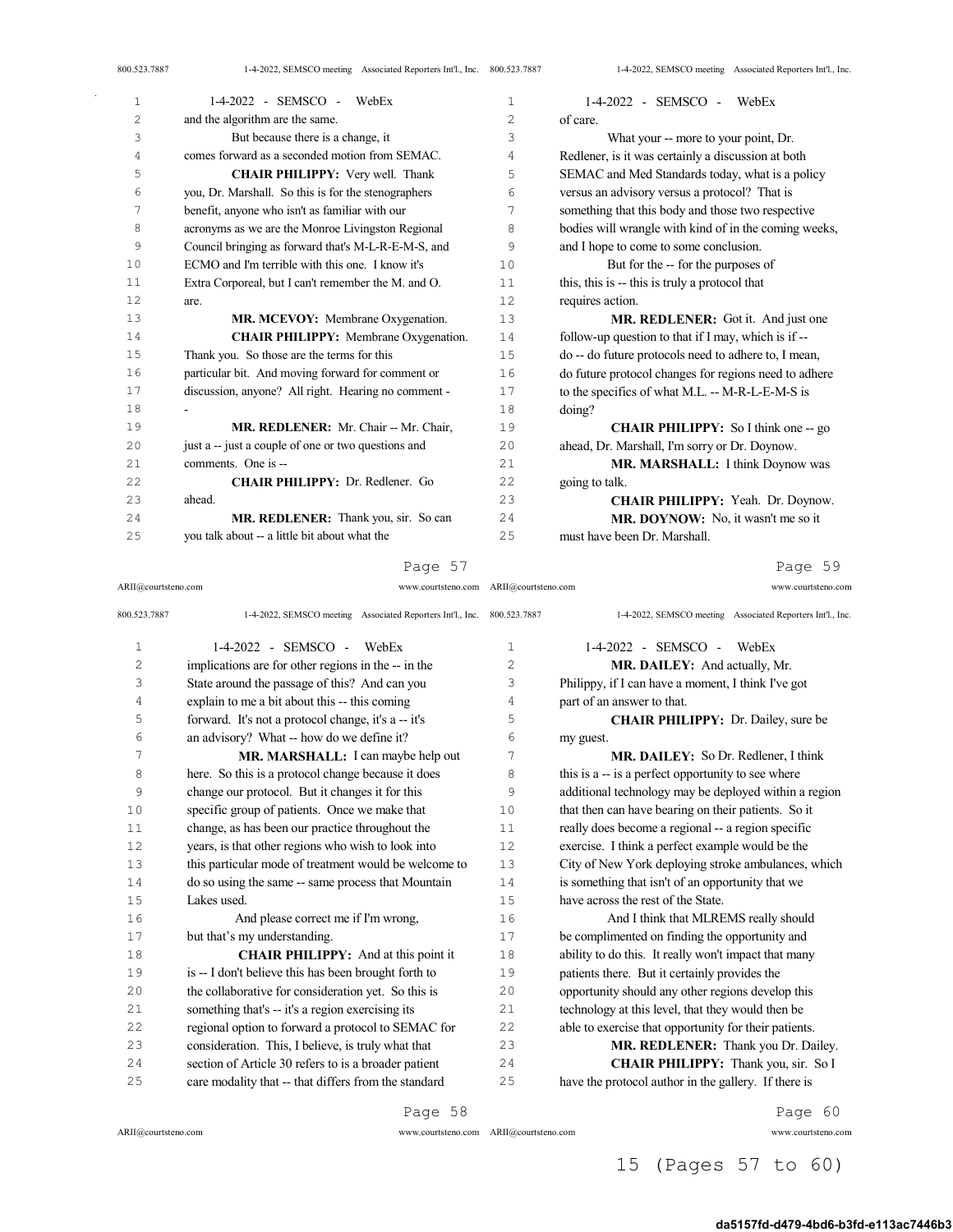| 1              | $1-4-2022$ - SEMSCO - WebEx                         | 1  | $1-4-2022$ - SEMSCO - WebEx                           |
|----------------|-----------------------------------------------------|----|-------------------------------------------------------|
| $\overline{2}$ | and the algorithm are the same.                     | 2  | of care.                                              |
| 3              | But because there is a change, it                   | 3  | What your -- more to your point, Dr.                  |
| 4              | comes forward as a seconded motion from SEMAC.      | 4  | Redlener, is it was certainly a discussion at both    |
| 5              | <b>CHAIR PHILIPPY:</b> Very well. Thank             | 5  | SEMAC and Med Standards today, what is a policy       |
| 6              | you, Dr. Marshall. So this is for the stenographers | 6  | versus an advisory versus a protocol? That is         |
| 7              | benefit, anyone who isn't as familiar with our      | 7  | something that this body and those two respective     |
| 8              | acronyms as we are the Monroe Livingston Regional   | 8  | bodies will wrangle with kind of in the coming weeks, |
| 9              | Council bringing as forward that's M-L-R-E-M-S, and | 9  | and I hope to come to some conclusion.                |
| 10             | ECMO and I'm terrible with this one. I know it's    | 10 | But for the -- for the purposes of                    |
| 11             | Extra Corporeal, but I can't remember the M. and O. | 11 | this, this is -- this is truly a protocol that        |
| 12             | are.                                                | 12 | requires action.                                      |
| 13             | MR. MCEVOY: Membrane Oxygenation.                   | 13 | MR. REDLENER: Got it. And just one                    |
| 14             | <b>CHAIR PHILIPPY:</b> Membrane Oxygenation.        | 14 | follow-up question to that if I may, which is if --   |
| 15             | Thank you. So those are the terms for this          | 15 | do -- do future protocols need to adhere to, I mean,  |
| 16             | particular bit. And moving forward for comment or   | 16 | do future protocol changes for regions need to adhere |
| 17             | discussion, anyone? All right. Hearing no comment - | 17 | to the specifics of what M.L. -- M-R-L-E-M-S is       |
| 18             |                                                     | 18 | doing?                                                |
| 19             | MR. REDLENER: Mr. Chair -- Mr. Chair.               | 19 | <b>CHAIR PHILIPPY:</b> So I think one -- go           |
| 20             | just a -- just a couple of one or two questions and | 20 | ahead, Dr. Marshall, I'm sorry or Dr. Doynow.         |
| 21             | comments. One is --                                 | 21 | MR. MARSHALL: I think Doynow was                      |
| 22             | CHAIR PHILIPPY: Dr. Redlener. Go                    | 22 | going to talk.                                        |
| 23             | ahead.                                              | 23 | CHAIR PHILIPPY: Yeah. Dr. Doynow.                     |
| 24             | MR, REDLENER: Thank you, sir. So can                | 24 | MR. DOYNOW: No, it wasn't me so it                    |
| 25             | you talk about -- a little bit about what the       | 25 | must have been Dr. Marshall.                          |

#### Page 57

ARII@courtsteno.com www.courtsteno.com ARII@courtsteno.com www.courtsteno.com

Page 59

| 800.523.7887   | 1-4-2022, SEMSCO meeting Associated Reporters Int'l., Inc. 800.523.7887 |                | 1-4-2022, SEMSCO meeting Associated Reporters Int'l., Inc. |
|----------------|-------------------------------------------------------------------------|----------------|------------------------------------------------------------|
| $\mathbf 1$    | $1-4-2022$ - SEMSCO - WebEx                                             | 1              | 1-4-2022 - SEMSCO -<br>WebEx                               |
| $\overline{2}$ | implications are for other regions in the -- in the                     | $\overline{2}$ | MR. DAILEY: And actually, Mr.                              |
| 3              | State around the passage of this? And can you                           | 3              | Philippy, if I can have a moment, I think I've got         |
| 4              | explain to me a bit about this -- this coming                           | 4              | part of an answer to that.                                 |
| 5              | forward. It's not a protocol change, it's a -- it's                     | 5              | <b>CHAIR PHILIPPY</b> : Dr. Dailey, sure be                |
| 6              | an advisory? What -- how do we define it?                               | 6              | my guest.                                                  |
| 7              | MR. MARSHALL: I can maybe help out                                      | 7              | MR. DAILEY: So Dr. Redlener, I think                       |
| 8              | here. So this is a protocol change because it does                      | 8              | this is a -- is a perfect opportunity to see where         |
| 9              | change our protocol. But it changes it for this                         | 9              | additional technology may be deployed within a region      |
| 10             | specific group of patients. Once we make that                           | 10             | that then can have bearing on their patients. So it        |
| 11             | change, as has been our practice throughout the                         | 11             | really does become a regional -- a region specific         |
| 12             | years, is that other regions who wish to look into                      | 12             | exercise. I think a perfect example would be the           |
| 13             | this particular mode of treatment would be welcome to                   | 13             | City of New York deploying stroke ambulances, which        |
| 14             | do so using the same -- same process that Mountain                      | 14             | is something that isn't of an opportunity that we          |
| 15             | Lakes used.                                                             | 1.5            | have across the rest of the State.                         |
| 16             | And please correct me if I'm wrong,                                     | 16             | And I think that MLREMS really should                      |
| 17             | but that's my understanding.                                            | 17             | be complimented on finding the opportunity and             |
| 18             | <b>CHAIR PHILIPPY:</b> And at this point it                             | 18             | ability to do this. It really won't impact that many       |
| 19             | is -- I don't believe this has been brought forth to                    | 19             | patients there. But it certainly provides the              |
| 20             | the collaborative for consideration yet. So this is                     | 20             | opportunity should any other regions develop this          |
| 21             | something that's -- it's a region exercising its                        | 2.1            | technology at this level, that they would then be          |
| 2.2            | regional option to forward a protocol to SEMAC for                      | 2.2.           | able to exercise that opportunity for their patients.      |
| 23             | consideration. This, I believe, is truly what that                      | 23             | MR. REDLENER: Thank you Dr. Dailey.                        |
| 24             | section of Article 30 refers to is a broader patient                    | 24             | CHAIR PHILIPPY: Thank you, sir. So I                       |
| 25             | care modality that -- that differs from the standard                    | 25             | have the protocol author in the gallery. If there is       |
|                |                                                                         |                |                                                            |

Page 58

 $ARII@{\mbox{conrtsteno.com}}$ 

ARII@courtsteno.com www.courtsteno.com

Page 60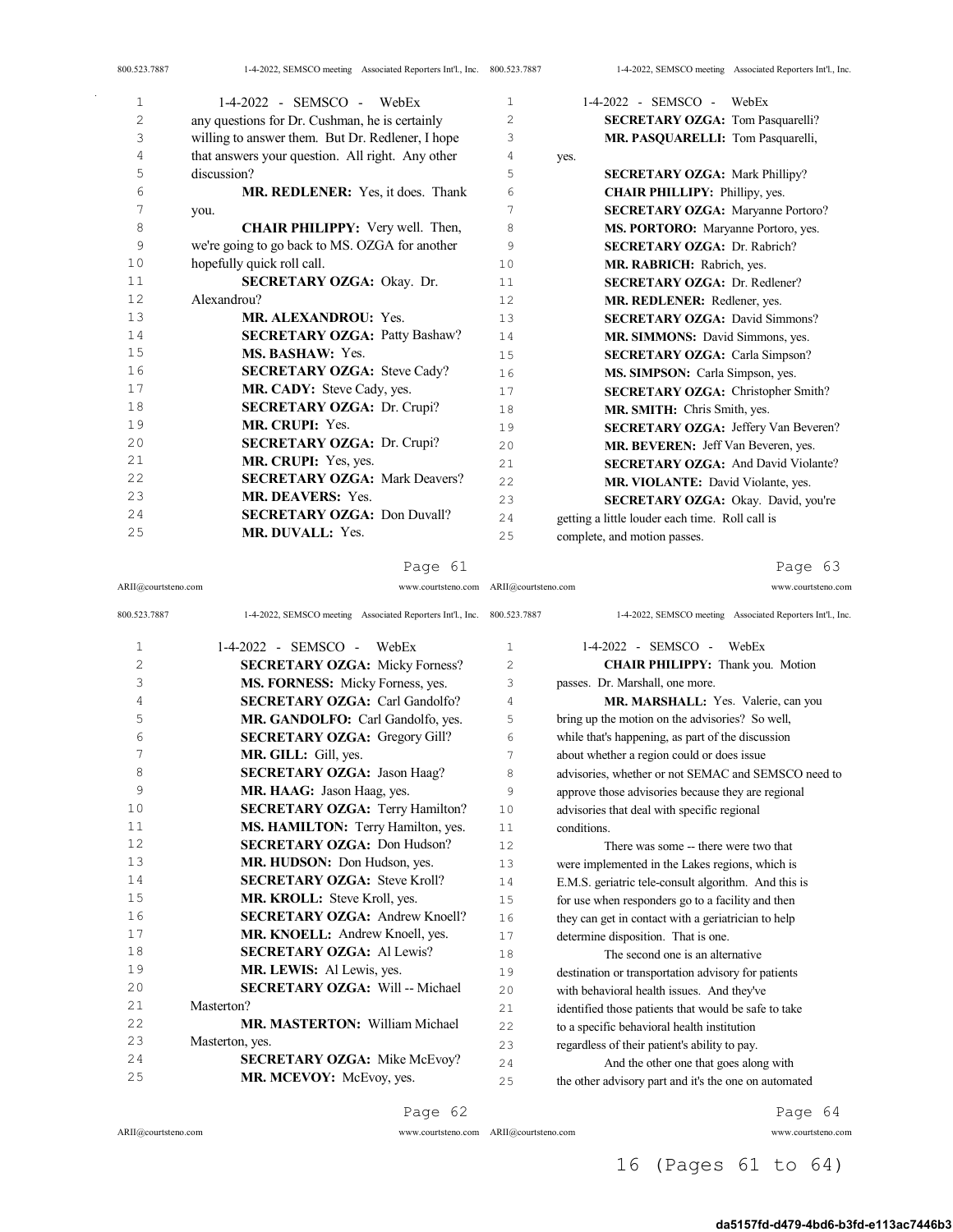| $\mathbf{1}$   | $1-4-2022$ - SEMSCO - WebEx                      | $\mathbf{1}$  | 1-4-2022 - SEMSCO -<br>WebEx                    |
|----------------|--------------------------------------------------|---------------|-------------------------------------------------|
| $\mathfrak{D}$ | any questions for Dr. Cushman, he is certainly   | $\mathcal{L}$ | <b>SECRETARY OZGA: Tom Pasquarelli?</b>         |
| 3              | willing to answer them. But Dr. Redlener, I hope | 3             | MR. PASQUARELLI: Tom Pasquarelli,               |
| 4              | that answers your question. All right. Any other | 4             | yes.                                            |
| 5              | discussion?                                      | 5             | <b>SECRETARY OZGA: Mark Phillipy?</b>           |
| 6              | <b>MR. REDLENER:</b> Yes, it does. Thank         | 6             | <b>CHAIR PHILLIPY: Phillipy, yes.</b>           |
| 7              | you.                                             | 7             | <b>SECRETARY OZGA: Maryanne Portoro?</b>        |
| 8              | <b>CHAIR PHILIPPY:</b> Very well. Then,          | 8             | MS. PORTORO: Maryanne Portoro, yes.             |
| 9              | we're going to go back to MS. OZGA for another   | 9             | <b>SECRETARY OZGA: Dr. Rabrich?</b>             |
| 10             | hopefully quick roll call.                       | 10            | MR. RABRICH: Rabrich, yes.                      |
| 11             | SECRETARY OZGA: Okay. Dr.                        | 11            | <b>SECRETARY OZGA: Dr. Redlener?</b>            |
| 12             | Alexandrou?                                      | 12            | MR. REDLENER: Redlener, yes.                    |
| 13             | <b>MR. ALEXANDROU: Yes.</b>                      | 13            | <b>SECRETARY OZGA: David Simmons?</b>           |
| 14             | <b>SECRETARY OZGA: Patty Bashaw?</b>             | 14            | MR. SIMMONS: David Simmons, yes.                |
| 15             | MS. BASHAW: Yes.                                 | 15            | <b>SECRETARY OZGA: Carla Simpson?</b>           |
| 16             | <b>SECRETARY OZGA: Steve Cady?</b>               | 16            | MS. SIMPSON: Carla Simpson, yes.                |
| 17             | MR. CADY: Steve Cady, yes.                       | 17            | SECRETARY OZGA: Christopher Smith?              |
| 18             | <b>SECRETARY OZGA: Dr. Crupi?</b>                | 18            | MR. SMITH: Chris Smith, yes.                    |
| 19             | MR. CRUPI: Yes.                                  | 19            | <b>SECRETARY OZGA: Jeffery Van Beveren?</b>     |
| 20             | <b>SECRETARY OZGA: Dr. Crupi?</b>                | 20            | MR. BEVEREN: Jeff Van Beveren, yes.             |
| 21             | MR. CRUPI: Yes, yes.                             | 2.1           | <b>SECRETARY OZGA:</b> And David Violante?      |
| 22             | <b>SECRETARY OZGA: Mark Deavers?</b>             | 22            | MR. VIOLANTE: David Violante, yes.              |
| 23             | <b>MR. DEAVERS: Yes.</b>                         | 23            | SECRETARY OZGA: Okay. David, you're             |
| 24             | <b>SECRETARY OZGA: Don Duvall?</b>               | 24            | getting a little louder each time. Roll call is |
| 25             | <b>MR. DUVALL: Yes.</b>                          | 25            | complete, and motion passes.                    |

ARII@courtsteno.com www.courtsteno.com ARII@courtsteno.com www.courtsteno.com

Page 63

| 800.523.7887   | 1-4-2022, SEMSCO meeting Associated Reporters Int'l., Inc. 800.523.7887 |     | 1-4-2022, SEMSCO meeting Associated Reporters Int'l., Inc. |
|----------------|-------------------------------------------------------------------------|-----|------------------------------------------------------------|
| 1              | 1-4-2022 - SEMSCO -<br>WebEx                                            | 1   | 1-4-2022 - SEMSCO -<br>WebEx                               |
| $\overline{c}$ | <b>SECRETARY OZGA: Micky Forness?</b>                                   | 2   | CHAIR PHILIPPY: Thank you. Motion                          |
| 3              | MS. FORNESS: Micky Forness, yes.                                        | 3   | passes. Dr. Marshall, one more.                            |
| 4              | <b>SECRETARY OZGA: Carl Gandolfo?</b>                                   | 4   | MR. MARSHALL: Yes. Valerie, can you                        |
| 5              | MR. GANDOLFO: Carl Gandolfo, yes.                                       | 5   | bring up the motion on the advisories? So well,            |
| 6              | <b>SECRETARY OZGA: Gregory Gill?</b>                                    | 6   | while that's happening, as part of the discussion          |
| 7              | MR. GILL: Gill, yes.                                                    | 7   | about whether a region could or does issue                 |
| 8              | <b>SECRETARY OZGA: Jason Haag?</b>                                      | 8   | advisories, whether or not SEMAC and SEMSCO need to        |
| 9              | MR. HAAG: Jason Haag, yes.                                              | 9   | approve those advisories because they are regional         |
| 10             | <b>SECRETARY OZGA: Terry Hamilton?</b>                                  | 10  | advisories that deal with specific regional                |
| 11             | MS. HAMILTON: Terry Hamilton, yes.                                      | 11  | conditions.                                                |
| 12             | <b>SECRETARY OZGA: Don Hudson?</b>                                      | 12  | There was some -- there were two that                      |
| 13             | MR. HUDSON: Don Hudson, yes.                                            | 13  | were implemented in the Lakes regions, which is            |
| 14             | <b>SECRETARY OZGA: Steve Kroll?</b>                                     | 14  | E.M.S. geriatric tele-consult algorithm. And this is       |
| 15             | MR. KROLL: Steve Kroll, yes.                                            | 15  | for use when responders go to a facility and then          |
| 16             | <b>SECRETARY OZGA: Andrew Knoell?</b>                                   | 16  | they can get in contact with a geriatrician to help        |
| 17             | MR. KNOELL: Andrew Knoell, yes.                                         | 17  | determine disposition. That is one.                        |
| 18             | <b>SECRETARY OZGA: Al Lewis?</b>                                        | 18  | The second one is an alternative                           |
| 19             | <b>MR. LEWIS:</b> Al Lewis, yes.                                        | 19  | destination or transportation advisory for patients        |
| 20             | <b>SECRETARY OZGA: Will -- Michael</b>                                  | 20  | with behavioral health issues. And they've                 |
| 21             | Masterton?                                                              | 21  | identified those patients that would be safe to take       |
| 22             | <b>MR. MASTERTON:</b> William Michael                                   | 22  | to a specific behavioral health institution                |
| 23             | Masterton, yes.                                                         | 23  | regardless of their patient's ability to pay.              |
| 24             | <b>SECRETARY OZGA: Mike McEvoy?</b>                                     | 2.4 | And the other one that goes along with                     |
| 25             | MR. MCEVOY: McEvoy, yes.                                                | 25  | the other advisory part and it's the one on automated      |

Page 62

ARII@courtsteno.com www.courtsteno.com

Page 64

## 16 (Pages 61 to 64)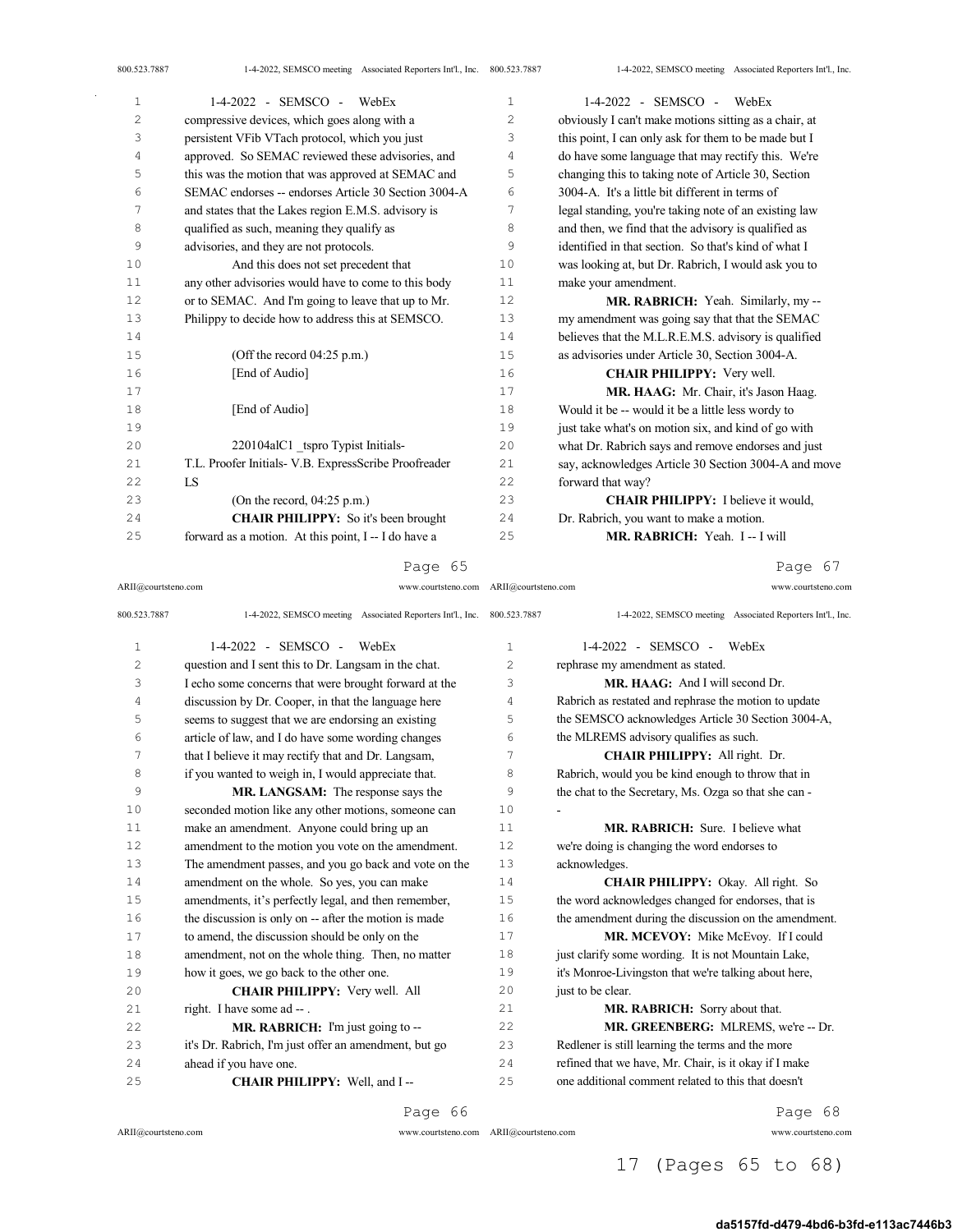| $\mathbf{1}$   | $1-4-2022$ - SEMSCO - WebEx                           | $\mathbf{1}$   | $1-4-2022$ - SEMSCO - WebEx                           |
|----------------|-------------------------------------------------------|----------------|-------------------------------------------------------|
| $\overline{c}$ | compressive devices, which goes along with a          | $\overline{2}$ | obviously I can't make motions sitting as a chair, at |
| 3              | persistent VFib VTach protocol, which you just        | 3              | this point, I can only ask for them to be made but I  |
| 4              | approved. So SEMAC reviewed these advisories, and     | 4              | do have some language that may rectify this. We're    |
| 5              | this was the motion that was approved at SEMAC and    | 5              | changing this to taking note of Article 30, Section   |
| 6              | SEMAC endorses -- endorses Article 30 Section 3004-A  | 6              | 3004-A. It's a little bit different in terms of       |
| 7              | and states that the Lakes region E.M.S. advisory is   | 7              | legal standing, you're taking note of an existing law |
| 8              | qualified as such, meaning they qualify as            | 8              | and then, we find that the advisory is qualified as   |
| 9              | advisories, and they are not protocols.               | 9              | identified in that section. So that's kind of what I  |
| 10             | And this does not set precedent that                  | 10             | was looking at, but Dr. Rabrich, I would ask you to   |
| 11             | any other advisories would have to come to this body  | 11             | make your amendment.                                  |
| 12             | or to SEMAC. And I'm going to leave that up to Mr.    | 12             | MR. RABRICH: Yeah. Similarly, my--                    |
| 13             | Philippy to decide how to address this at SEMSCO.     | 13             | my amendment was going say that that the SEMAC        |
| 14             |                                                       | 14             | believes that the M.L.R.E.M.S. advisory is qualified  |
| 15             | (Off the record $04:25$ p.m.)                         | 15             | as advisories under Article 30, Section 3004-A.       |
| 16             | [End of Audio]                                        | 16             | <b>CHAIR PHILIPPY:</b> Very well.                     |
| 17             |                                                       | 17             | MR. HAAG: Mr. Chair, it's Jason Haag.                 |
| 18             | [End of Audio]                                        | 18             | Would it be -- would it be a little less wordy to     |
| 19             |                                                       | 19             | just take what's on motion six, and kind of go with   |
| 20             | 220104alC1 tspro Typist Initials-                     | 20             | what Dr. Rabrich says and remove endorses and just    |
| 21             | T.L. Proofer Initials- V.B. ExpressScribe Proofreader | 21             | say, acknowledges Article 30 Section 3004-A and move  |
| 22             | <b>IS</b>                                             | 22             | forward that way?                                     |
| 23             | (On the record, $04:25$ p.m.)                         | 23             | <b>CHAIR PHILIPPY:</b> I believe it would,            |
| 24             | <b>CHAIR PHILIPPY:</b> So it's been brought           | 24             | Dr. Rabrich, you want to make a motion.               |
| 25             | forward as a motion. At this point, I -- I do have a  | 25             | MR. RABRICH: Yeah. I-- I will                         |

ARII@courtsteno.com www.courtsteno.com ARII@courtsteno.com www.courtsteno.com

Page 67

| 800.523.7887   | 1-4-2022, SEMSCO meeting Associated Reporters Int'l., Inc. 800.523.7887 |              | 1-4-2022, SEMSCO meeting Associated Reporters Int'l., Inc. |
|----------------|-------------------------------------------------------------------------|--------------|------------------------------------------------------------|
| 1              | $1-4-2022$ - SEMSCO - WebEx                                             | $\mathbf{1}$ | $1-4-2022$ - SEMSCO - WebEx                                |
| $\overline{c}$ | question and I sent this to Dr. Langsam in the chat.                    | 2            | rephrase my amendment as stated.                           |
| 3              | I echo some concerns that were brought forward at the                   | 3            | MR. HAAG: And I will second Dr.                            |
| 4              | discussion by Dr. Cooper, in that the language here                     | 4            | Rabrich as restated and rephrase the motion to update      |
| 5              | seems to suggest that we are endorsing an existing                      | 5            | the SEMSCO acknowledges Article 30 Section 3004-A,         |
| 6              | article of law, and I do have some wording changes                      | 6            | the MLREMS advisory qualifies as such.                     |
| 7              | that I believe it may rectify that and Dr. Langsam,                     | 7            | CHAIR PHILIPPY: All right. Dr.                             |
| 8              | if you wanted to weigh in, I would appreciate that.                     | 8            | Rabrich, would you be kind enough to throw that in         |
| 9              | MR. LANGSAM: The response says the                                      | 9            | the chat to the Secretary, Ms. Ozga so that she can -      |
| 10             | seconded motion like any other motions, someone can                     | 10           |                                                            |
| 11             | make an amendment. Anyone could bring up an                             | 11           | MR. RABRICH: Sure. I believe what                          |
| 12             | amendment to the motion you vote on the amendment.                      | 12           | we're doing is changing the word endorses to               |
| 13             | The amendment passes, and you go back and vote on the                   | 13           | acknowledges.                                              |
| 14             | amendment on the whole. So yes, you can make                            | 14           | <b>CHAIR PHILIPPY:</b> Okay. All right. So                 |
| 15             | amendments, it's perfectly legal, and then remember,                    | 15           | the word acknowledges changed for endorses, that is        |
| 16             | the discussion is only on -- after the motion is made                   | 16           | the amendment during the discussion on the amendment.      |
| 17             | to amend, the discussion should be only on the                          | 17           | MR. MCEVOY: Mike McEvoy. If I could                        |
| 18             | amendment, not on the whole thing. Then, no matter                      | 18           | just clarify some wording. It is not Mountain Lake,        |
| 19             | how it goes, we go back to the other one.                               | 19           | it's Monroe-Livingston that we're talking about here,      |
| 20             | <b>CHAIR PHILIPPY:</b> Very well. All                                   | 20           | just to be clear.                                          |
| 2.1            | right. I have some ad --.                                               | 2.1          | MR. RABRICH: Sorry about that.                             |
| 22             | MR. RABRICH: I'm just going to --                                       | 22           | MR. GREENBERG: MLREMS, we're -- Dr.                        |
| 23             | it's Dr. Rabrich, I'm just offer an amendment, but go                   | 23           | Redlener is still learning the terms and the more          |
| 24             | ahead if you have one.                                                  | 24           | refined that we have, Mr. Chair, is it okay if I make      |
| 25             | CHAIR PHILIPPY: Well, and I-                                            | 25           | one additional comment related to this that doesn't        |
|                |                                                                         |              |                                                            |

#### Page 66

 $ARII@{\mbox{conrtsteno.com}}$ 

ARII@courtsteno.com www.courtsteno.com

Page 68

## 17 (Pages 65 to 68)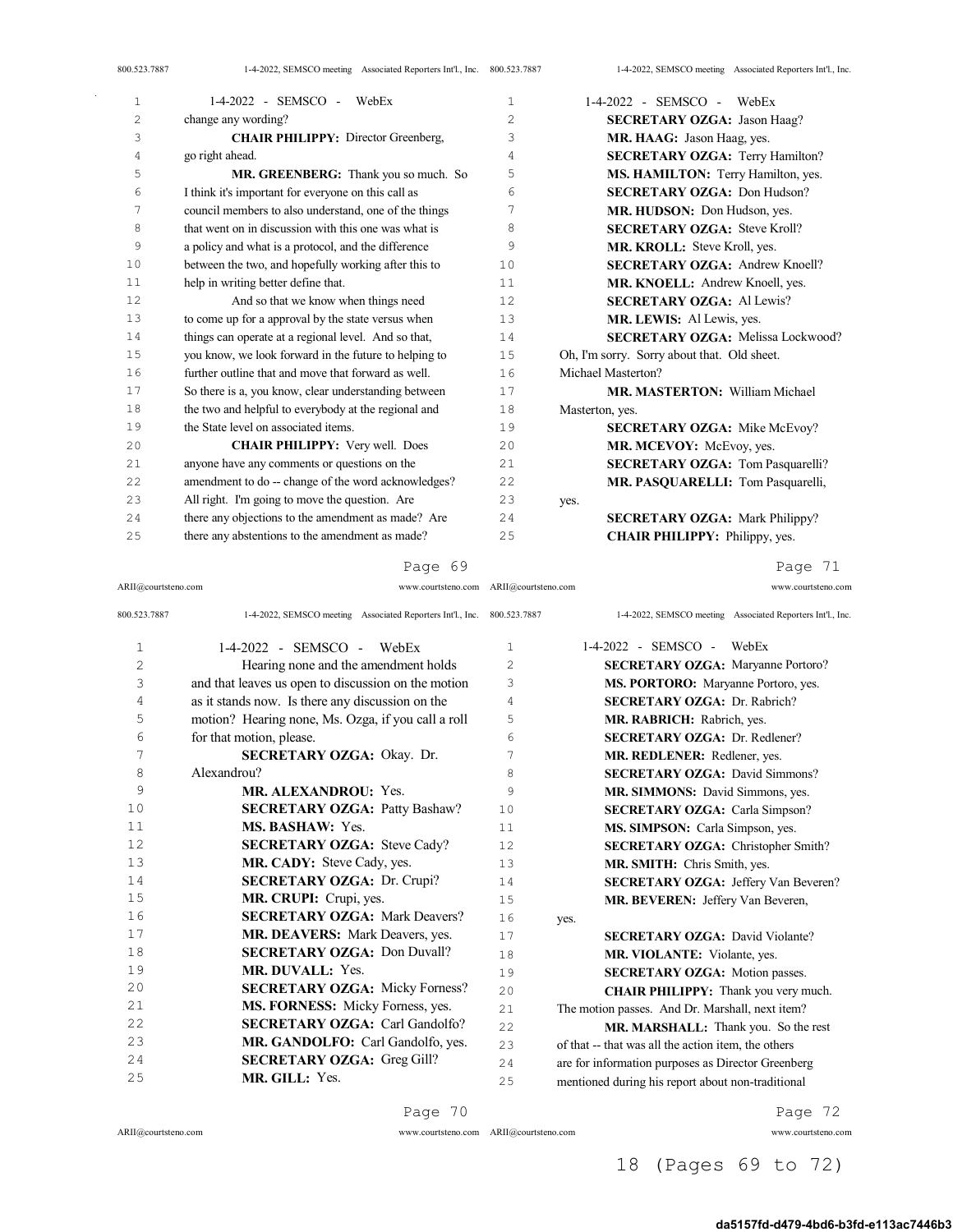| $\mathbf{1}$   | $1-4-2022$ - SEMSCO - WebEx                           | $\mathbf{1}$   | $1-4-2022$ - SEMSCO - WebEx                 |
|----------------|-------------------------------------------------------|----------------|---------------------------------------------|
| $\overline{c}$ | change any wording?                                   | $\overline{2}$ | <b>SECRETARY OZGA: Jason Haag?</b>          |
| 3              | <b>CHAIR PHILIPPY:</b> Director Greenberg,            | 3              | MR. HAAG: Jason Haag, yes.                  |
| 4              | go right ahead.                                       | 4              | <b>SECRETARY OZGA: Terry Hamilton?</b>      |
| 5              | MR. GREENBERG: Thank you so much. So                  | 5              | MS. HAMILTON: Terry Hamilton, yes.          |
| 6              | I think it's important for everyone on this call as   | 6              | <b>SECRETARY OZGA: Don Hudson?</b>          |
| 7              | council members to also understand, one of the things | 7              | MR. HUDSON: Don Hudson, yes.                |
| 8              | that went on in discussion with this one was what is  | 8              | <b>SECRETARY OZGA: Steve Kroll?</b>         |
| 9              | a policy and what is a protocol, and the difference   | 9              | MR. KROLL: Steve Kroll, yes.                |
| 10             | between the two, and hopefully working after this to  | 10             | <b>SECRETARY OZGA: Andrew Knoell?</b>       |
| 11             | help in writing better define that.                   | 11             | MR. KNOELL: Andrew Knoell, yes.             |
| 12             | And so that we know when things need                  | 12             | <b>SECRETARY OZGA: Al Lewis?</b>            |
| 13             | to come up for a approval by the state versus when    | 13             | MR. LEWIS: Al Lewis, yes.                   |
| 14             | things can operate at a regional level. And so that,  | 14             | <b>SECRETARY OZGA:</b> Melissa Lockwood?    |
| 15             | you know, we look forward in the future to helping to | 15             | Oh, I'm sorry. Sorry about that. Old sheet. |
| 16             | further outline that and move that forward as well.   | 16             | Michael Masterton?                          |
| 17             | So there is a, you know, clear understanding between  | 17             | <b>MR. MASTERTON: William Michael</b>       |
| 18             | the two and helpful to everybody at the regional and  | 18             | Masterton, yes.                             |
| 19             | the State level on associated items.                  | 19             | <b>SECRETARY OZGA: Mike McEvoy?</b>         |
| 20             | <b>CHAIR PHILIPPY:</b> Very well. Does                | 20             | MR. MCEVOY: McEvoy, yes.                    |
| 21             | anyone have any comments or questions on the          | 21             | <b>SECRETARY OZGA: Tom Pasquarelli?</b>     |
| 22             | amendment to do -- change of the word acknowledges?   | 22             | MR. PASQUARELLI: Tom Pasquarelli,           |
| 23             | All right. I'm going to move the question. Are        | 23             | yes.                                        |
| 24             | there any objections to the amendment as made? Are    | 2.4            | <b>SECRETARY OZGA: Mark Philippy?</b>       |
| 25             | there any abstentions to the amendment as made?       | 25             | <b>CHAIR PHILIPPY: Philippy, yes.</b>       |

ARII@courtsteno.com www.courtsteno.com ARII@courtsteno.com www.courtsteno.com

Page 71

| 800.523.7887 | 1-4-2022, SEMSCO meeting Associated Reporters Int'l., Inc. 800.523.7887 |                | 1-4-2022, SEMSCO meeting Associated Reporters Int'l., Inc. |
|--------------|-------------------------------------------------------------------------|----------------|------------------------------------------------------------|
| 1            | 1-4-2022 - SEMSCO -<br>WebEx                                            | 1              | $1-4-2022$ - SEMSCO - WebEx                                |
| 2            | Hearing none and the amendment holds                                    | $\overline{c}$ | <b>SECRETARY OZGA:</b> Maryanne Portoro?                   |
| 3            | and that leaves us open to discussion on the motion                     | 3              | MS. PORTORO: Maryanne Portoro, yes.                        |
| 4            | as it stands now. Is there any discussion on the                        | 4              | <b>SECRETARY OZGA: Dr. Rabrich?</b>                        |
| 5            | motion? Hearing none, Ms. Ozga, if you call a roll                      | 5              | MR. RABRICH: Rabrich, yes.                                 |
| 6            | for that motion, please.                                                | $\epsilon$     | <b>SECRETARY OZGA: Dr. Redlener?</b>                       |
| 7            | <b>SECRETARY OZGA: Okay. Dr.</b>                                        | 7              | MR. REDLENER: Redlener, yes.                               |
| 8            | Alexandrou?                                                             | 8              | <b>SECRETARY OZGA:</b> David Simmons?                      |
| 9            | <b>MR. ALEXANDROU: Yes.</b>                                             | 9              | MR. SIMMONS: David Simmons, yes.                           |
| 10           | <b>SECRETARY OZGA: Patty Bashaw?</b>                                    | 10             | <b>SECRETARY OZGA:</b> Carla Simpson?                      |
| 11           | <b>MS. BASHAW: Yes.</b>                                                 | 11             | MS. SIMPSON: Carla Simpson, yes.                           |
| 12           | <b>SECRETARY OZGA: Steve Cady?</b>                                      | 12.            | <b>SECRETARY OZGA:</b> Christopher Smith?                  |
| 13           | MR. CADY: Steve Cady, yes.                                              | 13             | MR. SMITH: Chris Smith, yes.                               |
| 14           | SECRETARY OZGA: Dr. Crupi?                                              | 14             | <b>SECRETARY OZGA: Jeffery Van Beveren?</b>                |
| 15           | MR. CRUPI: Crupi, yes.                                                  | 15             | MR. BEVEREN: Jeffery Van Beveren,                          |
| 16           | <b>SECRETARY OZGA: Mark Deavers?</b>                                    | 16             | yes.                                                       |
| 17           | <b>MR. DEAVERS:</b> Mark Deavers, yes.                                  | 17             | <b>SECRETARY OZGA:</b> David Violante?                     |
| 18           | <b>SECRETARY OZGA: Don Duvall?</b>                                      | 18             | MR. VIOLANTE: Violante, yes.                               |
| 19           | <b>MR. DUVALL: Yes.</b>                                                 | 19             | SECRETARY OZGA: Motion passes.                             |
| 20           | <b>SECRETARY OZGA: Micky Forness?</b>                                   | 2.0            | <b>CHAIR PHILIPPY:</b> Thank you very much.                |
| 21           | MS. FORNESS: Micky Forness, yes.                                        | 2.1            | The motion passes. And Dr. Marshall, next item?            |
| 22           | <b>SECRETARY OZGA: Carl Gandolfo?</b>                                   | 22             | MR. MARSHALL: Thank you. So the rest                       |
| 2.3          | MR. GANDOLFO: Carl Gandolfo, yes.                                       | 2.3            | of that -- that was all the action item, the others        |
| 24           | <b>SECRETARY OZGA: Greg Gill?</b>                                       | 24             | are for information purposes as Director Greenberg         |

mentioned during his report about non-traditional

**MR. GILL:** Yes.

ARII@courtsteno.com www.courtsteno.com ARII@courtsteno.com www.courtsteno.com

Page 72

# 18 (Pages 69 to 72)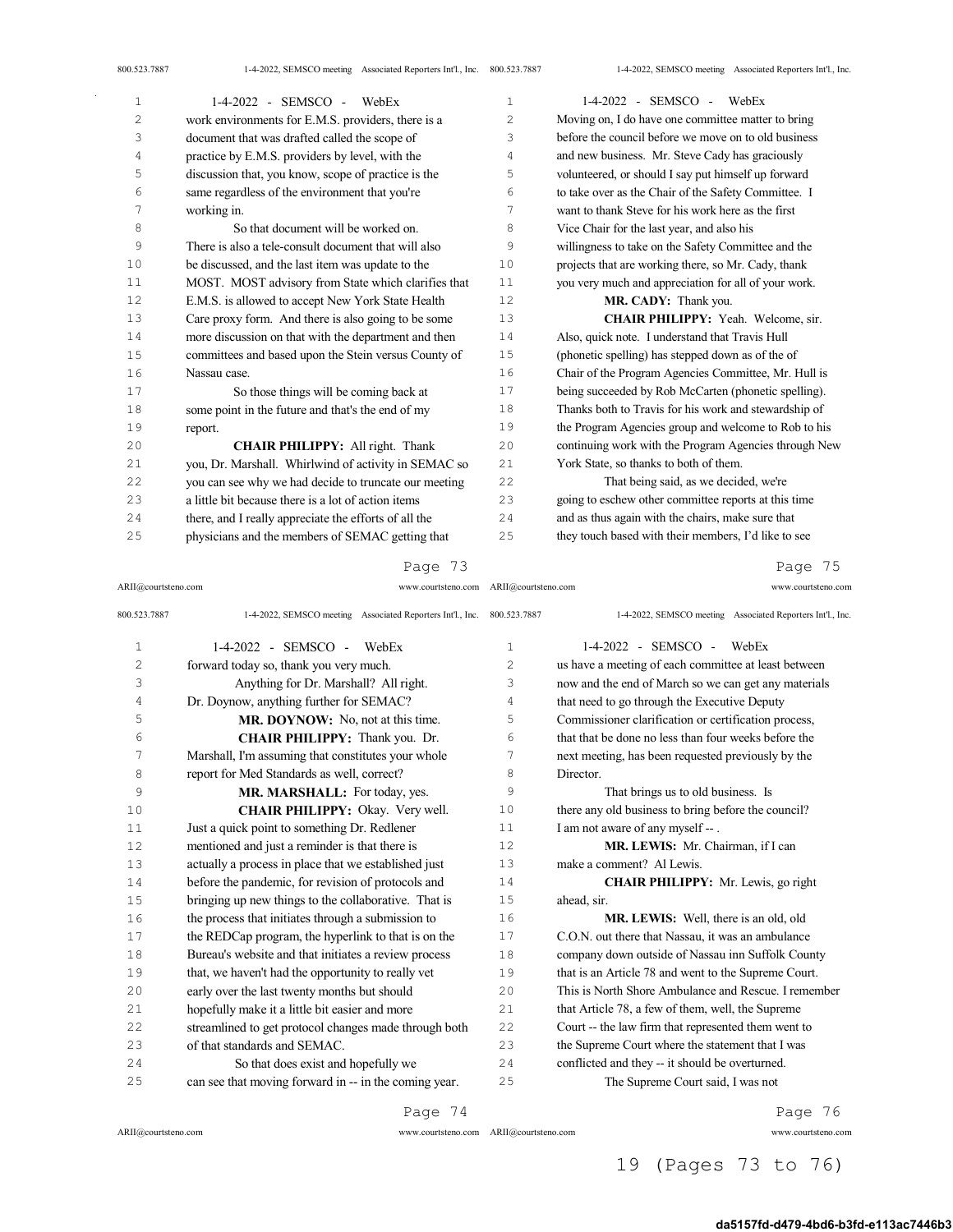| 1  | 1-4-2022 - SEMSCO - WebEx                             | 1  | $1-4-2022$ - SEMSCO - WebEx                           |
|----|-------------------------------------------------------|----|-------------------------------------------------------|
| 2  | work environments for E.M.S. providers, there is a    | 2  | Moving on, I do have one committee matter to bring    |
| 3  | document that was drafted called the scope of         | 3  | before the council before we move on to old business  |
| 4  | practice by E.M.S. providers by level, with the       | 4  | and new business. Mr. Steve Cady has graciously       |
| 5  | discussion that, you know, scope of practice is the   | 5  | volunteered, or should I say put himself up forward   |
| 6  | same regardless of the environment that you're        | 6  | to take over as the Chair of the Safety Committee. I  |
| 7  | working in.                                           | 7  | want to thank Steve for his work here as the first    |
| 8  | So that document will be worked on.                   | 8  | Vice Chair for the last year, and also his            |
| 9  | There is also a tele-consult document that will also  | 9  | willingness to take on the Safety Committee and the   |
| 10 | be discussed, and the last item was update to the     | 10 | projects that are working there, so Mr. Cady, thank   |
| 11 | MOST. MOST advisory from State which clarifies that   | 11 | you very much and appreciation for all of your work.  |
| 12 | E.M.S. is allowed to accept New York State Health     | 12 | MR. CADY: Thank you.                                  |
| 13 | Care proxy form. And there is also going to be some   | 13 | CHAIR PHILIPPY: Yeah. Welcome, sir.                   |
| 14 | more discussion on that with the department and then  | 14 | Also, quick note. I understand that Travis Hull       |
| 15 | committees and based upon the Stein versus County of  | 15 | (phonetic spelling) has stepped down as of the of     |
| 16 | Nassau case.                                          | 16 | Chair of the Program Agencies Committee, Mr. Hull is  |
| 17 | So those things will be coming back at                | 17 | being succeeded by Rob McCarten (phonetic spelling).  |
| 18 | some point in the future and that's the end of my     | 18 | Thanks both to Travis for his work and stewardship of |
| 19 | report.                                               | 19 | the Program Agencies group and welcome to Rob to his  |
| 20 | CHAIR PHILIPPY: All right. Thank                      | 20 | continuing work with the Program Agencies through New |
| 21 | you, Dr. Marshall. Whirlwind of activity in SEMAC so  | 21 | York State, so thanks to both of them.                |
| 22 | you can see why we had decide to truncate our meeting | 22 | That being said, as we decided, we're                 |
| 23 | a little bit because there is a lot of action items   | 23 | going to eschew other committee reports at this time  |
| 24 | there, and I really appreciate the efforts of all the | 24 | and as thus again with the chairs, make sure that     |
| 25 | physicians and the members of SEMAC getting that      | 25 | they touch based with their members, I'd like to see  |

#### Page 73

ARII@courtsteno.com www.courtsteno.com ARII@courtsteno.com www.courtsteno.com

Page 75

| 800.523.7887   | 1-4-2022, SEMSCO meeting Associated Reporters Int'l., Inc. 800.523.7887 |               | 1-4-2022, SEMSCO meeting Associated Reporters Int'l., Inc. |
|----------------|-------------------------------------------------------------------------|---------------|------------------------------------------------------------|
| $\mathbf{1}$   | $1-4-2022$ - SEMSCO - WebEx                                             | $\mathbf{1}$  | $1-4-2022$ - SEMSCO - WebEx                                |
| $\overline{c}$ | forward today so, thank you very much.                                  | $\mathcal{L}$ | us have a meeting of each committee at least between       |
| 3              | Anything for Dr. Marshall? All right.                                   | 3             | now and the end of March so we can get any materials       |
| $\sqrt{4}$     | Dr. Doynow, anything further for SEMAC?                                 | 4             | that need to go through the Executive Deputy               |
| 5              | MR. DOYNOW: No, not at this time.                                       | 5             | Commissioner clarification or certification process,       |
| 6              | CHAIR PHILIPPY: Thank you. Dr.                                          | 6             | that that be done no less than four weeks before the       |
| 7              | Marshall, I'm assuming that constitutes your whole                      | 7             | next meeting, has been requested previously by the         |
| 8              | report for Med Standards as well, correct?                              | 8             | Director.                                                  |
| 9              | MR. MARSHALL: For today, yes.                                           | 9             | That brings us to old business. Is                         |
| 10             | CHAIR PHILIPPY: Okay. Very well.                                        | 10            | there any old business to bring before the council?        |
| 11             | Just a quick point to something Dr. Redlener                            | 11            | I am not aware of any myself -- .                          |
| 12             | mentioned and just a reminder is that there is                          | 12            | MR. LEWIS: Mr. Chairman, if I can                          |
| 13             | actually a process in place that we established just                    | 13            | make a comment? Al Lewis.                                  |
| 14             | before the pandemic, for revision of protocols and                      | 14            | <b>CHAIR PHILIPPY:</b> Mr. Lewis, go right                 |
| 15             | bringing up new things to the collaborative. That is                    | 15            | ahead, sir.                                                |
| 16             | the process that initiates through a submission to                      | 16            | MR. LEWIS: Well, there is an old, old                      |
| 17             | the REDCap program, the hyperlink to that is on the                     | 17            | C.O.N. out there that Nassau, it was an ambulance          |
| 18             | Bureau's website and that initiates a review process                    | 18            | company down outside of Nassau inn Suffolk County          |
| 19             | that, we haven't had the opportunity to really vet                      | 19            | that is an Article 78 and went to the Supreme Court.       |
| 20             | early over the last twenty months but should                            | 20            | This is North Shore Ambulance and Rescue. I remember       |
| 21             | hopefully make it a little bit easier and more                          | 21            | that Article 78, a few of them, well, the Supreme          |
| 22             | streamlined to get protocol changes made through both                   | 22            | Court -- the law firm that represented them went to        |
| 23             | of that standards and SEMAC.                                            | 23            | the Supreme Court where the statement that I was           |
| 24             | So that does exist and hopefully we                                     | 24            | conflicted and they -- it should be overturned.            |
| 25             | can see that moving forward in -- in the coming year.                   | 25            | The Supreme Court said, I was not                          |
|                |                                                                         |               |                                                            |

Page 74

ARII@courtsteno.com www.courtsteno.com

Page 76

#### ARII@courtsteno.com www.courtsteno.com

19 (Pages 73 to 76)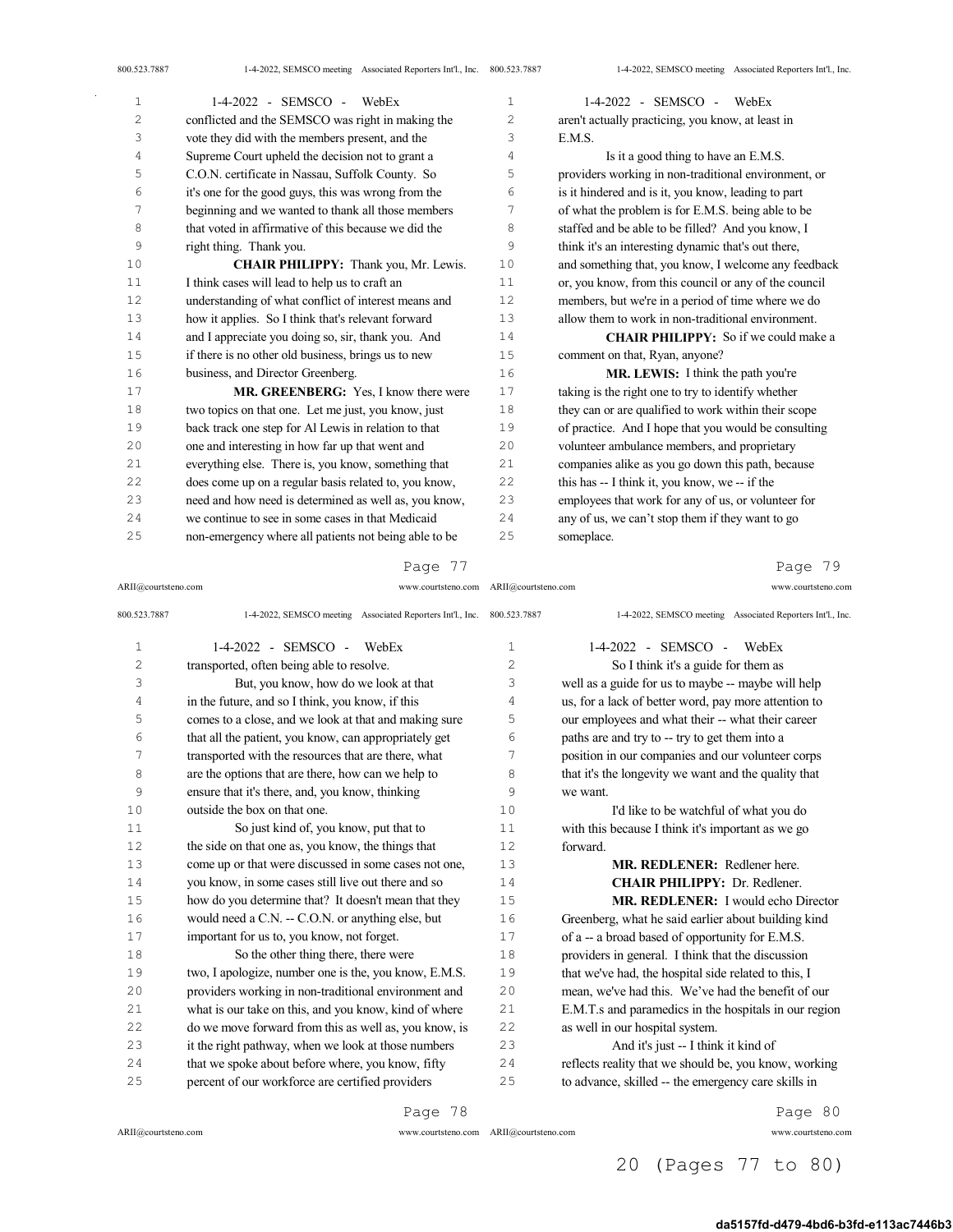| 1  | $1-4-2022$ - SEMSCO - WebEx                           | $\mathbf{1}$   | $1-4-2022$ - SEMSCO - WebEx                           |
|----|-------------------------------------------------------|----------------|-------------------------------------------------------|
| 2  | conflicted and the SEMSCO was right in making the     | $\overline{c}$ | aren't actually practicing, you know, at least in     |
| 3  | vote they did with the members present, and the       | 3              | E.M.S.                                                |
| 4  | Supreme Court upheld the decision not to grant a      | 4              | Is it a good thing to have an E.M.S.                  |
| 5  | C.O.N. certificate in Nassau, Suffolk County. So      | 5              | providers working in non-traditional environment, or  |
| 6  | it's one for the good guys, this was wrong from the   | 6              | is it hindered and is it, you know, leading to part   |
| 7  | beginning and we wanted to thank all those members    | 7              | of what the problem is for E.M.S. being able to be    |
| 8  | that voted in affirmative of this because we did the  | 8              | staffed and be able to be filled? And you know, I     |
| 9  | right thing. Thank you.                               | 9              | think it's an interesting dynamic that's out there,   |
| 10 | CHAIR PHILIPPY: Thank you, Mr. Lewis.                 | 10             | and something that, you know, I welcome any feedback  |
| 11 | I think cases will lead to help us to craft an        | 11             | or, you know, from this council or any of the council |
| 12 | understanding of what conflict of interest means and  | 12             | members, but we're in a period of time where we do    |
| 13 | how it applies. So I think that's relevant forward    | 13             | allow them to work in non-traditional environment.    |
| 14 | and I appreciate you doing so, sir, thank you. And    | 14             | <b>CHAIR PHILIPPY:</b> So if we could make a          |
| 15 | if there is no other old business, brings us to new   | 15             | comment on that, Ryan, anyone?                        |
| 16 | business, and Director Greenberg.                     | 16             | MR. LEWIS: I think the path you're                    |
| 17 | MR. GREENBERG: Yes, I know there were                 | 17             | taking is the right one to try to identify whether    |
| 18 | two topics on that one. Let me just, you know, just   | 18             | they can or are qualified to work within their scope  |
| 19 | back track one step for Al Lewis in relation to that  | 19             | of practice. And I hope that you would be consulting  |
| 20 | one and interesting in how far up that went and       | 20             | volunteer ambulance members, and proprietary          |
| 21 | everything else. There is, you know, something that   | 21             | companies alike as you go down this path, because     |
| 22 | does come up on a regular basis related to, you know, | 22             | this has -- I think it, you know, we -- if the        |
| 23 | need and how need is determined as well as, you know, | 23             | employees that work for any of us, or volunteer for   |
| 24 | we continue to see in some cases in that Medicaid     | 24             | any of us, we can't stop them if they want to go      |
| 25 | non-emergency where all patients not being able to be | 25             | someplace.                                            |

#### Page 77

ARII@courtsteno.com www.courtsteno.com ARII@courtsteno.com www.courtsteno.com

# Page 79

| 800.523.7887   | 1-4-2022, SEMSCO meeting Associated Reporters Int'l., Inc. 800.523.7887 |    | 1-4-2022, SEMSCO meeting Associated Reporters Int'l., Inc. |
|----------------|-------------------------------------------------------------------------|----|------------------------------------------------------------|
| $\mathbf{1}$   | $1-4-2022$ - SEMSCO -<br>WebEx                                          | 1  | 1-4-2022 - SEMSCO -<br>WebEx                               |
| 2              | transported, often being able to resolve.                               | 2  | So I think it's a guide for them as                        |
| 3              | But, you know, how do we look at that                                   | 3  | well as a guide for us to maybe -- maybe will help         |
| $\overline{4}$ | in the future, and so I think, you know, if this                        | 4  | us, for a lack of better word, pay more attention to       |
| 5              | comes to a close, and we look at that and making sure                   | 5  | our employees and what their -- what their career          |
| 6              | that all the patient, you know, can appropriately get                   | 6  | paths are and try to -- try to get them into a             |
| 7              | transported with the resources that are there, what                     | 7  | position in our companies and our volunteer corps          |
| 8              | are the options that are there, how can we help to                      | 8  | that it's the longevity we want and the quality that       |
| 9              | ensure that it's there, and, you know, thinking                         | 9  | we want.                                                   |
| 10             | outside the box on that one.                                            | 10 | I'd like to be watchful of what you do                     |
| 11             | So just kind of, you know, put that to                                  | 11 | with this because I think it's important as we go          |
| 12             | the side on that one as, you know, the things that                      | 12 | forward.                                                   |
| 13             | come up or that were discussed in some cases not one,                   | 13 | <b>MR. REDLENER:</b> Redlener here.                        |
| 14             | you know, in some cases still live out there and so                     | 14 | CHAIR PHILIPPY: Dr. Redlener.                              |
| 15             | how do you determine that? It doesn't mean that they                    | 15 | <b>MR. REDLENER:</b> I would echo Director                 |
| 16             | would need a C.N. -- C.O.N. or anything else, but                       | 16 | Greenberg, what he said earlier about building kind        |
| 17             | important for us to, you know, not forget.                              | 17 | of a -- a broad based of opportunity for E.M.S.            |
| 18             | So the other thing there, there were                                    | 18 | providers in general. I think that the discussion          |
| 19             | two, I apologize, number one is the, you know, E.M.S.                   | 19 | that we've had, the hospital side related to this, I       |
| 20             | providers working in non-traditional environment and                    | 20 | mean, we've had this. We've had the benefit of our         |
| 21             | what is our take on this, and you know, kind of where                   | 21 | E.M.T.s and paramedics in the hospitals in our region      |
| 22             | do we move forward from this as well as, you know, is                   | 22 | as well in our hospital system.                            |
| 23             | it the right pathway, when we look at those numbers                     | 23 | And it's just -- I think it kind of                        |
| 24             | that we spoke about before where, you know, fifty                       | 24 | reflects reality that we should be, you know, working      |
| 25             | percent of our workforce are certified providers                        | 25 | to advance, skilled -- the emergency care skills in        |

Page 78

 $ARII@{\mbox{conrtsteno.com}}$ 

ARII@courtsteno.com www.courtsteno.com

Page 80

# 20 (Pages 77 to 80)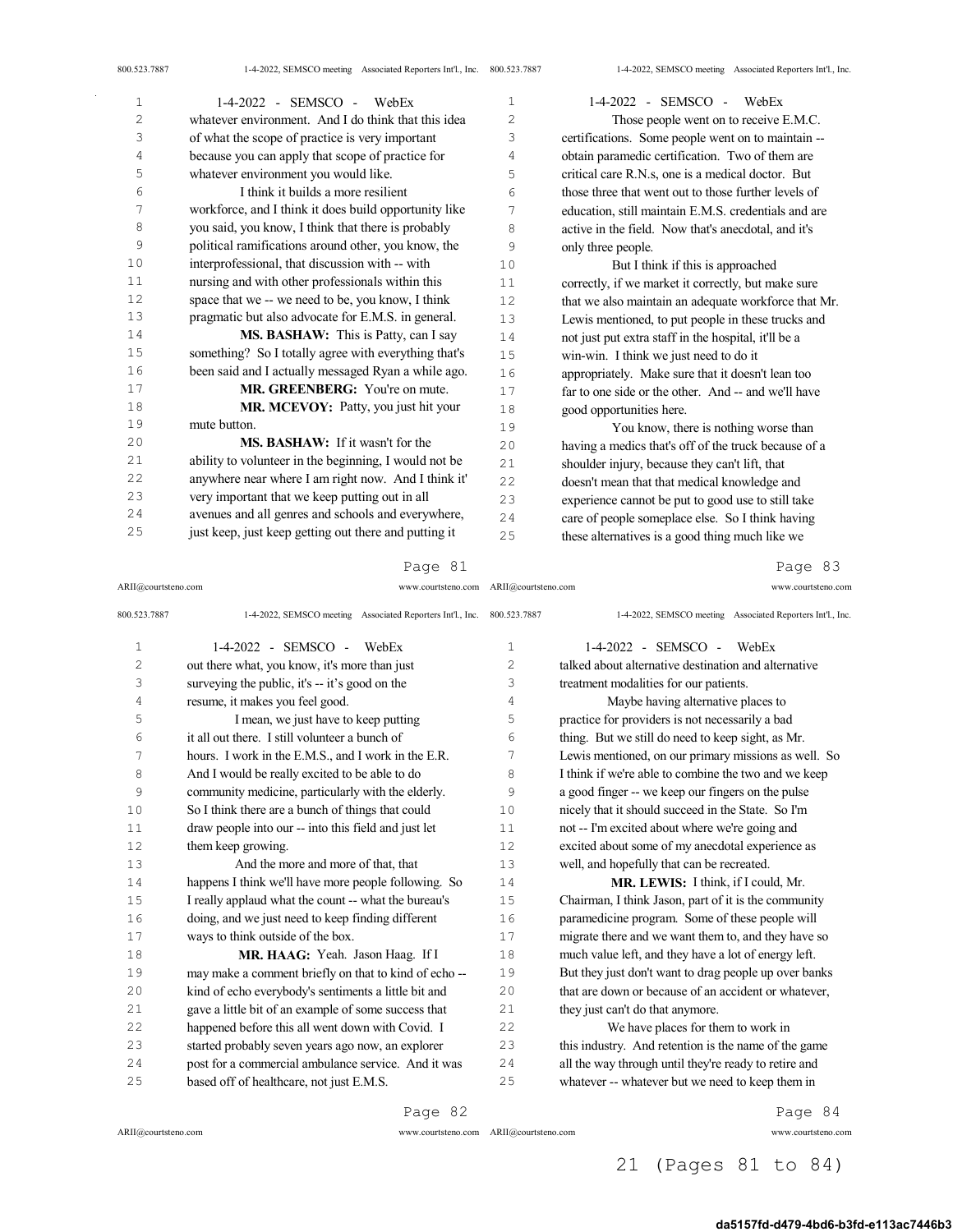| $\mathbf{1}$ | $1-4-2022 -$ SEMSCO -<br>WebEx                        | 1   | 1-4-2022 - SEMSCO -<br>WebEx                         |
|--------------|-------------------------------------------------------|-----|------------------------------------------------------|
| 2            | whatever environment. And I do think that this idea   | 2   | Those people went on to receive E.M.C.               |
| 3            | of what the scope of practice is very important       | 3   | certifications. Some people went on to maintain --   |
| 4            | because you can apply that scope of practice for      | 4   | obtain paramedic certification. Two of them are      |
| 5            | whatever environment you would like.                  | 5   | critical care R.N.s, one is a medical doctor. But    |
| 6            | I think it builds a more resilient                    | 6   | those three that went out to those further levels of |
| 7            | workforce, and I think it does build opportunity like | 7   | education, still maintain E.M.S. credentials and are |
| 8            | you said, you know, I think that there is probably    | 8   | active in the field. Now that's anecdotal, and it's  |
| 9            | political ramifications around other, you know, the   | 9   | only three people.                                   |
| 10           | interprofessional, that discussion with -- with       | 10  | But I think if this is approached                    |
| 11           | nursing and with other professionals within this      | 11  | correctly, if we market it correctly, but make sure  |
| 12           | space that we -- we need to be, you know, I think     | 12  | that we also maintain an adequate workforce that Mr. |
| 13           | pragmatic but also advocate for E.M.S. in general.    | 13  | Lewis mentioned, to put people in these trucks and   |
| 14           | MS. BASHAW: This is Patty, can I say                  | 14  | not just put extra staff in the hospital, it'll be a |
| 15           | something? So I totally agree with everything that's  | 15  | win-win. I think we just need to do it               |
| 16           | been said and I actually messaged Ryan a while ago.   | 16  | appropriately. Make sure that it doesn't lean too    |
| 17           | MR. GREENBERG: You're on mute.                        | 17  | far to one side or the other. And -- and we'll have  |
| 18           | MR. MCEVOY: Patty, you just hit your                  | 18  | good opportunities here.                             |
| 19           | mute button.                                          | 19  | You know, there is nothing worse than                |
| 20           | <b>MS. BASHAW:</b> If it wasn't for the               | 20  | having a medics that's off of the truck because of a |
| 21           | ability to volunteer in the beginning, I would not be | 21  | shoulder injury, because they can't lift, that       |
| 22           | anywhere near where I am right now. And I think it'   | 22  | doesn't mean that that medical knowledge and         |
| 23           | very important that we keep putting out in all        | 23  | experience cannot be put to good use to still take   |
| 24           | avenues and all genres and schools and everywhere,    | 2.4 | care of people someplace else. So I think having     |
| 25           | just keep, just keep getting out there and putting it | 25  | these alternatives is a good thing much like we      |

ARII@courtsteno.com www.courtsteno.com ARII@courtsteno.com www.courtsteno.com

# Page 83

| 800.523.7887   | 1-4-2022, SEMSCO meeting Associated Reporters Int'l., Inc. | 800.523.7887 | 1-4-2022, SEMSCO meeting Associated Reporters Int'l., Inc. |
|----------------|------------------------------------------------------------|--------------|------------------------------------------------------------|
| 1              | 1-4-2022 - SEMSCO - WebEx                                  | 1            | 1-4-2022 - SEMSCO - WebEx                                  |
| $\overline{c}$ | out there what, you know, it's more than just              | 2            | talked about alternative destination and alternative       |
| 3              | surveying the public, it's -- it's good on the             | 3            | treatment modalities for our patients.                     |
| 4              | resume, it makes you feel good.                            | 4            | Maybe having alternative places to                         |
| 5              | I mean, we just have to keep putting                       | 5            | practice for providers is not necessarily a bad            |
| 6              | it all out there. I still volunteer a bunch of             | 6            | thing. But we still do need to keep sight, as Mr.          |
| 7              | hours. I work in the E.M.S., and I work in the E.R.        | 7            | Lewis mentioned, on our primary missions as well. So       |
| 8              | And I would be really excited to be able to do             | 8            | I think if we're able to combine the two and we keep       |
| 9              | community medicine, particularly with the elderly.         | 9            | a good finger -- we keep our fingers on the pulse          |
| 10             | So I think there are a bunch of things that could          | 10           | nicely that it should succeed in the State. So I'm         |
| 11             | draw people into our -- into this field and just let       | 11           | not -- I'm excited about where we're going and             |
| 12             | them keep growing.                                         | 12.          | excited about some of my anecdotal experience as           |
| 13             | And the more and more of that, that                        | 13           | well, and hopefully that can be recreated.                 |
| 14             | happens I think we'll have more people following. So       | 14           | MR. LEWIS: I think, if I could, Mr.                        |
| 15             | I really applaud what the count -- what the bureau's       | 15           | Chairman, I think Jason, part of it is the community       |
| 16             | doing, and we just need to keep finding different          | 16           | paramedicine program. Some of these people will            |
| 17             | ways to think outside of the box.                          | 17           | migrate there and we want them to, and they have so        |
| 18             | MR. HAAG: Yeah. Jason Haag. If I                           | 18           | much value left, and they have a lot of energy left.       |
| 19             | may make a comment briefly on that to kind of echo--       | 19           | But they just don't want to drag people up over banks      |
| 20             | kind of echo everybody's sentiments a little bit and       | 20           | that are down or because of an accident or whatever.       |
| 21             | gave a little bit of an example of some success that       | 21           | they just can't do that anymore.                           |
| 22             | happened before this all went down with Covid. I           | 22           | We have places for them to work in                         |
| 23             | started probably seven years ago now, an explorer          | 23           | this industry. And retention is the name of the game       |
| 2.4            | post for a commercial ambulance service. And it was        | 24           | all the way through until they're ready to retire and      |
| 25             | based off of healthcare, not just E.M.S.                   | 25           | whatever -- whatever but we need to keep them in           |
|                |                                                            |              |                                                            |

## Page 82

ARII@courtsteno.com www.courtsteno.com

Page 84

ARII@courtsteno.com www.courtsteno.com

## 21 (Pages 81 to 84)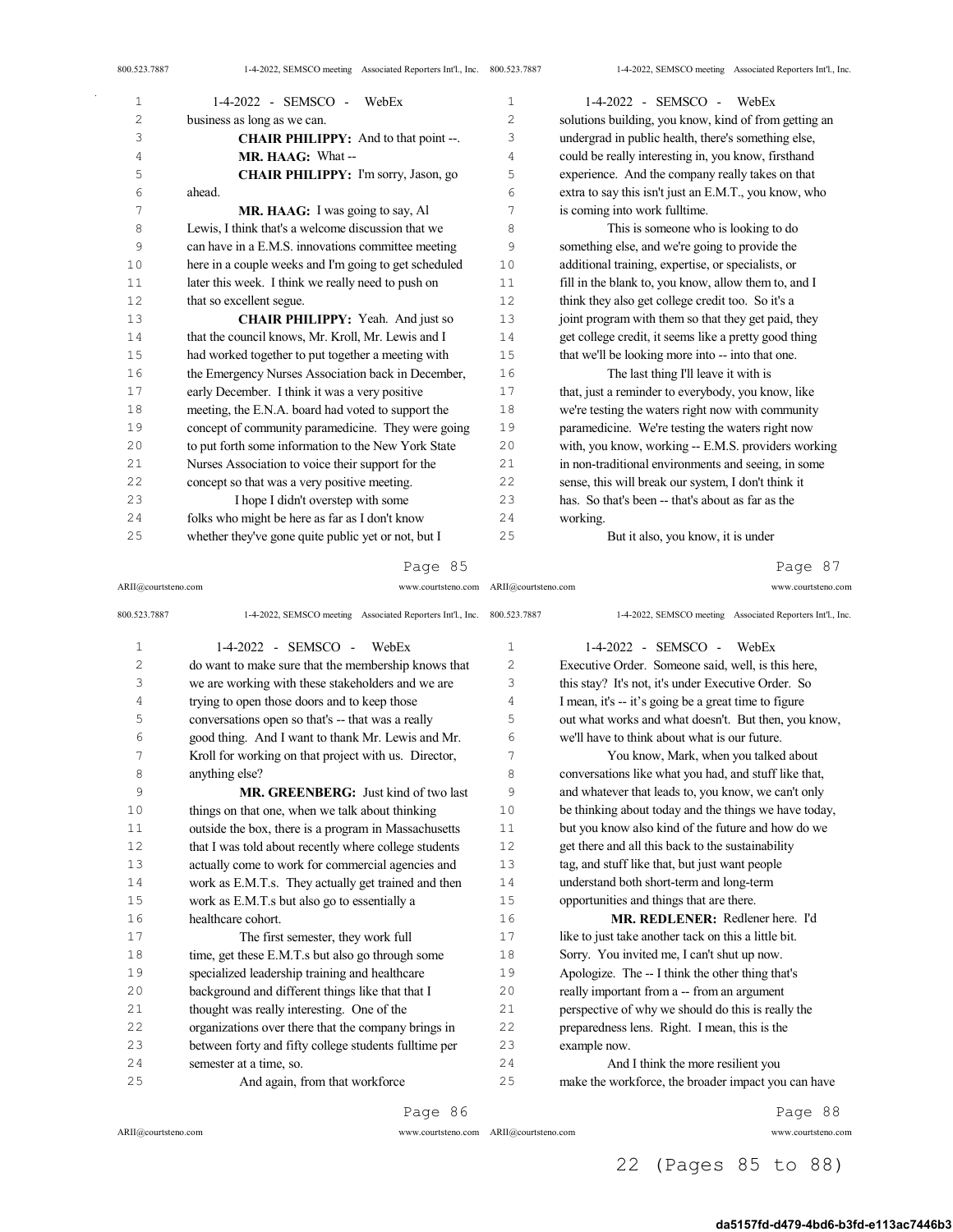| 800.523.7887 | 1-4-2022, SEMSCO meeting Associated Reporters Int'l., Inc. 800.523.7887 |                | 1-4-2022, SEMSCO meeting Associated Reporters Int'l., Inc. |
|--------------|-------------------------------------------------------------------------|----------------|------------------------------------------------------------|
| $\mathbf{1}$ | 1-4-2022 - SEMSCO -<br>WebEx                                            | 1              | $1-4-2022$ - SEMSCO - WebEx                                |
| 2            | business as long as we can.                                             | $\overline{c}$ | solutions building, you know, kind of from getting an      |
| 3            | <b>CHAIR PHILIPPY:</b> And to that point --.                            | 3              | undergrad in public health, there's something else,        |
| 4            | MR. HAAG: What--                                                        | 4              | could be really interesting in, you know, firsthand        |
| 5            | CHAIR PHILIPPY: I'm sorry, Jason, go                                    | 5              | experience. And the company really takes on that           |
| 6            | ahead.                                                                  | 6              | extra to say this isn't just an E.M.T., you know, who      |
| 7            | MR. HAAG: I was going to say, Al                                        | 7              | is coming into work fulltime.                              |
| 8            | Lewis, I think that's a welcome discussion that we                      | 8              | This is someone who is looking to do                       |
| 9            | can have in a E.M.S. innovations committee meeting                      | 9              | something else, and we're going to provide the             |
| 10           | here in a couple weeks and I'm going to get scheduled                   | 10             | additional training, expertise, or specialists, or         |
| 11           | later this week. I think we really need to push on                      | 11             | fill in the blank to, you know, allow them to, and I       |
| 12           | that so excellent segue.                                                | 12             | think they also get college credit too. So it's a          |
| 13           | CHAIR PHILIPPY: Yeah. And just so                                       | 13             | joint program with them so that they get paid, they        |
| 14           | that the council knows, Mr. Kroll, Mr. Lewis and I                      | 14             | get college credit, it seems like a pretty good thing      |
| 15           | had worked together to put together a meeting with                      | 15             | that we'll be looking more into -- into that one.          |
| 16           | the Emergency Nurses Association back in December,                      | 16             | The last thing I'll leave it with is                       |
| 17           | early December. I think it was a very positive                          | 17             | that, just a reminder to everybody, you know, like         |
| 18           | meeting, the E.N.A. board had voted to support the                      | 18             | we're testing the waters right now with community          |
| 19           | concept of community paramedicine. They were going                      | 19             | paramedicine. We're testing the waters right now           |
| 20           | to put forth some information to the New York State                     | 20             | with, you know, working -- E.M.S. providers working        |
| 21           | Nurses Association to voice their support for the                       | 21             | in non-traditional environments and seeing, in some        |
| 22           | concept so that was a very positive meeting.                            | 22             | sense, this will break our system, I don't think it        |
| 23           | I hope I didn't overstep with some                                      | 23             | has. So that's been -- that's about as far as the          |
| 24           | folks who might be here as far as I don't know                          | 24             | working.                                                   |
| 25           | whether they've gone quite public yet or not, but I                     | 25             | But it also, you know, it is under                         |

ARII@courtsteno.com www.courtsteno.com Page 87

| 800.523.7887   | 1-4-2022, SEMSCO meeting Associated Reporters Int'l., Inc. | 800.523.7887 | 1-4-2022, SEMSCO meeting Associated Reporters Int'l., Inc. |
|----------------|------------------------------------------------------------|--------------|------------------------------------------------------------|
| $\mathbf 1$    | $1-4-2022 -$ SEMSCO -<br>WebEx                             | $\mathbf{1}$ | $1-4-2022$ - SEMSCO - WebEx                                |
| $\overline{c}$ | do want to make sure that the membership knows that        | 2            | Executive Order. Someone said, well, is this here,         |
| 3              | we are working with these stakeholders and we are          | 3            | this stay? It's not, it's under Executive Order. So        |
| 4              | trying to open those doors and to keep those               | 4            | I mean, it's -- it's going be a great time to figure       |
| 5              | conversations open so that's -- that was a really          | 5            | out what works and what doesn't. But then, you know,       |
| 6              | good thing. And I want to thank Mr. Lewis and Mr.          | 6            | we'll have to think about what is our future.              |
| 7              | Kroll for working on that project with us. Director,       | 7            | You know, Mark, when you talked about                      |
| 8              | anything else?                                             | 8            | conversations like what you had, and stuff like that,      |
| 9              | MR. GREENBERG: Just kind of two last                       | 9            | and whatever that leads to, you know, we can't only        |
| 10             | things on that one, when we talk about thinking            | 10           | be thinking about today and the things we have today,      |
| 11             | outside the box, there is a program in Massachusetts       | 11           | but you know also kind of the future and how do we         |
| 12             | that I was told about recently where college students      | 12           | get there and all this back to the sustainability          |
| 13             | actually come to work for commercial agencies and          | 13           | tag, and stuff like that, but just want people             |
| 14             | work as E.M.T.s. They actually get trained and then        | 14           | understand both short-term and long-term                   |
| 15             | work as E.M.T.s but also go to essentially a               | 15           | opportunities and things that are there.                   |
| 16             | healthcare cohort.                                         | 16           | MR. REDLENER: Redlener here. I'd                           |
| 17             | The first semester, they work full                         | 17           | like to just take another tack on this a little bit.       |
| 18             | time, get these E.M.T.s but also go through some           | 18           | Sorry. You invited me, I can't shut up now.                |
| 19             | specialized leadership training and healthcare             | 19           | Apologize. The -- I think the other thing that's           |
| 20             | background and different things like that that I           | 20           | really important from a -- from an argument                |
| 2.1            | thought was really interesting. One of the                 | 2.1          | perspective of why we should do this is really the         |
| 22             | organizations over there that the company brings in        | 22           | preparedness lens. Right. I mean, this is the              |
| 23             | between forty and fifty college students fulltime per      | 23           | example now.                                               |
| 2.4            | semester at a time, so.                                    | 2.4          | And I think the more resilient you                         |
| 25             | And again, from that workforce                             | 25           | make the workforce, the broader impact you can have        |

Page 86

 $ARII@{\mbox{conrtsteno.com}}$ 

ARII@courtsteno.com

 $\sim$ 

ARII@courtsteno.com www.courtsteno.com

Page 88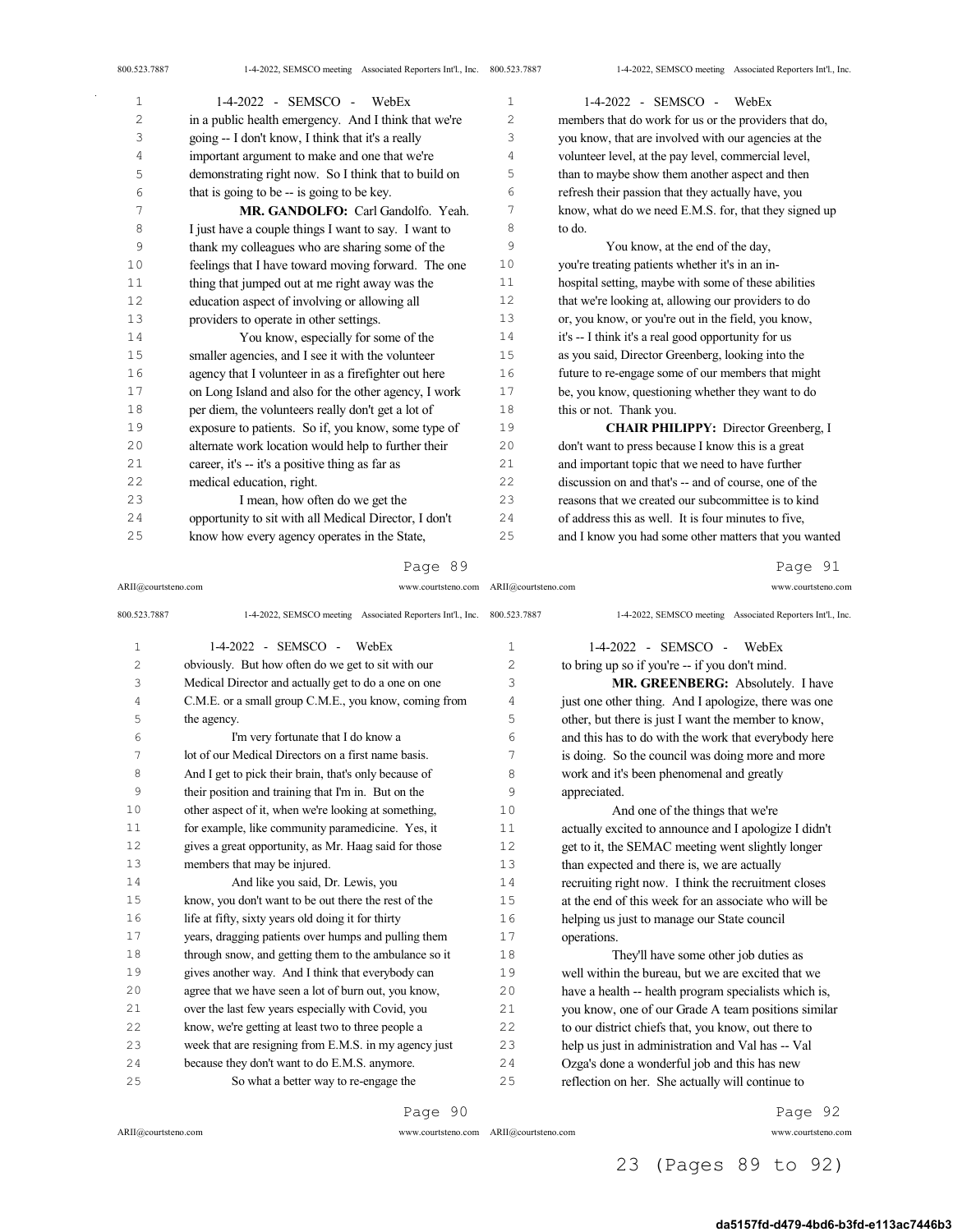| $\mathbf 1$ | 1-4-2022 - SEMSCO - WebEx                             | 1  | $1-4-2022$ - SEMSCO - WebEx                           |
|-------------|-------------------------------------------------------|----|-------------------------------------------------------|
| 2           | in a public health emergency. And I think that we're  | 2  | members that do work for us or the providers that do, |
| 3           | going -- I don't know, I think that it's a really     | 3  | you know, that are involved with our agencies at the  |
| 4           | important argument to make and one that we're         | 4  | volunteer level, at the pay level, commercial level,  |
| 5           | demonstrating right now. So I think that to build on  | 5  | than to maybe show them another aspect and then       |
| 6           | that is going to be -- is going to be key.            | 6  | refresh their passion that they actually have, you    |
| 7           | MR. GANDOLFO: Carl Gandolfo. Yeah.                    | 7  | know, what do we need E.M.S. for, that they signed up |
| 8           | I just have a couple things I want to say. I want to  | 8  | to do.                                                |
| 9           | thank my colleagues who are sharing some of the       | 9  | You know, at the end of the day,                      |
| 10          | feelings that I have toward moving forward. The one   | 10 | you're treating patients whether it's in an in-       |
| 11          | thing that jumped out at me right away was the        | 11 | hospital setting, maybe with some of these abilities  |
| 12          | education aspect of involving or allowing all         | 12 | that we're looking at, allowing our providers to do   |
| 13          | providers to operate in other settings.               | 13 | or, you know, or you're out in the field, you know,   |
| 14          | You know, especially for some of the                  | 14 | it's -- I think it's a real good opportunity for us   |
| 15          | smaller agencies, and I see it with the volunteer     | 15 | as you said, Director Greenberg, looking into the     |
| 16          | agency that I volunteer in as a firefighter out here  | 16 | future to re-engage some of our members that might    |
| 17          | on Long Island and also for the other agency, I work  | 17 | be, you know, questioning whether they want to do     |
| 18          | per diem, the volunteers really don't get a lot of    | 18 | this or not. Thank you.                               |
| 19          | exposure to patients. So if, you know, some type of   | 19 | <b>CHAIR PHILIPPY:</b> Director Greenberg, I          |
| 20          | alternate work location would help to further their   | 20 | don't want to press because I know this is a great    |
| 21          | career, it's -- it's a positive thing as far as       | 21 | and important topic that we need to have further      |
| 22          | medical education, right.                             | 22 | discussion on and that's -- and of course, one of the |
| 23          | I mean, how often do we get the                       | 23 | reasons that we created our subcommittee is to kind   |
| 24          | opportunity to sit with all Medical Director, I don't | 24 | of address this as well. It is four minutes to five.  |
| 25          | know how every agency operates in the State,          | 25 | and I know you had some other matters that you wanted |

### Page 89

ARII@courtsteno.com www.courtsteno.com ARII@courtsteno.com www.courtsteno.com

Page 91

| 800.523.7887   | 1-4-2022, SEMSCO meeting Associated Reporters Int'l., Inc. 800.523.7887 |              | 1-4-2022, SEMSCO meeting Associated Reporters Int'l., Inc. |
|----------------|-------------------------------------------------------------------------|--------------|------------------------------------------------------------|
| $\mathbf 1$    | 1-4-2022 - SEMSCO -<br>WebEx                                            | $\mathbf{1}$ | $1-4-2022$ - SEMSCO - WebEx                                |
| $\overline{c}$ | obviously. But how often do we get to sit with our                      | 2            | to bring up so if you're -- if you don't mind.             |
| 3              | Medical Director and actually get to do a one on one                    | 3            | MR. GREENBERG: Absolutely. I have                          |
| 4              | C.M.E. or a small group C.M.E., you know, coming from                   | 4            | just one other thing. And I apologize, there was one       |
| 5              | the agency.                                                             | 5            | other, but there is just I want the member to know,        |
| 6              | I'm very fortunate that I do know a                                     | 6            | and this has to do with the work that everybody here       |
| 7              | lot of our Medical Directors on a first name basis.                     | 7            | is doing. So the council was doing more and more           |
| 8              | And I get to pick their brain, that's only because of                   | 8            | work and it's been phenomenal and greatly                  |
| 9              | their position and training that I'm in. But on the                     | 9            | appreciated.                                               |
| 10             | other aspect of it, when we're looking at something,                    | 10           | And one of the things that we're                           |
| 11             | for example, like community paramedicine. Yes, it                       | 11           | actually excited to announce and I apologize I didn't      |
| 12             | gives a great opportunity, as Mr. Haag said for those                   | 12           | get to it, the SEMAC meeting went slightly longer          |
| 13             | members that may be injured.                                            | 13           | than expected and there is, we are actually                |
| 14             | And like you said, Dr. Lewis, you                                       | 14           | recruiting right now. I think the recruitment closes       |
| 15             | know, you don't want to be out there the rest of the                    | 15           | at the end of this week for an associate who will be       |
| 16             | life at fifty, sixty years old doing it for thirty                      | 16           | helping us just to manage our State council                |
| 17             | years, dragging patients over humps and pulling them                    | 17           | operations.                                                |
| 18             | through snow, and getting them to the ambulance so it                   | 18           | They'll have some other job duties as                      |
| 19             | gives another way. And I think that everybody can                       | 19           | well within the bureau, but we are excited that we         |
| 20             | agree that we have seen a lot of burn out, you know,                    | 20           | have a health -- health program specialists which is,      |
| 21             | over the last few years especially with Covid, you                      | 21           | you know, one of our Grade A team positions similar        |
| 22             | know, we're getting at least two to three people a                      | 22           | to our district chiefs that, you know, out there to        |
| 23             | week that are resigning from E.M.S. in my agency just                   | 23           | help us just in administration and Val has -- Val          |
| 24             | because they don't want to do E.M.S. anymore.                           | 24           | Ozga's done a wonderful job and this has new               |
| 25             | So what a better way to re-engage the                                   | 25           | reflection on her. She actually will continue to           |

Page 90

 $ARII@{\mbox{conrtsteno.com}}$ 

ARII@courtsteno.com www.courtsteno.com

Page 92

# 23 (Pages 89 to 92)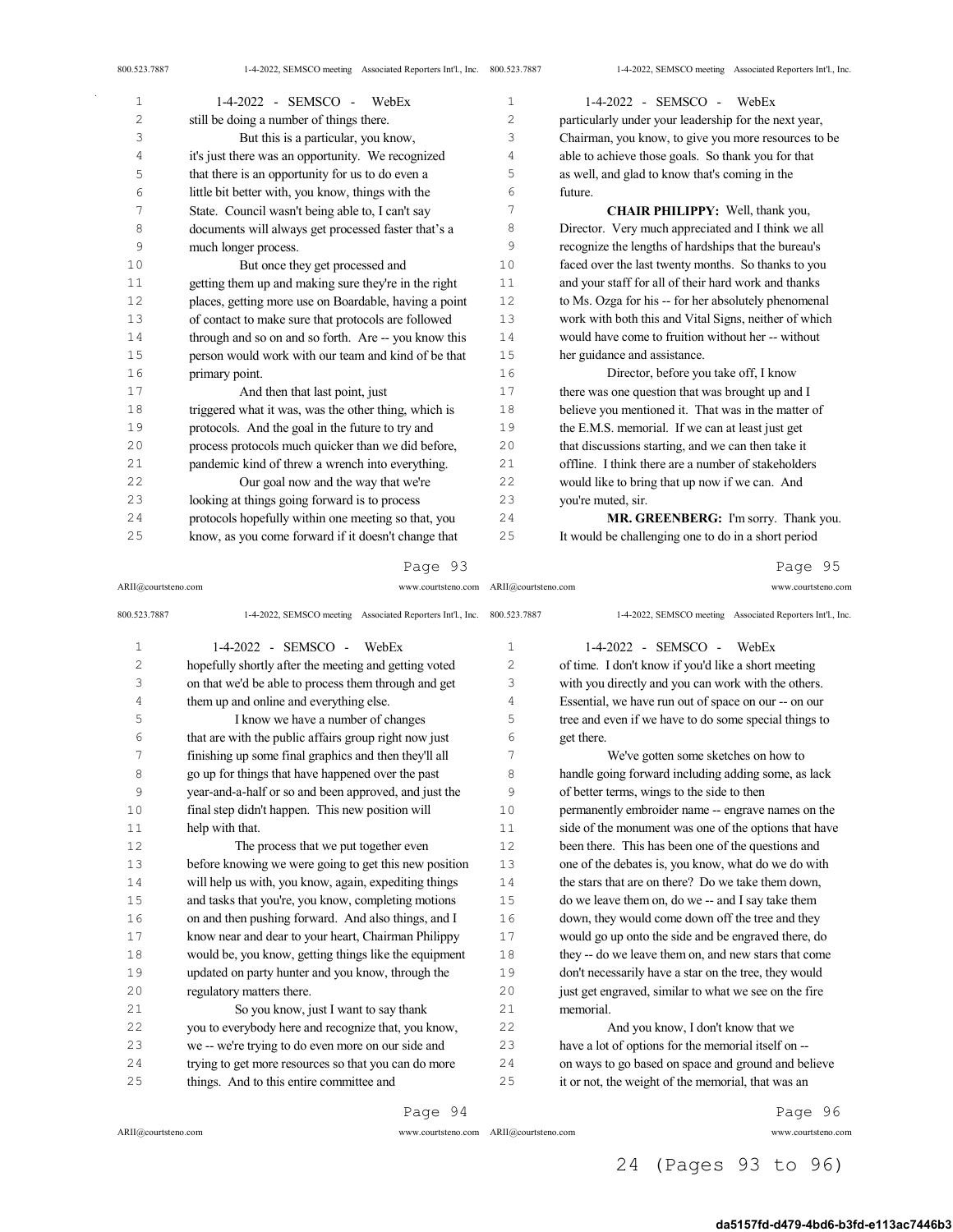| 800.523.7887 | 1-4-2022, SEMSCO meeting Associated Reporters Int'l., Inc. 800.523.7887 |                | 1-4-2022, SEMSCO meeting Associated Reporters Int'l., Inc. |
|--------------|-------------------------------------------------------------------------|----------------|------------------------------------------------------------|
| $\mathbf{1}$ | 1-4-2022 - SEMSCO -<br>WebEx                                            | $\mathbf{1}$   | $1-4-2022$ - SEMSCO - WebEx                                |
| 2            | still be doing a number of things there.                                | $\overline{c}$ | particularly under your leadership for the next year,      |
| 3            | But this is a particular, you know,                                     | 3              | Chairman, you know, to give you more resources to be       |
| 4            | it's just there was an opportunity. We recognized                       | 4              | able to achieve those goals. So thank you for that         |
| 5            | that there is an opportunity for us to do even a                        | 5              | as well, and glad to know that's coming in the             |
| 6            | little bit better with, you know, things with the                       | 6              | future.                                                    |
| 7            | State. Council wasn't being able to, I can't say                        | 7              | CHAIR PHILIPPY: Well, thank you,                           |
| 8            | documents will always get processed faster that's a                     | 8              | Director. Very much appreciated and I think we all         |
| 9            | much longer process.                                                    | 9              | recognize the lengths of hardships that the bureau's       |
| 10           | But once they get processed and                                         | 10             | faced over the last twenty months. So thanks to you        |
| 11           | getting them up and making sure they're in the right                    | 11             | and your staff for all of their hard work and thanks       |
| 12           | places, getting more use on Boardable, having a point                   | 12             | to Ms. Ozga for his -- for her absolutely phenomenal       |
| 13           | of contact to make sure that protocols are followed                     | 13             | work with both this and Vital Signs, neither of which      |
| 14           | through and so on and so forth. Are -- you know this                    | 14             | would have come to fruition without her -- without         |
| 15           | person would work with our team and kind of be that                     | 15             | her guidance and assistance.                               |
| 16           | primary point.                                                          | 16             | Director, before you take off, I know                      |
| 17           | And then that last point, just                                          | 17             | there was one question that was brought up and I           |
| 18           | triggered what it was, was the other thing, which is                    | 18             | believe you mentioned it. That was in the matter of        |
| 19           | protocols. And the goal in the future to try and                        | 19             | the E.M.S. memorial. If we can at least just get           |
| 20           | process protocols much quicker than we did before,                      | 20             | that discussions starting, and we can then take it         |
| 21           | pandemic kind of threw a wrench into everything.                        | 21             | offline. I think there are a number of stakeholders        |
| 22           | Our goal now and the way that we're                                     | 22             | would like to bring that up now if we can. And             |
| 23           | looking at things going forward is to process                           | 23             | you're muted, sir.                                         |
| 24           | protocols hopefully within one meeting so that, you                     | 24             | MR. GREENBERG: I'm sorry. Thank you.                       |

ARII@courtsteno.com www.courtsteno.com Page 95

It would be challenging one to do in a short period

| 800.523.7887   | 1-4-2022, SEMSCO meeting Associated Reporters Int'l., Inc. 800.523.7887 |                | 1-4-2022, SEMSCO meeting Associated Reporters Int'l., Inc. |
|----------------|-------------------------------------------------------------------------|----------------|------------------------------------------------------------|
| $\mathbf 1$    | $1-4-2022$ - SEMSCO - WebEx                                             | 1              | 1-4-2022 - SEMSCO -<br>WebEx                               |
| $\overline{c}$ | hopefully shortly after the meeting and getting voted                   | $\overline{c}$ | of time. I don't know if you'd like a short meeting        |
| 3              | on that we'd be able to process them through and get                    | 3              | with you directly and you can work with the others.        |
| 4              | them up and online and everything else.                                 | 4              | Essential, we have run out of space on our -- on our       |
| 5              | I know we have a number of changes                                      | 5              | tree and even if we have to do some special things to      |
| 6              | that are with the public affairs group right now just                   | 6              | get there.                                                 |
| 7              | finishing up some final graphics and then they'll all                   | 7              | We've gotten some sketches on how to                       |
| 8              | go up for things that have happened over the past                       | 8              | handle going forward including adding some, as lack        |
| 9              | year-and-a-half or so and been approved, and just the                   | 9              | of better terms, wings to the side to then                 |
| 10             | final step didn't happen. This new position will                        | 10             | permanently embroider name -- engrave names on the         |
| 11             | help with that.                                                         | 11             | side of the monument was one of the options that have      |
| 12             | The process that we put together even                                   | 12             | been there. This has been one of the questions and         |
| 13             | before knowing we were going to get this new position                   | 13             | one of the debates is, you know, what do we do with        |
| 14             | will help us with, you know, again, expediting things                   | 14             | the stars that are on there? Do we take them down.         |
| 15             | and tasks that you're, you know, completing motions                     | 15             | do we leave them on, do we -- and I say take them          |
| 16             | on and then pushing forward. And also things, and I                     | 16             | down, they would come down off the tree and they           |
| 17             | know near and dear to your heart, Chairman Philippy                     | 17             | would go up onto the side and be engraved there, do        |
| 18             | would be, you know, getting things like the equipment                   | 18             | they -- do we leave them on, and new stars that come       |
| 19             | updated on party hunter and you know, through the                       | 19             | don't necessarily have a star on the tree, they would      |
| 20             | regulatory matters there.                                               | 20             | just get engraved, similar to what we see on the fire      |
| 21             | So you know, just I want to say thank                                   | 21             | memorial.                                                  |
| 22             | you to everybody here and recognize that, you know,                     | 22             | And you know, I don't know that we                         |
| 23             | we -- we're trying to do even more on our side and                      | 23             | have a lot of options for the memorial itself on --        |
| 24             | trying to get more resources so that you can do more                    | 24             | on ways to go based on space and ground and believe        |
| 25             | things. And to this entire committee and                                | 25             | it or not, the weight of the memorial, that was an         |
|                | Page 94                                                                 |                | Page 96                                                    |

ARII@courtsteno.com

know, as you come forward if it doesn't change that

ARII@courtsteno.com www.courtsteno.com ARII@courtsteno.com www.courtsteno.com

Page 96

## 24 (Pages 93 to 96)

#### da5157fd-d479-4bd6-b3fd-e113ac7446b3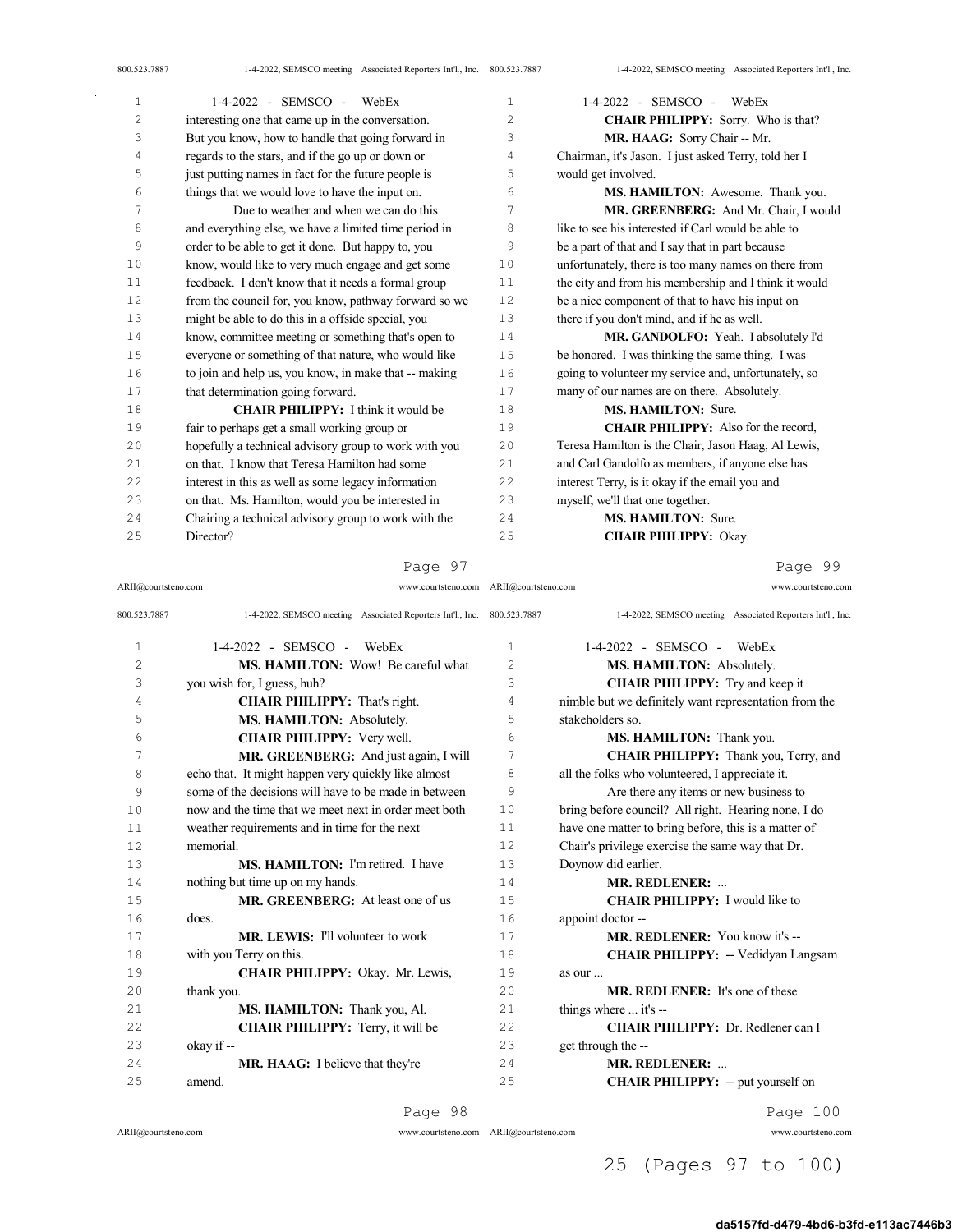| 1  | $1-4-2022$ - SEMSCO - WebEx                           | $\mathbf{1}$   | $1-4-2022$ - SEMSCO - WebEx                           |
|----|-------------------------------------------------------|----------------|-------------------------------------------------------|
| 2  | interesting one that came up in the conversation.     | $\overline{c}$ | <b>CHAIR PHILIPPY:</b> Sorry. Who is that?            |
| 3  | But you know, how to handle that going forward in     | 3              | MR. HAAG: Sorry Chair -- Mr.                          |
| 4  | regards to the stars, and if the go up or down or     | 4              | Chairman, it's Jason. I just asked Terry, told her I  |
| 5  | just putting names in fact for the future people is   | 5              | would get involved.                                   |
| 6  | things that we would love to have the input on.       | 6              | MS. HAMILTON: Awesome. Thank you.                     |
| 7  | Due to weather and when we can do this                | 7              | MR. GREENBERG: And Mr. Chair, I would                 |
| 8  | and everything else, we have a limited time period in | 8              | like to see his interested if Carl would be able to   |
| 9  | order to be able to get it done. But happy to, you    | 9              | be a part of that and I say that in part because      |
| 10 | know, would like to very much engage and get some     | 10             | unfortunately, there is too many names on there from  |
| 11 | feedback. I don't know that it needs a formal group   | 11             | the city and from his membership and I think it would |
| 12 | from the council for, you know, pathway forward so we | 12             | be a nice component of that to have his input on      |
| 13 | might be able to do this in a offside special, you    | 13             | there if you don't mind, and if he as well.           |
| 14 | know, committee meeting or something that's open to   | 14             | MR. GANDOLFO: Yeah. I absolutely I'd                  |
| 15 | everyone or something of that nature, who would like  | 15             | be honored. I was thinking the same thing. I was      |
| 16 | to join and help us, you know, in make that -- making | 16             | going to volunteer my service and, unfortunately, so  |
| 17 | that determination going forward.                     | 17             | many of our names are on there. Absolutely.           |
| 18 | <b>CHAIR PHILIPPY:</b> I think it would be            | 18             | <b>MS. HAMILTON: Sure.</b>                            |
| 19 | fair to perhaps get a small working group or          | 19             | <b>CHAIR PHILIPPY:</b> Also for the record,           |
| 20 | hopefully a technical advisory group to work with you | 20             | Teresa Hamilton is the Chair, Jason Haag, Al Lewis,   |
| 21 | on that. I know that Teresa Hamilton had some         | 21             | and Carl Gandolfo as members, if anyone else has      |
| 22 | interest in this as well as some legacy information   | 22             | interest Terry, is it okay if the email you and       |
| 23 | on that. Ms. Hamilton, would you be interested in     | 23             | myself, we'll that one together.                      |
| 24 | Chairing a technical advisory group to work with the  | 2.4            | MS. HAMILTON: Sure.                                   |
| 25 | Director?                                             | 25             | <b>CHAIR PHILIPPY: Okay.</b>                          |

ARII@courtsteno.com www.courtsteno.com ARII@courtsteno.com www.courtsteno.com

Page 99

| 800.523.7887 | 1-4-2022, SEMSCO meeting Associated Reporters Int'l., Inc. 800.523.7887 |              | 1-4-2022, SEMSCO meeting Associated Reporters Int'l., Inc. |  |
|--------------|-------------------------------------------------------------------------|--------------|------------------------------------------------------------|--|
| $\mathbf 1$  | $1-4-2022 -$ SEMSCO -<br>WebEx                                          | $\mathbf{1}$ | $1-4-2022 -$ SEMSCO -<br>WebEx                             |  |
| 2            | <b>MS. HAMILTON:</b> Wow! Be careful what                               | 2            | MS. HAMILTON: Absolutely.                                  |  |
| 3            | you wish for, I guess, huh?                                             | 3            | <b>CHAIR PHILIPPY:</b> Try and keep it                     |  |
| 4            | <b>CHAIR PHILIPPY:</b> That's right.                                    | 4            | nimble but we definitely want representation from the      |  |
| 5            | MS. HAMILTON: Absolutely.                                               | 5            | stakeholders so.                                           |  |
| 6            | <b>CHAIR PHILIPPY:</b> Very well.                                       | 6            | MS. HAMILTON: Thank you.                                   |  |
| 7            | MR. GREENBERG: And just again, I will                                   | 7            | CHAIR PHILIPPY: Thank you, Terry, and                      |  |
| 8            | echo that. It might happen very quickly like almost                     | 8            | all the folks who volunteered, I appreciate it.            |  |
| 9            | some of the decisions will have to be made in between                   | 9            | Are there any items or new business to                     |  |
| 10           | now and the time that we meet next in order meet both                   | 10           | bring before council? All right. Hearing none, I do        |  |
| 11           | weather requirements and in time for the next                           | 11           | have one matter to bring before, this is a matter of       |  |
| 12           | memorial.                                                               | 12           | Chair's privilege exercise the same way that Dr.           |  |
| 13           | <b>MS. HAMILTON:</b> I'm retired. I have                                | 13           | Doynow did earlier.                                        |  |
| 14           | nothing but time up on my hands.                                        | 14           | <b>MR. REDLENER: </b>                                      |  |
| 1.5          | <b>MR. GREENBERG:</b> At least one of us                                | 15           | <b>CHAIR PHILIPPY:</b> I would like to                     |  |
| 16           | does.                                                                   | 16           | appoint doctor --                                          |  |
| 17           | <b>MR. LEWIS:</b> I'll volunteer to work                                | 17           | MR. REDLENER: You know it's --                             |  |
| 18           | with you Terry on this.                                                 | 18           | <b>CHAIR PHILIPPY: -- Vedidyan Langsam</b>                 |  |
| 19           | CHAIR PHILIPPY: Okay. Mr. Lewis,                                        | 19           | as our                                                     |  |
| 20           | thank you.                                                              | 20           | <b>MR. REDLENER:</b> It's one of these                     |  |
| 21           | MS. HAMILTON: Thank you, Al.                                            | 2.1          | things where  it's --                                      |  |
| 22           | <b>CHAIR PHILIPPY:</b> Terry, it will be                                | 22           | CHAIR PHILIPPY: Dr. Redlener can I                         |  |
| 23           | okay if --                                                              | 2.3          | get through the --                                         |  |
| 24           | <b>MR. HAAG:</b> I believe that they're                                 | 2.4          | MR. REDLENER:                                              |  |
| 25           | amend.                                                                  | 25           | <b>CHAIR PHILIPPY:</b> -- put yourself on                  |  |

Page 98

ARII@courtsteno.com www.courtsteno.com

ARII@courtsteno.com www.courtsteno.com Page 100

25 (Pages 97 to 100)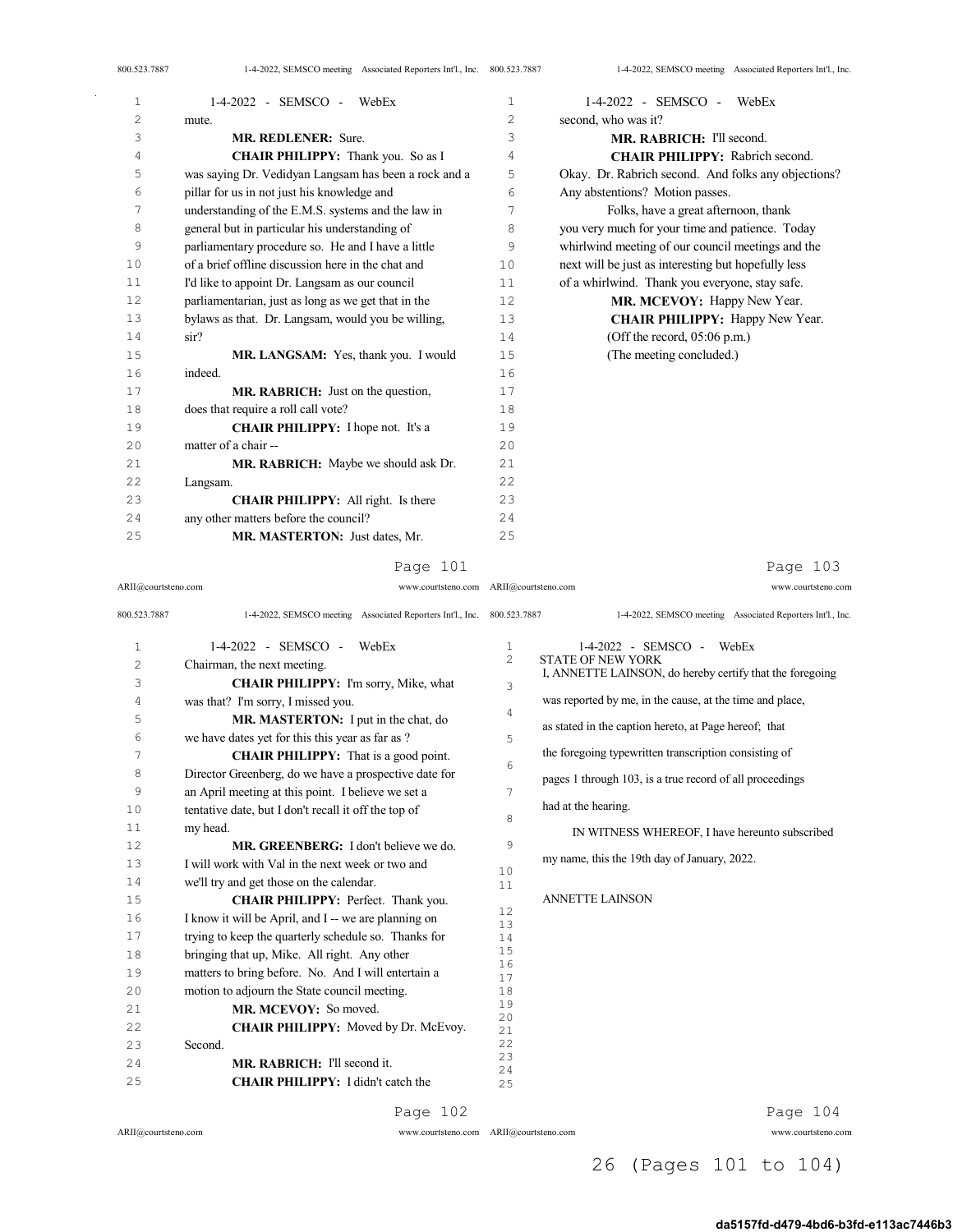| 1  | $1-4-2022$ - SEMSCO - WebEx                           | $\mathbf 1$ | 1-4-2022 - SEMSCO - WebEx                           |
|----|-------------------------------------------------------|-------------|-----------------------------------------------------|
| 2  | mute.                                                 | 2           | second, who was it?                                 |
| 3  | <b>MR. REDLENER:</b> Sure.                            | 3           | MR. RABRICH: I'll second.                           |
| 4  | CHAIR PHILIPPY: Thank you. So as I                    | 4           | <b>CHAIR PHILIPPY:</b> Rabrich second.              |
| 5  | was saying Dr. Vedidyan Langsam has been a rock and a | 5           | Okay. Dr. Rabrich second. And folks any objections? |
| 6  | pillar for us in not just his knowledge and           | 6           | Any abstentions? Motion passes.                     |
| 7  | understanding of the E.M.S. systems and the law in    | 7           | Folks, have a great afternoon, thank                |
| 8  | general but in particular his understanding of        | 8           | you very much for your time and patience. Today     |
| 9  | parliamentary procedure so. He and I have a little    | 9           | whirlwind meeting of our council meetings and the   |
| 10 | of a brief offline discussion here in the chat and    | 10          | next will be just as interesting but hopefully less |
| 11 | I'd like to appoint Dr. Langsam as our council        | 11          | of a whirlwind. Thank you everyone, stay safe.      |
| 12 | parliamentarian, just as long as we get that in the   | 12          | MR. MCEVOY: Happy New Year.                         |
| 13 | bylaws as that. Dr. Langsam, would you be willing,    | 13          | <b>CHAIR PHILIPPY:</b> Happy New Year.              |
| 14 | sir?                                                  | 14          | (Off the record, $05:06$ p.m.)                      |
| 15 | MR. LANGSAM: Yes, thank you. I would                  | 15          | (The meeting concluded.)                            |
| 16 | indeed.                                               | 16          |                                                     |
| 17 | MR, RABRICH: Just on the question,                    | 17          |                                                     |
| 18 | does that require a roll call vote?                   | 18          |                                                     |
| 19 | <b>CHAIR PHILIPPY:</b> I hope not. It's a             | 19          |                                                     |
| 20 | matter of a chair --                                  | 2.0         |                                                     |
| 21 | MR. RABRICH: Maybe we should ask Dr.                  | 2.1         |                                                     |
| 22 | Langsam.                                              | 22          |                                                     |
| 23 | <b>CHAIR PHILIPPY:</b> All right. Is there            | 23          |                                                     |
| 24 | any other matters before the council?                 | 24          |                                                     |
| 25 | MR. MASTERTON: Just dates, Mr.                        | 25          |                                                     |

#### Page 101

ARII@courtsteno.com www.courtsteno.com

ARII@courtsteno.com www.courtsteno.com Page 103

| 800.523.7887   | 1-4-2022, SEMSCO meeting Associated Reporters Int'l., Inc. 800.523.7887 |                | 1-4-2022, SEMSCO meeting Associated Reporters Int'l., Inc. |
|----------------|-------------------------------------------------------------------------|----------------|------------------------------------------------------------|
| $\mathbf{1}$   | 1-4-2022 - SEMSCO -<br>WebEx                                            | 1              | 1-4-2022 - SEMSCO - WebEx                                  |
| $\overline{c}$ | Chairman, the next meeting.                                             | $\overline{c}$ | <b>STATE OF NEW YORK</b>                                   |
| 3              | <b>CHAIR PHILIPPY:</b> I'm sorry, Mike, what                            | 3              | I, ANNETTE LAINSON, do hereby certify that the foregoing   |
| 4              | was that? I'm sorry, I missed you.                                      |                | was reported by me, in the cause, at the time and place,   |
| 5              | MR. MASTERTON: I put in the chat, do                                    | 4              |                                                            |
| 6              | we have dates yet for this this year as far as ?                        | 5              | as stated in the caption hereto, at Page hereof; that      |
| 7              | <b>CHAIR PHILIPPY:</b> That is a good point.                            |                | the foregoing typewritten transcription consisting of      |
| 8              | Director Greenberg, do we have a prospective date for                   | 6              | pages 1 through 103, is a true record of all proceedings   |
| 9              | an April meeting at this point. I believe we set a                      | 7              |                                                            |
| 10             | tentative date, but I don't recall it off the top of                    |                | had at the hearing.                                        |
| 11             | my head.                                                                | 8              | IN WITNESS WHEREOF, I have hereunto subscribed             |
| 12             | MR. GREENBERG: I don't believe we do.                                   | 9              |                                                            |
| 13             | I will work with Val in the next week or two and                        |                | my name, this the 19th day of January, 2022.               |
| 14             | we'll try and get those on the calendar.                                | 10<br>11       |                                                            |
| 15             | CHAIR PHILIPPY: Perfect. Thank you.                                     |                | <b>ANNETTE LAINSON</b>                                     |
| 16             | I know it will be April, and I -- we are planning on                    | 12<br>13       |                                                            |
| 17             | trying to keep the quarterly schedule so. Thanks for                    | 14             |                                                            |
| 18             | bringing that up, Mike. All right. Any other                            | 15             |                                                            |
| 19             | matters to bring before. No. And I will entertain a                     | 16<br>17       |                                                            |
| 20             | motion to adjourn the State council meeting.                            | 18             |                                                            |
| 21             | MR. MCEVOY: So moved.                                                   | 19             |                                                            |
| 22             | CHAIR PHILIPPY: Moved by Dr. McEvoy.                                    | 20<br>21       |                                                            |
| 23             | Second.                                                                 | 22             |                                                            |
| 24             | MR. RABRICH: I'll second it.                                            | 23             |                                                            |
| 25             | CHAIR PHILIPPY: I didn't catch the                                      | 24<br>25       |                                                            |
|                | Page 102                                                                |                | Page 104                                                   |

ARII@courtsteno.com www.courtsteno.com

Page 104

## 26 (Pages 101 to 104)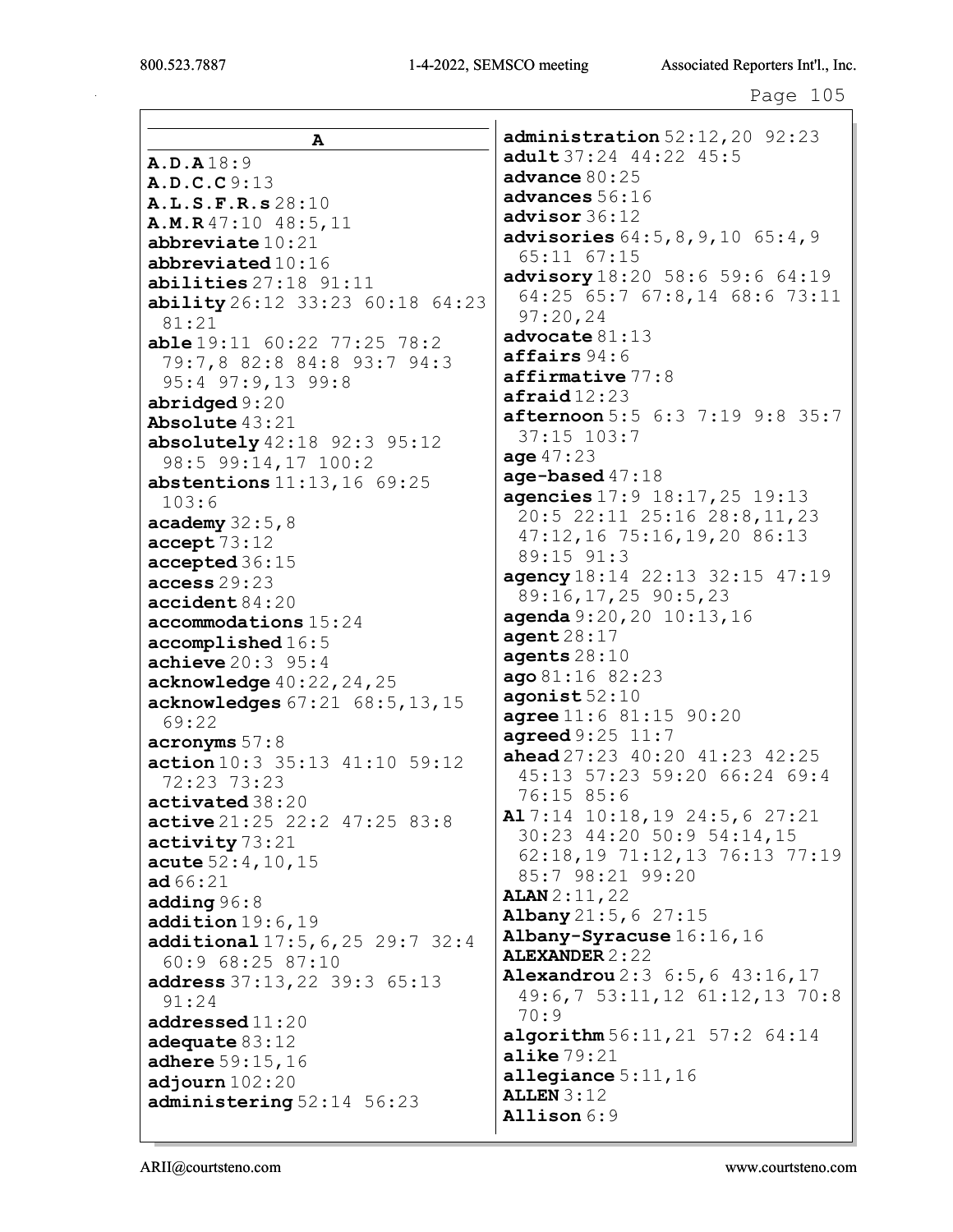$\mathsf{I}$ 

|                                                            | administration 52:12,20 92:23                              |
|------------------------------------------------------------|------------------------------------------------------------|
| A                                                          | adult 37:24 44:22 45:5                                     |
| A.D.A18:9                                                  | advance $80:25$                                            |
| A.D.C.C9:13                                                | advances 56:16                                             |
| A.L.S.F.R.s 28:10                                          | advisor 36:12                                              |
| A.M.R47:1048:5,11                                          | advisories 64:5, 8, 9, 10 65:4, 9                          |
| abbreviate $10:21$                                         | 65:11 67:15                                                |
| abbreviated 10:16                                          | advisory 18:20 58:6 59:6 64:19                             |
| abilities 27:18 91:11                                      | 64:25 65:7 67:8,14 68:6 73:11                              |
| <b>ability</b> 26:12 33:23 60:18 64:23<br>81:21            | 97:20,24                                                   |
| <b>able</b> $19:11$ $60:22$ $77:25$ $78:2$                 | advance 81:13                                              |
| 79:7,8 82:8 84:8 93:7 94:3                                 | affairs 94:6                                               |
| 95:4 97:9,13 99:8                                          | $\texttt{affirmative}$ 77:8                                |
| abridged 9:20                                              | $\texttt{afinal}$ 12:23<br>afternoon 5:5 6:3 7:19 9:8 35:7 |
| Absolute 43:21                                             |                                                            |
| absolutely $42:18$ $92:3$ $95:12$                          | $37:15$ $103:7$<br>age $47:23$                             |
| 98:5 99:14,17 100:2                                        | age-based $47:18$                                          |
| <b>abstentions</b> $11:13, 16$ 69:25                       | agencies 17:9 18:17, 25 19:13                              |
| 103:6                                                      | 20:5 22:11 25:16 28:8,11,23                                |
| academy $32:5,8$                                           | 47:12,16 75:16,19,20 86:13                                 |
| accept 73:12                                               | 89:15 91:3                                                 |
| accepted 36:15                                             | agency 18:14 22:13 32:15 47:19                             |
| access 29:23                                               | 89:16, 17, 25 90:5, 23                                     |
| accident84:20                                              | agenda 9:20, 20 10:13, 16                                  |
| accommodations 15:24                                       | agent28:17                                                 |
| $\texttt{accomplished}$ 16:5<br><b>achieve</b> $20:3$ 95:4 | agents $28:10$                                             |
| acknowledge 40:22, 24, 25                                  | ago 81:16 82:23                                            |
| acknowledges 67:21 68:5, 13, 15                            | $a$ gonist $52:10$                                         |
| 69:22                                                      | agree 11:6 81:15 90:20                                     |
| acronyms 57:8                                              | agreed 9:25 11:7                                           |
| action 10:3 35:13 41:10 59:12                              | <b>ahead</b> $27:23$ $40:20$ $41:23$ $42:25$               |
| 72:23 73:23                                                | 45:13 57:23 59:20 66:24 69:4                               |
| activated 38:20                                            | 76:15 85:6                                                 |
| active 21:25 22:2 47:25 83:8                               | Al 7:14 10:18, 19 24:5, 6 27:21                            |
| activity 73:21                                             | 30:23 44:20 50:9 54:14,15                                  |
| acute $52:4, 10, 15$                                       | 62:18,19 71:12,13 76:13 77:19                              |
| <b>ad</b> 66:21                                            | 85:7 98:21 99:20                                           |
| adding $96:8$                                              | <b>ALAN</b> $2:11,22$                                      |
| addition19:6,19                                            | Albany 21:5, 6 27:15                                       |
| additional $17:5, 6, 25$ 29:7 32:4                         | Albany-Syracuse 16:16, 16<br><b>ALEXANDER 2:22</b>         |
| 60:9 68:25 87:10                                           | Alexandrou 2:3 6:5, 6 43:16, 17                            |
| address 37:13, 22 39:3 65:13                               | 49:6,7 53:11,12 61:12,13 70:8                              |
| 91:24                                                      | 70:9                                                       |
| addressed11:20                                             | algorithm $56:11,21$ 57:2 $64:14$                          |
| adequate $83:12$                                           | alike $79:21$                                              |
| adhere 59:15, 16                                           | allegiance $5:11,16$                                       |
| adjourn $102:20$                                           | <b>ALLEN 3:12</b>                                          |
| administering 52:14 56:23                                  | Allison 6:9                                                |
|                                                            |                                                            |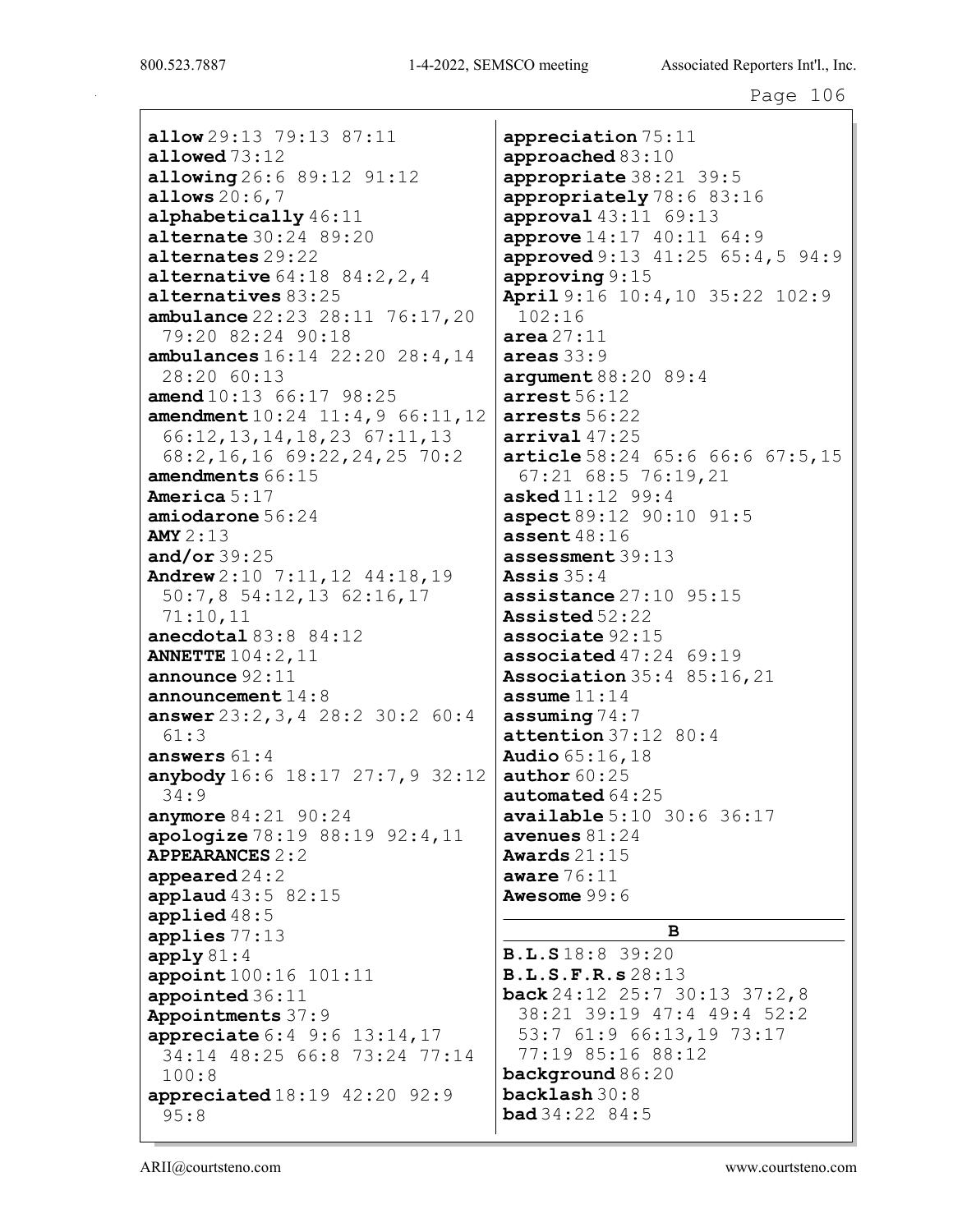allow 29:13 79:13 87:11 allowed 73:12 allowing 26:6 89:12 91:12 allows 20:6,7 alphabetically 46:11 alternate 30:24 89:20 alternates 29:22 **alternative**  $64:18$   $84:2,2,4$ alternatives 83:25 ambulance 22:23 28:11 76:17,20 79:20 82:24 90:18 ambulances 16:14 22:20 28:4,14 28:20 60:13 amend  $10:13$  66:17 98:25 amendment 10:24 11:4,9 66:11,12 66:12,13,14,18,23 67:11,13 68:2,16,16 69:22,24,25 70:2 amendments 66:15 America 5:17 amiodarone 56:24 AMY 2:13 and/or 39:25 Andrew 2:10 7:11,12 44:18,19 50:7,8 54:12,13 62:16,17 71:10,11 anecdotal 83:8 84:12 ANNETTE 104:2,11 announce 92:11 announcement 14:8 answer 23:2,3,4 28:2 30:2 60:4 61:3 answers 61:4 anybody 16:6 18:17 27:7,9 32:12 34:9 anymore 84:21 90:24 apologize 78:19 88:19 92:4,11 APPEARANCES 2:2 appeared 24:2 applaud 43:5 82:15 applied 48:5 applies 77:13 apply  $81:4$ appoint 100:16 101:11 appointed 36:11 Appointments 37:9 appreciate 6:4 9:6 13:14,17 34:14 48:25 66:8 73:24 77:14 100:8 appreciated 18:19 42:20 92:9 95:8

appreciation 75:11 approached 83:10 appropriate 38:21 39:5 appropriately 78:6 83:16 approval 43:11 69:13 approve 14:17 40:11 64:9 approved 9:13 41:25 65:4,5 94:9 approving 9:15 April 9:16 10:4,10 35:22 102:9 102:16 area  $27:11$ areas 33:9 argument 88:20 89:4 arrest 56:12 arrests 56:22 arrival  $47:25$ article 58:24 65:6 66:6 67:5,15 67:21 68:5 76:19,21 asked 11:12 99:4 aspect 89:12 90:10 91:5 assent 48:16 assessment 39:13 Assis 35:4 assistance 27:10 95:15 Assisted 52:22 associate 92:15 associated 47:24 69:19 Association 35:4 85:16,21 assume  $11:14$ assuming 74:7 attention 37:12 80:4 Audio 65:16,18 author  $60:25$ automated 64:25 available 5:10 30:6 36:17 avenues  $81:24$ Awards 21:15 aware 76:11 Awesome 99:6 B B.L.S 18:8 39:20

B.L.S.F.R.s 28:13 back 24:12 25:7 30:13 37:2,8 38:21 39:19 47:4 49:4 52:2 53:7 61:9 66:13,19 73:17 77:19 85:16 88:12 background 86:20 backlash 30:8  $bad 34:22 84:5$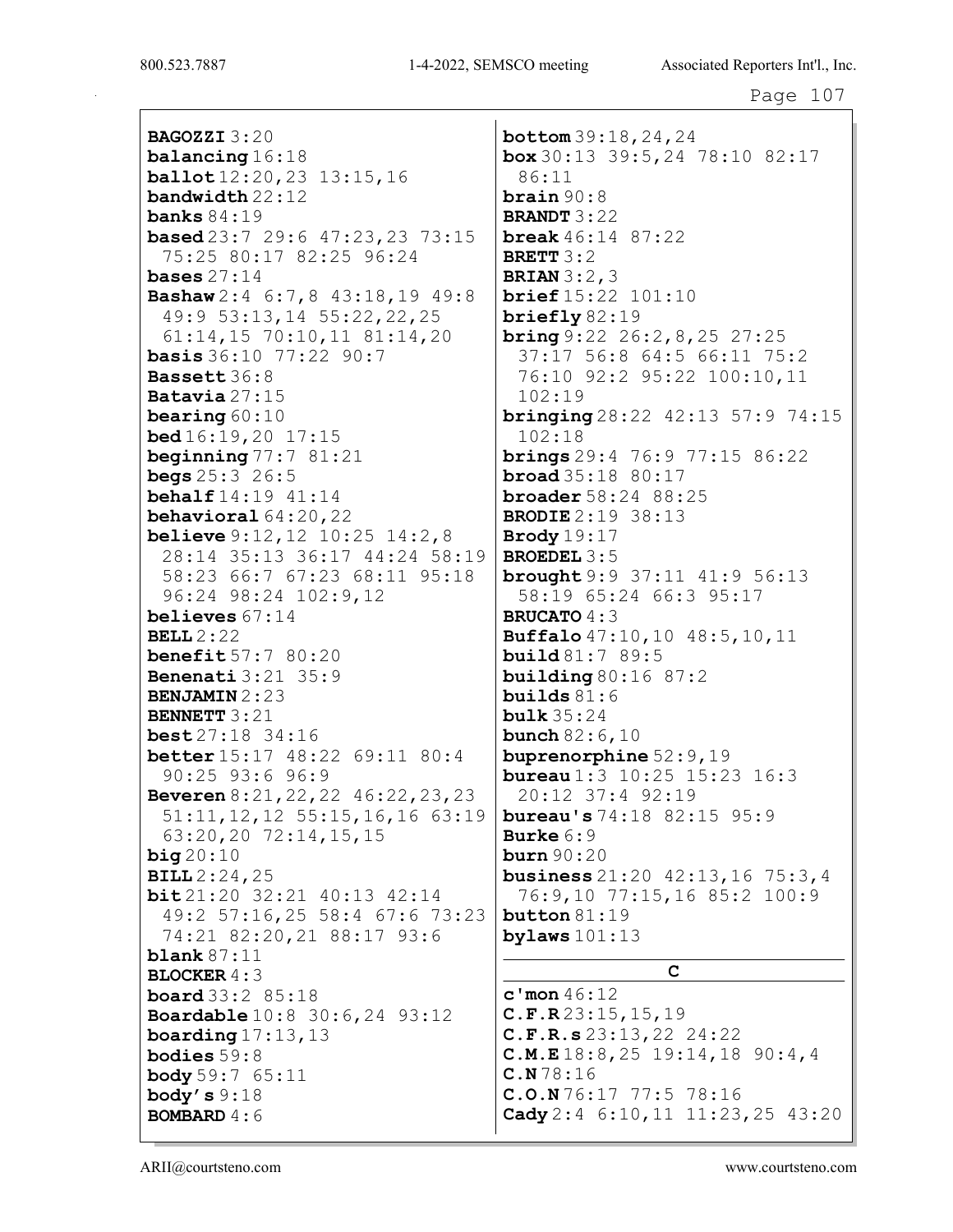BAGOZZI 3:20 balancing 16:18 ballot 12:20,23 13:15,16 bandwidth 22:12 banks 84:19 based 23:7 29:6 47:23,23 73:15 75:25 80:17 82:25 96:24 bases  $27:14$ Bashaw 2:4 6:7,8 43:18,19 49:8 49:9 53:13,14 55:22,22,25 61:14,15 70:10,11 81:14,20 **basis** 36:10 77:22 90:7 Bassett 36:8 Batavia 27:15 bearing 60:10 bed 16:19,20 17:15 beginning  $77:781:21$ **begs**  $25:3$   $26:5$ behalf 14:19 41:14 behavioral 64:20,22 **believe** 9:12, 12 10:25 14:2, 8 28:14 35:13 36:17 44:24 58:19 58:23 66:7 67:23 68:11 95:18 96:24 98:24 102:9,12 believes 67:14 BELL  $2:22$ benefit 57:7 80:20 Benenati 3:21 35:9 BENJAMIN 2:23 BENNETT 3:21 best 27:18 34:16 better 15:17 48:22 69:11 80:4 90:25 93:6 96:9 Beveren 8:21,22,22 46:22,23,23 51:11,12,12 55:15,16,16 63:19 63:20,20 72:14,15,15 big 20:10 BILL 2:24,25 bit 21:20 32:21 40:13 42:14 49:2 57:16,25 58:4 67:6 73:23 74:21 82:20,21 88:17 93:6 blank 87:11 BLOCKER  $4:3$ board 33:2 85:18 Boardable 10:8 30:6,24 93:12 boarding  $17:13,13$ bodies 59:8 body 59:7 65:11 body's  $9:18$ BOMBARD 4:6

bottom 39:18,24,24 box 30:13 39:5,24 78:10 82:17 86:11 brain 90:8 BRANDT 3:22 break 46:14 87:22 BRETT 3:2 BRIAN 3:2,3 brief 15:22 101:10 briefly 82:19 **bring** 9:22 26:2, 8, 25 27:25 37:17 56:8 64:5 66:11 75:2 76:10 92:2 95:22 100:10,11 102:19 bringing 28:22 42:13 57:9 74:15 102:18 brings 29:4 76:9 77:15 86:22 **broad**  $35:18$   $80:17$ broader 58:24 88:25 BRODIE 2:19 38:13 Brody 19:17 BROEDEL 3:5 brought 9:9 37:11 41:9 56:13 58:19 65:24 66:3 95:17 BRUCATO  $4:3$ Buffalo 47:10,10 48:5,10,11 build 81:7 89:5 building 80:16 87:2 builds  $81:6$ bulk 35:24 **bunch** 82:6,10 buprenorphine 52:9,19 **bureau**  $1:3$  10:25 15:23 16:3 20:12 37:4 92:19 bureau's 74:18 82:15 95:9 Burke 6:9 burn 90:20 business 21:20 42:13,16 75:3,4 76:9,10 77:15,16 85:2 100:9 button 81:19 bylaws  $101:13$ C

c'mon 46:12 C.F.R 23:15,15,19 C.F.R.s 23:13,22 24:22 C.M.E 18:8,25 19:14,18 90:4,4 C.N 78:16 C.O.N 76:17 77:5 78:16 Cady 2:4 6:10,11 11:23,25 43:20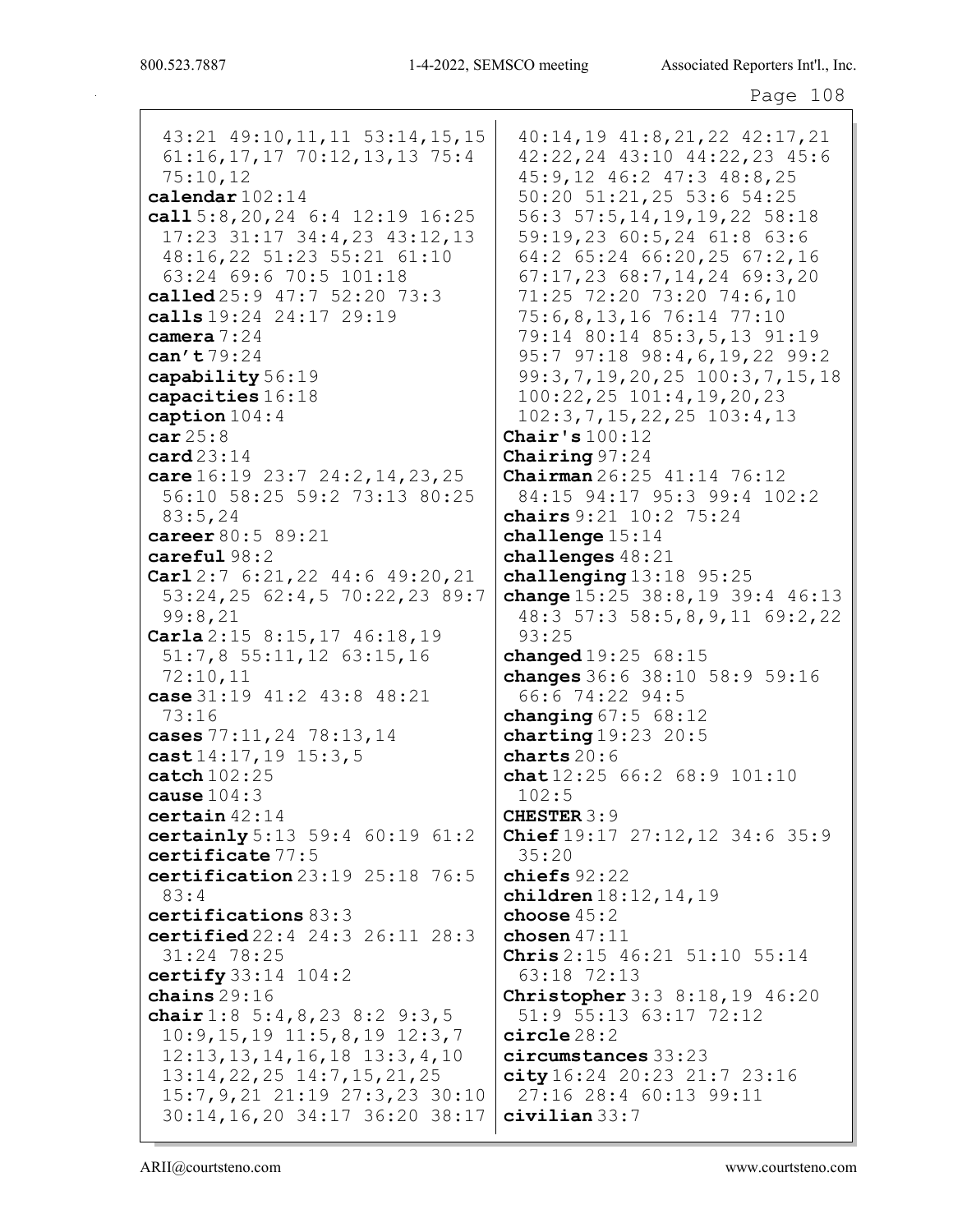43:21 49:10, 11, 11 53:14, 15, 15  $61:16, 17, 17$  70:12, 13, 13 75:4  $75:10,12$ calendar  $102:14$ call  $5:8, 20, 24, 6:4, 12:19, 16:25$  $17:23$   $31:17$   $34:4$ ,  $23$   $43:12$ ,  $13$ 48:16,22 51:23 55:21 61:10 63:24 69:6 70:5 101:18 called 25:9 47:7 52:20 73:3 calls  $19:24$   $24:17$   $29:19$ camera  $7:24$ can't 79:24 capability 56:19 capacities  $16:18$ caption  $104:4$  $car25:8$  $card 23:14$ care  $16:19$  23:7 24:2, 14, 23, 25 56:10 58:25 59:2 73:13 80:25  $83:5.24$ career 80:5 89:21  $careful98:2$ **Carl**  $2:7$  6:21, 22 44:6 49:20, 21 53:24,25 62:4,5 70:22,23 89:7  $99:8,21$ **Carla**  $2:15$   $8:15$ ,  $17$   $46:18$ ,  $19$  $51:7,8$   $55:11,12$   $63:15,16$  $72:10,11$ case 31:19 41:2 43:8 48:21  $73:16$ cases 77:11, 24 78:13, 14 cast  $14:17, 19$   $15:3, 5$  $\texttt{catch}$  102:25 cause  $104:3$  $certain$  42:14 certainly  $5:13$  59:4 60:19 61:2 certificate 77:5 certification  $23:19$   $25:18$   $76:5$  $83:4$ certifications  $83:3$ **certified**  $22:4$   $24:3$   $26:11$   $28:3$  $31:24$  78:25 certify  $33:14$   $104:2$ chains  $29:16$ chair  $1:8$  5:4, 8, 23 8:2 9:3, 5  $10:9, 15, 19$   $11:5, 8, 19$   $12:3, 7$  $12:13, 13, 14, 16, 18$   $13:3, 4, 10$  $13:14,22,25$   $14:7,15,21,25$ 15:7, 9, 21 21:19 27:3, 23 30:10 30:14, 16, 20 34:17 36:20 38:17

40:14,19 41:8,21,22 42:17,21 42:22,24 43:10 44:22,23 45:6 45:9,12 46:2 47:3 48:8,25 50:20 51:21,25 53:6 54:25 56:3 57:5, 14, 19, 19, 22 58:18 59:19,23 60:5,24 61:8 63:6 64:2 65:24 66:20,25 67:2,16  $67:17,23$   $68:7,14,24$   $69:3,20$ 71:25 72:20 73:20 74:6,10 75:6,8,13,16 76:14 77:10 79:14 80:14 85:3,5,13 91:19 95:7 97:18 98:4,6,19,22 99:2 99:3,7,19,20,25 100:3,7,15,18  $100:22, 25$   $101:4, 19, 20, 23$  $102:3, 7, 15, 22, 25$   $103:4, 13$ Chair's  $100:12$ Chairing  $97:24$ **Chairman**  $26:25$   $41:14$   $76:12$ 84:15 94:17 95:3 99:4 102:2 chairs  $9:21$   $10:2$   $75:24$ challenge  $15:14$ challenges  $48:21$ challenging  $13:18$  95:25 change  $15:25$  38:8, 19 39:4 46:13 48:3 57:3 58:5,8,9,11 69:2,22  $93:25$ changed  $19:2568:15$ changes 36:6 38:10 58:9 59:16 66:6 74:22 94:5 changing  $67:5$   $68:12$ charting  $19:23$  20:5 charts  $20:6$ chat  $12:2566:268:9101:10$  $102:5$ **CHESTER 3:9 Chief**  $19:17$   $27:12$ ,  $12$   $34:6$   $35:9$  $35:20$ chiefs  $92:22$ children  $18:12, 14, 19$ choose  $45:2$ chosen  $47:11$ **Chris**  $2:15$  46:21 51:10 55:14 63:18 72:13 **Christopher** 3:3 8:18,19 46:20 51:9 55:13 63:17 72:12  $circle 28:2$ circumstances 33:23 city 16:24 20:23 21:7 23:16 27:16 28:4 60:13 99:11  $civilian$  33:7

ARII@courtsteno.com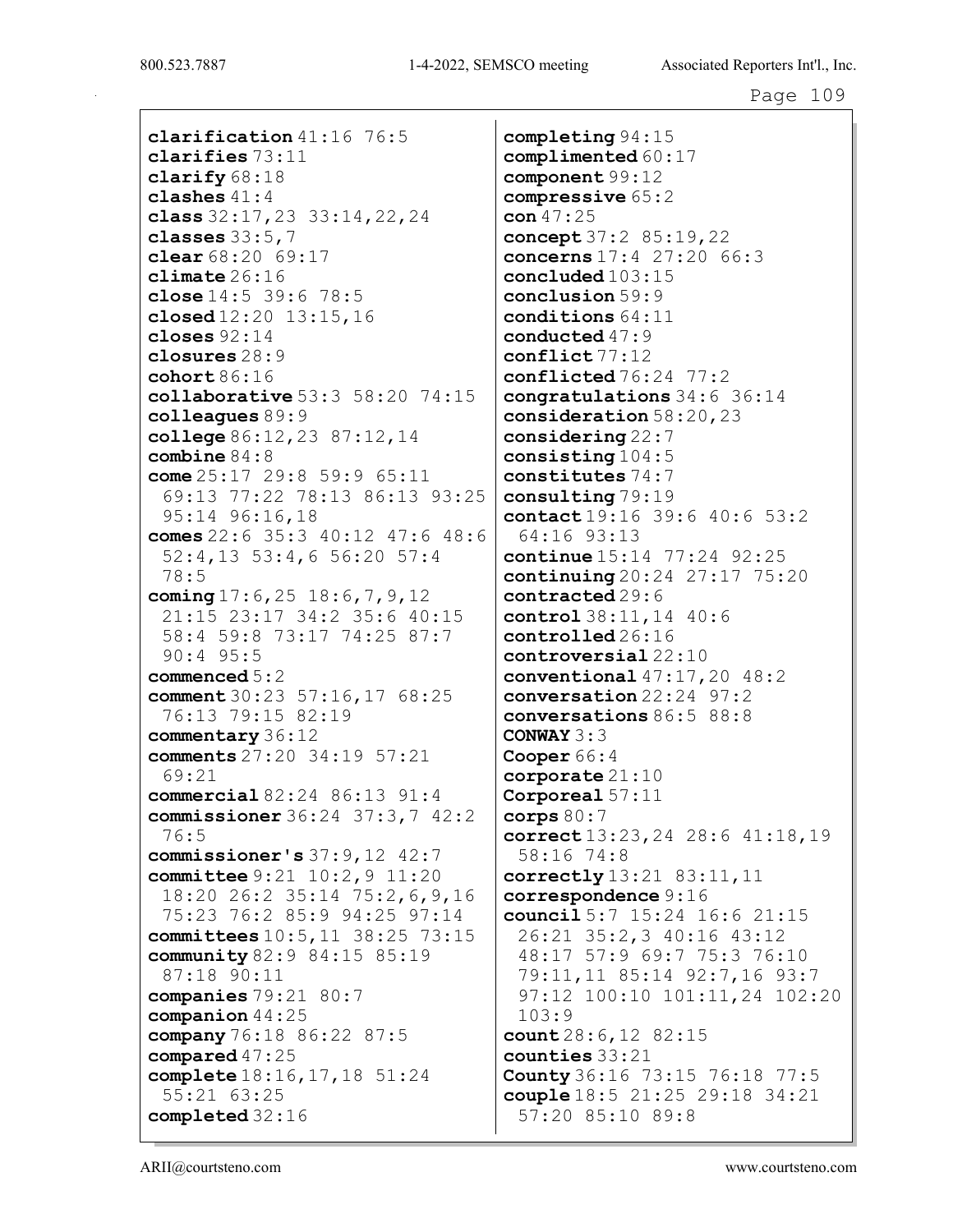clarification 41:16 76:5 clarifies 73:11 clarify 68:18 clashes 41:4 class 32:17,23 33:14,22,24 classes 33:5,7 clear 68:20 69:17 climate 26:16 close 14:5 39:6 78:5 closed 12:20 13:15,16 closes 92:14 closures 28:9 cohort 86:16 collaborative 53:3 58:20 74:15 colleagues 89:9 college 86:12,23 87:12,14 combine 84:8 come 25:17 29:8 59:9 65:11 69:13 77:22 78:13 86:13 93:25 95:14 96:16,18 comes 22:6 35:3 40:12 47:6 48:6 52:4,13 53:4,6 56:20 57:4 78:5 coming 17:6, 25 18:6, 7, 9, 12 21:15 23:17 34:2 35:6 40:15 58:4 59:8 73:17 74:25 87:7 90:4 95:5 commenced 5:2 comment 30:23 57:16,17 68:25 76:13 79:15 82:19 commentary 36:12 comments 27:20 34:19 57:21 69:21 commercial 82:24 86:13 91:4 commissioner 36:24 37:3,7 42:2 76:5 commissioner's 37:9,12 42:7 committee 9:21 10:2,9 11:20 18:20 26:2 35:14 75:2,6,9,16 75:23 76:2 85:9 94:25 97:14 committees 10:5,11 38:25 73:15 community 82:9 84:15 85:19 87:18 90:11 companies 79:21 80:7 companion 44:25 company 76:18 86:22 87:5 compared 47:25 complete 18:16,17,18 51:24 55:21 63:25 completed 32:16

completing 94:15 complimented 60:17 component 99:12 compressive 65:2 con  $47:25$ concept 37:2 85:19,22 concerns 17:4 27:20 66:3 concluded 103:15 conclusion 59:9 conditions 64:11 conducted 47:9 conflict 77:12 conflicted 76:24 77:2 congratulations 34:6 36:14 consideration 58:20,23 considering 22:7 consisting 104:5 constitutes 74:7 consulting 79:19 contact 19:16 39:6 40:6 53:2 64:16 93:13 continue 15:14 77:24 92:25 continuing 20:24 27:17 75:20 contracted 29:6 control 38:11,14 40:6 controlled 26:16 controversial 22:10 conventional 47:17,20 48:2 conversation 22:24 97:2 conversations 86:5 88:8 CONWAY 3:3 Cooper 66:4 corporate 21:10 Corporeal 57:11 corps  $80:7$ correct 13:23,24 28:6 41:18,19 58:16 74:8 correctly 13:21 83:11,11 correspondence 9:16 council 5:7 15:24 16:6 21:15 26:21 35:2,3 40:16 43:12 48:17 57:9 69:7 75:3 76:10 79:11,11 85:14 92:7,16 93:7 97:12 100:10 101:11,24 102:20 103:9 count 28:6, 12 82:15 counties 33:21 County 36:16 73:15 76:18 77:5 couple 18:5 21:25 29:18 34:21 57:20 85:10 89:8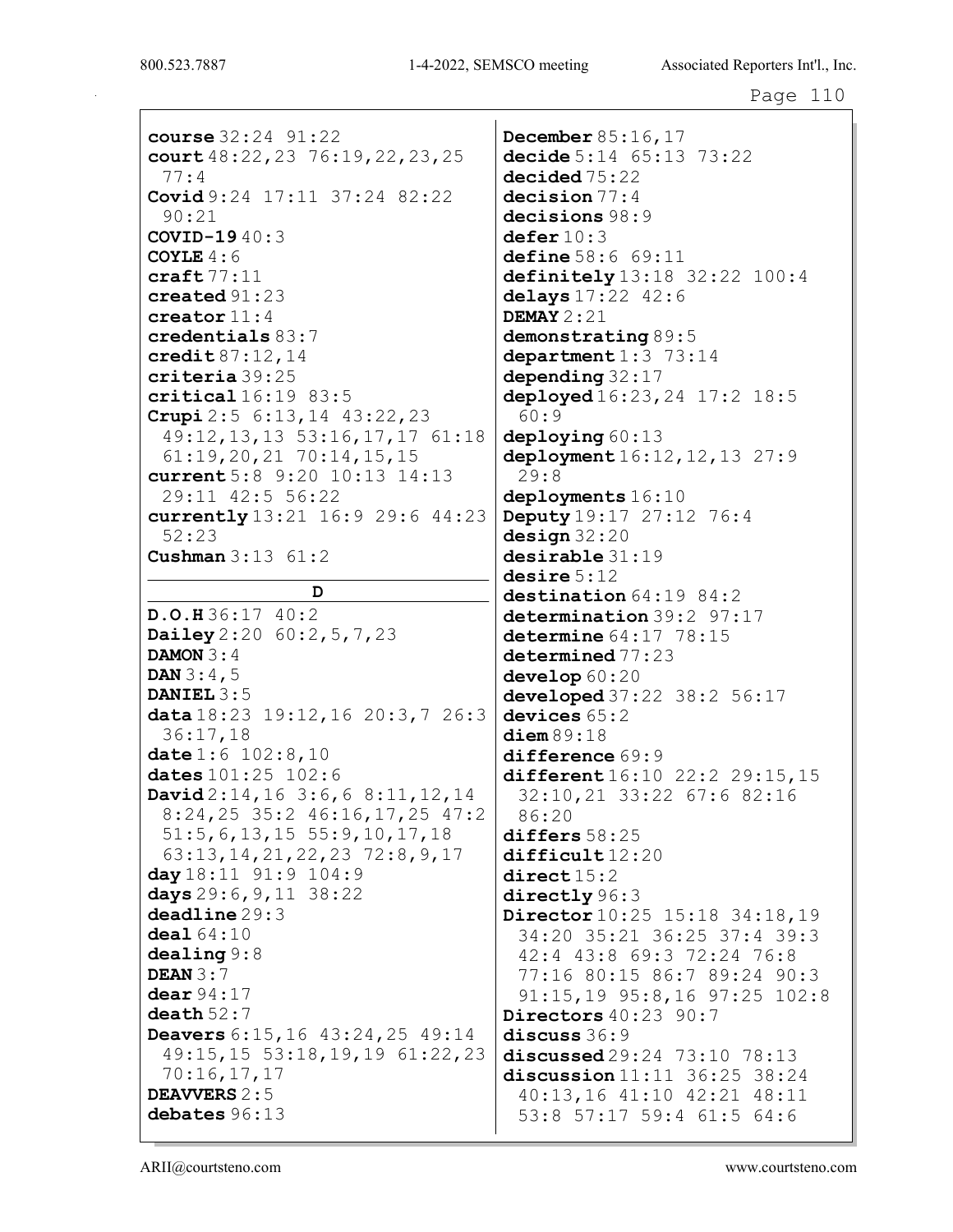course 32:24 91:22 court  $48:22, 23$  76:19, 22, 23, 25  $77:4$ Covid  $9:24$  17:11 37:24 82:22  $90:21$ **COVID-19**  $40:3$ COYLE  $4:6$  $\texttt{craft} 77:11$  $\c$ reated  $91:23$ creator  $11:4$ credentials 83:7 credit  $87:12.14$ criteria 39:25  $critical16:1983:5$ Crupi  $2:5$  6:13, 14 43:22, 23 49:12, 13, 13 53:16, 17, 17 61:18  $61:19,20,21$   $70:14,15,15$ current 5:8 9:20 10:13 14:13 29:11 42:5 56:22 currently 13:21 16:9 29:6 44:23  $52:23$ **Cushman**  $3:13 \ 61:2$ D  $D.O.H36:1740:2$ Dailey  $2:20$  60:2, 5, 7, 23 DAMON  $3:4$ **DAN**  $3:4,5$ DANIEL  $3:5$ data 18:23 19:12, 16 20:3, 7 26:3  $36:17,18$ date  $1:6$   $102:8,10$ dates 101:25 102:6 David  $2:14, 16$  3:6, 6 8:11, 12, 14 8:24,25 35:2 46:16,17,25 47:2  $51:5, 6, 13, 15$   $55:9, 10, 17, 18$ 63:13, 14, 21, 22, 23 72:8, 9, 17 day  $18:11$  91:9  $104:9$ days  $29:6, 9, 11$   $38:22$  $deadline 29:3$  $deal64:10$  $dealing 9:8$ DEAN  $3:7$  $dear 94:17$ death  $52:7$ Deavers 6:15, 16 43:24, 25 49:14 49:15,15 53:18,19,19 61:22,23  $70:16,17,17$ **DEAVVERS 2:5** debates 96:13

**December 85:16,17** decide 5:14 65:13 73:22  $decided75:22$  $decision 77:4$  $decisions 98:9$  $\operatorname{\mathsf{deferr}}{10:3}$ define 58:6 69:11 definitely  $13:18$   $32:22$   $100:4$ delays  $17:22$   $42:6$ DEMAY  $2:21$  $demonstrating 89:5$ department  $1:3$  73:14 depending  $32:17$ deployed  $16:23, 24$   $17:2$   $18:5$  $60:9$ deploying 60:13 deployment 16:12, 12, 13 27:9  $29:8$  $deployments 16:10$ **Deputy** 19:17 27:12 76:4  $design 32:20$  $desirable$  31:19  $\mathtt{desire}$   $5:12$  $\texttt{destination} 64:19\;\,84:2$  $determination 39:2 97:17$ determine  $64:17$   $78:15$  $determined 77:23$  $develop<sub>60</sub>:20$ developed  $37:22$   $38:2$   $56:17$ devices  $65:2$  $ditem 89:18$  $difference 69:9$ different  $16:10$  22:2 29:15, 15 32:10,21 33:22 67:6 82:16  $86:20$  $differs 58:25$  $difficult12:20$  $direct 15:2$ directly 96:3 Director 10:25 15:18 34:18,19 34:20 35:21 36:25 37:4 39:3 42:4 43:8 69:3 72:24 76:8 77:16 80:15 86:7 89:24 90:3 91:15,19 95:8,16 97:25 102:8 Directors  $40:23$  90:7  $discus36:9$ discussed  $29:24$   $73:10$   $78:13$ discussion  $11:11$  36:25 38:24 40:13,16 41:10 42:21 48:11 53:8 57:17 59:4 61:5 64:6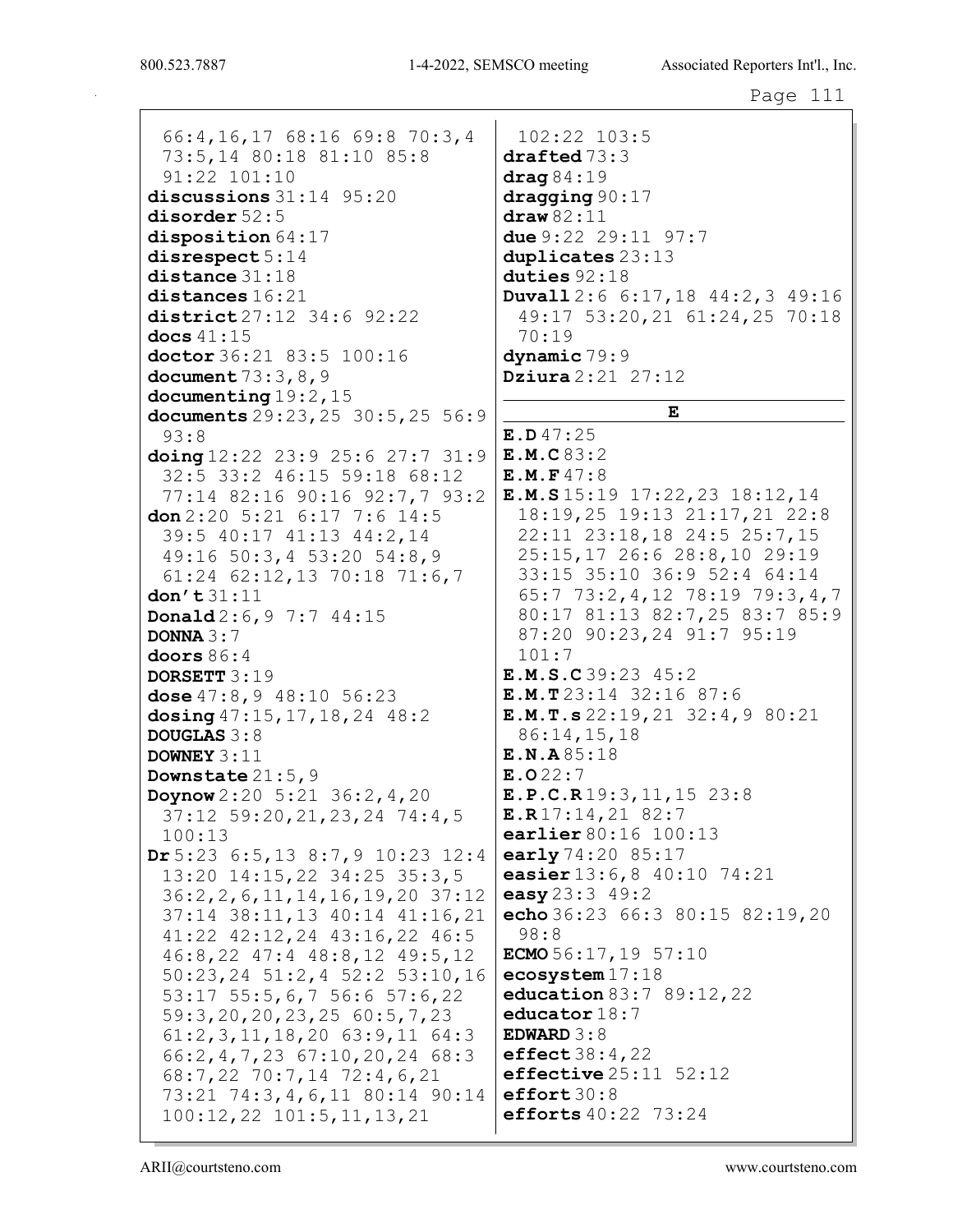66:4, 16, 17 68: 16 69: 8 70: 3, 4 73:5,14 80:18 81:10 85:8  $91:22$   $101:10$ discussions  $31:14$   $95:20$  $disorder 52:5$ disposition  $64:17$  $disrespect 5:14$  $distance$  31:18  $distances 16:21$ district 27:12 34:6 92:22 docs  $41:15$ doctor 36:21 83:5 100:16 document  $73:3,8,9$ documenting  $19:2, 15$ documents 29:23, 25 30:5, 25 56:9  $93:8$ doing  $12:22$   $23:9$   $25:6$   $27:7$   $31:9$ 32:5 33:2 46:15 59:18 68:12 77:14 82:16 90:16 92:7,7 93:2 don  $2:20$  5:21 6:17 7:6 14:5 39:5 40:17 41:13 44:2,14 49:16 50:3,4 53:20 54:8,9  $61:24$   $62:12,13$   $70:18$   $71:6,7$  $don't31:11$ Donald 2:6, 9 7:7 44:15 DONNA  $3:7$ doors  $86:4$ DORSETT 3:19 dose  $47:8,9$   $48:10$   $56:23$ dosing 47:15, 17, 18, 24 48:2 **DOUGLAS 3:8** DOWNEY  $3:11$ Downstate  $21:5,9$ Doynow  $2:20 \t5:21 \t36:2, 4, 20$ 37:12 59:20, 21, 23, 24 74:4, 5  $100:13$ Dr 5:23 6:5, 13 8:7, 9 10:23 12:4 13:20 14:15,22 34:25 35:3,5  $36:2, 2, 6, 11, 14, 16, 19, 20$  37:12 37:14 38:11,13 40:14 41:16,21 41:22 42:12,24 43:16,22 46:5 46:8,22 47:4 48:8,12 49:5,12 50:23, 24 51:2, 4 52:2 53:10, 16 53:17 55:5,6,7 56:6 57:6,22  $59:3, 20, 20, 23, 25, 60:5, 7, 23$  $61:2, 3, 11, 18, 20$   $63:9, 11$   $64:3$  $66:2, 4, 7, 23$   $67:10, 20, 24$   $68:3$ 68:7,22 70:7,14 72:4,6,21 73:21 74:3,4,6,11 80:14 90:14 efforts 40:22 73:24  $100:12, 22$   $101:5, 11, 13, 21$ 

102:22 103:5  $draffed 73:3$  $drag84:19$  $\frac{dragging90:17}{ }$  $draw 82:11$ due 9:22 29:11 97:7 duplicates  $23:13$ duties  $92:18$ **Duvall**  $2:6$   $6:17,18$   $44:2,3$   $49:16$ 49:17 53:20,21 61:24,25 70:18  $70:19$  $dynamic79:9$ **Dziura**  $2:21$   $27:12$  ${\bf E}$  $E.D.47:25$  $E.M.C.83:2$  $E.M.F47:8$  $E.M.S15:1917:22,2318:12,14$ 18:19,25 19:13 21:17,21 22:8 22:11 23:18,18 24:5 25:7,15 25:15,17 26:6 28:8,10 29:19 33:15 35:10 36:9 52:4 64:14  $65:7$  73:2,4,12 78:19 79:3,4,7 80:17 81:13 82:7,25 83:7 85:9 87:20 90:23,24 91:7 95:19  $101:7$ E.M.S.C39:23 45:2  $E.M.T23:14 32:16 87:6$  $E.M.T.s 22:19, 21 32:4, 9 80:21$  $86:14,15,18$  $E.N.A85:18$  $E.022:7$  $E.P.C.R19:3, 11, 15 23:8$  $E.R17:14,2182:7$ earlier 80:16 100:13 early 74:20 85:17 easier 13:6,8 40:10 74:21 easy  $23:3$  49:2 echo 36:23 66:3 80:15 82:19,20  $98:8$ ECMO  $56:17, 19$  57:10  $ecosystem 17:18$ education 83:7 89:12, 22 educator  $18:7$ EDWARD  $3:8$ effect  $38:4,22$  $\texttt{effective}\,25\colon\!11$  52:12  $effort 30:8$ 

ARII@courtsteno.com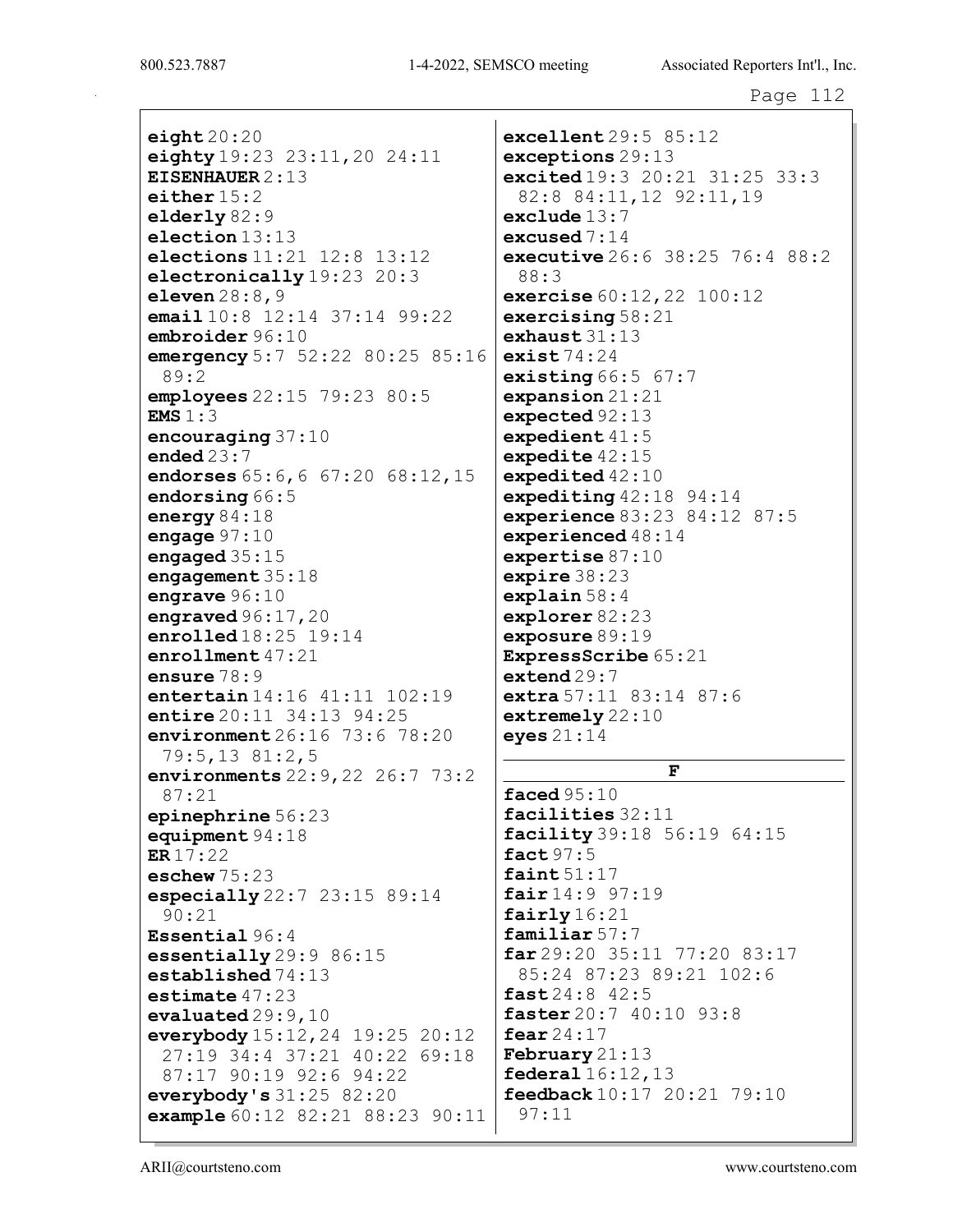$eighth$  20:20 eighty 19:23 23:11,20 24:11 EISENHAUER 2:13 either 15:2 elderly 82:9 election 13:13 elections 11:21 12:8 13:12 electronically 19:23 20:3 eleven 28:8,9 email 10:8 12:14 37:14 99:22 embroider 96:10 emergency 5:7 52:22 80:25 85:16 89:2 employees 22:15 79:23 80:5 EMS 1:3 encouraging 37:10 ended 23:7 endorses 65:6,6 67:20 68:12,15 endorsing 66:5 energy 84:18 engage 97:10 engaged 35:15 engagement 35:18 engrave 96:10 engraved  $96:17$ , 20 enrolled 18:25 19:14 enrollment 47:21 ensure 78:9 entertain 14:16 41:11 102:19 entire 20:11 34:13 94:25 environment 26:16 73:6 78:20 79:5,13 81:2,5 environments 22:9,22 26:7 73:2 87:21 epinephrine 56:23 equipment 94:18 ER 17:22 eschew 75:23 especially 22:7 23:15 89:14 90:21 Essential 96:4 essentially 29:9 86:15 established 74:13 estimate 47:23 evaluated 29:9,10 everybody 15:12,24 19:25 20:12 27:19 34:4 37:21 40:22 69:18 87:17 90:19 92:6 94:22 everybody's 31:25 82:20 example 60:12 82:21 88:23 90:11

excellent 29:5 85:12 exceptions 29:13 excited 19:3 20:21 31:25 33:3 82:8 84:11,12 92:11,19 exclude  $13:7$ excused 7:14 executive 26:6 38:25 76:4 88:2 88:3 exercise  $60:12,22$  100:12 exercising  $58:21$ exhaust  $31:13$ exist  $74:24$ existing  $66:5$   $67:7$ expansion 21:21 expected 92:13 expedient 41:5 expedite 42:15 expedited 42:10 expediting  $42:18$  94:14 experience 83:23 84:12 87:5 experienced 48:14 expertise 87:10 expire 38:23 explain 58:4 explorer 82:23 exposure 89:19 ExpressScribe 65:21 extend 29:7 extra  $57:11$   $83:14$   $87:6$ extremely 22:10 eyes 21:14

F

faced 95:10 facilities 32:11 facility 39:18 56:19 64:15 fact 97:5 faint  $51:17$ fair 14:9 97:19 fairly 16:21 familiar 57:7 far 29:20 35:11 77:20 83:17 85:24 87:23 89:21 102:6  $fast 24:8 42:5$ faster 20:7 40:10 93:8 fear  $24:17$ February 21:13 federal  $16:12,13$ feedback 10:17 20:21 79:10 97:11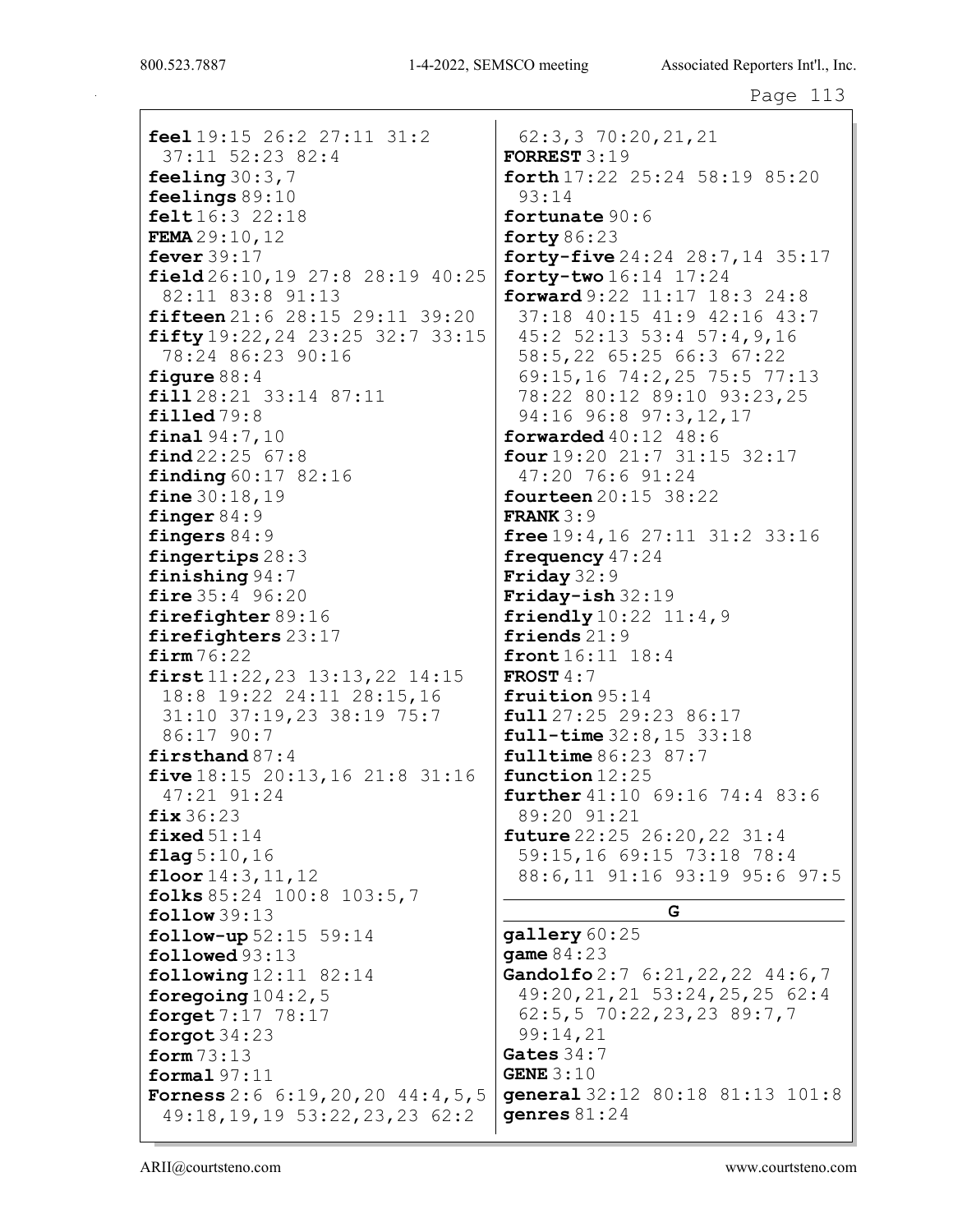feel  $19:15$   $26:2$   $27:11$   $31:2$  $37:11$   $52:23$   $82:4$ feeling  $30:3.7$ feelings  $89:10$ felt  $16:3$  22:18 FEMA  $29:10,12$ fever  $39:17$ field  $26:10, 19$   $27:8$   $28:19$   $40:25$ 82:11 83:8 91:13 fifteen 21:6 28:15 29:11 39:20 fifty  $19:22, 24$   $23:25$   $32:7$   $33:15$ 78:24 86:23 90:16 figure  $88:4$  $fill 28:21$  33:14 87:11  $\texttt{filled}$  79:8 final  $94:7,10$  $find 22:25 67:8$ **finding**  $60:17$   $82:16$ fine  $30:18,19$ finger  $84:9$ fingers  $84:9$ fingertips 28:3 finishing  $94:7$ **fire**  $35:4$   $96:20$ firefighter 89:16 firefighters 23:17  $firm 76:22$  $first11:22,23$   $13:13,22$   $14:15$ 18:8 19:22 24:11 28:15,16 31:10 37:19,23 38:19 75:7 86:17 90:7 firsthand  $87:4$ five  $18:15$   $20:13,16$   $21:8$   $31:16$ 47:21 91:24  $fix36:23$ fixed  $51:14$  $flag 5:10, 16$ floor  $14:3, 11, 12$ folks  $85:24$  100:8 103:5,7  $follow 39:13$  $follow-up 52:15 59:14$  $followed 93:13$ following  $12:11$  82:14 foregoing  $104:2,5$ forget 7:17 78:17 forgot  $34:23$ form  $73:13$ formal  $97:11$ **Forness** 2:6 6:19, 20, 20 44:4, 5, 5  $49:18, 19, 19$  53:22, 23, 23 62:2

 $62:3,3$  70:20, 21, 21 FORREST  $3:19$ forth  $17:22$   $25:24$   $58:19$   $85:20$  $93:14$ fortunate 90:6 forty  $86:23$ forty-five 24:24 28:7, 14 35:17  $forty-two 16:14 17:24$ forward  $9:22$   $11:17$   $18:3$   $24:8$ 37:18 40:15 41:9 42:16 43:7 45:2 52:13 53:4 57:4,9,16 58:5,22 65:25 66:3 67:22 69:15,16 74:2,25 75:5 77:13 78:22 80:12 89:10 93:23,25 94:16 96:8 97:3,12,17 forwarded  $40:12$   $48:6$  $four 19:20 21:7 31:15 32:17$ 47:20 76:6 91:24 **fourteen** 20:15 38:22 **FRANK** $3:9$ free  $19:4, 16$   $27:11$   $31:2$   $33:16$ frequency  $47:24$ Friday  $32:9$ Friday-ish  $32:19$ friendly  $10:22$   $11:4,9$ friends  $21:9$ front 16:11 18:4 FROST  $4:7$ fruition 95:14  $full 27:25 29:23 86:17$  $full-time 32:8, 15 33:18$  $fulltime 86:23 87:7$  $function 12:25$ further 41:10 69:16 74:4 83:6 89:20 91:21 **future**  $22:25$   $26:20,22$   $31:4$ 59:15,16 69:15 73:18 78:4 88:6,11 91:16 93:19 95:6 97:5 G  $q$ allery  $60:25$ qame  $84:23$ Gandolfo 2:7 6:21, 22, 22 44:6, 7

49:20, 21, 21 53:24, 25, 25 62:4  $62:5, 5$  70:22, 23, 23 89:7, 7 99:14,21 Gates  $34:7$ GENE  $3:10$ general 32:12 80:18 81:13 101:8 genres  $81:24$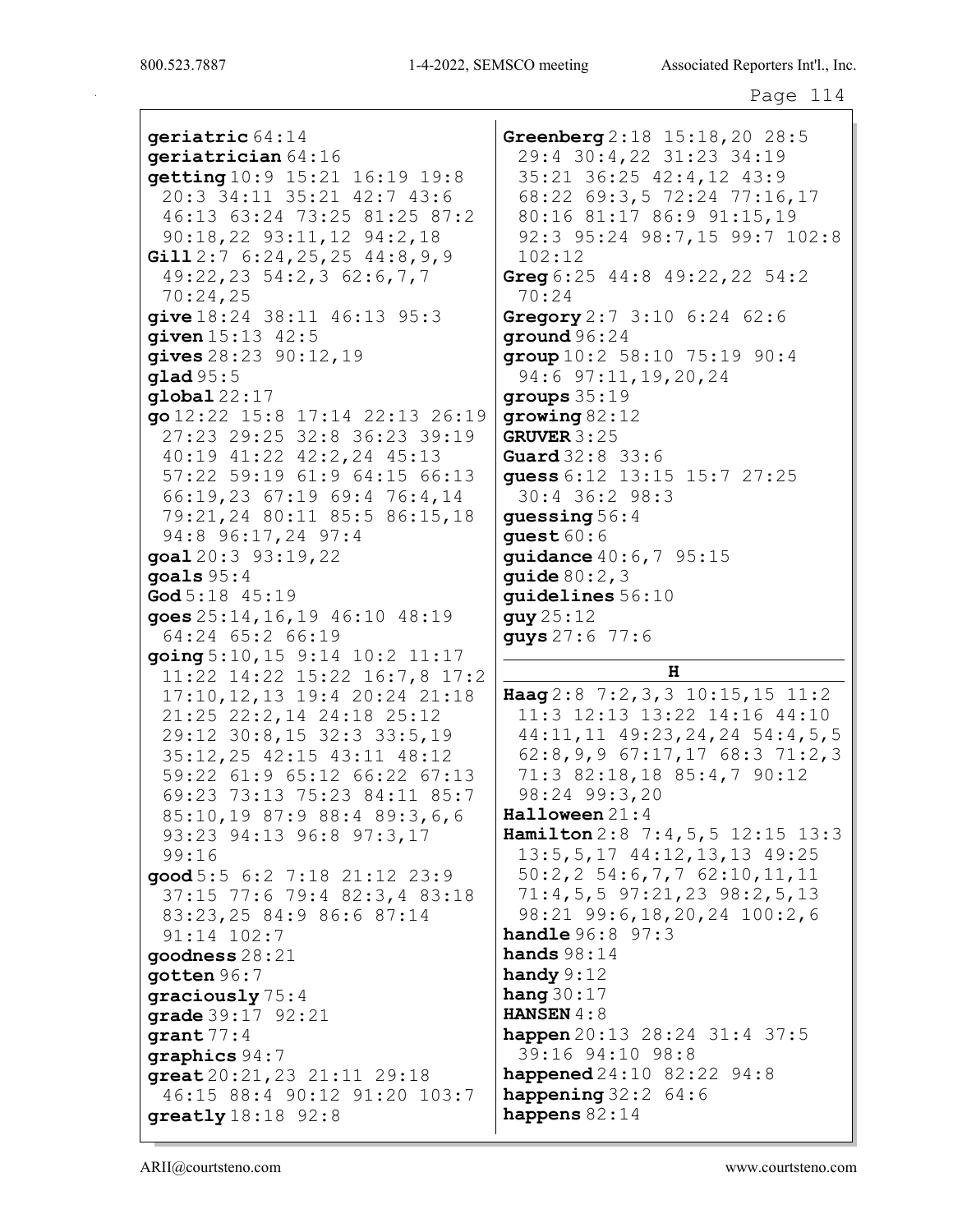qeriatric 64:14  $q$ eriatrician  $64:16$  $\texttt{getting10:9}$  15:21 16:19 19:8 20:3 34:11 35:21 42:7 43:6 46:13 63:24 73:25 81:25 87:2 90:18,22 93:11,12 94:2,18 Gill  $2:7$  6:24, 25, 25 44:8, 9, 9  $49:22, 23 \t54:2, 3 \t62:6, 7, 7$  $70:24,25$ give 18:24 38:11 46:13 95:3 **given**  $15:13$   $42:5$ gives  $28:23$   $90:12$ , 19  $q$ lad  $95:5$  $global 22:17$ go 12:22 15:8 17:14 22:13 26:19 27:23 29:25 32:8 36:23 39:19 40:19 41:22 42:2,24 45:13 57:22 59:19 61:9 64:15 66:13 66:19,23 67:19 69:4 76:4,14 79:21,24 80:11 85:5 86:15,18 94:8 96:17,24 97:4 goal 20:3 93:19, 22 goals  $95:4$  $\text{God } 5:18$  45:19 goes  $25:14, 16, 19$   $46:10$   $48:19$ 64:24 65:2 66:19 going 5:10, 15 9:14 10:2 11:17 11:22 14:22 15:22 16:7,8 17:2 17:10, 12, 13 19:4 20:24 21:18 21:25 22:2,14 24:18 25:12 29:12 30:8,15 32:3 33:5,19 35:12,25 42:15 43:11 48:12 59:22 61:9 65:12 66:22 67:13 69:23 73:13 75:23 84:11 85:7 85:10,19 87:9 88:4 89:3,6,6 93:23 94:13 96:8 97:3,17  $99:16$  $good 5:5 6:2 7:18 21:12 23:9$ 37:15 77:6 79:4 82:3,4 83:18 83:23,25 84:9 86:6 87:14 91:14 102:7  $\alpha$ oodness 28:21 gotten  $96:7$ graciously  $75:4$ grade  $39:17$   $92:21$  $<sub>qrant</sub> 77:4$ </sub>  $graphics 94:7$  $great20:21,2321:1129:18$ 46:15 88:4 90:12 91:20 103:7  $$ 

Greenberg 2:18 15:18, 20 28:5 29:4 30:4,22 31:23 34:19 35:21 36:25 42:4,12 43:9 68:22 69:3,5 72:24 77:16,17 80:16 81:17 86:9 91:15,19 92:3 95:24 98:7,15 99:7 102:8  $102:12$ Greg  $6:25$  44:8 49:22, 22 54:2  $70:24$ Gregory 2:7 3:10 6:24 62:6 qround  $96:24$  $group 10:2 58:10 75:19 90:4$ 94:6 97:11, 19, 20, 24 groups  $35:19$  $q$ rowing  $82:12$ GRUVER  $3:25$ Guard 32:8 33:6 quess 6:12 13:15 15:7 27:25  $30:4$  36:2 98:3 quessing  $56:4$ quest  $60:6$ guidance 40:6,7 95:15 quide  $80:2,3$ quidelines  $56:10$  $guy25:12$ **guys**  $27:6$  77:6

#### $H$

Haag  $2:8$  7:2, 3, 3 10:15, 15 11:2 11:3 12:13 13:22 14:16 44:10 44:11, 11 49:23, 24, 24 54:4, 5, 5  $62:8,9,9$   $67:17,17$   $68:3$   $71:2,3$ 71:3 82:18,18 85:4,7 90:12 98:24 99:3,20

Halloween 21:4

Hamilton 2:8 7:4, 5, 5 12:15 13:3 13:5, 5, 17 44:12, 13, 13 49:25  $50:2, 2$  54:6, 7, 7 62:10, 11, 11  $71:4,5,5$  97:21,23 98:2,5,13 98:21 99:6,18,20,24 100:2,6 **handle**  $96:8$   $97:3$ hands  $98:14$ handy  $9:12$ hang  $30:17$ **HANSEN**  $4:8$ happen 20:13 28:24 31:4 37:5 39:16 94:10 98:8 **happened**  $24:10$   $82:22$   $94:8$ happening  $32:2$  64:6 happens  $82:14$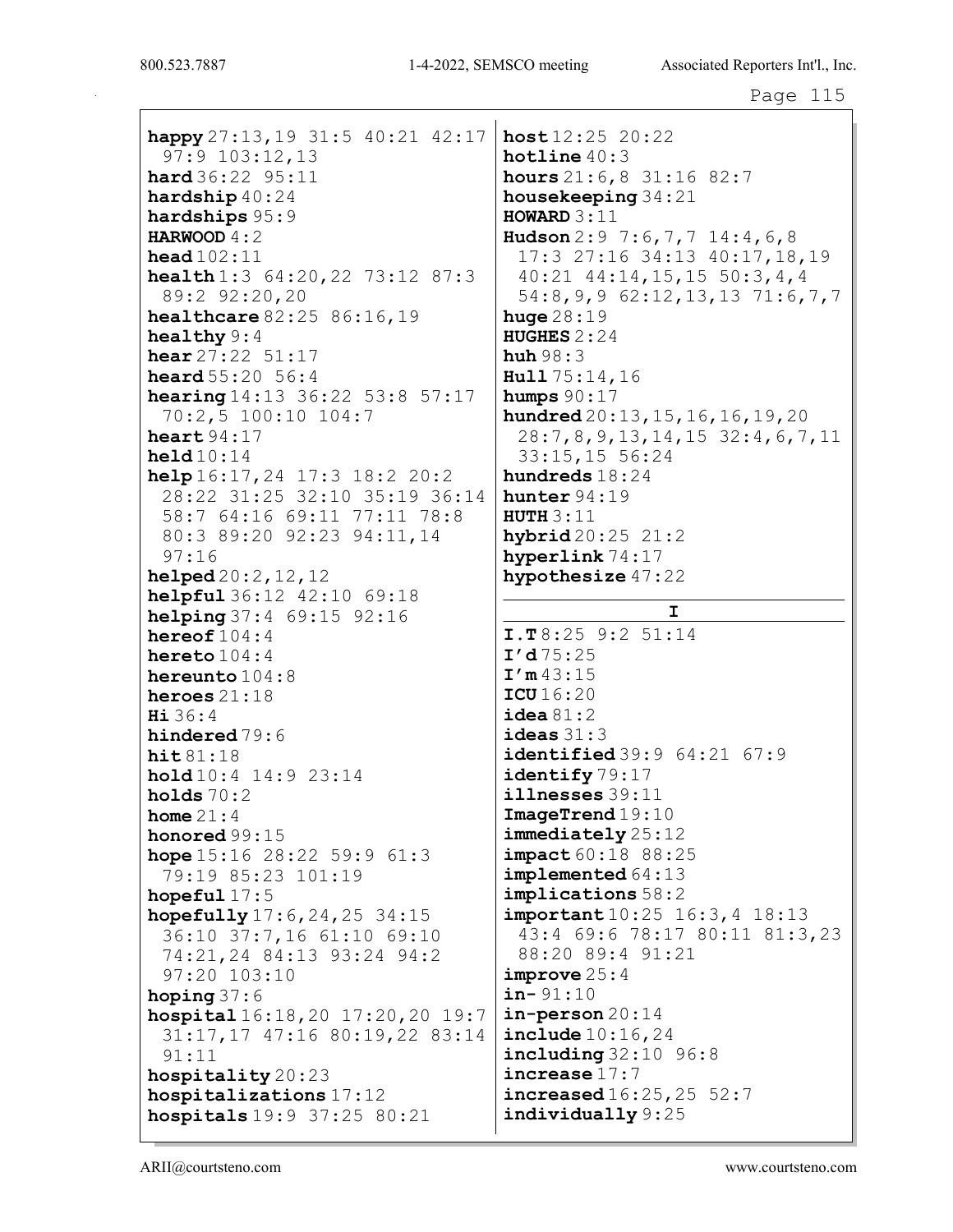happy  $27:13,19$  31:5 40:21 42:17 97:9 103:12,13 hard 36:22 95:11 hardship 40:24 hardships 95:9 HARWOOD 4:2 head 102:11 health 1:3 64:20, 22 73:12 87:3 89:2 92:20,20 healthcare 82:25 86:16,19 healthy 9:4 hear 27:22 51:17 heard 55:20 56:4 **hearing** 14:13 36:22 53:8 57:17 70:2,5 100:10 104:7 heart 94:17 held 10:14 help 16:17,24 17:3 18:2 20:2 28:22 31:25 32:10 35:19 36:14 58:7 64:16 69:11 77:11 78:8 80:3 89:20 92:23 94:11,14 97:16 helped 20:2,12,12 helpful 36:12 42:10 69:18 helping 37:4 69:15 92:16 hereof 104:4 hereto 104:4 hereunto 104:8 heroes 21:18 Hi 36:4 hindered 79:6 hit 81:18 hold 10:4 14:9 23:14 holds  $70:2$ home  $21:4$ honored 99:15 hope 15:16 28:22 59:9 61:3 79:19 85:23 101:19 hopeful 17:5 hopefully 17:6,24,25 34:15 36:10 37:7,16 61:10 69:10 74:21,24 84:13 93:24 94:2 97:20 103:10 hoping 37:6 hospital 16:18,20 17:20,20 19:7 31:17,17 47:16 80:19,22 83:14 91:11 hospitality 20:23 hospitalizations 17:12 hospitals 19:9 37:25 80:21

host 12:25 20:22 hotline 40:3 hours 21:6,8 31:16 82:7 housekeeping 34:21 HOWARD 3:11 Hudson 2:9 7:6, 7, 7 14:4, 6, 8 17:3 27:16 34:13 40:17,18,19 40:21 44:14,15,15 50:3,4,4 54:8,9,9 62:12,13,13 71:6,7,7 huge 28:19 HUGHES 2:24 huh 98:3 Hull 75:14,16 humps  $90:17$ hundred 20:13,15,16,16,19,20 28:7,8,9,13,14,15 32:4,6,7,11 33:15,15 56:24 hundreds 18:24 hunter 94:19 **HUTH 3:11** hybrid 20:25 21:2 hyperlink 74:17 hypothesize 47:22 I I.T 8:25 9:2 51:14  $I'd75:25$  $I'm$  43:15 ICU 16:20  $i$ dea  $81:2$ ideas 31:3 identified 39:9 64:21 67:9 identify 79:17 illnesses 39:11 ImageTrend 19:10 immediately 25:12 impact 60:18 88:25 implemented 64:13 implications 58:2 important  $10:25$  16:3, 4 18:13 43:4 69:6 78:17 80:11 81:3,23 88:20 89:4 91:21 improve 25:4  $in - 91:10$  $in$ -person  $20:14$ include 10:16,24 **including** 32:10 96:8 increase 17:7 increased 16:25,25 52:7 individually 9:25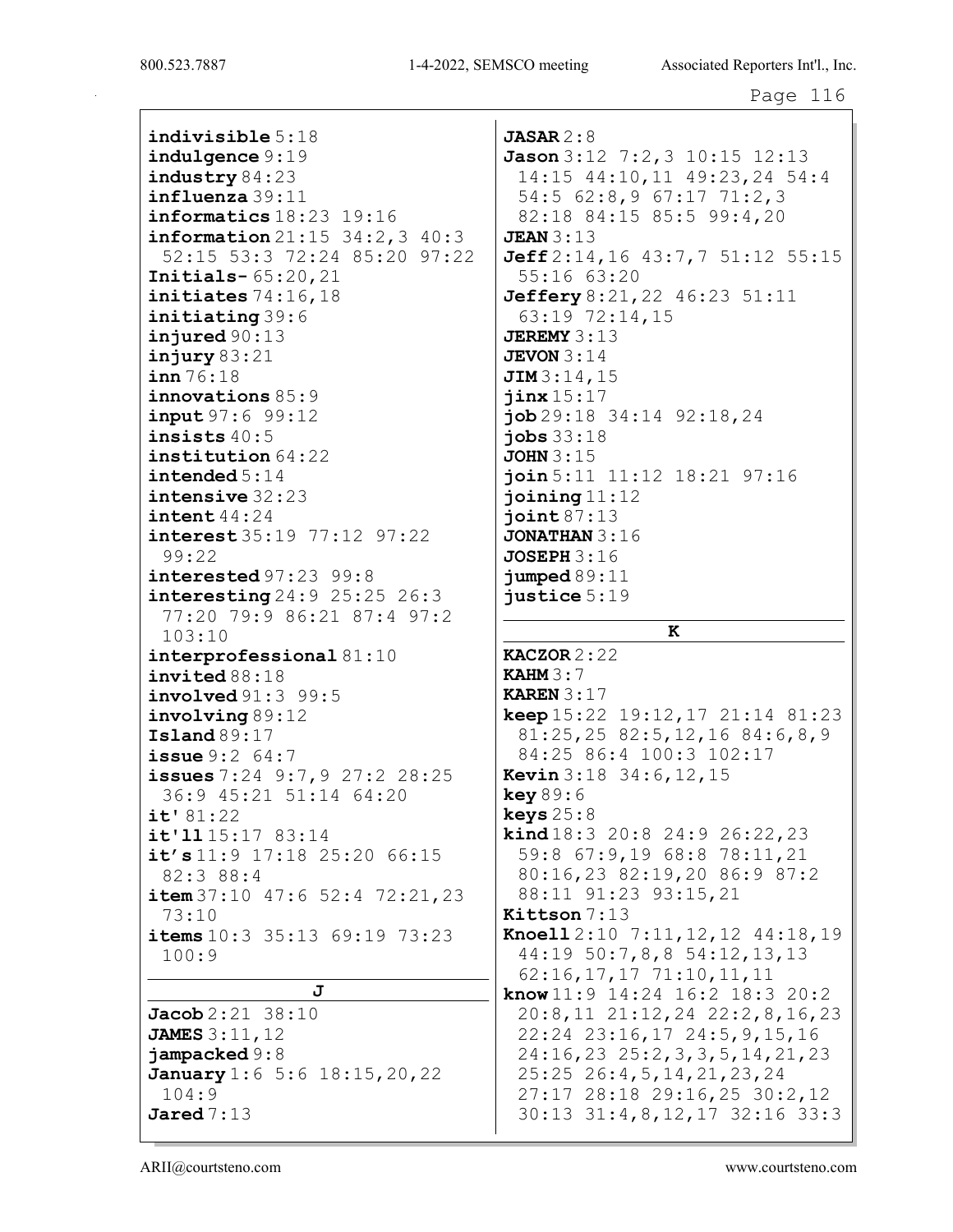indivisible 5:18 indulgence 9:19 industry 84:23 influenza 39:11 informatics 18:23 19:16 information 21:15 34:2,3 40:3 52:15 53:3 72:24 85:20 97:22 Initials- 65:20,21 initiates 74:16,18 initiating 39:6 injured 90:13  $i$ njury 83:21 inn 76:18 innovations 85:9 input 97:6 99:12 insists 40:5 institution 64:22 intended 5:14 intensive 32:23 intent 44:24 interest 35:19 77:12 97:22 99:22 interested 97:23 99:8 interesting 24:9 25:25 26:3 77:20 79:9 86:21 87:4 97:2 103:10 interprofessional 81:10 invited 88:18 involved 91:3 99:5 involving 89:12 Island 89:17 issue 9:2 64:7 issues 7:24 9:7,9 27:2 28:25 36:9 45:21 51:14 64:20 it' 81:22 it'll 15:17 83:14 it's 11:9 17:18 25:20 66:15 82:3 88:4 item  $37:10$   $47:6$   $52:4$   $72:21$ ,  $23$ 73:10 items 10:3 35:13 69:19 73:23 100:9 J Jacob 2:21 38:10 JAMES 3:11,12 jampacked 9:8 January 1:6 5:6 18:15, 20, 22 104:9

 $JASAR 2:8$ Jason 3:12 7:2,3 10:15 12:13 14:15 44:10,11 49:23,24 54:4 54:5 62:8,9 67:17 71:2,3 82:18 84:15 85:5 99:4,20 **JEAN** 3:13 Jeff 2:14,16 43:7,7 51:12 55:15 55:16 63:20 **Jeffery** 8:21, 22 46:23 51:11 63:19 72:14,15 **JEREMY**  $3:13$ **JEVON**  $3:14$ **JIM** 3:14,15 jinx 15:17 job 29:18 34:14 92:18,24 jobs 33:18 **JOHN** 3:15 join 5:11 11:12 18:21 97:16 joining  $11:12$  $i$ oint  $87:13$ JONATHAN 3:16 JOSEPH 3:16 jumped 89:11 justice 5:19 K  $KACZOR2:22$ KAHM 3:7 KAREN 3:17 keep 15:22 19:12,17 21:14 81:23 81:25,25 82:5,12,16 84:6,8,9 84:25 86:4 100:3 102:17 Kevin 3:18 34:6,12,15 key 89:6 keys 25:8 kind 18:3 20:8 24:9 26:22,23 59:8 67:9,19 68:8 78:11,21 80:16,23 82:19,20 86:9 87:2 88:11 91:23 93:15,21 Kittson 7:13 Knoell 2:10 7:11,12,12 44:18,19 44:19 50:7,8,8 54:12,13,13 62:16,17,17 71:10,11,11 know 11:9 14:24 16:2 18:3 20:2 20:8,11 21:12,24 22:2,8,16,23 22:24 23:16,17 24:5,9,15,16 24:16,23 25:2,3,3,5,14,21,23 25:25 26:4,5,14,21,23,24 27:17 28:18 29:16,25 30:2,12 30:13 31:4,8,12,17 32:16 33:3

Jared 7:13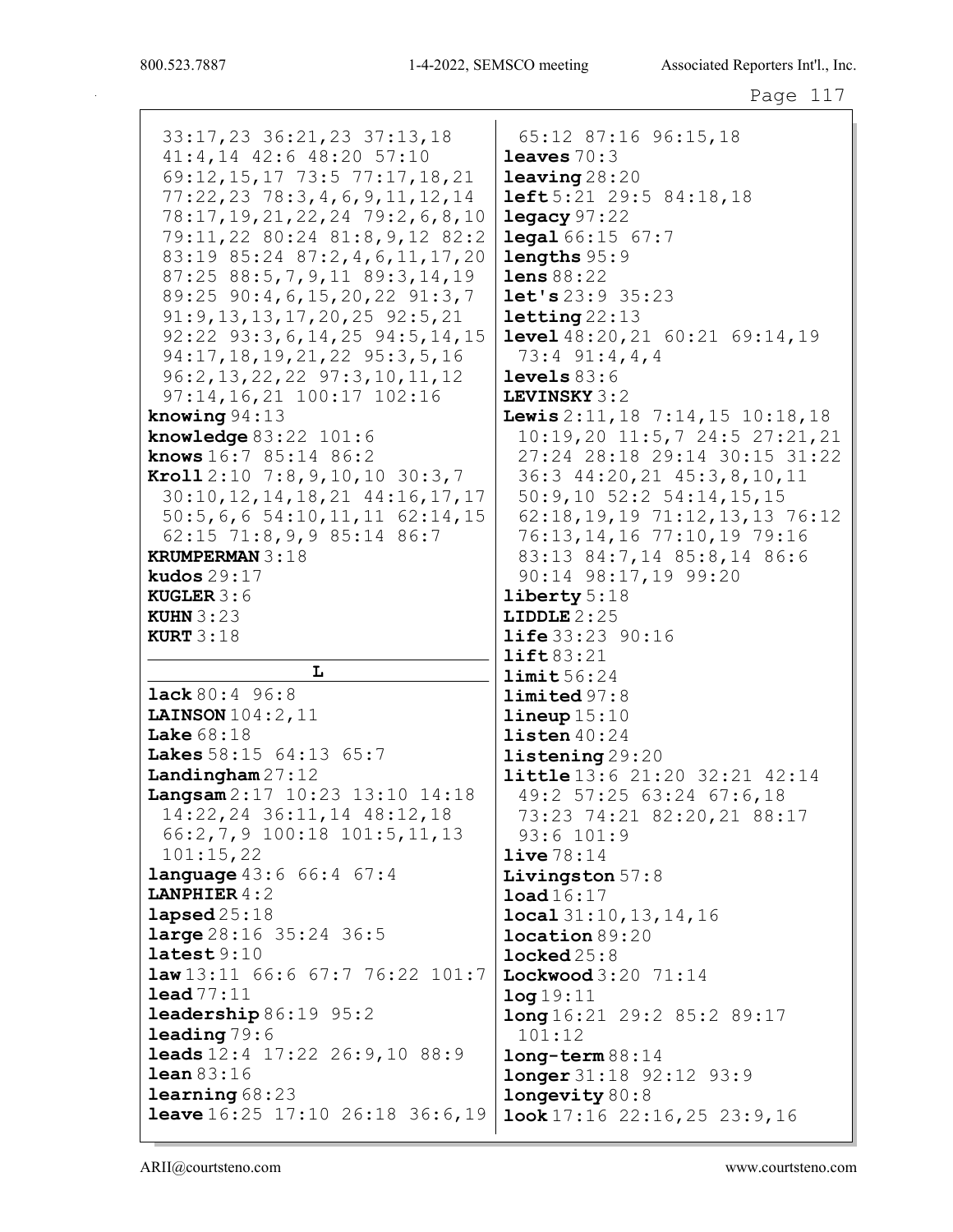33:17, 23 36: 21, 23 37: 13, 18 41:4,14 42:6 48:20 57:10 69:12, 15, 17 73:5 77:17, 18, 21 77:22, 23 78:3, 4, 6, 9, 11, 12, 14 78:17, 19, 21, 22, 24 79: 2, 6, 8, 10 79:11,22 80:24 81:8,9,12 82:2 83:19 85:24 87:2, 4, 6, 11, 17, 20  $87:25$   $88:5,7,9,11$   $89:3,14,19$ 89:25 90:4, 6, 15, 20, 22 91:3, 7  $91:9, 13, 13, 17, 20, 25$   $92:5, 21$ 92:22 93:3, 6, 14, 25 94:5, 14, 15 94:17, 18, 19, 21, 22 95: 3, 5, 16 96:2, 13, 22, 22 97:3, 10, 11, 12 97:14,16,21 100:17 102:16 knowing  $94:13$ knowledge  $83:22$   $101:6$ **knows**  $16:7$  85:14 86:2 Kroll  $2:10$  7:8, 9, 10, 10 30:3, 7 30:10, 12, 14, 18, 21 44:16, 17, 17  $50:5, 6, 6$  54:10, 11, 11 62:14, 15 62:15 71:8,9,9 85:14 86:7 **KRUMPERMAN 3:18** kudos  $29:17$ **KUGLER**  $3:6$ KUHN  $3:23$ **KURT**  $3:18$ L **lack** 80:4 96:8 LAINSON  $104:2$ ,  $11$ Lake  $68:18$ Lakes 58:15 64:13 65:7 Landingham  $27:12$ Langsam 2:17 10:23 13:10 14:18 14:22, 24 36:11, 14 48:12, 18 66:2,7,9 100:18 101:5,11,13  $101:15,22$ **language** 43:6 66:4 67:4 **LANPHIER**  $4:2$  $\texttt{lapped}25:18$  $large\,28:16\,35:24\,36:5$  $lates t 9:10$  $law13:11$  66:6 67:7 76:22 101:7  $\text{lead }77:11$ **leadership**  $86:19$   $95:2$  $\lambda = \lambda$ **leads**  $12:4$   $17:22$   $26:9,10$   $88:9$  $lean 83:16$  $learning68:23$ **leave**  $16:25$  17:10 26:18 36:6,19

65:12 87:16 96:15,18 leaves  $70:3$  $l$ eaving  $28:20$  $left 5:21$  29:5 84:18,18  $leqacy 97:22$ **legal**  $66:15$   $67:7$  $lengths 95:9$ lens  $88:22$  $let's 23:9 35:23$  $letting 22:13$ **level**  $48:20,21$   $60:21$   $69:14,19$  $73:4$  91:4,4,4  $levels 83:6$ LEVINSKY 3:2 Lewis  $2:11, 18$  7:14, 15 10:18, 18  $10:19,20$   $11:5,7$   $24:5$   $27:21,21$ 27:24 28:18 29:14 30:15 31:22 36:3 44:20,21 45:3,8,10,11  $50:9,10$   $52:2$   $54:14,15,15$ 62:18,19,19 71:12,13,13 76:12 76:13, 14, 16 77:10, 19 79:16 83:13 84:7,14 85:8,14 86:6 90:14 98:17,19 99:20 liberty  $5:18$ LIDDLE  $2:25$ **life**  $33:23$   $90:16$  $lift83:21$  $limit 56:24$  $limited 97:8$  $\text{lineup } 15:10$ listen  $40:24$  $listening29:20$ **little**  $13:6$   $21:20$   $32:21$   $42:14$ 49:2 57:25 63:24 67:6,18 73:23 74:21 82:20,21 88:17  $93:6$  101:9  $live 78:14$ Livingston  $57:8$  $load16:17$  $local 31:10, 13, 14, 16$  $location 89:20$  $l$ ocked $25:8$ Lockwood  $3:20$  71:14  $log 19:11$  $long 16:21 29:2 85:2 89:17$  $101:12$  $long-term 88:14$ **longer** 31:18 92:12 93:9 longevity 80:8  $\texttt{look}$  17:16 22:16,25 23:9,16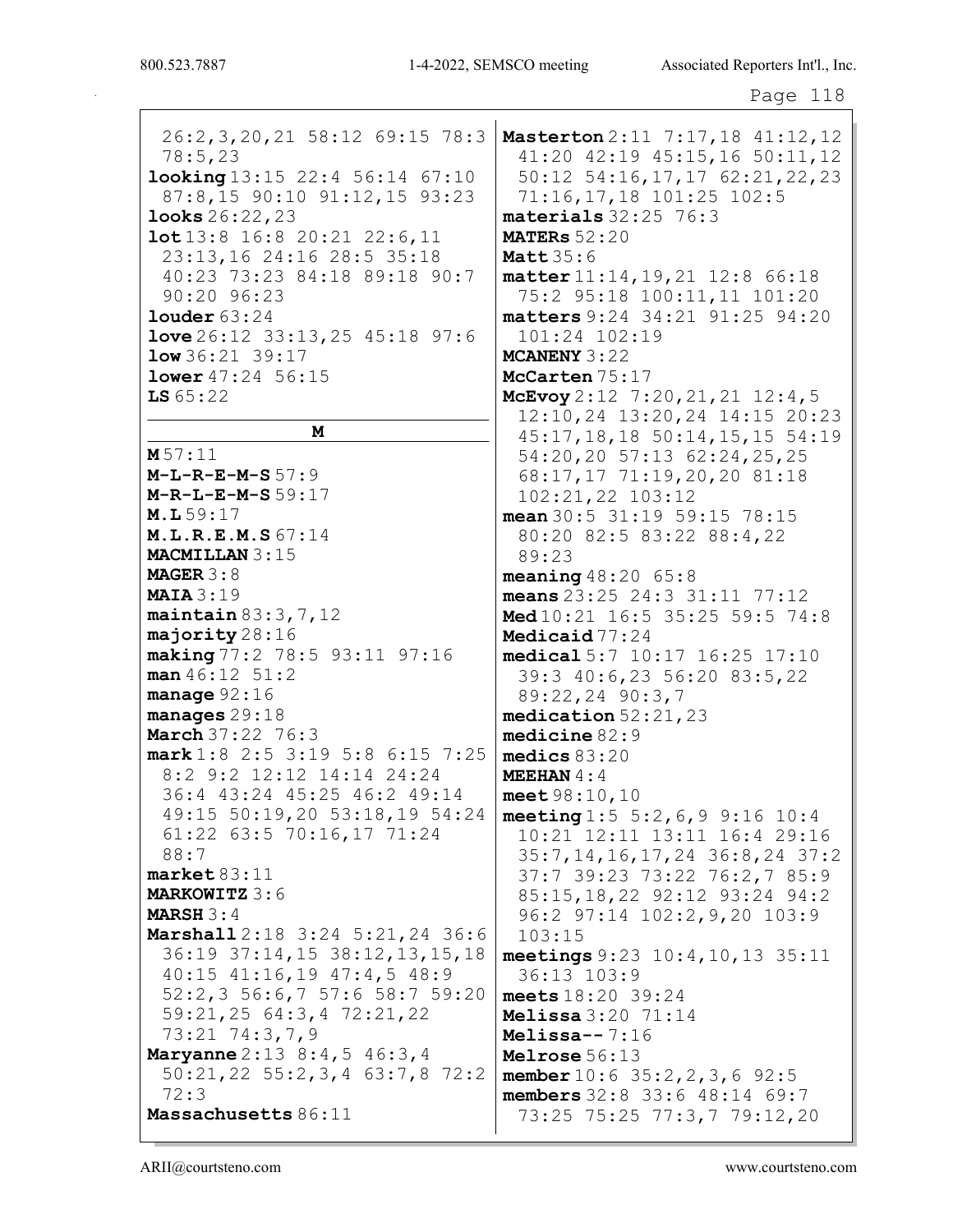26:2,3,20,21 58:12 69:15 78:3 78:5,23 looking 13:15 22:4 56:14 67:10 87:8,15 90:10 91:12,15 93:23 looks 26:22,23 lot 13:8 16:8 20:21 22:6,11 23:13,16 24:16 28:5 35:18 40:23 73:23 84:18 89:18 90:7 90:20 96:23 louder 63:24 love 26:12 33:13,25 45:18 97:6  $low 36:21 39:17$ lower 47:24 56:15  $LS 65:22$ M M 57:11  $M-L-R-E-M-S 57:9$ M-R-L-E-M-S 59:17 M.L 59:17 M.L.R.E.M.S 67:14 MACMILLAN 3:15 MAGER 3:8 **MAIA** 3:19 maintain 83:3,7,12 majority 28:16 making 77:2 78:5 93:11 97:16 man 46:12 51:2 manage 92:16 manages 29:18 **March** 37:22 76:3 mark 1:8 2:5 3:19 5:8 6:15 7:25 8:2 9:2 12:12 14:14 24:24 36:4 43:24 45:25 46:2 49:14 49:15 50:19,20 53:18,19 54:24 61:22 63:5 70:16,17 71:24 88:7 market 83:11 MARKOWITZ 3:6 MARSH 3:4 Marshall 2:18 3:24 5:21,24 36:6 36:19 37:14,15 38:12,13,15,18 40:15 41:16,19 47:4,5 48:9 52:2,3 56:6,7 57:6 58:7 59:20 59:21,25 64:3,4 72:21,22 73:21 74:3,7,9 **Maryanne** 2:13 8:4,5 46:3,4 50:21,22 55:2,3,4 63:7,8 72:2 72:3 Massachusetts 86:11

Masterton 2:11 7:17,18 41:12,12 41:20 42:19 45:15,16 50:11,12 50:12 54:16,17,17 62:21,22,23 71:16,17,18 101:25 102:5 materials 32:25 76:3 **MATERS** 52:20 **Matt 35:6** matter 11:14,19,21 12:8 66:18 75:2 95:18 100:11,11 101:20 matters 9:24 34:21 91:25 94:20 101:24 102:19 MCANENY 3:22 McCarten 75:17 McEvoy 2:12 7:20, 21, 21 12:4, 5 12:10,24 13:20,24 14:15 20:23 45:17,18,18 50:14,15,15 54:19 54:20,20 57:13 62:24,25,25 68:17,17 71:19,20,20 81:18 102:21,22 103:12 mean 30:5 31:19 59:15 78:15 80:20 82:5 83:22 88:4,22 89:23 meaning 48:20 65:8 means 23:25 24:3 31:11 77:12 Med 10:21 16:5 35:25 59:5 74:8 Medicaid 77:24 medical 5:7 10:17 16:25 17:10 39:3 40:6,23 56:20 83:5,22 89:22,24 90:3,7 medication 52:21,23 medicine 82:9 medics 83:20 MEEHAN  $4:4$ meet 98:10,10 meeting  $1:5\ 5:2,6,9\ 9:16\ 10:4$ 10:21 12:11 13:11 16:4 29:16 35:7,14,16,17,24 36:8,24 37:2 37:7 39:23 73:22 76:2,7 85:9 85:15,18,22 92:12 93:24 94:2 96:2 97:14 102:2,9,20 103:9 103:15 meetings 9:23 10:4,10,13 35:11 36:13 103:9 meets 18:20 39:24 Melissa 3:20 71:14 Melissa- $-7:16$ Melrose 56:13 member 10:6 35:2,2,3,6 92:5 members 32:8 33:6 48:14 69:7 73:25 75:25 77:3,7 79:12,20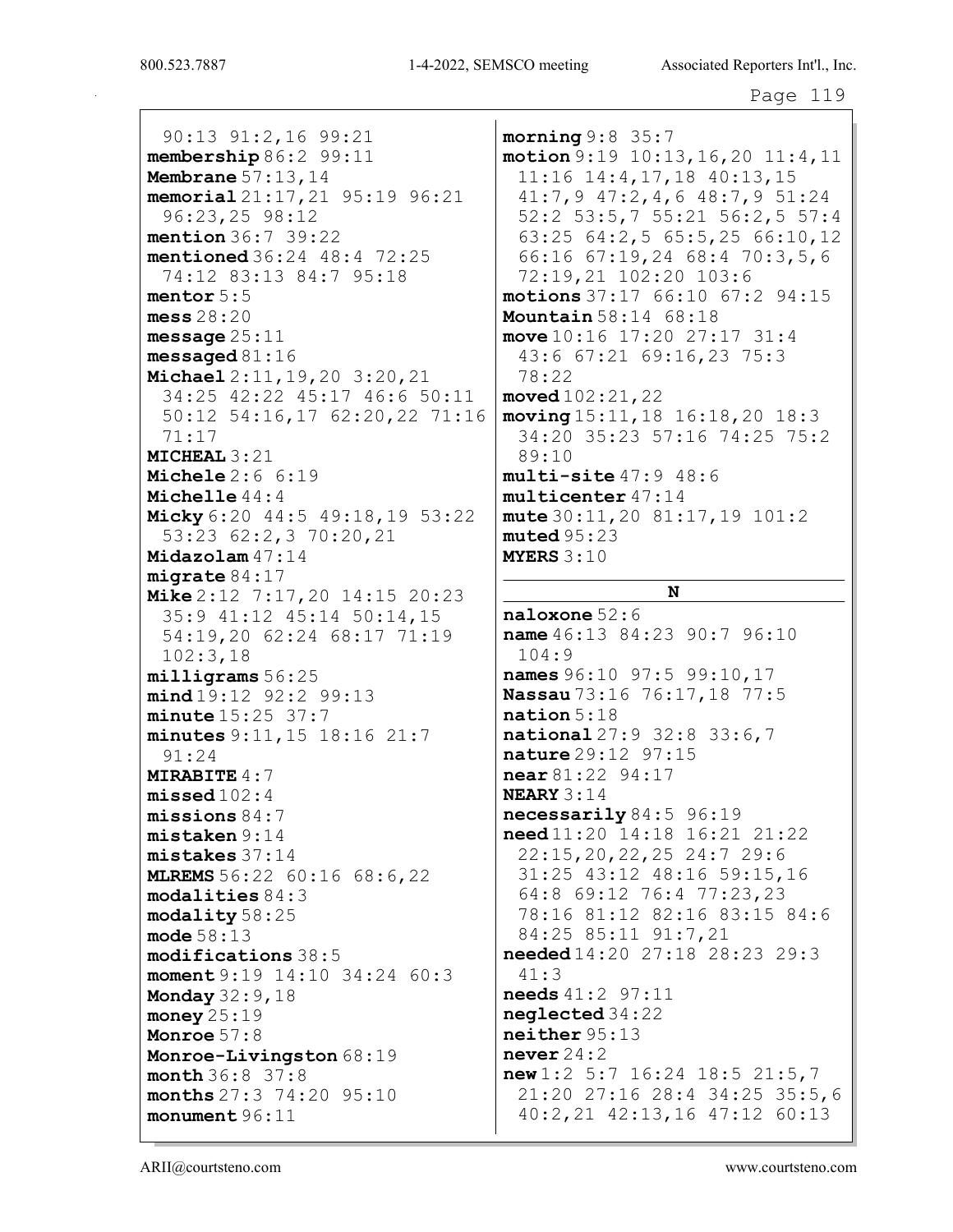90:13 91:2,16 99:21 membership 86:2 99:11 Membrane 57:13,14 memorial 21:17,21 95:19 96:21 96:23,25 98:12 mention 36:7 39:22 mentioned 36:24 48:4 72:25 74:12 83:13 84:7 95:18 mentor 5:5 mess 28:20 message  $25:11$ messaged 81:16 Michael 2:11,19,20 3:20,21 34:25 42:22 45:17 46:6 50:11 50:12 54:16,17 62:20,22 71:16 71:17 MICHEAL 3:21 Michele 2:6 6:19 Michelle 44:4 Micky 6:20 44:5 49:18,19 53:22 53:23 62:2,3 70:20,21 Midazolam 47:14 migrate 84:17 Mike 2:12 7:17,20 14:15 20:23 35:9 41:12 45:14 50:14,15 54:19,20 62:24 68:17 71:19 102:3,18 milligrams 56:25 mind 19:12 92:2 99:13 minute 15:25 37:7 minutes 9:11,15 18:16 21:7 91:24 MIRABITE 4:7 missed 102:4 missions 84:7 mistaken 9:14 mistakes 37:14 **MLREMS** 56:22 60:16 68:6,22 modalities 84:3 modality 58:25 mode 58:13 modifications 38:5 moment 9:19 14:10 34:24 60:3 Monday 32:9,18 money 25:19 Monroe 57:8 Monroe-Livingston  $68:19$ month 36:8 37:8 months 27:3 74:20 95:10 monument 96:11

morning 9:8 35:7 motion 9:19 10:13,16,20 11:4,11 11:16 14:4,17,18 40:13,15 41:7,9 47:2,4,6 48:7,9 51:24 52:2 53:5,7 55:21 56:2,5 57:4 63:25 64:2,5 65:5,25 66:10,12 66:16 67:19,24 68:4 70:3,5,6 72:19,21 102:20 103:6 motions 37:17 66:10 67:2 94:15 Mountain 58:14 68:18 move  $10:16$  17:20 27:17 31:4 43:6 67:21 69:16,23 75:3 78:22 moved 102:21,22 moving 15:11,18 16:18,20 18:3 34:20 35:23 57:16 74:25 75:2 89:10 multi-site 47:9 48:6 multicenter 47:14 mute 30:11,20 81:17,19 101:2  $muted 95:23$ MYERS 3:10

### N

naloxone 52:6 name  $46:13$  84:23 90:7 96:10 104:9 names 96:10 97:5 99:10,17 Nassau 73:16 76:17,18 77:5 nation 5:18 national 27:9 32:8 33:6,7 nature 29:12 97:15 near 81:22 94:17 NEARY 3:14 necessarily 84:5 96:19 need 11:20 14:18 16:21 21:22 22:15,20,22,25 24:7 29:6 31:25 43:12 48:16 59:15,16 64:8 69:12 76:4 77:23,23 78:16 81:12 82:16 83:15 84:6 84:25 85:11 91:7,21 needed 14:20 27:18 28:23 29:3 41:3 needs 41:2 97:11 neglected 34:22 neither 95:13 never  $24:2$ new 1:2 5:7 16:24 18:5 21:5,7 21:20 27:16 28:4 34:25 35:5,6 40:2,21 42:13,16 47:12 60:13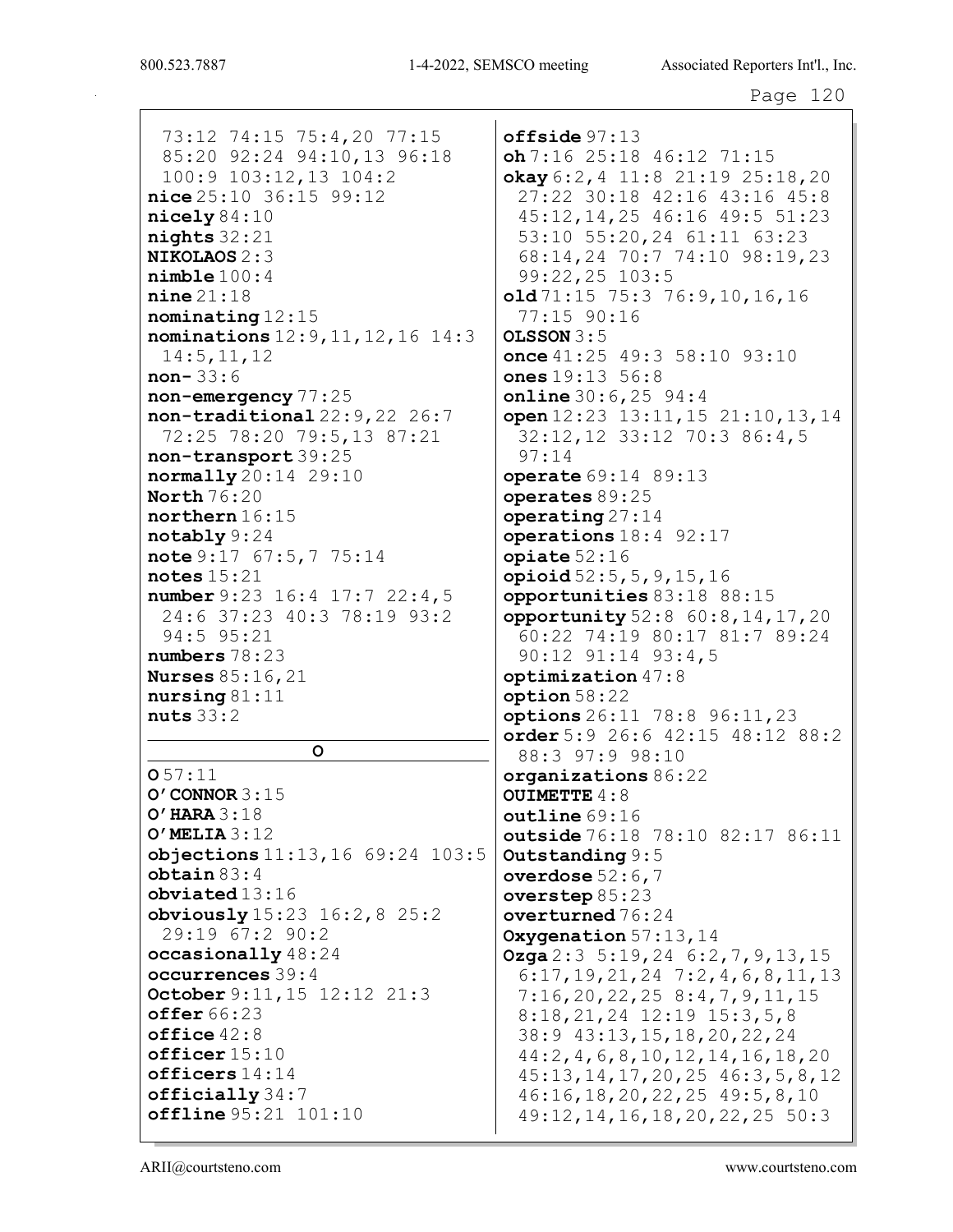73:12 74:15 75:4,20 77:15 85:20 92:24 94:10,13 96:18 100:9 103:12,13 104:2 nice 25:10 36:15 99:12 nicely 84:10 nights 32:21 NIKOLAOS 2:3 nimble 100:4 nine 21:18 nominating 12:15 nominations 12:9,11,12,16 14:3 14:5,11,12 non- 33:6 non-emergency 77:25 non-traditional 22:9,22 26:7 72:25 78:20 79:5,13 87:21 non-transport 39:25 normally 20:14 29:10 North 76:20 northern 16:15 notably 9:24 note 9:17 67:5,7 75:14 notes  $15:21$ number 9:23 16:4 17:7 22:4,5 24:6 37:23 40:3 78:19 93:2 94:5 95:21 numbers 78:23 Nurses 85:16,21 nursing 81:11 nuts 33:2

O

O 57:11 O'CONNOR 3:15 O'HARA 3:18 O'MELIA 3:12 objections 11:13,16 69:24 103:5 obtain 83:4 obviated 13:16 obviously 15:23 16:2,8 25:2 29:19 67:2 90:2 occasionally 48:24 occurrences 39:4 October 9:11,15 12:12 21:3 offer 66:23 office 42:8 officer 15:10 officers 14:14 officially 34:7 offline 95:21 101:10

offside 97:13  $oh 7:16 25:18 46:12 71:15$  $\alpha$ kay 6:2, 4 11:8 21:19 25:18, 20 27:22 30:18 42:16 43:16 45:8 45:12,14,25 46:16 49:5 51:23 53:10 55:20,24 61:11 63:23 68:14,24 70:7 74:10 98:19,23 99:22,25 103:5 old 71:15 75:3 76:9,10,16,16 77:15 90:16  $OLSSON 3:5$ once 41:25 49:3 58:10 93:10 ones 19:13 56:8 online 30:6,25 94:4 open 12:23 13:11,15 21:10,13,14 32:12,12 33:12 70:3 86:4,5 97:14 operate 69:14 89:13 operates 89:25  $\mathbf{operating}\,27\!:\!14$ operations 18:4 92:17  $opiate 52:16$ opioid 52:5,5,9,15,16 opportunities 83:18 88:15 opportunity 52:8 60:8,14,17,20 60:22 74:19 80:17 81:7 89:24 90:12 91:14 93:4,5 optimization 47:8 option 58:22 options 26:11 78:8 96:11,23 order 5:9 26:6 42:15 48:12 88:2 88:3 97:9 98:10 organizations 86:22 OUIMETTE 4:8 outline 69:16 outside 76:18 78:10 82:17 86:11 Outstanding 9:5 overdose  $52:6,7$ overstep 85:23 overturned 76:24 Oxygenation  $57:13,14$ **Ozga**  $2:3$  5:19, 24 6:2, 7, 9, 13, 15 6:17,19,21,24 7:2,4,6,8,11,13 7:16,20,22,25 8:4,7,9,11,15 8:18,21,24 12:19 15:3,5,8 38:9 43:13,15,18,20,22,24 44:2,4,6,8,10,12,14,16,18,20 45:13,14,17,20,25 46:3,5,8,12 46:16,18,20,22,25 49:5,8,10 49:12,14,16,18,20,22,25 50:3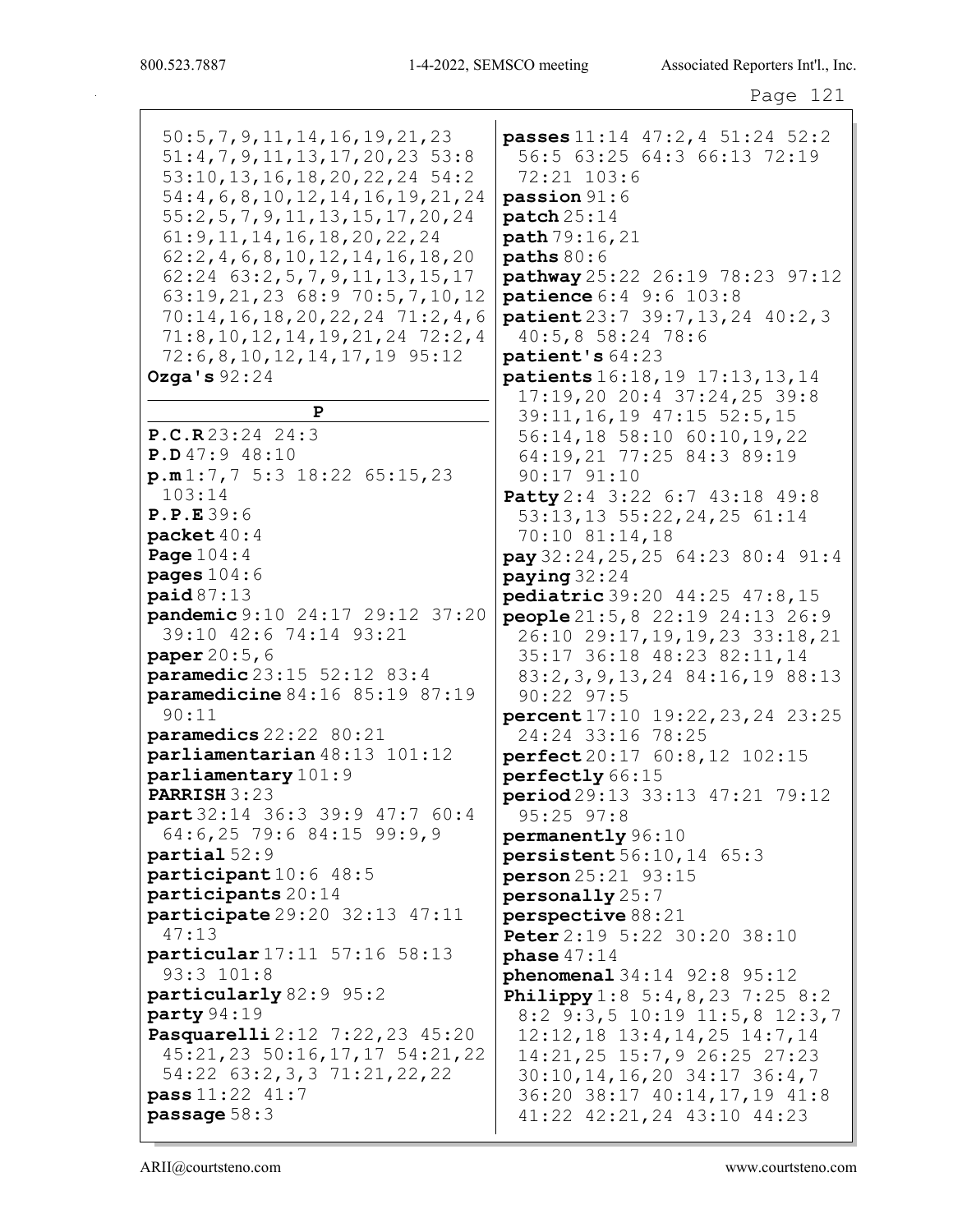50:5,7,9,11,14,16,19,21,23 51:4,7,9,11,13,17,20,23 53:8 53:10,13,16,18,20,22,24 54:2 54:4,6,8,10,12,14,16,19,21,24 55:2,5,7,9,11,13,15,17,20,24 61:9,11,14,16,18,20,22,24 62:2,4,6,8,10,12,14,16,18,20 62:24 63:2,5,7,9,11,13,15,17 63:19,21,23 68:9 70:5,7,10,12 70:14,16,18,20,22,24 71:2,4,6 71:8,10,12,14,19,21,24 72:2,4 72:6,8,10,12,14,17,19 95:12 Ozga's 92:24 P P.C.R 23:24 24:3 P.D 47:9 48:10  $p.m 1:7,7 5:3 18:22 65:15,23$ 103:14 P.P.E 39:6 packet 40:4 Page 104:4 pages 104:6 paid 87:13 pandemic 9:10 24:17 29:12 37:20 39:10 42:6 74:14 93:21 paper  $20:5,6$ paramedic 23:15 52:12 83:4 paramedicine 84:16 85:19 87:19 90:11 paramedics 22:22 80:21 parliamentarian 48:13 101:12 parliamentary 101:9 PARRISH 3:23 part 32:14 36:3 39:9 47:7 60:4 64:6,25 79:6 84:15 99:9,9 partial 52:9 participant 10:6 48:5 participants 20:14 participate 29:20 32:13 47:11 47:13 particular 17:11 57:16 58:13 93:3 101:8 particularly 82:9 95:2 party 94:19 Pasquarelli 2:12 7:22,23 45:20 45:21,23 50:16,17,17 54:21,22 54:22 63:2,3,3 71:21,22,22 pass 11:22 41:7 passage 58:3

passes 11:14 47:2,4 51:24 52:2 56:5 63:25 64:3 66:13 72:19 72:21 103:6 passion 91:6 patch 25:14 path 79:16,21 paths 80:6 pathway 25:22 26:19 78:23 97:12 patience 6:4 9:6 103:8 patient 23:7 39:7,13,24 40:2,3 40:5,8 58:24 78:6 patient's 64:23 patients 16:18,19 17:13,13,14 17:19,20 20:4 37:24,25 39:8 39:11,16,19 47:15 52:5,15 56:14,18 58:10 60:10,19,22 64:19,21 77:25 84:3 89:19 90:17 91:10 Patty 2:4 3:22 6:7 43:18 49:8 53:13,13 55:22,24,25 61:14 70:10 81:14,18 pay 32:24,25,25 64:23 80:4 91:4 paying 32:24 pediatric 39:20 44:25 47:8,15 people 21:5,8 22:19 24:13 26:9 26:10 29:17,19,19,23 33:18,21 35:17 36:18 48:23 82:11,14 83:2,3,9,13,24 84:16,19 88:13 90:22 97:5 percent 17:10 19:22,23,24 23:25 24:24 33:16 78:25 perfect 20:17 60:8,12 102:15 perfectly 66:15 period 29:13 33:13 47:21 79:12 95:25 97:8 permanently 96:10 persistent 56:10,14 65:3 person 25:21 93:15 personally 25:7 perspective 88:21 Peter 2:19 5:22 30:20 38:10 phase 47:14 phenomenal 34:14 92:8 95:12 **Philippy** 1:8 5:4, 8, 23 7:25 8:2 8:2 9:3,5 10:19 11:5,8 12:3,7 12:12,18 13:4,14,25 14:7,14 14:21,25 15:7,9 26:25 27:23 30:10,14,16,20 34:17 36:4,7 36:20 38:17 40:14,17,19 41:8 41:22 42:21,24 43:10 44:23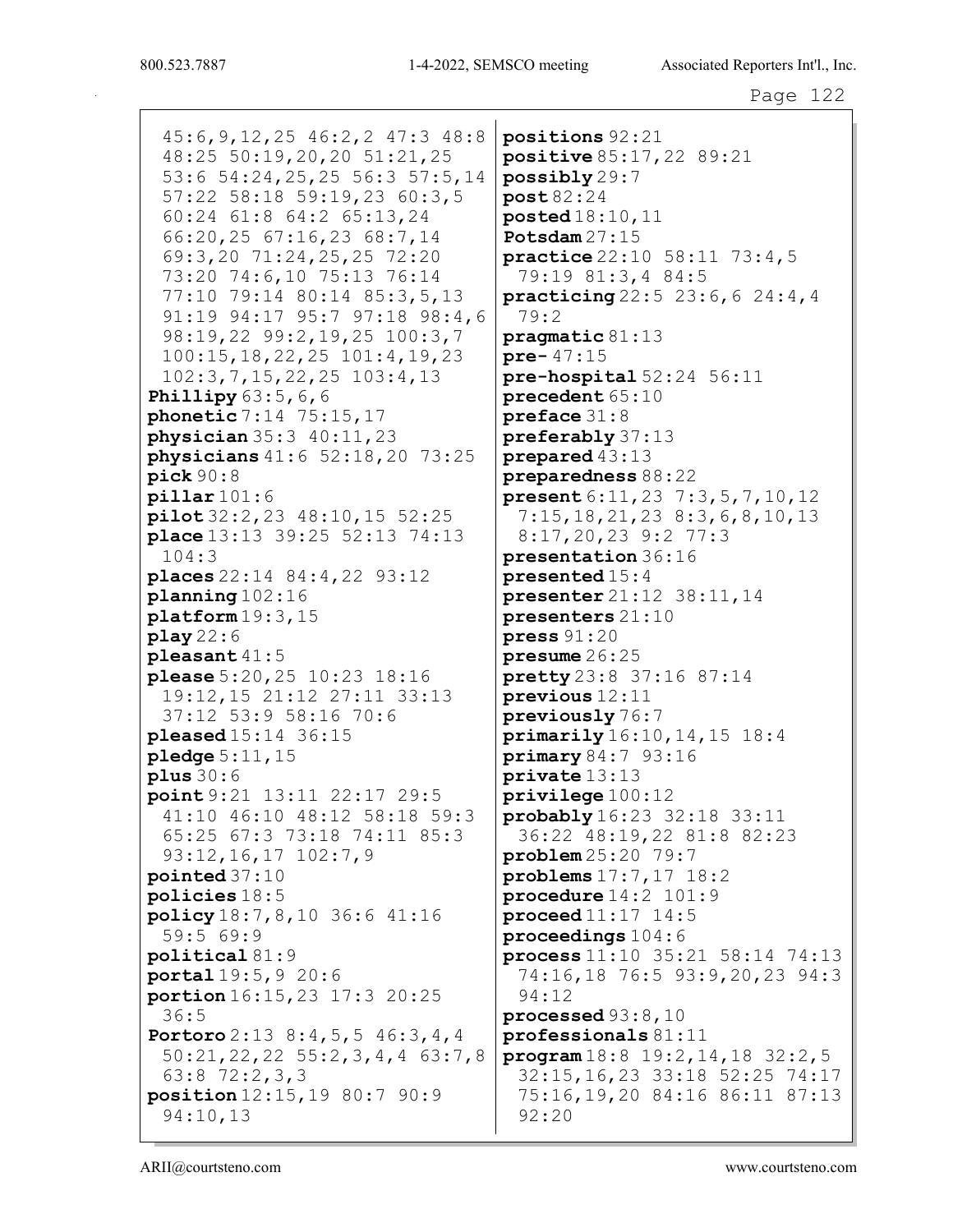45:6,9,12,25 46:2,2 47:3 48:8 48:25 50:19,20,20 51:21,25 53:6 54:24,25,25 56:3 57:5,14 57:22 58:18 59:19,23 60:3,5 60:24 61:8 64:2 65:13,24 66:20,25 67:16,23 68:7,14 69:3,20 71:24,25,25 72:20 73:20 74:6,10 75:13 76:14 77:10 79:14 80:14 85:3,5,13 91:19 94:17 95:7 97:18 98:4,6 98:19,22 99:2,19,25 100:3,7 100:15,18,22,25 101:4,19,23 102:3,7,15,22,25 103:4,13 **Phillipy** 63:5, 6, 6 phonetic 7:14 75:15,17 physician 35:3 40:11,23 physicians 41:6 52:18,20 73:25 pick 90:8  $pi$ 11ar 101:6 pilot 32:2,23 48:10,15 52:25 place 13:13 39:25 52:13 74:13 104:3 places 22:14 84:4,22 93:12 planning 102:16 platform 19:3,15 play 22:6 pleasant 41:5 please 5:20,25 10:23 18:16 19:12,15 21:12 27:11 33:13 37:12 53:9 58:16 70:6 pleased 15:14 36:15 pledge 5:11,15  $plus 30:6$ point 9:21 13:11 22:17 29:5 41:10 46:10 48:12 58:18 59:3 65:25 67:3 73:18 74:11 85:3 93:12,16,17 102:7,9 pointed 37:10 policies 18:5 policy 18:7,8,10 36:6 41:16 59:5 69:9 political 81:9 portal 19:5,9 20:6 portion 16:15,23 17:3 20:25 36:5 Portoro 2:13 8:4, 5, 5 46:3, 4, 4 50:21,22,22 55:2,3,4,4 63:7,8 63:8 72:2,3,3 position 12:15,19 80:7 90:9 94:10,13

positions 92:21 positive 85:17,22 89:21 possibly 29:7 post 82:24 posted 18:10,11 Potsdam 27:15 practice 22:10 58:11 73:4,5 79:19 81:3,4 84:5 practicing 22:5 23:6,6 24:4,4 79:2 pragmatic 81:13 pre- 47:15 pre-hospital 52:24 56:11 precedent 65:10 preface 31:8 preferably 37:13 prepared 43:13 preparedness 88:22 present 6:11,23 7:3,5,7,10,12 7:15,18,21,23 8:3,6,8,10,13 8:17,20,23 9:2 77:3 presentation 36:16 presented 15:4 presenter 21:12 38:11,14 presenters 21:10 press 91:20 presume 26:25 pretty 23:8 37:16 87:14 previous 12:11 previously 76:7 primarily 16:10,14,15 18:4 primary 84:7 93:16 private 13:13 privilege 100:12 probably 16:23 32:18 33:11 36:22 48:19,22 81:8 82:23 problem 25:20 79:7 problems 17:7,17 18:2 procedure 14:2 101:9 proceed 11:17 14:5 proceedings 104:6 process 11:10 35:21 58:14 74:13 74:16,18 76:5 93:9,20,23 94:3 94:12 processed 93:8,10 professionals 81:11 program 18:8 19:2,14,18 32:2,5 32:15,16,23 33:18 52:25 74:17 75:16,19,20 84:16 86:11 87:13 92:20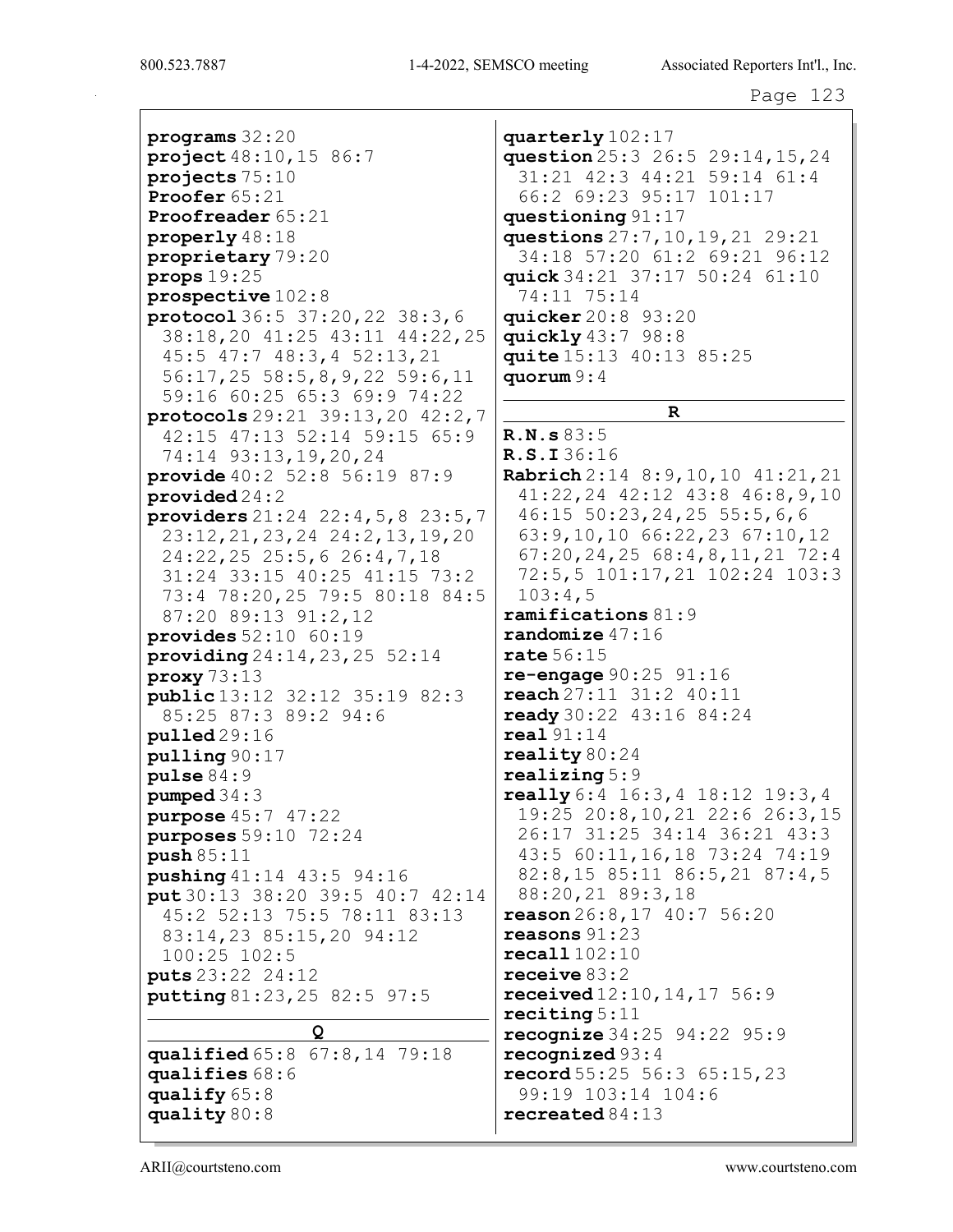programs 32:20 project 48:10,15 86:7 projects 75:10 Proofer 65:21 Proofreader 65:21 properly 48:18 proprietary 79:20 props 19:25 prospective 102:8 protocol 36:5 37:20,22 38:3,6 38:18,20 41:25 43:11 44:22,25 45:5 47:7 48:3,4 52:13,21 56:17,25 58:5,8,9,22 59:6,11 59:16 60:25 65:3 69:9 74:22 protocols 29:21 39:13,20 42:2,7 42:15 47:13 52:14 59:15 65:9 74:14 93:13,19,20,24 provide 40:2 52:8 56:19 87:9 provided 24:2 providers 21:24 22:4,5,8 23:5,7 23:12,21,23,24 24:2,13,19,20 24:22,25 25:5,6 26:4,7,18 31:24 33:15 40:25 41:15 73:2 73:4 78:20,25 79:5 80:18 84:5 87:20 89:13 91:2,12 provides  $52:10$   $60:19$ providing 24:14,23,25 52:14 proxy 73:13 public 13:12 32:12 35:19 82:3 85:25 87:3 89:2 94:6 pulled 29:16 pulling 90:17 pulse 84:9 pumped 34:3 purpose 45:7 47:22 purposes 59:10 72:24 push 85:11 pushing 41:14 43:5 94:16 put 30:13 38:20 39:5 40:7 42:14 45:2 52:13 75:5 78:11 83:13 83:14,23 85:15,20 94:12 100:25 102:5 puts 23:22 24:12 putting 81:23,25 82:5 97:5 Q qualified 65:8 67:8,14 79:18 qualifies 68:6 qualify 65:8

quarterly 102:17 question 25:3 26:5 29:14,15,24 31:21 42:3 44:21 59:14 61:4 66:2 69:23 95:17 101:17 questioning 91:17 questions 27:7,10,19,21 29:21 34:18 57:20 61:2 69:21 96:12 quick 34:21 37:17 50:24 61:10 74:11 75:14 quicker 20:8 93:20 quickly 43:7 98:8 quite 15:13 40:13 85:25 quorum 9:4 R R.N.s 83:5 R.S.I 36:16 Rabrich 2:14 8:9,10,10 41:21,21 41:22,24 42:12 43:8 46:8,9,10 46:15 50:23,24,25 55:5,6,6 63:9,10,10 66:22,23 67:10,12 67:20,24,25 68:4,8,11,21 72:4 72:5,5 101:17,21 102:24 103:3 103:4,5 ramifications 81:9 randomize 47:16 rate 56:15 re-engage 90:25 91:16 reach 27:11 31:2 40:11 ready 30:22 43:16 84:24 real 91:14 reality  $80:24$ realizing 5:9 really 6:4 16:3,4 18:12 19:3,4 19:25 20:8,10,21 22:6 26:3,15 26:17 31:25 34:14 36:21 43:3 43:5 60:11,16,18 73:24 74:19 82:8,15 85:11 86:5,21 87:4,5 88:20,21 89:3,18  $r$ eason  $26:8$ ,  $17$   $40:7$   $56:20$ reasons 91:23 recall 102:10 receive 83:2 received 12:10,14,17 56:9 reciting 5:11 recognize 34:25 94:22 95:9 recognized 93:4 record  $55:25\ 56:3\ 65:15,23$ 99:19 103:14 104:6 recreated 84:13

quality 80:8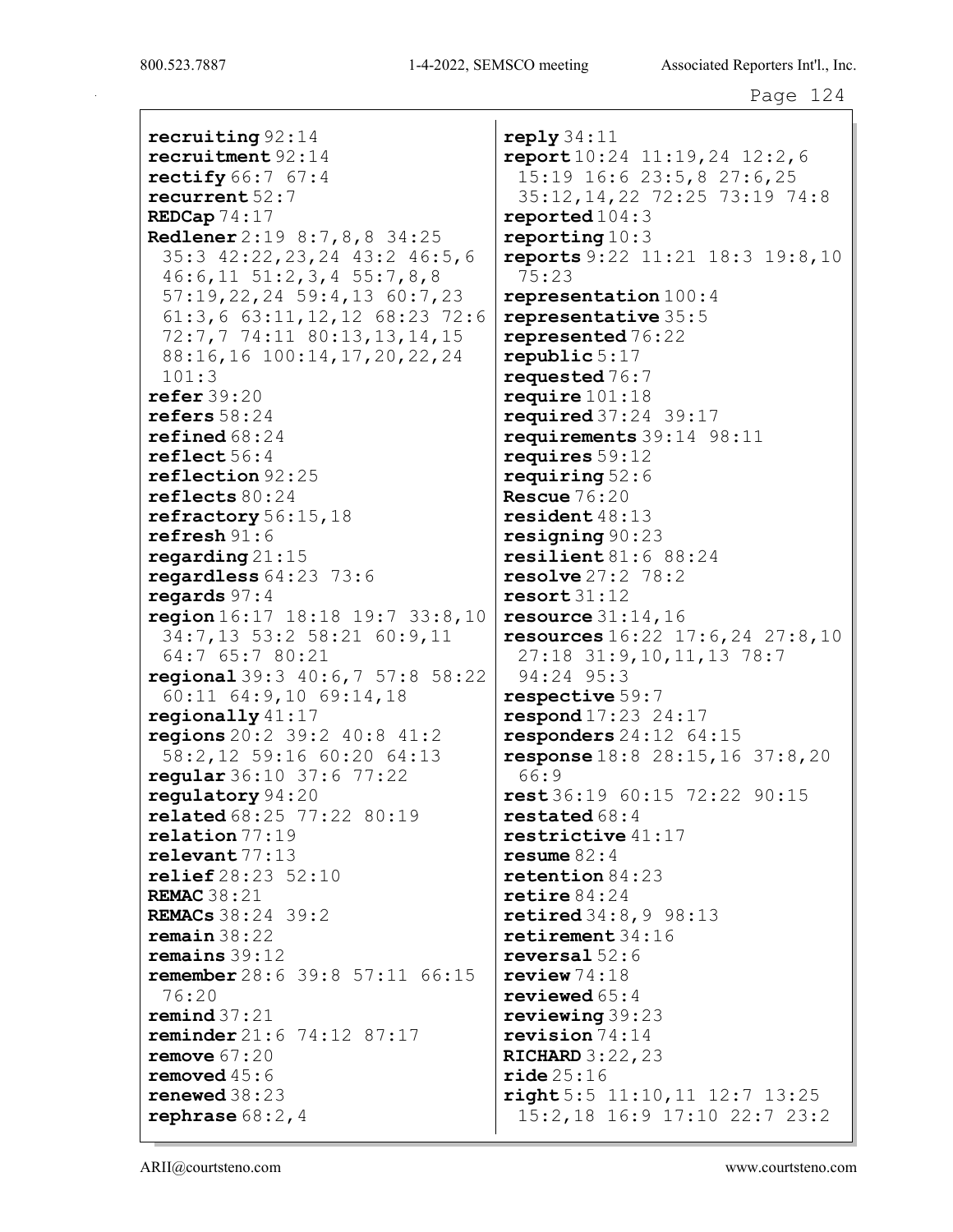recruiting 92:14 recruitment 92:14 rectify 66:7 67:4 recurrent 52:7 REDCap 74:17 Redlener 2:19 8:7,8,8 34:25 35:3 42:22,23,24 43:2 46:5,6 46:6,11 51:2,3,4 55:7,8,8 57:19,22,24 59:4,13 60:7,23 61:3,6 63:11,12,12 68:23 72:6 72:7,7 74:11 80:13,13,14,15 88:16,16 100:14,17,20,22,24 101:3 refer 39:20 refers 58:24 refined 68:24 reflect 56:4 reflection 92:25 reflects 80:24 refractory 56:15,18 refresh 91:6 regarding 21:15 regardless 64:23 73:6 regards 97:4 region 16:17 18:18 19:7 33:8,10 34:7,13 53:2 58:21 60:9,11 64:7 65:7 80:21 regional 39:3 40:6,7 57:8 58:22 60:11 64:9,10 69:14,18 regionally 41:17 regions 20:2 39:2 40:8 41:2 58:2,12 59:16 60:20 64:13 regular 36:10 37:6 77:22 regulatory 94:20 related 68:25 77:22 80:19 relation 77:19 relevant 77:13 relief 28:23 52:10 REMAC 38:21 REMACs 38:24 39:2 remain 38:22 remains 39:12 remember 28:6 39:8 57:11 66:15 76:20 remind  $37:21$ reminder 21:6 74:12 87:17 remove 67:20 removed 45:6 renewed 38:23 rephrase 68:2,4

reply 34:11 report 10:24 11:19,24 12:2,6 15:19 16:6 23:5,8 27:6,25 35:12,14,22 72:25 73:19 74:8 reported 104:3 reporting 10:3 reports 9:22 11:21 18:3 19:8,10 75:23 representation 100:4 representative 35:5 represented 76:22 republic 5:17 requested 76:7 require 101:18 required 37:24 39:17 requirements 39:14 98:11 requires 59:12 requiring 52:6 Rescue 76:20 resident 48:13 resigning 90:23 resilient 81:6 88:24 resolve 27:2 78:2 resort 31:12 resource  $31:14$ , 16 resources 16:22 17:6,24 27:8,10 27:18 31:9,10,11,13 78:7 94:24 95:3 respective 59:7 respond 17:23 24:17 responders 24:12 64:15 response 18:8 28:15,16 37:8,20 66:9 rest 36:19 60:15 72:22 90:15 restated 68:4 restrictive 41:17 resume 82:4 retention 84:23 retire 84:24 retired 34:8,9 98:13 retirement 34:16 reversal 52:6 review 74:18 reviewed 65:4 reviewing 39:23 revision 74:14 RICHARD 3:22,23  $\texttt{ride}~25:16$ right 5:5 11:10,11 12:7 13:25 15:2,18 16:9 17:10 22:7 23:2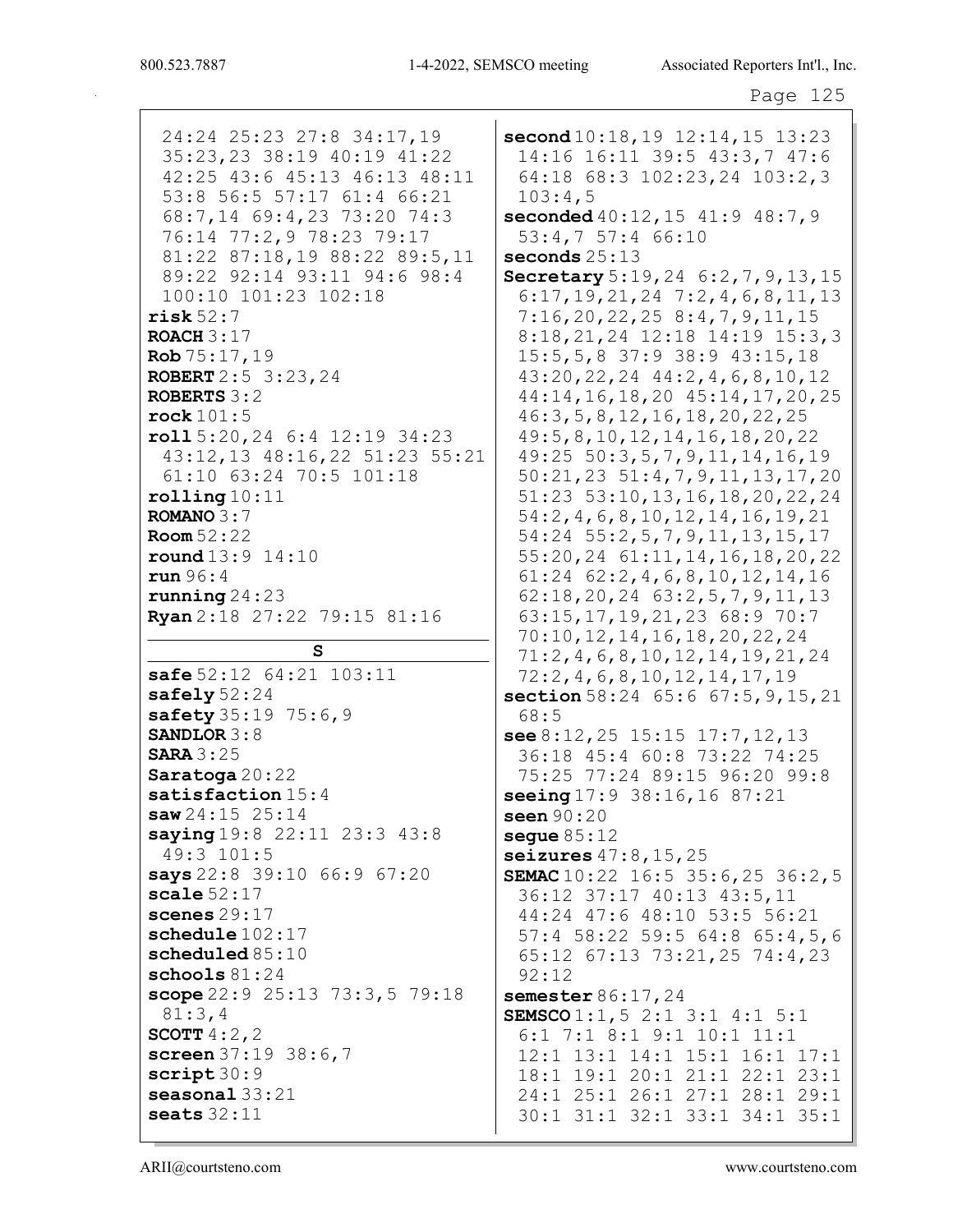24:24 25:23 27:8 34:17,19 35:23,23 38:19 40:19 41:22 42:25 43:6 45:13 46:13 48:11 53:8 56:5 57:17 61:4 66:21 68:7,14 69:4,23 73:20 74:3 76:14 77:2,9 78:23 79:17 81:22 87:18,19 88:22 89:5,11 89:22 92:14 93:11 94:6 98:4 100:10 101:23 102:18 risk 52:7 ROACH  $3:17$  $Rob 75:17,19$ ROBERT 2:5 3:23,24 ROBERTS 3:2 rock 101:5 roll 5:20,24 6:4 12:19 34:23 43:12,13 48:16,22 51:23 55:21 61:10 63:24 70:5 101:18 rolling 10:11 ROMANO 3:7 Room 52:22 round 13:9 14:10 run 96:4 running 24:23 Ryan 2:18 27:22 79:15 81:16 S safe 52:12 64:21 103:11 safely 52:24 safety 35:19 75:6, 9 SANDLOR 3:8 **SARA 3:25** Saratoga 20:22 satisfaction  $15:4$ saw 24:15 25:14 saying 19:8 22:11 23:3 43:8 49:3 101:5 says 22:8 39:10 66:9 67:20 scale 52:17 scenes 29:17 schedule 102:17 scheduled 85:10 schools 81:24 scope 22:9 25:13 73:3,5 79:18 81:3,4 SCOTT 4:2,2 screen 37:19 38:6,7 script 30:9 seasonal 33:21 seats 32:11

second 10:18,19 12:14,15 13:23 14:16 16:11 39:5 43:3,7 47:6 64:18 68:3 102:23,24 103:2,3 103:4,5 seconded 40:12,15 41:9 48:7,9 53:4,7 57:4 66:10 seconds 25:13 Secretary 5:19, 24 6:2, 7, 9, 13, 15 6:17,19,21,24 7:2,4,6,8,11,13 7:16,20,22,25 8:4,7,9,11,15 8:18,21,24 12:18 14:19 15:3,3 15:5,5,8 37:9 38:9 43:15,18 43:20,22,24 44:2,4,6,8,10,12 44:14,16,18,20 45:14,17,20,25 46:3,5,8,12,16,18,20,22,25 49:5,8,10,12,14,16,18,20,22 49:25 50:3,5,7,9,11,14,16,19 50:21,23 51:4,7,9,11,13,17,20 51:23 53:10,13,16,18,20,22,24 54:2,4,6,8,10,12,14,16,19,21 54:24 55:2,5,7,9,11,13,15,17 55:20,24 61:11,14,16,18,20,22 61:24 62:2,4,6,8,10,12,14,16 62:18,20,24 63:2,5,7,9,11,13 63:15,17,19,21,23 68:9 70:7 70:10,12,14,16,18,20,22,24 71:2,4,6,8,10,12,14,19,21,24 72:2,4,6,8,10,12,14,17,19 section 58:24 65:6 67:5, 9, 15, 21 68:5 see 8:12,25 15:15 17:7,12,13 36:18 45:4 60:8 73:22 74:25 75:25 77:24 89:15 96:20 99:8 seeing 17:9 38:16, 16 87:21 seen 90:20 seque  $85:12$ seizures 47:8,15,25 SEMAC 10:22 16:5 35:6, 25 36:2, 5 36:12 37:17 40:13 43:5,11 44:24 47:6 48:10 53:5 56:21 57:4 58:22 59:5 64:8 65:4,5,6 65:12 67:13 73:21,25 74:4,23 92:12 semester 86:17, 24 SEMSCO 1:1,5 2:1 3:1 4:1 5:1 6:1 7:1 8:1 9:1 10:1 11:1 12:1 13:1 14:1 15:1 16:1 17:1 18:1 19:1 20:1 21:1 22:1 23:1 24:1 25:1 26:1 27:1 28:1 29:1 30:1 31:1 32:1 33:1 34:1 35:1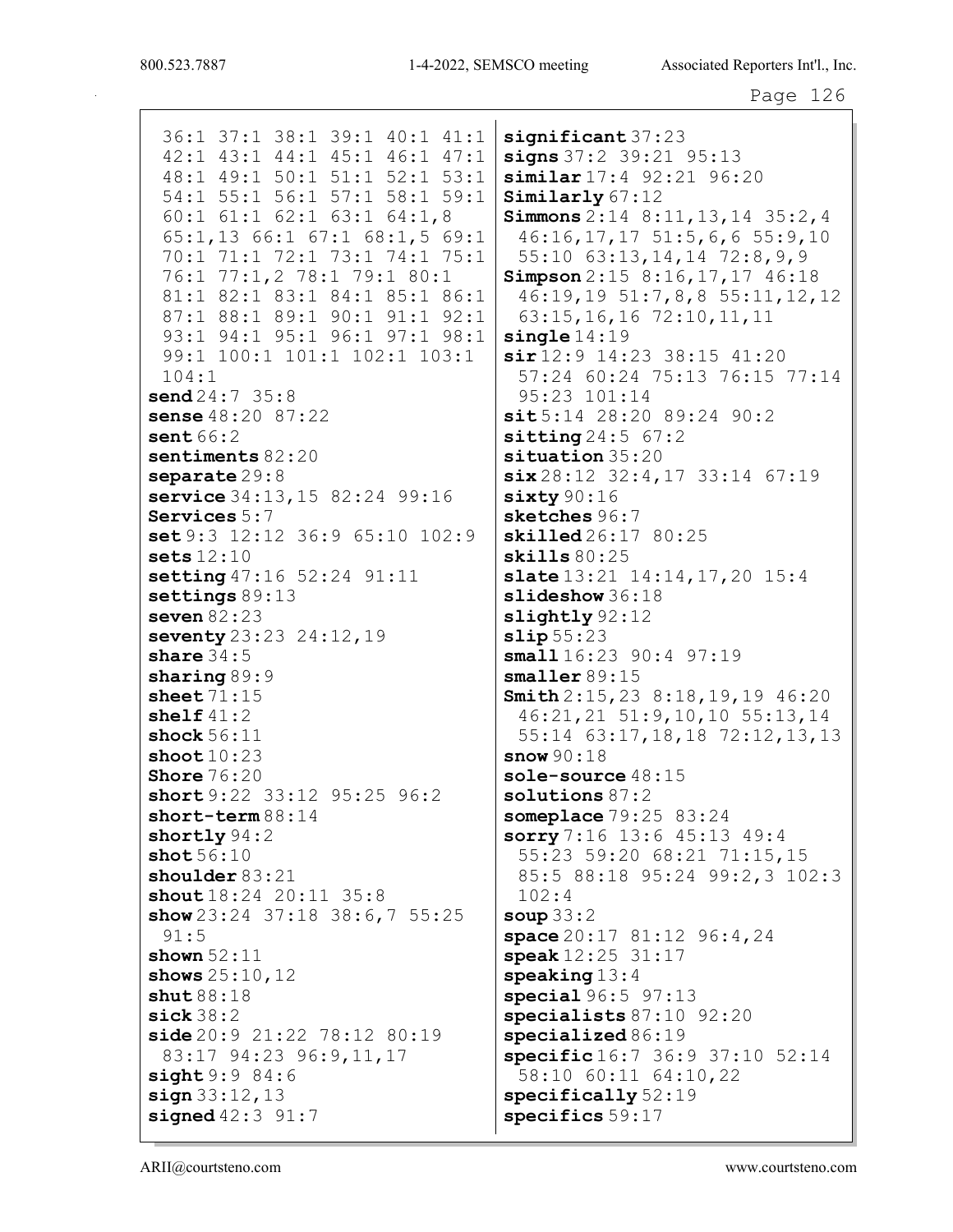36:1 37:1 38:1 39:1 40:1 41:1 | 42:1 43:1 44:1 45:1 46:1 47:1 48:1 49:1 50:1 51:1 52:1 53:1 54:1 55:1 56:1 57:1 58:1 59:1  $60:1$   $61:1$   $62:1$   $63:1$   $64:1$ , 8 65:1,13 66:1 67:1 68:1,5 69:1 70:1 71:1 72:1 73:1 74:1 75:1 76:1 77:1,2 78:1 79:1 80:1 81:1 82:1 83:1 84:1 85:1 86:1 87:1 88:1 89:1 90:1 91:1 92:1 93:1 94:1 95:1 96:1 97:1 98:1 99:1 100:1 101:1 102:1 103:1  $104:1$  $send24:735:8$ sense 48:20 87:22 sent  $66:2$ sentiments  $82:20$ separate  $29:8$ service 34:13, 15 82:24 99:16 Services  $5:7$ set 9:3 12:12 36:9 65:10 102:9 sets  $12:10$ setting  $47:16$  52:24 91:11 settings  $89:13$ seven  $82:23$ seventy 23:23 24:12, 19 share  $34:5$  $sharing 89:9$ sheet  $71:15$ shelf  $41:2$ shock  $56:11$ shoot  $10:23$ snow  $90:18$ **Shore**  $76:20$ short 9:22 33:12 95:25 96:2 short-term  $88:14$ shortly  $94:2$ shot  $56:10$ shoulder  $83:21$ shout 18:24 20:11 35:8  $102:4$ show  $23:24$  37:18 38:6,7 55:25 soup  $33:2$  $91:5$ shown  $52:11$ shows  $25:10,12$  $shut88:18$  $\text{size}$  38:2 side 20:9 21:22 78:12 80:19 83:17 94:23 96:9,11,17  $sight9:984:6$  $sign 33:12,13$ signed  $42:3$   $91:7$ 

 $\texttt{significant} 37:23$  $signs 37:2 39:21 95:13$ similar 17:4 92:21 96:20  $Similarly 67:12$ **Simmons**  $2:14$   $8:11,13,14$   $35:2,4$  $46:16, 17, 17, 51:5, 6, 6, 55:9, 10$ 55:10 63:13, 14, 14 72:8, 9, 9 Simpson  $2:15$  8:16,17,17 46:18 46:19,19 51:7,8,8 55:11,12,12 63:15, 16, 16 72:10, 11, 11  $\texttt{sinale} 14:19$  $\sin 12:9$  14:23 38:15 41:20 57:24 60:24 75:13 76:15 77:14 95:23 101:14  $sit5:14$  28:20 89:24 90:2  $sitting 24:5 67:2$  $situation$  35:20  $\texttt{six} 28:12 \quad 32:4,17 \quad 33:14 \quad 67:19$  $sixty90:16$  $sketches 96:7$ skilled 26:17 80:25  $\textbf{skills}\,80:25$ slate  $13:21$   $14:14,17,20$   $15:4$  $slideshow 36:18$ slightly 92:12  $slip55:23$ small  $16:23$  90:4 97:19  $smaller 89:15$ Smith  $2:15,23$  8:18,19,19 46:20 46:21, 21 51:9, 10, 10 55:13, 14 55:14 63:17, 18, 18 72:12, 13, 13 sole-source  $48:15$  $solutions 87:2$ someplace  $79:25$  83:24 sorry 7:16 13:6 45:13 49:4 55:23 59:20 68:21 71:15,15 85:5 88:18 95:24 99:2,3 102:3 space  $20:17$   $81:12$   $96:4$ ,  $24$ speak  $12:25$   $31:17$  $\text{speaking} 13:4$ special  $96:5$   $97:13$ specialists  $87:10$   $92:20$  $specialized 86:19$ specific 16:7 36:9 37:10 52:14 58:10 60:11 64:10,22  $specifically 52:19$ specifics 59:17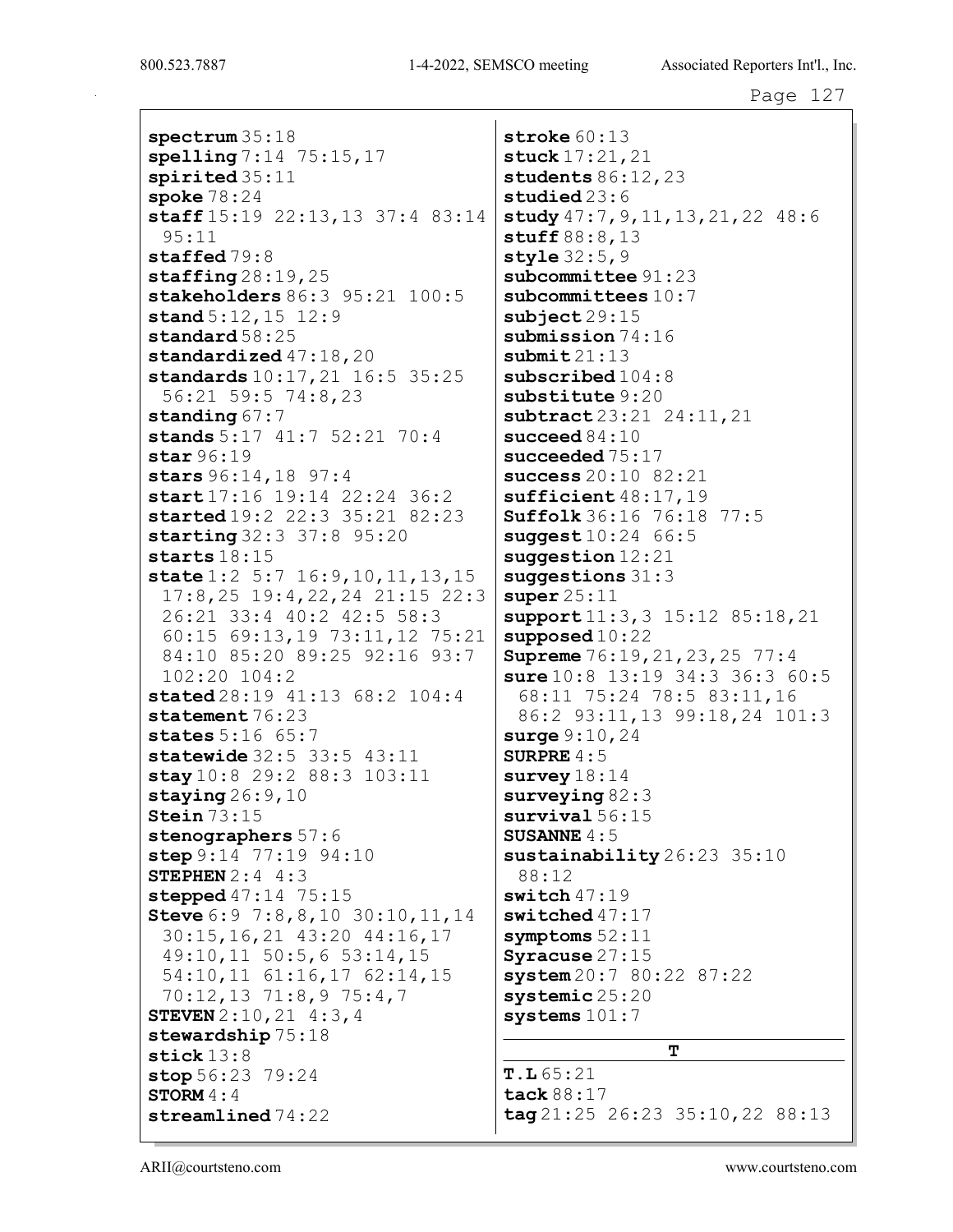```
spectrum 35:18
spelling 7:14 75:15,17
spirited 35:11
spoke 78:24
staff 15:19 22:13,13 37:4 83:14
 95:11
staffed 79:8
staffing 28:19,25stakeholders 86:3 95:21 100:5
stand 5:12,15 12:9
standard 58:25
standardized 47:18,20standards 10:17,21 16:5 35:25
 56:21 59:5 74:8,23
standing 67:7stands 5:17 41:7 52:21 70:4
star 96:19
stars 96:14,18 97:4
start 17:16 19:14 22:24 36:2
started 19:2 22:3 35:21 82:23
starting 32:3 37:8 95:20
starts 18:15
state 1:2 5:7 16:9, 10, 11, 13, 15
 17:8,25 19:4,22,24 21:15 22:3
 26:21 33:4 40:2 42:5 58:3
 60:15 69:13,19 73:11,12 75:21
 84:10 85:20 89:25 92:16 93:7
 102:20 104:2
stated 28:19 41:13 68:2 104:4
statement 76:23
states 5:16 65:7
statewide 32:5 33:5 43:11
stay 10:8 29:2 88:3 103:11
staying 26:9,10Stein 73:15
stenographers 57:6
step 9:14 77:19 94:10
STEPHEN 2:4 4:3
stepped 47:14 75:15
Steve 6:9 7:8,8,10 30:10,11,14
 30:15,16,21 43:20 44:16,17
 49:10,11 50:5,6 53:14,15
 54:10,11 61:16,17 62:14,15
 70:12,13 71:8,9 75:4,7
STEVEN 2:10,21 4:3,4
stewardship 75:18
stick 13:8
stop 56:23 79:24
STORM 4:4
streamlined 74:22
```
stroke 60:13 stuck 17:21,21 students 86:12,23 studied 23:6 study 47:7,9,11,13,21,22 48:6 stuff 88:8,13 style 32:5, 9 subcommittee 91:23 subcommittees  $10:7$  $subject 29:15$ submission  $74:16$  $\texttt{submit} 21:13$ subscribed  $104:8$ substitute 9:20 subtract 23:21 24:11, 21 succeed 84:10 succeeded 75:17 success 20:10 82:21 sufficient 48:17,19 Suffolk 36:16 76:18 77:5  $suggest 10:24 66:5$ suggestion 12:21 suggestions 31:3 super  $25:11$ support 11:3, 3 15:12 85:18, 21 supposed 10:22 **Supreme** 76:19, 21, 23, 25 77:4 sure 10:8 13:19 34:3 36:3 60:5 68:11 75:24 78:5 83:11,16 86:2 93:11,13 99:18,24 101:3 surge 9:10,24 SURPRE 4:5 survey  $18:14$ surveying 82:3 survival 56:15 SUSANNE  $4:5$ sustainability 26:23 35:10 88:12 switch  $47:19$ switched 47:17 symptoms 52:11 Syracuse 27:15 system 20:7 80:22 87:22 systemic 25:20 systems 101:7 T  $T.L65:21$ 

tack 88:17 tag 21:25 26:23 35:10,22 88:13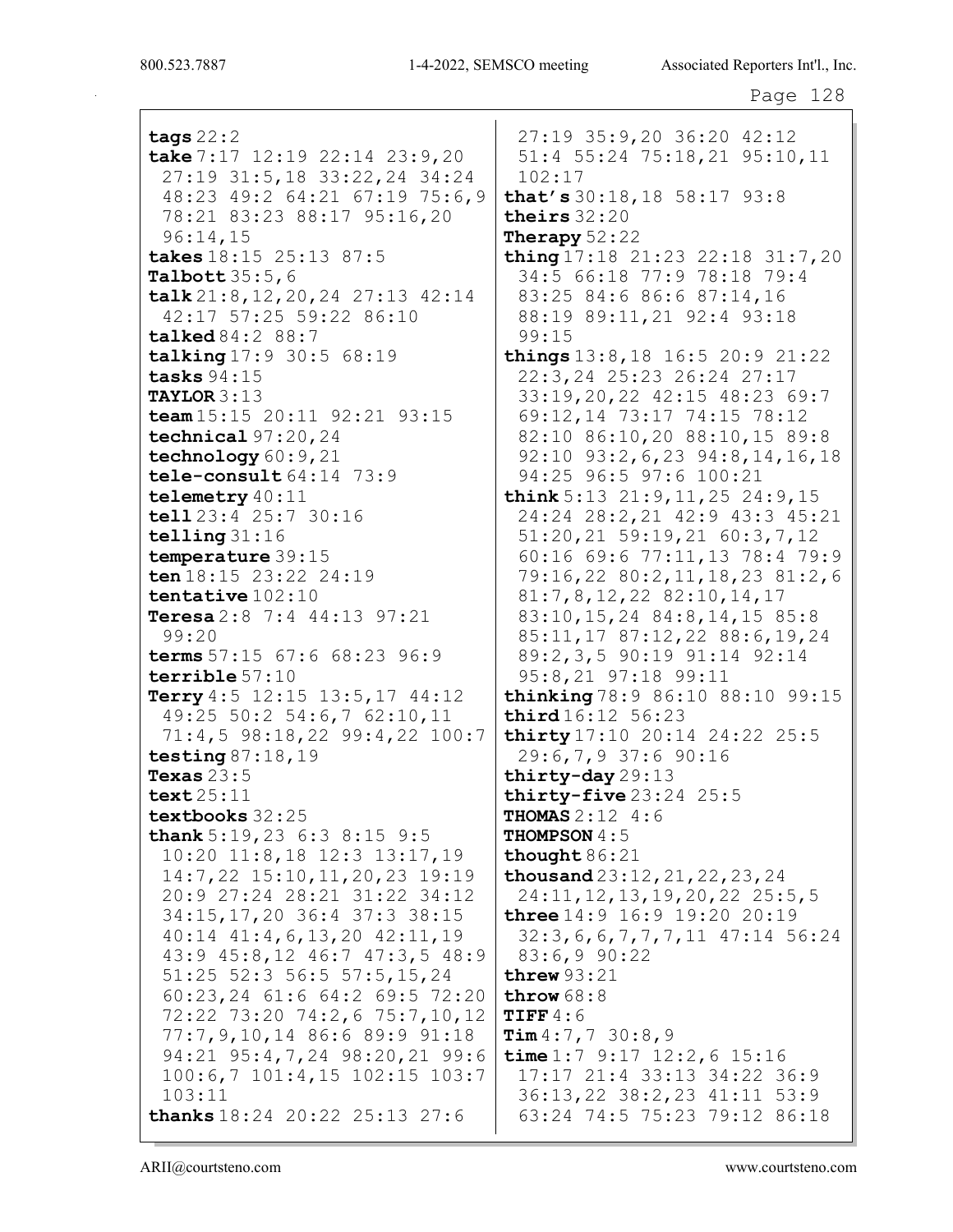tags 22:2 take 7:17 12:19 22:14 23:9,20 27:19 31:5,18 33:22,24 34:24 48:23 49:2 64:21 67:19 75:6,9 78:21 83:23 88:17 95:16,20 96:14,15 takes 18:15 25:13 87:5 Talbott 35:5,6 talk 21:8,12,20,24 27:13 42:14 42:17 57:25 59:22 86:10 talked 84:2 88:7 talking 17:9 30:5 68:19 tasks 94:15 TAYLOR 3:13 team 15:15 20:11 92:21 93:15 technical 97:20,24 technology 60:9, 21 tele-consult 64:14 73:9 telemetry 40:11 tell 23:4 25:7 30:16 telling 31:16 temperature 39:15 ten 18:15 23:22 24:19 tentative 102:10 Teresa 2:8 7:4 44:13 97:21 99:20 terms 57:15 67:6 68:23 96:9 terrible 57:10 Terry 4:5 12:15 13:5,17 44:12 49:25 50:2 54:6,7 62:10,11 71:4,5 98:18,22 99:4,22 100:7 testing  $87:18,19$ Texas  $23:5$ text 25:11 textbooks 32:25 thank 5:19, 23 6:3 8:15 9:5 10:20 11:8,18 12:3 13:17,19 14:7,22 15:10,11,20,23 19:19 20:9 27:24 28:21 31:22 34:12 34:15,17,20 36:4 37:3 38:15 40:14 41:4,6,13,20 42:11,19 43:9 45:8,12 46:7 47:3,5 48:9 51:25 52:3 56:5 57:5,15,24 60:23,24 61:6 64:2 69:5 72:20 72:22 73:20 74:2,6 75:7,10,12 77:7,9,10,14 86:6 89:9 91:18 94:21 95:4,7,24 98:20,21 99:6 100:6,7 101:4,15 102:15 103:7 103:11 thanks 18:24 20:22 25:13 27:6

27:19 35:9,20 36:20 42:12 51:4 55:24 75:18,21 95:10,11 102:17 that's 30:18,18 58:17 93:8 theirs 32:20 Therapy  $52:22$ thing 17:18 21:23 22:18 31:7,20 34:5 66:18 77:9 78:18 79:4 83:25 84:6 86:6 87:14,16 88:19 89:11,21 92:4 93:18 99:15 things 13:8,18 16:5 20:9 21:22 22:3,24 25:23 26:24 27:17 33:19,20,22 42:15 48:23 69:7 69:12,14 73:17 74:15 78:12 82:10 86:10,20 88:10,15 89:8 92:10 93:2,6,23 94:8,14,16,18 94:25 96:5 97:6 100:21 think 5:13 21:9,11,25 24:9,15 24:24 28:2,21 42:9 43:3 45:21 51:20,21 59:19,21 60:3,7,12 60:16 69:6 77:11,13 78:4 79:9 79:16,22 80:2,11,18,23 81:2,6 81:7,8,12,22 82:10,14,17 83:10,15,24 84:8,14,15 85:8 85:11,17 87:12,22 88:6,19,24 89:2,3,5 90:19 91:14 92:14 95:8,21 97:18 99:11 thinking 78:9 86:10 88:10 99:15 third 16:12 56:23 thirty 17:10 20:14 24:22 25:5 29:6,7,9 37:6 90:16 thirty-day 29:13 thirty-five  $23:24$   $25:5$ **THOMAS**  $2:12 \ 4:6$ THOMPSON 4:5 thought 86:21 thousand 23:12,21,22,23,24 24:11,12,13,19,20,22 25:5,5 three 14:9 16:9 19:20 20:19 32:3,6,6,7,7,7,11 47:14 56:24 83:6,9 90:22 threw 93:21 throw 68:8  $TIFF 4:6$  $Tim 4:7,7 30:8,9$ time 1:7 9:17 12:2,6 15:16 17:17 21:4 33:13 34:22 36:9 36:13,22 38:2,23 41:11 53:9 63:24 74:5 75:23 79:12 86:18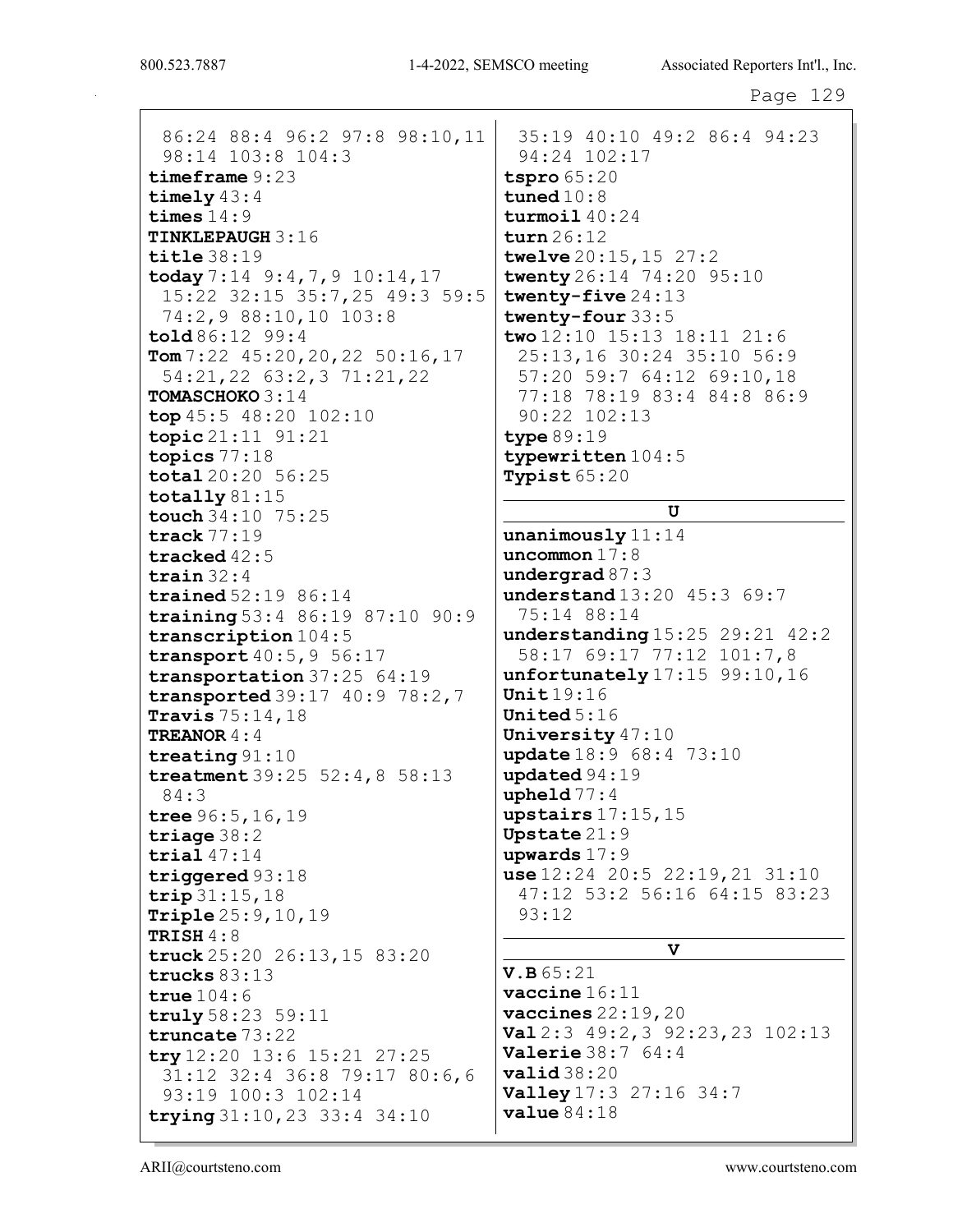86:24 88:4 96:2 97:8 98:10,11 98:14 103:8 104:3 timeframe 9:23 timely 43:4 times 14:9 TINKLEPAUGH 3:16 title 38:19 today  $7:14$   $9:4,7,9$   $10:14,17$ 15:22 32:15 35:7,25 49:3 59:5 74:2,9 88:10,10 103:8 told 86:12 99:4  $Tom 7:22 45:20,20,22 50:16,17$ 54:21,22 63:2,3 71:21,22 TOMASCHOKO 3:14 top 45:5 48:20 102:10 topic 21:11 91:21 topics 77:18 total 20:20 56:25 totally 81:15 touch 34:10 75:25 track 77:19 tracked 42:5 train 32:4 trained 52:19 86:14 training 53:4 86:19 87:10 90:9 transcription 104:5 transport  $40:5,9$  56:17 transportation 37:25 64:19 transported 39:17 40:9 78:2,7 Travis 75:14,18 TREANOR 4:4 treating 91:10 treatment 39:25 52:4,8 58:13 84:3 tree 96:5,16,19 triage 38:2 trial 47:14 triggered 93:18 trip 31:15,18 Triple 25:9,10,19 TRISH 4:8 truck 25:20 26:13,15 83:20 trucks 83:13 true 104:6 truly 58:23 59:11 truncate 73:22 try 12:20 13:6 15:21 27:25 31:12 32:4 36:8 79:17 80:6,6 93:19 100:3 102:14 trying 31:10,23 33:4 34:10

35:19 40:10 49:2 86:4 94:23 94:24 102:17 tspro 65:20 tuned 10:8 turmoil 40:24 turn 26:12 twelve 20:15,15 27:2 twenty 26:14 74:20 95:10 twenty-five 24:13 twenty-four 33:5 two 12:10 15:13 18:11 21:6 25:13,16 30:24 35:10 56:9 57:20 59:7 64:12 69:10,18 77:18 78:19 83:4 84:8 86:9 90:22 102:13 type 89:19 typewritten 104:5 Typist 65:20

#### U

unanimously 11:14 uncommon 17:8 undergrad 87:3 understand 13:20 45:3 69:7 75:14 88:14 understanding 15:25 29:21 42:2 58:17 69:17 77:12 101:7,8 unfortunately 17:15 99:10,16 Unit 19:16 United 5:16 University 47:10 update 18:9 68:4 73:10 updated 94:19 upheld 77:4 upstairs 17:15,15 Upstate 21:9 upwards 17:9 use 12:24 20:5 22:19,21 31:10 47:12 53:2 56:16 64:15 83:23 93:12

## V

V.B 65:21 vaccine 16:11 vaccines 22:19,20 Val 2:3 49:2,3 92:23,23 102:13 Valerie 38:7 64:4 valid 38:20 **Valley** 17:3 27:16 34:7 value 84:18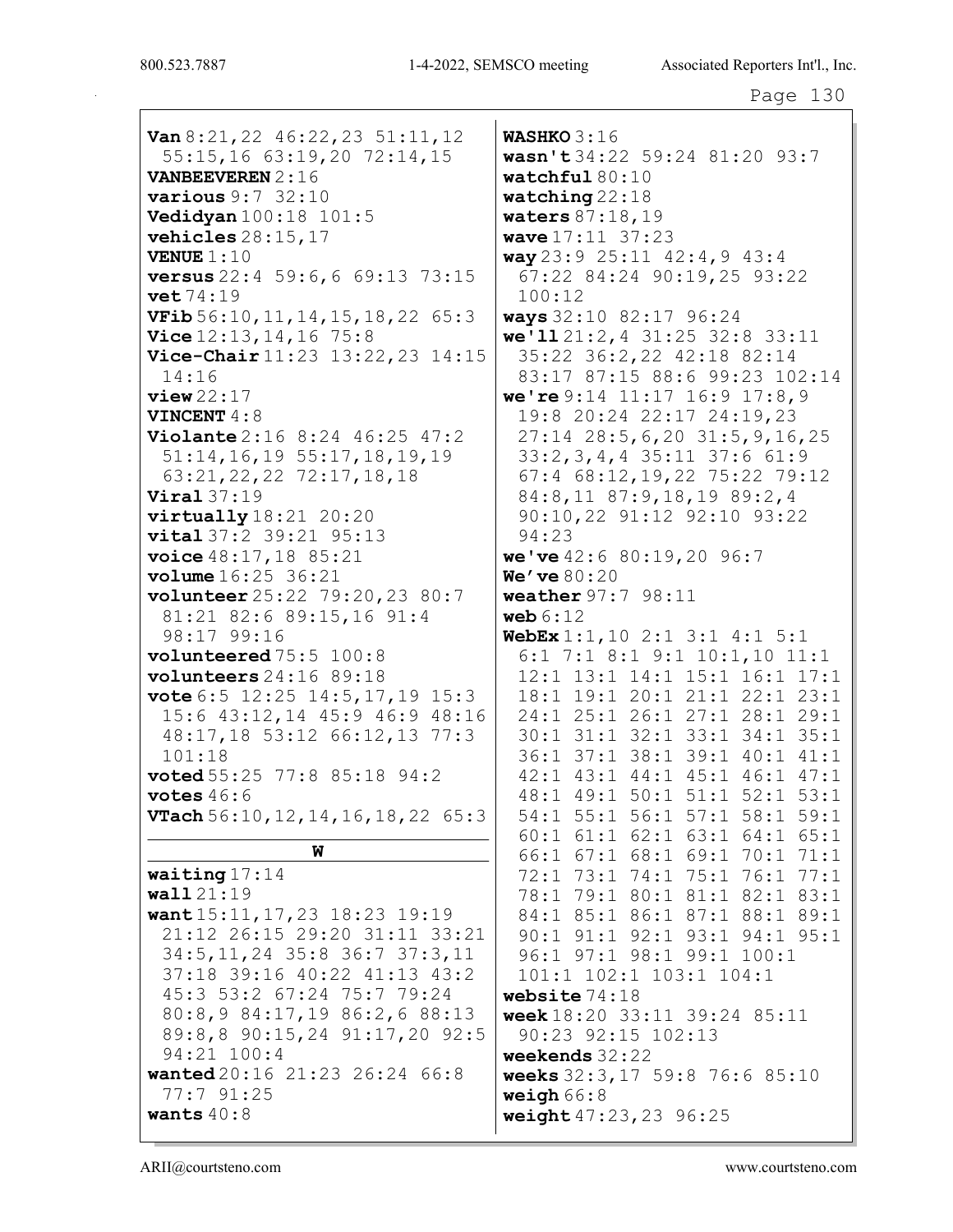```
Page 130
```
 $Van 8:21, 22 46:22, 23 51:11, 12$ 55:15,16 63:19,20 72:14,15 **VANBEEVEREN 2:16** various  $9:7$  32:10 **Vedidyan**  $100:18$   $101:5$ vehicles  $28:15,17$ **VENUE**  $1:10$ **versus** 22:4 59:6,6 69:13 73:15  $\texttt{vet}$  74:19 **VFib**  $56:10, 11, 14, 15, 18, 22, 65:3$ Vice  $12:13, 14, 16$  75:8 Vice-Chair 11:23 13:22, 23 14:15  $14:16$  $view22:17$ VINCENT 4:8 Violante 2:16 8:24 46:25 47:2  $51:14, 16, 19$   $55:17, 18, 19, 19$ 63:21, 22, 22 72:17, 18, 18  $Viral 37:19$  $virtually18:21 20:20$ vital 37:2 39:21 95:13 **voice** 48:17, 18 85:21 **volume**  $16:25$   $36:21$ volunteer 25:22 79:20, 23 80:7 81:21 82:6 89:15,16 91:4 98:17 99:16 volunteered  $75:5$   $100:8$ volunteers  $24:16$  89:18 vote  $6:5$  12:25 14:5,17,19 15:3 15:6 43:12,14 45:9 46:9 48:16 48:17,18 53:12 66:12,13 77:3  $101:18$ **voted**  $55:25$   $77:8$   $85:18$   $94:2$ votes  $46:6$ **VTach**  $56:10$ ,  $12$ ,  $14$ ,  $16$ ,  $18$ ,  $22$  65: 3 W waiting  $17:14$  $wall21:19$ want 15:11, 17, 23 18:23 19:19 21:12 26:15 29:20 31:11 33:21 34:5, 11, 24 35:8 36:7 37:3, 11 37:18 39:16 40:22 41:13 43:2 45:3 53:2 67:24 75:7 79:24

80:8,9 84:17,19 86:2,6 88:13

89:8,8 90:15,24 91:17,20 92:5

wanted 20:16 21:23 26:24 66:8

**WASHKO**  $3:16$ wasn't 34:22 59:24 81:20 93:7 watchful  $80:10$ watching  $22:18$ **waters**  $87:18,19$ **wave**  $17:11 \ 37:23$ way  $23:9$   $25:11$   $42:4$ ,  $9$   $43:4$ 67:22 84:24 90:19,25 93:22  $100:12$ ways 32:10 82:17 96:24 we'll  $21:2,4$  31:25 32:8 33:11 35:22 36:2,22 42:18 82:14 83:17 87:15 88:6 99:23 102:14 we're  $9:14$  11:17 16:9 17:8,9 19:8 20:24 22:17 24:19,23  $27:14$   $28:5, 6, 20$   $31:5, 9, 16, 25$ 33:2, 3, 4, 4 35:11 37:6 61:9 67:4 68:12, 19, 22 75:22 79:12 84:8,11 87:9,18,19 89:2,4 90:10,22 91:12 92:10 93:22  $94:23$ we've  $42:680:19,2096:7$  $We'$  ve  $80:20$ **weather**  $97:7$   $98:11$ web  $6:12$ **WebEx**  $1:1$ ,  $10$   $2:1$   $3:1$   $4:1$   $5:1$  $6:1$  7:1 8:1 9:1 10:1,10 11:1 12:1 13:1 14:1 15:1 16:1 17:1  $18:1$   $19:1$   $20:1$   $21:1$   $22:1$   $23:1$ 24:1 25:1 26:1 27:1 28:1 29:1 30:1 31:1 32:1 33:1 34:1 35:1 36:1 37:1 38:1 39:1 40:1 41:1 42:1 43:1 44:1 45:1 46:1 47:1 48:1 49:1 50:1 51:1 52:1 53:1 54:1 55:1 56:1 57:1 58:1 59:1 60:1 61:1 62:1 63:1 64:1 65:1 66:1 67:1 68:1 69:1 70:1 71:1 72:1 73:1 74:1 75:1 76:1 77:1 78:1 79:1 80:1 81:1 82:1 83:1 84:1 85:1 86:1 87:1 88:1 89:1 90:1 91:1 92:1 93:1 94:1 95:1 96:1 97:1 98:1 99:1 100:1 101:1 102:1 103:1 104:1 website  $74:18$ week 18:20 33:11 39:24 85:11 90:23 92:15 102:13 weekends  $32:22$ weeks 32:3, 17 59:8 76:6 85:10 weigh  $66:8$ weight 47:23, 23 96:25

wants  $40:8$ 

94:21 100:4

77:7 91:25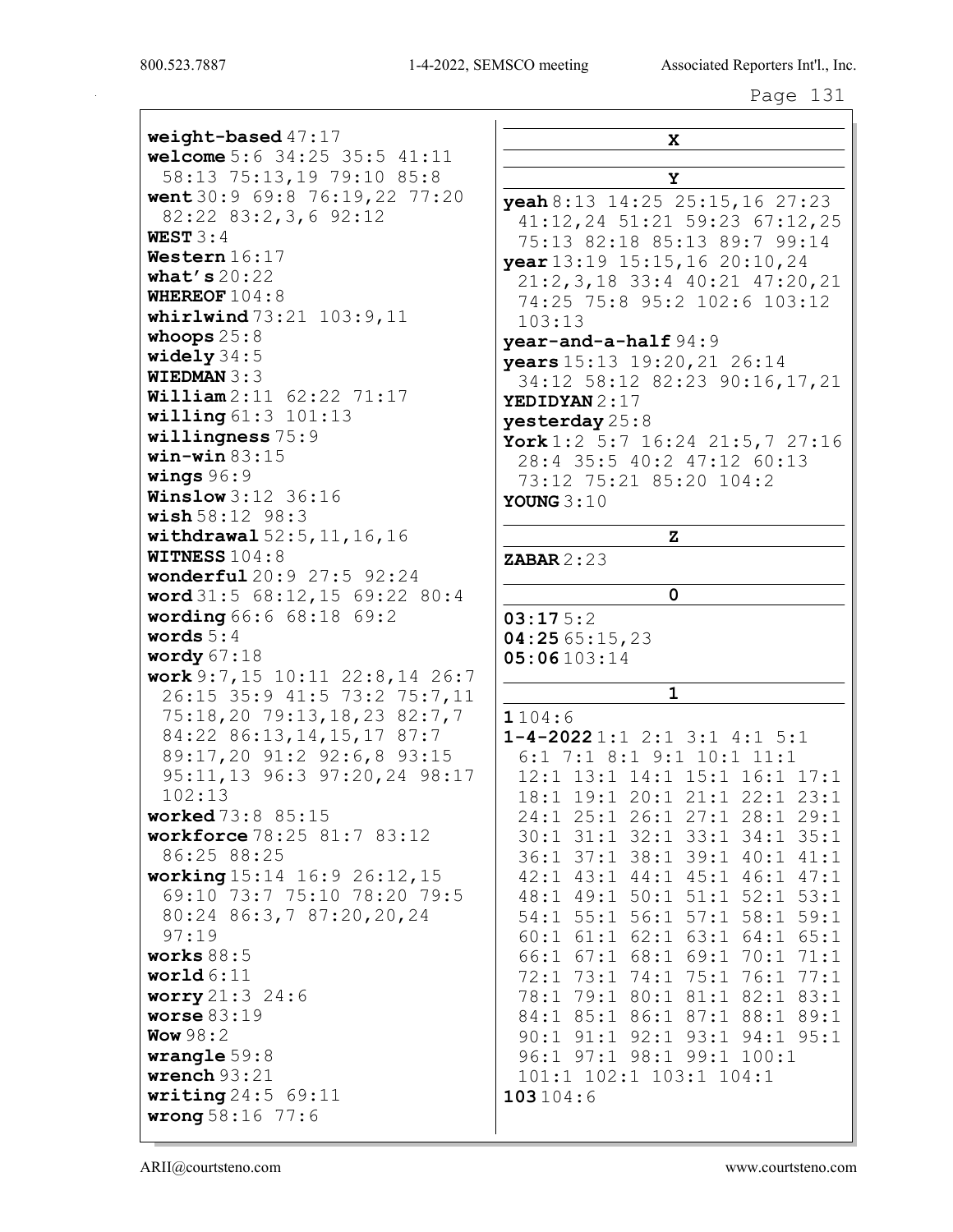weight-based 47:17 welcome 5:6 34:25 35:5 41:11 58:13 75:13,19 79:10 85:8 went 30:9 69:8 76:19,22 77:20  $82:22$   $83:2,3,6$   $92:12$ WEST  $3:4$ Western 16:17 what's  $20:22$ WHEREOF  $104:8$ whirlwind  $73:21$   $103:9,11$ whoops  $25:8$ widely  $34:5$ **WIEDMAN**  $3:3$ **William**  $2:11$  62:22 71:17  $willing 61:3 101:13$ willingness  $75:9$  $win$ -win 83:15 wings  $96:9$ **Winslow** 3:12 36:16  $wish 58:12 98:3$ withdrawal  $52:5, 11, 16, 16$ **WITNESS 104:8** wonderful 20:9 27:5 92:24 word 31:5 68:12, 15 69:22 80:4 wording 66:6 68:18 69:2 words  $5:4$ wordy  $67:18$ work  $9:7,15$  10:11 22:8,14 26:7 26:15 35:9 41:5 73:2 75:7,11 75:18,20 79:13,18,23 82:7,7 84:22 86:13, 14, 15, 17 87:7 89:17,20 91:2 92:6,8 93:15 95:11,13 96:3 97:20,24 98:17  $102:13$ **worked** 73:8 85:15 workforce 78:25 81:7 83:12 86:25 88:25 working 15:14 16:9 26:12, 15 69:10 73:7 75:10 78:20 79:5 80:24 86:3,7 87:20,20,24  $97:19$ works  $88:5$ world  $6:11$ **worry**  $21:3$   $24:6$ worse  $83:19$ Wow  $98:2$ wrangle  $59:8$ wrench  $93:21$ writing  $24:5$  69:11  $wronq 58:16 77:6$ 

 $\mathbf x$  $\mathbf Y$  $\textbf{y}$ eah 8:13 14:25 25:15,16 27:23 41:12,24 51:21 59:23 67:12,25 75:13 82:18 85:13 89:7 99:14 vear 13:19 15:15, 16 20:10, 24  $21:2,3,18$  33:4 40:21 47:20,21 74:25 75:8 95:2 102:6 103:12  $103:13$ year-and-a-half 94:9 years 15:13 19:20, 21 26:14 34:12 58:12 82:23 90:16,17,21 YEDIDYAN 2:17 yesterday  $25:8$ York  $1:2$  5:7 16:24 21:5,7 27:16 28:4 35:5 40:2 47:12 60:13 73:12 75:21 85:20 104:2 YOUNG  $3:10$  $\mathbf{z}$ **ZABAR**  $2:23$  $\mathbf{0}$  $03:175:2$ 04:25 65:15,23  $05:06103:14$  $\mathbf{1}$  $1104:6$  $1-4-20221:12:13:14:15:1$  $6:1$  7:1 8:1 9:1 10:1 11:1 12:1 13:1 14:1 15:1 16:1 17:1 18:1 19:1 20:1 21:1 22:1 23:1 24:1 25:1 26:1 27:1 28:1 29:1 30:1 31:1 32:1 33:1 34:1 35:1 36:1 37:1 38:1 39:1 40:1 41:1 42:1 43:1 44:1 45:1 46:1 47:1 48:1 49:1 50:1 51:1 52:1 53:1 54:1 55:1 56:1 57:1 58:1 59:1 60:1 61:1 62:1 63:1 64:1 65:1 66:1 67:1 68:1 69:1 70:1 71:1 72:1 73:1 74:1 75:1 76:1 77:1 78:1 79:1 80:1 81:1 82:1 83:1 84:1 85:1 86:1 87:1 88:1 89:1 90:1 91:1 92:1 93:1 94:1 95:1 96:1 97:1 98:1 99:1 100:1 101:1 102:1 103:1 104:1  $103104:6$